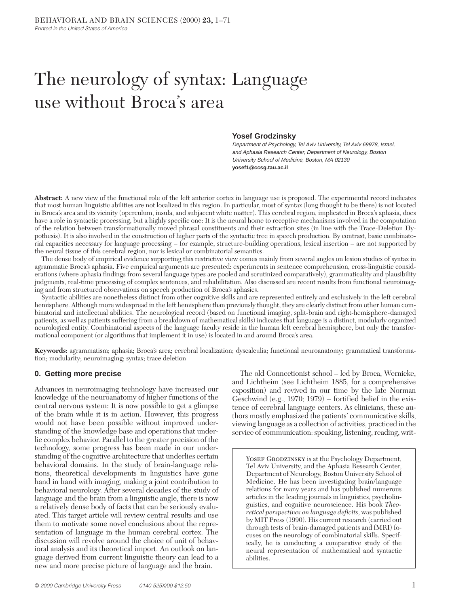# The neurology of syntax: Language use without Broca's area

### **Yosef Grodzinsky**

Department of Psychology, Tel Aviv University, Tel Aviv 69978, Israel, and Aphasia Research Center, Department of Neurology, Boston University School of Medicine, Boston, MA 02130 **yosef1@ccsg.tau.ac.il**

**Abstract:** A new view of the functional role of the left anterior cortex in language use is proposed. The experimental record indicates that most human linguistic abilities are not localized in this region. In particular, most of syntax (long thought to be there) is not located in Broca's area and its vicinity (operculum, insula, and subjacent white matter). This cerebral region, implicated in Broca's aphasia, does have a role in syntactic processing, but a highly specific one: It is the neural home to receptive mechanisms involved in the computation of the relation between transformationally moved phrasal constituents and their extraction sites (in line with the Trace-Deletion Hypothesis). It is also involved in the construction of higher parts of the syntactic tree in speech production. By contrast, basic combinatorial capacities necessary for language processing – for example, structure-building operations, lexical insertion – are not supported by the neural tissue of this cerebral region, nor is lexical or combinatorial semantics.

The dense body of empirical evidence supporting this restrictive view comes mainly from several angles on lesion studies of syntax in agrammatic Broca's aphasia. Five empirical arguments are presented: experiments in sentence comprehension, cross-linguistic considerations (where aphasia findings from several language types are pooled and scrutinized comparatively), grammaticality and plausibility judgments, real-time processing of complex sentences, and rehabilitation. Also discussed are recent results from functional neuroimaging and from structured observations on speech production of Broca's aphasics.

Syntactic abilities are nonetheless distinct from other cognitive skills and are represented entirely and exclusively in the left cerebral hemisphere. Although more widespread in the left hemisphere than previously thought, they are clearly distinct from other human combinatorial and intellectual abilities. The neurological record (based on functional imaging, split-brain and right-hemisphere-damaged patients, as well as patients suffering from a breakdown of mathematical skills) indicates that language is a distinct, modularly organized neurological entity. Combinatorial aspects of the language faculty reside in the human left cerebral hemisphere, but only the transformational component (or algorithms that implement it in use) is located in and around Broca's area.

**Keywords**: agrammatism; aphasia; Broca's area; cerebral localization; dyscalculia; functional neuroanatomy; grammatical transformation; modularity; neuroimaging; syntax; trace deletion

### **0. Getting more precise**

Advances in neuroimaging technology have increased our knowledge of the neuroanatomy of higher functions of the central nervous system: It is now possible to get a glimpse of the brain while it is in action. However, this progress would not have been possible without improved understanding of the knowledge base and operations that underlie complex behavior. Parallel to the greater precision of the technology, some progress has been made in our understanding of the cognitive architecture that underlies certain behavioral domains. In the study of brain-language relations, theoretical developments in linguistics have gone hand in hand with imaging, making a joint contribution to behavioral neurology. After several decades of the study of language and the brain from a linguistic angle, there is now a relatively dense body of facts that can be seriously evaluated. This target article will review central results and use them to motivate some novel conclusions about the representation of language in the human cerebral cortex. The discussion will revolve around the choice of unit of behavioral analysis and its theoretical import. An outlook on language derived from current linguistic theory can lead to a new and more precise picture of language and the brain.

The old Connectionist school – led by Broca, Wernicke, and Lichtheim (see Lichtheim 1885, for a comprehensive exposition) and revived in our time by the late Norman Geschwind (e.g., 1970; 1979) – fortified belief in the existence of cerebral language centers. As clinicians, these authors mostly emphasized the patients' communicative skills, viewing language as a collection of activities, practiced in the service of communication: speaking, listening, reading, writ-

YOSEF GRODZINSKY is at the Psychology Department, Tel Aviv University, and the Aphasia Research Center, Department of Neurology, Boston University School of Medicine. He has been investigating brain/language relations for many years and has published numerous articles in the leading journals in linguistics, psycholinguistics, and cognitive neuroscience. His book *Theoretical perspectives on language deficits,* was published by MIT Press (1990). His current research (carried out through tests of brain-damaged patients and fMRI) focuses on the neurology of combinatorial skills. Specifically, he is conducting a comparative study of the neural representation of mathematical and syntactic abilities.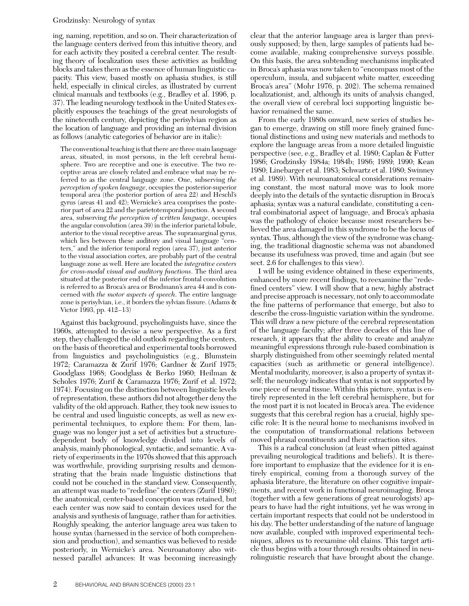#### Grodzinsky: Neurology of syntax

ing, naming, repetition, and so on. Their characterization of the language centers derived from this intuitive theory, and for each activity they posited a cerebral center. The resulting theory of localization uses these activities as building blocks and takes them as the essence of human linguistic capacity. This view, based mostly on aphasia studies, is still held, especially in clinical circles, as illustrated by current clinical manuals and textbooks (e.g., Bradley et al. 1996, p. 37). The leading neurology textbook in the United States explicitly espouses the teachings of the great neurologists of the nineteenth century, depicting the perisylvian region as the location of language and providing an internal division as follows (analytic categories of behavior are in italic):

The conventional teaching is that there are three main language areas, situated, in most persons, in the left cerebral hemisphere. Two are receptive and one is executive. The two receptive areas are closely related and embrace what may be referred to as the central language zone. One, subserving *the perception of spoken language*, occupies the posterior-superior temporal area (the posterior portion of area 22) and Heschl's gyrus (areas 41 and 42); Wernicke's area comprises the posterior part of area 22 and the parietotemporal junction. A second area, subserving *the perception of written language*, occupies the angular convolution (area 39) in the inferior parietal lobule, anterior to the visual receptive areas. The supramarginal gyrus, which lies between these auditory and visual language "centers," and the inferior temporal region (area 37), just anterior to the visual association cortex, are probably part of the central language zone as well. Here are located the *integrative centers for cross-modal visual and auditory functions*. The third area situated at the posterior end of the inferior frontal convolution is referred to as Broca's area or Brodmann's area 44 and is concerned with *the motor aspects of speech*. The entire language zone is perisylvian, i.e., it borders the sylvian fissure. (Adams & Victor 1993, pp. 412–13)

Against this background, psycholinguists have, since the 1960s, attempted to devise a new perspective. As a first step, they challenged the old outlook regarding the centers, on the basis of theoretical and experimental tools borrowed from linguistics and psycholinguistics (e.g., Blumstein 1972; Caramazza & Zurif 1976; Gardner & Zurif 1975; Goodglass 1968; Goodglass & Berko 1960; Heilman & Scholes 1976; Zurif & Caramazza 1976; Zurif et al. 1972; 1974). Focusing on the distinction between linguistic levels of representation, these authors did not altogether deny the validity of the old approach. Rather, they took new issues to be central and used linguistic concepts, as well as new experimental techniques, to explore them: For them, language was no longer just a set of activities but a structuredependent body of knowledge divided into levels of analysis, mainly phonological, syntactic, and semantic. A variety of experiments in the 1970s showed that this approach was worthwhile, providing surprising results and demonstrating that the brain made linguistic distinctions that could not be couched in the standard view. Consequently, an attempt was made to "redefine" the centers (Zurif 1980); the anatomical, center-based conception was retained, but each center was now said to contain devices used for the analysis and synthesis of language, rather than for activities. Roughly speaking, the anterior language area was taken to house syntax (harnessed in the service of both comprehension and production), and semantics was believed to reside posteriorly, in Wernicke's area. Neuroanatomy also witnessed parallel advances: It was becoming increasingly

clear that the anterior language area is larger than previously supposed; by then, large samples of patients had become available, making comprehensive surveys possible. On this basis, the area subtending mechanisms implicated in Broca's aphasia was now taken to "encompass most of the operculum, insula, and subjacent white matter, exceeding Broca's area" (Mohr 1976, p. 202). The schema remained localizationist, and, although its units of analysis changed, the overall view of cerebral loci supporting linguistic behavior remained the same.

From the early 1980s onward, new series of studies began to emerge, drawing on still more finely grained functional distinctions and using new materials and methods to explore the language areas from a more detailed linguistic perspective (see, e.g., Bradley et al. 1980; Caplan & Futter 1986; Grodzinsky 1984a; 1984b; 1986; 1989; 1990; Kean 1980; Linebarger et al. 1983; Schwartz et al. 1980; Swinney et al. 1989). With neuroanatomical considerations remaining constant, the most natural move was to look more deeply into the details of the syntactic disruption in Broca's aphasia; syntax was a natural candidate, constituting a central combinatorial aspect of language, and Broca's aphasia was the pathology of choice because most researchers believed the area damaged in this syndrome to be the locus of syntax. Thus, although the view of the syndrome was changing, the traditional diagnostic schema was not abandoned because its usefulness was proved, time and again (but see sect. 2.6 for challenges to this view).

I will be using evidence obtained in these experiments, enhanced by more recent findings, to reexamine the "redefined centers" view. I will show that a new, highly abstract and precise approach is necessary, not only to accommodate the fine patterns of performance that emerge, but also to describe the cross-linguistic variation within the syndrome. This will draw a new picture of the cerebral representation of the language faculty; after three decades of this line of research, it appears that the ability to create and analyze meaningful expressions through rule-based combination is sharply distinguished from other seemingly related mental capacities (such as arithmetic or general intelligence). Mental modularity, moreover, is also a property of syntax itself; the neurology indicates that syntax is not supported by one piece of neural tissue. Within this picture, syntax is entirely represented in the left cerebral hemisphere, but for the most part it is not located in Broca's area. The evidence suggests that this cerebral region has a crucial, highly specific role: It is the neural home to mechanisms involved in the computation of transformational relations between moved phrasal constituents and their extraction sites.

This is a radical conclusion (at least when pitted against prevailing neurological traditions and beliefs). It is therefore important to emphasize that the evidence for it is entirely empirical, coming from a thorough survey of the aphasia literature, the literature on other cognitive impairments, and recent work in functional neuroimaging. Broca (together with a few generations of great neurologists) appears to have had the right intuitions, yet he was wrong in certain important respects that could not be understood in his day. The better understanding of the nature of language now available, coupled with improved experimental techniques, allows us to reexamine old claims. This target article thus begins with a tour through results obtained in neurolinguistic research that have brought about the change.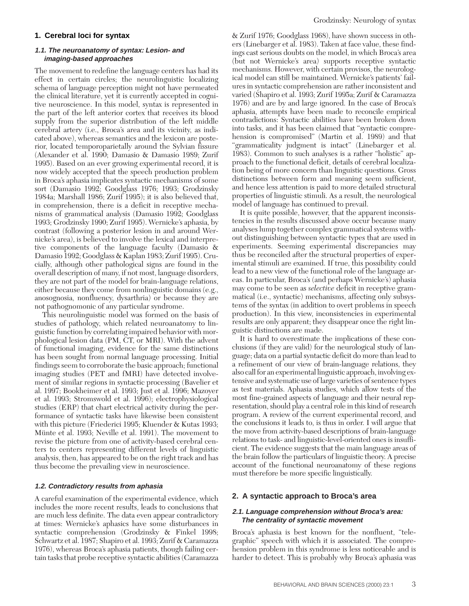#### **1. Cerebral loci for syntax**

#### **1.1. The neuroanatomy of syntax: Lesion- and imaging-based approaches**

The movement to redefine the language centers has had its effect in certain circles; the neurolinguistic localizing schema of language perception might not have permeated the clinical literature, yet it is currently accepted in cognitive neuroscience. In this model, syntax is represented in the part of the left anterior cortex that receives its blood supply from the superior distribution of the left middle cerebral artery (i.e., Broca's area and its vicinity, as indicated above), whereas semantics and the lexicon are posterior, located temporoparietally around the Sylvian fissure (Alexander et al. 1990; Damasio & Damasio 1989; Zurif 1995). Based on an ever growing experimental record, it is now widely accepted that the speech production problem in Broca's aphasia implicates syntactic mechanisms of some sort (Damasio 1992; Goodglass 1976; 1993; Grodzinsky 1984a; Marshall 1986; Zurif 1995); it is also believed that, in comprehension, there is a deficit in receptive mechanisms of grammatical analysis (Damasio 1992; Goodglass 1993; Grodzinsky 1990; Zurif 1995). Wernicke's aphasia, by contrast (following a posterior lesion in and around Wernicke's area), is believed to involve the lexical and interpretive components of the language faculty (Damasio & Damasio 1992; Goodglass & Kaplan 1983; Zurif 1995). Crucially, although other pathological signs are found in the overall description of many, if not most, language disorders, they are not part of the model for brain-language relations, either because they come from nonlinguistic domains (e.g., anosognosia, nonfluency, dysarthria) or because they are not pathognomonic of any particular syndrome.

This neurolinguistic model was formed on the basis of studies of pathology, which related neuroanatomy to linguistic function by correlating impaired behavior with morphological lesion data (PM, CT, or MRI). With the advent of functional imaging, evidence for the same distinctions has been sought from normal language processing. Initial findings seem to corroborate the basic approach; functional imaging studies (PET and fMRI) have detected involvement of similar regions in syntactic processing (Bavelier et al. 1997; Bookheimer et al. 1993; Just et al. 1996; Mazoyer et al. 1993; Stromswold et al. 1996); electrophysiological studies (ERP) that chart electrical activity during the performance of syntactic tasks have likewise been consistent with this picture (Friederici 1995; Kluender & Kutas 1993; Münte et al. 1993; Neville et al. 1991). The movement to revise the picture from one of activity-based cerebral centers to centers representing different levels of linguistic analysis, then, has appeared to be on the right track and has thus become the prevailing view in neuroscience.

#### **1.2. Contradictory results from aphasia**

A careful examination of the experimental evidence, which includes the more recent results, leads to conclusions that are much less definite. The data even appear contradictory at times: Wernicke's aphasics have some disturbances in syntactic comprehension (Grodzinsky & Finkel 1998; Schwartz et al. 1987; Shapiro et al. 1993; Zurif & Caramazza 1976), whereas Broca's aphasia patients, though failing certain tasks that probe receptive syntactic abilities (Caramazza

& Zurif 1976; Goodglass 1968), have shown success in others (Linebarger et al. 1983). Taken at face value, these findings cast serious doubts on the model, in which Broca's area (but not Wernicke's area) supports receptive syntactic mechanisms. However, with certain provisos, the neurological model can still be maintained. Wernicke's patients' failures in syntactic comprehension are rather inconsistent and varied (Shapiro et al. 1993; Zurif 1995a; Zurif & Caramazza 1976) and are by and large ignored. In the case of Broca's aphasia, attempts have been made to reconcile empirical contradictions: Syntactic abilities have been broken down into tasks, and it has been claimed that "syntactic comprehension is compromised" (Martin et al. 1989) and that "grammaticality judgment is intact" (Linebarger et al. 1983). Common to such analyses is a rather "holistic" approach to the functional deficit, details of cerebral localization being of more concern than linguistic questions. Gross distinctions between form and meaning seem sufficient, and hence less attention is paid to more detailed structural properties of linguistic stimuli. As a result, the neurological model of language has continued to prevail.

It is quite possible, however, that the apparent inconsistencies in the results discussed above occur because many analyses lump together complex grammatical systems without distinguishing between syntactic types that are used in experiments. Seeming experimental discrepancies may thus be reconciled after the structural properties of experimental stimuli are examined. If true, this possibility could lead to a new view of the functional role of the language areas. In particular, Broca's (and perhaps Wernicke's) aphasia may come to be seen as *selective* deficit in receptive grammatical (i.e., syntactic) mechanisms, affecting only subsystems of the syntax (in addition to overt problems in speech production). In this view, inconsistencies in experimental results are only apparent; they disappear once the right linguistic distinctions are made.

It is hard to overestimate the implications of these conclusions (if they are valid) for the neurological study of language; data on a partial syntactic deficit do more than lead to a refinement of our view of brain-language relations, they also call for an experimental linguistic approach, involving extensive and systematic use of large varieties of sentence types as test materials. Aphasia studies, which allow tests of the most fine-grained aspects of language and their neural representation, should play a central role in this kind of research program. A review of the current experimental record, and the conclusions it leads to, is thus in order. I will argue that the move from activity-based descriptions of brain-language relations to task- and linguistic-level-oriented ones is insufficient. The evidence suggests that the main language areas of the brain follow the particulars of linguistic theory. A precise account of the functional neuroanatomy of these regions must therefore be more specific linguistically.

#### **2. A syntactic approach to Broca's area**

#### **2.1. Language comprehension without Broca's area: The centrality of syntactic movement**

Broca's aphasia is best known for the nonfluent, "telegraphic" speech with which it is associated. The comprehension problem in this syndrome is less noticeable and is harder to detect. This is probably why Broca's aphasia was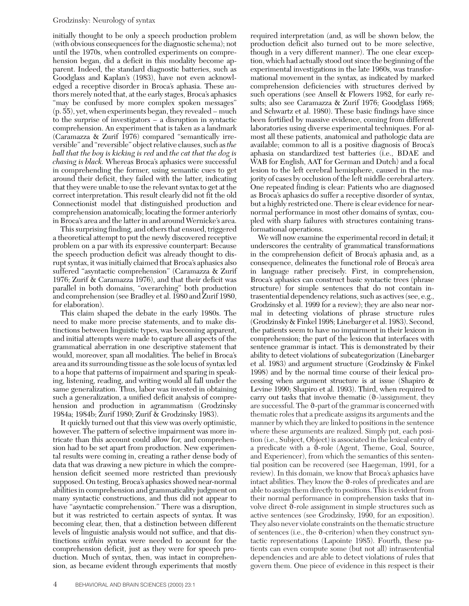### Grodzinsky: Neurology of syntax

initially thought to be only a speech production problem (with obvious consequences for the diagnostic schema); not until the 1970s, when controlled experiments on comprehension began, did a deficit in this modality become apparent. Indeed, the standard diagnostic batteries, such as Goodglass and Kaplan's (1983), have not even acknowledged a receptive disorder in Broca's aphasia. These authors merely noted that, at the early stages, Broca's aphasics "may be confused by more complex spoken messages" (p. 55), yet, when experiments began, they revealed – much to the surprise of investigators – a disruption in syntactic comprehension. An experiment that is taken as a landmark (Caramazza & Zurif 1976) compared "semantically irreversible" and "reversible" object relative clauses, such as *the ball that the boy is kicking is red* and *the cat that the dog is chasing is black.* Whereas Broca's aphasics were successful in comprehending the former, using semantic cues to get around their deficit, they failed with the latter, indicating that they were unable to use the relevant syntax to get at the correct interpretation. This result clearly did not fit the old Connectionist model that distinguished production and comprehension anatomically, locating the former anteriorly in Broca's area and the latter in and around Wernicke's area.

This surprising finding, and others that ensued, triggered a theoretical attempt to put the newly discovered receptive problem on a par with its expressive counterpart: Because the speech production deficit was already thought to disrupt syntax, it was initially claimed that Broca's aphasics also suffered "asyntactic comprehension" (Caramazza & Zurif 1976; Zurif & Caramazza 1976), and that their deficit was parallel in both domains, "overarching" both production and comprehension (see Bradley et al. 1980 and Zurif 1980, for elaboration).

This claim shaped the debate in the early 1980s. The need to make more precise statements, and to make distinctions between linguistic types, was becoming apparent, and initial attempts were made to capture all aspects of the grammatical aberration in one descriptive statement that would, moreover, span all modalities. The belief in Broca's area and its surrounding tissue as the sole locus of syntax led to a hope that patterns of impairment and sparing in speaking, listening, reading, and writing would all fall under the same generalization. Thus, labor was invested in obtaining such a generalization, a unified deficit analysis of comprehension and production in agrammatism (Grodzinsky 1984a; 1984b; Zurif 1980; Zurif & Grodzinsky 1983).

It quickly turned out that this view was overly optimistic, however. The pattern of selective impairment was more intricate than this account could allow for, and comprehension had to be set apart from production. New experimental results were coming in, creating a rather dense body of data that was drawing a new picture in which the comprehension deficit seemed more restricted than previously supposed. On testing, Broca's aphasics showed near-normal abilities in comprehension and grammaticality judgment on many syntactic constructions, and thus did not appear to have "asyntactic comprehension." There was a disruption, but it was restricted to certain aspects of syntax. It was becoming clear, then, that a distinction between different levels of linguistic analysis would not suffice, and that distinctions *within* syntax were needed to account for the comprehension deficit, just as they were for speech production. Much of syntax, then, was intact in comprehension, as became evident through experiments that mostly

required interpretation (and, as will be shown below, the production deficit also turned out to be more selective, though in a very different manner). The one clear exception, which had actually stood out since the beginning of the experimental investigations in the late 1960s, was transformational movement in the syntax, as indicated by marked comprehension deficiencies with structures derived by such operations (see Ansell & Flowers 1982, for early results; also see Caramazza & Zurif 1976; Goodglass 1968; and Schwartz et al. 1980). These basic findings have since been fortified by massive evidence, coming from different laboratories using diverse experimental techniques. For almost all these patients, anatomical and pathologic data are available; common to all is a positive diagnosis of Broca's aphasia on standardized test batteries (i.e., BDAE and WAB for English, AAT for German and Dutch) and a focal lesion to the left cerebral hemisphere, caused in the majority of cases by occlusion of the left middle cerebral artery. One repeated finding is clear: Patients who are diagnosed as Broca's aphasics do suffer a receptive disorder of syntax, but a highly restricted one. There is clear evidence for nearnormal performance in most other domains of syntax, coupled with sharp failures with structures containing transformational operations.

We will now examine the experimental record in detail; it underscores the centrality of grammatical transformations in the comprehension deficit of Broca's aphasia and, as a consequence, delineates the functional role of Broca's area in language rather precisely. First, in comprehension, Broca's aphasics can construct basic syntactic trees (phrase structure) for simple sentences that do not contain intrasentential dependency relations, such as actives (see, e.g., Grodzinsky et al. 1999 for a review); they are also near normal in detecting violations of phrase structure rules (Grodzinsky & Finkel 1998; Linebarger et al. 1983). Second, the patients seem to have no impairment in their lexicon in comprehension; the part of the lexicon that interfaces with sentence grammar is intact. This is demonstrated by their ability to detect violations of subcategorization (Linebarger et al. 1983) and argument structure (Grodzinsky & Finkel 1998) and by the normal time course of their lexical processing when argument structure is at issue (Shapiro & Levine 1990; Shapiro et al. 1993). Third, when required to carry out tasks that involve thematic  $(\vartheta)$ -)assignment, they are successful. The  $\vartheta$ -part of the grammar is concerned with thematic roles that a predicate assigns its arguments and the manner by which they are linked to positions in the sentence where these arguments are realized. Simply put, each position (i.e., Subject, Object) is associated in the lexical entry of a predicate with a q*-*role (Agent, Theme, Goal, Source, and Experiencer), from which the semantics of this sentential position can be recovered (see Haegeman, 1991, for a review). In this domain, we know that Broca's aphasics have intact abilities. They know the  $\vartheta$ -roles of predicates and are able to assign them directly to positions. This is evident from their normal performance in comprehension tasks that involve direct  $\vartheta$ -role assignment in simple structures such as active sentences (see Grodzinsky, 1990, for an exposition). They also never violate constraints on the thematic structure of sentences (i.e., the  $\vartheta$ -criterion) when they construct syntactic representations (Lapointe 1985). Fourth, these patients can even compute some (but not all) intrasentential dependencies and are able to detect violations of rules that govern them. One piece of evidence in this respect is their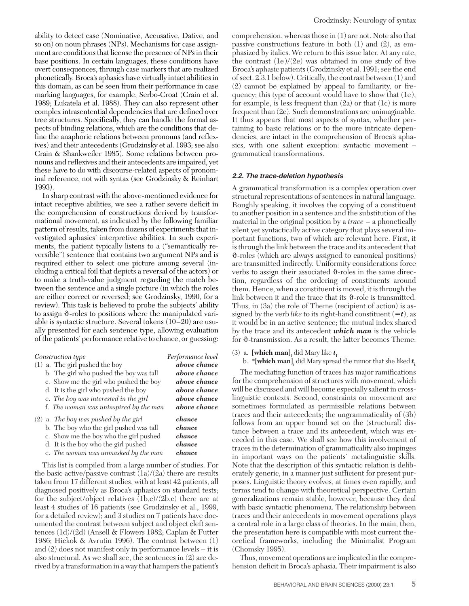ability to detect case (Nominative, Accusative, Dative, and so on) on noun phrases (NPs). Mechanisms for case assignment are conditions that license the presence of NPs in their base positions. In certain languages, these conditions have overt consequences, through case markers that are realized phonetically. Broca's aphasics have virtually intact abilities in this domain, as can be seen from their performance in case marking languages, for example, Serbo-Croat (Crain et al. 1989; Lukatela et al. 1988). They can also represent other complex intrasentential dependencies that are defined over tree structures. Specifically, they can handle the formal aspects of binding relations, which are the conditions that define the anaphoric relations between pronouns (and reflexives) and their antecedents (Grodzinsky et al. 1993; see also Crain & Shankweiler 1985). Some relations between pronouns and reflexives and their antecedents are impaired, yet these have to do with discourse-related aspects of pronominal reference, not with syntax (see Grodzinsky & Reinhart 1993).

In sharp contrast with the above-mentioned evidence for intact receptive abilities, we see a rather severe deficit in the comprehension of constructions derived by transformational movement, as indicated by the following familiar pattern of results, taken from dozens of experiments that investigated aphasics' interpretive abilities. In such experiments, the patient typically listens to a ("semantically reversible") sentence that contains two argument NPs and is required either to select one picture among several (including a critical foil that depicts a reversal of the actors) or to make a truth-value judgment regarding the match between the sentence and a single picture (in which the roles are either correct or reversed; see Grodzinsky, 1990, for a review). This task is believed to probe the subjects' ability to assign  $\vartheta$ -roles to positions where the manipulated variable is syntactic structure. Several tokens (10–20) are usually presented for each sentence type, allowing evaluation of the patients' performance relative to chance, or guessing:

| Construction type                       | Performance level |
|-----------------------------------------|-------------------|
| $(1)$ a. The girl pushed the boy        | above chance      |
| b. The girl who pushed the boy was tall | above chance      |
| c. Show me the girl who pushed the boy  | above chance      |
| d. It is the girl who pushed the boy    | above chance      |
| e. The boy was interested in the girl   | above chance      |
| f. The woman was uninspired by the man  | above chance      |
| $(2)$ a. The boy was pushed by the girl | chance            |
| b. The boy who the girl pushed was tall | chance            |
| c. Show me the boy who the girl pushed  | chance            |
| d. It is the boy who the girl pushed    | chance            |

#### e. *The woman was unmasked by the man chance*

This list is compiled from a large number of studies. For the basic active/passive contrast (1a)/(2a) there are results taken from 17 different studies, with at least 42 patients, all diagnosed positively as Broca's aphasics on standard tests; for the subject/object relatives (1b,c)/(2b,c) there are at least 4 studies of 16 patients (see Grodzinsky et al., 1999, for a detailed review); and 3 studies on 7 patients have documented the contrast between subject and object cleft sentences (1d)/(2d) (Ansell & Flowers 1982; Caplan & Futter 1986; Hickok & Avrutin 1996). The contrast between (1) and (2) does not manifest only in performance levels – it is also structural. As we shall see, the sentences in (2) are derived by a transformation in a way that hampers the patient's

comprehension, whereas those in (1) are not. Note also that passive constructions feature in both (1) and (2), as emphasized by italics. We return to this issue later. At any rate, the contrast (1e)/(2e) was obtained in one study of five Broca's aphasic patients (Grodzinsky et al. 1991; see the end of sect. 2.3.1 below). Critically, the contrast between (1) and (2) cannot be explained by appeal to familiarity, or frequency; this type of account would have to show that (1e), for example, is less frequent than (2a) or that (1c) is more frequent than (2c). Such demonstrations are unimaginable. It thus appears that most aspects of syntax, whether pertaining to basic relations or to the more intricate dependencies, are intact in the comprehension of Broca's aphasics, with one salient exception: syntactic movement – grammatical transformations.

#### **2.2. The trace-deletion hypothesis**

A grammatical transformation is a complex operation over structural representations of sentences in natural language. Roughly speaking, it involves the copying of a constituent to another position in a sentence and the substitution of the material in the original position by a *trace* – a phonetically silent yet syntactically active category that plays several important functions, two of which are relevant here. First, it is through the link between the trace and its antecedent that  $\vartheta$ -roles (which are always assigned to canonical positions) are transmitted indirectly. Uniformity considerations force verbs to assign their associated  $\vartheta$ -roles in the same direction, regardless of the ordering of constituents around them. Hence, when a constituent is moved, it is through the link between it and the trace that its  $\vartheta$ -role is transmitted. Thus, in (3a) the role of Theme (recipient of action) is assigned by the verb *like* to its right-hand constituent  $(=t)$ , as it would be in an active sentence; the mutual index shared by the trace and its antecedent *which man* is the vehicle for  $\vartheta$ -transmission. As a result, the latter becomes Theme:

(3) a. **[which man]**, did Mary like  $t_i$ 

b. \***[which man]**, did Mary spread the rumor that she liked  $t_i$ 

The mediating function of traces has major ramifications for the comprehension of structures with movement, which will be discussed and will become especially salient in crosslinguistic contexts. Second, constraints on movement are sometimes formulated as permissible relations between traces and their antecedents; the ungrammaticality of (3b) follows from an upper bound set on the (structural) distance between a trace and its antecedent, which was exceeded in this case. We shall see how this involvement of traces in the determination of grammaticality also impinges in important ways on the patients' metalinguistic skills. Note that the description of this syntactic relation is deliberately generic, in a manner just sufficient for present purposes. Linguistic theory evolves, at times even rapidly, and terms tend to change with theoretical perspective. Certain generalizations remain stable, however, because they deal with basic syntactic phenomena. The relationship between traces and their antecedents in movement operations plays a central role in a large class of theories. In the main, then, the presentation here is compatible with most current theoretical frameworks, including the Minimalist Program (Chomsky 1995).

Thus, movement operations are implicated in the comprehension deficit in Broca's aphasia. Their impairment is also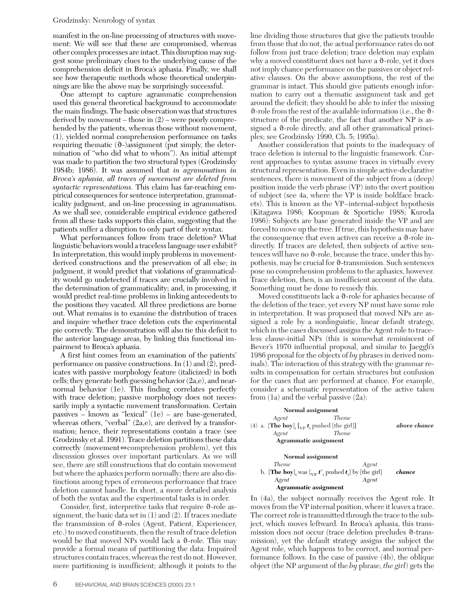#### Grodzinsky: Neurology of syntax

manifest in the on-line processing of structures with movement: We will see that these are compromised, whereas other complex processes are intact. This disruption may suggest some preliminary clues to the underlying cause of the comprehension deficit in Broca's aphasia. Finally, we shall see how therapeutic methods whose theoretical underpinnings are like the above may be surprisingly successful.

One attempt to capture agrammatic comprehension used this general theoretical background to accommodate the main findings. The basic observation was that structures derived by movement – those in  $(2)$  – were poorly comprehended by the patients, whereas those without movement, (1), yielded normal comprehension performance on tasks requiring thematic  $(\vartheta)$ -)assignment (put simply, the determination of "who did what to whom"). An initial attempt was made to partition the two structural types (Grodzinsky 1984b; 1986). It was assumed that *in agrammatism in Broca's aphasia, all traces of movement are deleted from syntactic representations.* This claim has far-reaching empirical consequences for sentence interpretation, grammaticality judgment, and on-line processing in agrammatism. As we shall see, considerable empirical evidence gathered from all these tasks supports this claim, suggesting that the patients suffer a disruption to only part of their syntax.

What performances follow from trace deletion? What linguistic behaviors would a traceless language user exhibit? In interpretation, this would imply problems in movementderived constructions and the preservation of all else; in judgment, it would predict that violations of grammaticality would go undetected if traces are crucially involved in the determination of grammaticality; and, in processing, it would predict real-time problems in linking antecedents to the positions they vacated. All three predictions are borne out. What remains is to examine the distribution of traces and inquire whether trace deletion cuts the experimental pie correctly. The demonstration will also tie this deficit to the anterior language areas, by linking this functional impairment to Broca's aphasia.

A first hint comes from an examination of the patients' performance on passive constructions. In (1) and (2), predicates with passive morphology feature (italicized) in both cells; they generate both guessing behavior (2a,e), and nearnormal behavior (1e). This finding correlates perfectly with trace deletion; passive morphology does not necessarily imply a syntactic movement transformation. Certain passives – known as "lexical" (1e) – are base-generated, whereas others, "verbal" (2a,e), are derived by a transformation; hence, their representations contain a trace (see Grodzinsky et al. 1991). Trace deletion partitions these data correctly (movement $\Leftrightarrow$ comprehension problem), yet this discussion glosses over important particulars. As we will see, there are still constructions that do contain movement but where the aphasics perform normally; there are also distinctions among types of erroneous performance that trace deletion cannot handle. In short, a more detailed analysis of both the syntax and the experimental tasks is in order.

Consider, first, interpretive tasks that require  $\vartheta$ -role assignment, the basic data set in (1) and (2). If traces mediate the transmission of  $\vartheta$ -roles (Agent, Patient, Experiencer, etc.) to moved constituents, then the result of trace deletion would be that moved NPs would lack a  $\vartheta$ -role. This may provide a formal means of partitioning the data: Impaired structures contain traces, whereas the rest do not. However, mere partitioning is insufficient; although it points to the

line dividing those structures that give the patients trouble from those that do not, the actual performance rates do not follow from just trace deletion; trace deletion may explain why a moved constituent does not have a  $\vartheta$ -role, yet it does not imply chance performance on the passives or object relative clauses. On the above assumptions, the rest of the grammar is intact. This should give patients enough information to carry out a thematic assignment task and get around the deficit; they should be able to infer the missing  $\vartheta$ -role from the rest of the available information (i.e., the  $\vartheta$ structure of the predicate, the fact that another NP is assigned a  $\vartheta$ -role directly, and all other grammatical principles; see Grodzinsky 1990, Ch. 5; 1995a).

Another consideration that points to the inadequacy of trace deletion is internal to the linguistic framework. Current approaches to syntax assume traces in virtually every structural representation. Even in simple active-declarative sentences, there is movement of the subject from a (deep) position inside the verb phrase (VP) into the overt position of subject (see 4a, where the VP is inside boldface brackets). This is known as the VP–internal-subject hypothesis (Kitagawa 1986; Koopman & Sportiche 1988; Kuroda 1986): Subjects are base generated inside the VP and are forced to move up the tree. If true, this hypothesis may have the consequence that even actives can receive a  $\vartheta$ -role indirectly. If traces are deleted, then subjects of active sentences will have no  $\vartheta$ -role, because the trace, under this hypothesis, may be crucial for  $\vartheta$ -transmission. Such sentences pose no comprehension problems to the aphasics, however. Trace deletion, then, is an insufficient account of the data. Something must be done to remedy this.

Moved constituents lack a  $\vartheta$ -role for aphasics because of the deletion of the trace, yet every NP must have some role in interpretation. It was proposed that moved NPs are assigned a role by a nonlinguistic, linear default strategy, which in the cases discussed assigns the Agent role to traceless clause-initial NPs (this is somewhat reminiscent of Bever's 1970 influential proposal, and similar to Jaeggli's 1986 proposal for the objects of *by* phrases in derived nominals). The interaction of this strategy with the grammar results in compensation for certain structures but confusion for the cases that are performed at chance. For example, consider a schematic representation of the active taken from (1a) and the verbal passive (2a):

| Normal assignment                                                                                                                              |              |
|------------------------------------------------------------------------------------------------------------------------------------------------|--------------|
| <b>Theme</b><br>Agent                                                                                                                          |              |
| (4) a. [ <b>The boy</b> ], $[\mathbf{v}_P \, \mathbf{t}_P]$ pushed [the girl]]                                                                 | above chance |
| <i>Theme</i><br>Agent                                                                                                                          |              |
| <b>Agrammatic assignment</b>                                                                                                                   |              |
| Normal assignment                                                                                                                              |              |
| Theme<br>Agent                                                                                                                                 |              |
| b. [ <b>The boy</b> ], was $\left[\begin{smallmatrix} x & b \\ y & d \end{smallmatrix}\right]$ is pushed <b>t</b> <sub>i</sub> ] by [the girl] | chance       |
| Agent<br>Agent                                                                                                                                 |              |
| Agrammatic assignment                                                                                                                          |              |

In (4a), the subject normally receives the Agent role. It moves from the VP internal position, where it leaves a trace. The correct role is transmitted through the trace to the subject, which moves leftward. In Broca's aphasia, this transmission does not occur (trace deletion precludes  $\vartheta$ -transmission), yet the default strategy assigns the subject the Agent role, which happens to be correct, and normal performance follows. In the case of passive (4b), the oblique object (the NP argument of the *by* phrase, *the girl*) gets the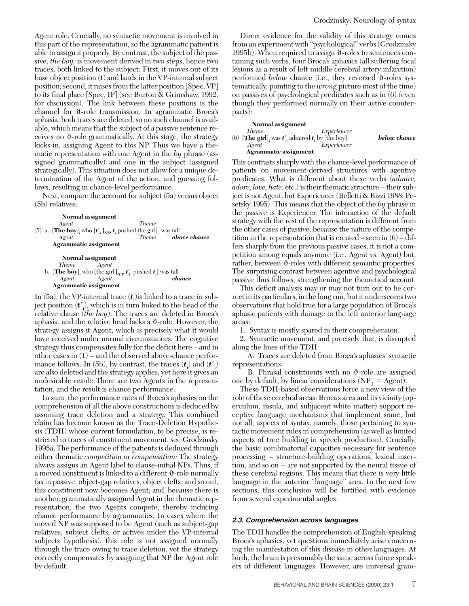Agent role. Crucially, no syntactic movement is involved in this part of the representation, so the agrammatic patient is able to assign it properly. By contrast, the subject of the passive, *the boy,* is movement derived in two steps, hence two traces, both linked to the subject: First, it moves out of its base object position (*t*) and lands in the VP-internal subject position; second, it raises from the latter position [Spec, VP] to its final place [Spec, IP] (see Burton & Grimshaw, 1992, for discussion). The link between these positions is the channel for  $\vartheta$ -role transmission. In agrammatic Broca's aphasia, both traces are deleted, so no such channel is available, which means that the subject of a passive sentence receives no  $\vartheta$ -role grammatically. At this stage, the strategy kicks in, assigning Agent to this NP. Thus we have a thematic representation with one Agent in the *by* phrase (assigned grammatically) and one in the subject (assigned strategically). This situation does not allow for a unique determination of the Agent of the action, and guessing follows, resulting in chance-level performance.

Next, compare the account for subject (5a) versus object (5b) relatives:

**Normal assignment** *Agent Theme* (5) a.  $[\textbf{The boy}]$ <sub>i</sub> who  $[\textbf{\emph{t}}']$ <sub>i</sub>  $[\textbf{v}_{\textbf{P}} \textbf{\emph{t}}]$ <sub>i</sub> pushed the girl]] was tall *Agent abo Agent Theme above chance* **Agrammatic assignment Normal assignment** *Theme Agent* b.  $[\textbf{The boy}]_i$  who [the girl  $[\mathbf{v}_P \, \boldsymbol{t}'_i]$  pushed  $\boldsymbol{t}_i$ ] was tall *Agent Agent chance*

**Agrammatic assignment**

In  $(5a)$ , the VP-internal trace  $(\boldsymbol{t}_i)$  is linked to a trace in subject position  $(\boldsymbol{t}')$ , which is in turn linked to the head of the relative clause (*the boy*). The traces are deleted in Broca's aphasia, and the relative head lacks a  $\vartheta$ -role. However, the strategy assigns it Agent, which is precisely what it would have received under normal circumstances. The cognitive strategy thus compensates fully for the deficit here – and in other cases in (1) – and the observed above-chance performance follows. In (5b), by contrast, the traces  $(\boldsymbol{t}_i)$  and  $(\boldsymbol{t'}_i)$ are also deleted and the strategy applies, yet here it gives an undesirable result: There are two Agents in the representation, and the result is chance performance.

In sum, the performance rates of Broca's aphasics on the comprehension of all the above constructions is deduced by assuming trace deletion and a strategy. This combined claim has become known as the Trace-Deletion Hypothesis (TDH) whose current formulation, to be precise, is restricted to traces of constituent movement, see Grodzinsky 1995a. The performance of the patients is deduced through either thematic *competition* or *compensation:* The strategy always assigns an Agent label to clause-initial NPs. Thus, if a moved constituent is linked to a different  $\vartheta$ -role normally (as in passive, object-gap relatives, object clefts, and so on), this constituent now becomes Agent; and, because there is another, grammatically assigned Agent in the thematic representation, the two Agents compete, thereby inducing chance performance by agrammatics. In cases where the moved NP was supposed to be Agent (such as subject-gap relatives, subject clefts, or actives under the VP-internal subjects hypothesis), this role is not assigned normally through the trace owing to trace deletion, yet the strategy correctly compensates by assigning that NP the Agent role by default.

Direct evidence for the validity of this strategy comes from an experiment with "psychological" verbs (Grodzinsky 1995b). When required to assign  $\vartheta$ -roles to sentences containing such verbs, four Broca's aphasics (all suffering focal lesions as a result of left middle cerebral artery infarction) performed *below* chance (i.e., they reversed  $\vartheta$ -roles systematically, pointing to the *wrong* picture most of the time) on passives of psychological predicates such as in (6) (even though they performed normally on their active counterparts):

#### **Normal assignment**

| <i>Theme</i>                                          | Experiencer |              |
|-------------------------------------------------------|-------------|--------------|
| (6) [The girl], was $t'$ , admired $t$ , by [the boy] |             | below chance |
| Agent                                                 | Experiencer |              |
| Agrammatic assignment                                 |             |              |

This contrasts sharply with the chance-level performance of patients on movement-derived structures with agentive predicates. What is different about these verbs (*admire, adore, love, hate,* etc.) is their thematic structure – their subject is not Agent, but Experiencer (Belletti & Rizzi 1988; Pesetsky 1995). This means that the object of the *by* phrase in the passive is Experiencer. The interaction of the default strategy with the rest of the representation is different from the other cases of passive, because the nature of the competition in the representation that is created – seen in  $(6)$  – differs sharply from the previous passive cases; it is not a competition among equals anymore (i.e., Agent vs. Agent) but, rather, between  $\vartheta$ -roles with different semantic properties. The surprising contrast between agentive and psychological passive thus follows, strengthening the theoretical account.

This deficit analysis may or may not turn out to be correct in its particulars, in the long run, but it underscores two observations that hold true for a large population of Broca's aphasic patients with damage to the left anterior language areas:

1. Syntax is mostly spared in their comprehension.

2. Syntactic movement, and precisely that, is disrupted along the lines of the TDH:

A. Traces are deleted from Broca's aphasics' syntactic representations.

B. Phrasal constituents with no  $\vartheta$ -role are assigned one by default, by linear considerations  $(NP_1 = Agent)$ .

These TDH-based observations force a new view of the role of these cerebral areas: Broca's area and its vicinity (operculum, insula, and subjacent white matter) support receptive language mechanisms that implement some, but not all, aspects of syntax, namely, those pertaining to syntactic movement rules in comprehension (as well as limited aspects of tree building in speech production). Crucially, the basic combinatorial capacities necessary for sentence processing – structure-building operations, lexical insertion, and so on – are not supported by the neural tissue of these cerebral regions. This means that there is very little language in the anterior "language" area. In the next few sections, this conclusion will be fortified with evidence from several experimental angles.

#### **2.3. Comprehension across languages**

The TDH handles the comprehension of English-speaking Broca's aphasics, yet questions immediately arise concerning the manifestation of this disease in other languages. At birth, the brain is presumably the same across future speakers of different languages. However, are universal gram-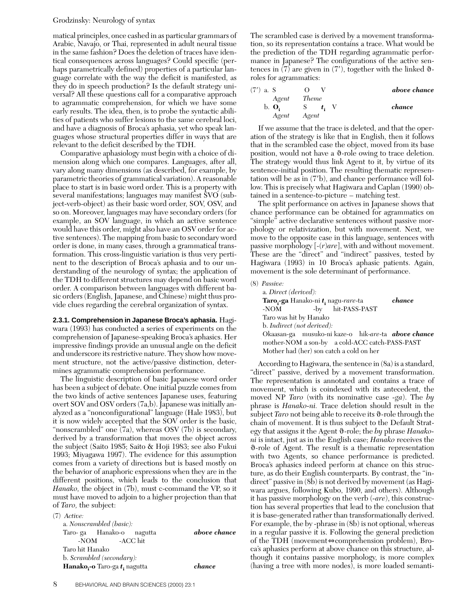#### Grodzinsky: Neurology of syntax

matical principles, once cashed in as particular grammars of Arabic, Navajo, or Thai, represented in adult neural tissue in the same fashion? Does the deletion of traces have identical consequences across languages? Could specific (perhaps parametrically defined) properties of a particular language correlate with the way the deficit is manifested, as they do in speech production? Is the default strategy universal? All these questions call for a comparative approach to agrammatic comprehension, for which we have some early results. The idea, then, is to probe the syntactic abilities of patients who suffer lesions to the same cerebral loci, and have a diagnosis of Broca's aphasia, yet who speak languages whose structural properties differ in ways that are relevant to the deficit described by the TDH.

Comparative aphasiology must begin with a choice of dimension along which one compares. Languages, after all, vary along many dimensions (as described, for example, by parametric theories of grammatical variation). A reasonable place to start is in basic word order. This is a property with several manifestations; languages may manifest SVO (subject-verb-object) as their basic word order, SOV, OSV, and so on. Moreover, languages may have secondary orders (for example, an SOV language, in which an active sentence would have this order, might also have an OSV order for active sentences). The mapping from basic to secondary word order is done, in many cases, through a grammatical transformation. This cross-linguistic variation is thus very pertinent to the description of Broca's aphasia and to our understanding of the neurology of syntax; the application of the TDH to different structures may depend on basic word order. A comparison between languages with different basic orders (English, Japanese, and Chinese) might thus provide clues regarding the cerebral organization of syntax.

**2.3.1. Comprehension in Japanese Broca's aphasia.** Hagiwara (1993) has conducted a series of experiments on the comprehension of Japanese-speaking Broca's aphasics. Her impressive findings provide an unusual angle on the deficit and underscore its restrictive nature. They show how movement structure, not the active/passive distinction, determines agrammatic comprehension performance.

The linguistic description of basic Japanese word order has been a subject of debate. One initial puzzle comes from the two kinds of active sentences Japanese uses, featuring overt SOV and OSV orders (7a,b). Japanese was initially analyzed as a "nonconfigurational" language (Hale 1983), but it is now widely accepted that the SOV order is the basic, "nonscrambled" one (7a), whereas OSV (7b) is secondary, derived by a transformation that moves the object across the subject (Saito 1985; Saito & Hoji 1983; see also Fukui 1993; Miyagawa 1997). The evidence for this assumption comes from a variety of directions but is based mostly on the behavior of anaphoric expressions when they are in the different positions, which leads to the conclusion that *Hanako,* the object in (7b), must c-command the VP, so it must have moved to adjoin to a higher projection than that of *Taro,* the subject:

(7) *Active:* a. *Nonscrambled (basic):* Taro- ga Hanako-o nagutta *above chance* -NOM -ACC hit Taro hit Hanako b. *Scrambled (secondary):* **Hanakoi -o** Taro-ga *t***<sup>i</sup>** nagutta *chance*

The scrambled case is derived by a movement transformation, so its representation contains a trace. What would be the prediction of the TDH regarding agrammatic performance in Japanese? The configurations of the active sentences in  $(7)$  are given in  $(7')$ , together with the linked  $\vartheta$ roles for agrammatics:

| $(7')$ a. S | $\lambda$      | above chance |
|-------------|----------------|--------------|
| Agent       | <i>Theme</i>   |              |
|             | b. O. $S$ t. V | chance       |
| Agent       | Agent          |              |

If we assume that the trace is deleted, and that the operation of the strategy is like that in English, then it follows that in the scrambled case the object, moved from its base position, would not have a  $\vartheta$ -role owing to trace deletion. The strategy would thus link Agent to it, by virtue of its sentence-initial position. The resulting thematic representation will be as in  $(7<sup>'</sup>b)$ , and chance performance will follow. This is precisely what Hagiwara and Caplan (1990) obtained in a sentence-to-picture – matching test.

The split performance on actives in Japanese shows that chance performance can be obtained for agrammatics on "simple" active declarative sentences without passive morphology or relativization, but with movement. Next, we move to the opposite case in this language, sentences with passive morphology [-(*r*)*are*], with and without movement. These are the "direct" and "indirect" passives, tested by Hagiwara (1993) in 10 Broca's aphasic patients. Again, movement is the sole determinant of performance.

(8) *Passive:*

| chance                                              |
|-----------------------------------------------------|
|                                                     |
|                                                     |
|                                                     |
| Okaasan-ga musuko-ni kaze-o hik-are-ta above chance |
| mother-NOM a son-by a cold-ACC catch-PASS-PAST      |
|                                                     |
|                                                     |

According to Hagiwara, the sentence in (8a) is a standard, "direct" passive, derived by a movement transformation. The representation is annotated and contains a trace of movement, which is coindexed with its antecedent, the moved NP *Taro* (with its nominative case *-ga*). The *by* phrase is *Hanako-ni.* Trace deletion should result in the subject *Taro* not being able to receive its  $\vartheta$ -role through the chain of movement. It is thus subject to the Default Strategy that assigns it the Agent q-role; the *by* phrase *Hanakoni* is intact, just as in the English case; *Hanako* receives the  $\vartheta$ -role of Agent. The result is a thematic representation with two Agents, so chance performance is predicted. Broca's aphasics indeed perform at chance on this structure, as do their English counterparts. By contrast, the "indirect" passive in (8b) is not derived by movement (as Hagiwara argues, following Kubo, 1990, and others). Although it has passive morphology on the verb (*-are*), this construction has several properties that lead to the conclusion that it is base-generated rather than transformationally derived. For example, the by -phrase in (8b) is not optional, whereas in a regular passive it is. Following the general prediction of the TDH (movement $\Leftrightarrow$ comprehension problem), Broca's aphasics perform at above chance on this structure, although it contains passive morphology, is more complex (having a tree with more nodes), is more loaded semanti-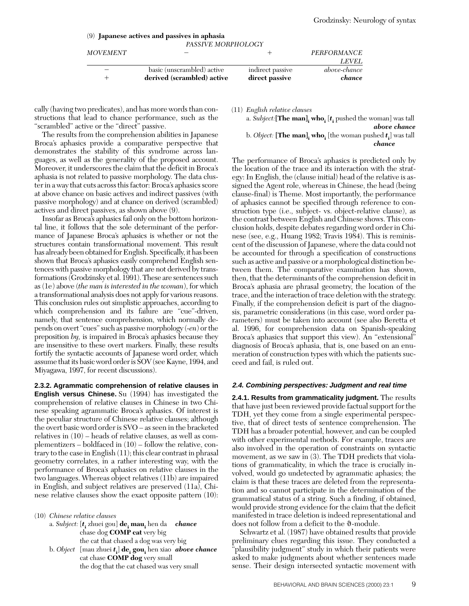|                                                | derived (scrambled) active | direct passive   | chance       |  |
|------------------------------------------------|----------------------------|------------------|--------------|--|
|                                                | basic (unscrambled) active | indirect passive | above-chance |  |
|                                                |                            |                  | <b>LEVEL</b> |  |
| <b>MOVEMENT</b>                                |                            |                  | PERFORMANCE  |  |
|                                                | PASSIVE MORPHOLOGY         |                  |              |  |
| $(9)$ Japanese actives and passives in aphasia |                            |                  |              |  |

cally (having two predicates), and has more words than constructions that lead to chance performance, such as the "scrambled" active or the "direct" passive.

The results from the comprehension abilities in Japanese Broca's aphasics provide a comparative perspective that demonstrates the stability of this syndrome across languages, as well as the generality of the proposed account. Moreover, it underscores the claim that the deficit in Broca's aphasia is not related to passive morphology. The data cluster in a way that cuts across this factor: Broca's aphasics score at above chance on basic actives and indirect passives (with passive morphology) and at chance on derived (scrambled) actives and direct passives, as shown above (9).

Insofar as Broca's aphasics fail only on the bottom horizontal line, it follows that the sole determinant of the performance of Japanese Broca's aphasics is whether or not the structures contain transformational movement. This result has already been obtained for English. Specifically, it has been shown that Broca's aphasics easily comprehend English sentences with passive morphology that are not derived by transformations (Grodzinsky et al. 1991). These are sentences such as (1e) above (*the man is interested in the woman*), for which a transformational analysis does not apply for various reasons. This conclusion rules out simplistic approaches, according to which comprehension and its failure are "cue"-driven, namely, that sentence comprehension, which normally depends on overt "cues" such as passive morphology (*-en*) or the preposition *by,* is impaired in Broca's aphasics because they are insensitive to these overt markers. Finally, these results fortify the syntactic accounts of Japanese word order, which assume that its basic word order is SOV (see Kayne, 1994, and Miyagawa, 1997, for recent discussions).

**2.3.2. Agrammatic comprehension of relative clauses in English versus Chinese.** Su (1994) has investigated the comprehension of relative clauses in Chinese in two Chinese speaking agrammatic Broca's aphasics. Of interest is the peculiar structure of Chinese relative clauses; although the overt basic word order is SVO – as seen in the bracketed relatives in (10) – heads of relative clauses, as well as complementizers – boldfaced in (10) – follow the relative, contrary to the case in English (11); this clear contrast in phrasal geometry correlates, in a rather interesting way, with the performance of Broca's aphasics on relative clauses in the two languages. Whereas object relatives (11b) are impaired in English, and subject relatives are preserved (11a), Chinese relative clauses show the exact opposite pattern (10):

(10) *Chinese relative clauses*

(10) a. *Subject:* [*t***<sup>i</sup>** zhuei gou] **dei maui** hen da *chance* chase dog **COMP cat** very big the cat that chased a dog was very big (10) b. *Object* [mau zhuei *t***<sup>i</sup>** ] **dei goui** hen xiao *above chance* cat chase **COMP dog** very small the dog that the cat chased was very small

(11) *English relative clauses*

a. *Subject*:**[The man]**, who,  $[t,$  pushed the woman] was tall *above chance*

#### b. *Object:*  $[\textbf{The man}]_i$  who $_i$  [the woman pushed  $t_i$ ] was tall *chance*

The performance of Broca's aphasics is predicted only by the location of the trace and its interaction with the strategy: In English, the (clause initial) head of the relative is assigned the Agent role, whereas in Chinese, the head (being clause-final) is Theme. Most importantly, the performance of aphasics cannot be specified through reference to construction type (i.e., subject- vs. object-relative clause), as the contrast between English and Chinese shows. This conclusion holds, despite debates regarding word order in Chinese (see, e.g., Huang 1982; Travis 1984). This is reminiscent of the discussion of Japanese, where the data could not be accounted for through a specification of constructions such as active and passive or a morphological distinction between them. The comparative examination has shown, then, that the determinants of the comprehension deficit in Broca's aphasia are phrasal geometry, the location of the trace, and the interaction of trace deletion with the strategy. Finally, if the comprehension deficit is part of the diagnosis, parametric considerations (in this case, word order parameters) must be taken into account (see also Beretta et al. 1996, for comprehension data on Spanish-speaking Broca's aphasics that support this view). An "extensional" diagnosis of Broca's aphasia, that is, one based on an enumeration of construction types with which the patients succeed and fail, is ruled out.

### **2.4. Combining perspectives: Judgment and real time**

**2.4.1. Results from grammaticality judgment.** The results that have just been reviewed provide factual support for the TDH, yet they come from a single experimental perspective, that of direct tests of sentence comprehension. The TDH has a broader potential, however, and can be coupled with other experimental methods. For example, traces are also involved in the operation of constraints on syntactic movement, as we saw in  $(3)$ . The TDH predicts that violations of grammaticality, in which the trace is crucially involved, would go undetected by agrammatic aphasics; the claim is that these traces are deleted from the representation and so cannot participate in the determination of the grammatical status of a string. Such a finding, if obtained, would provide strong evidence for the claim that the deficit manifested in trace deletion is indeed representational and does not follow from a deficit to the  $\vartheta$ -module.

Schwartz et al. (1987) have obtained results that provide preliminary clues regarding this issue. They conducted a "plausibility judgment" study in which their patients were asked to make judgments about whether sentences made sense. Their design intersected syntactic movement with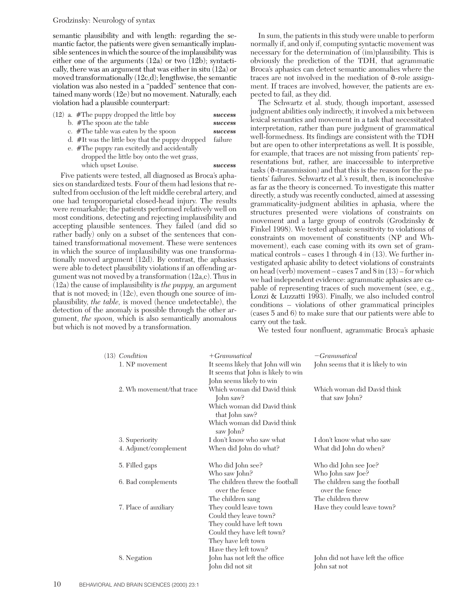#### Grodzinsky: Neurology of syntax

semantic plausibility and with length: regarding the semantic factor, the patients were given semantically implausible sentences in which the source of the implausibility was either one of the arguments (12a) or two (12b); syntactically, there was an argument that was either in situ (12a) or moved transformationally (12c,d); lengthwise, the semantic violation was also nested in a "padded" sentence that contained many words (12e) but no movement. Naturally, each violation had a plausible counterpart:

|  | $(12)$ a. #The puppy dropped the little boy         | success |
|--|-----------------------------------------------------|---------|
|  | b. #The spoon ate the table                         | success |
|  | c. #The table was eaten by the spoon                | success |
|  | d. $#$ It was the little boy that the puppy dropped | failure |
|  | e. #The puppy ran excitedly and accidentally        |         |
|  | dropped the little boy onto the wet grass,          |         |
|  | which upset Louise.                                 | success |

Five patients were tested, all diagnosed as Broca's aphasics on standardized tests. Four of them had lesions that resulted from occlusion of the left middle cerebral artery, and one had temporoparietal closed-head injury. The results were remarkable; the patients performed relatively well on most conditions, detecting and rejecting implausibility and accepting plausible sentences. They failed (and did so rather badly) only on a subset of the sentences that contained transformational movement. These were sentences in which the source of implausibility was one transformationally moved argument (12d). By contrast, the aphasics were able to detect plausibility violations if an offending argument was not moved by a transformation (12a,c). Thus in (12a) the cause of implausibility is *the puppy,* an argument that is not moved; in (12c), even though one source of implausibility, *the table,* is moved (hence undetectable), the detection of the anomaly is possible through the other argument, *the spoon,* which is also semantically anomalous but which is not moved by a transformation.

In sum, the patients in this study were unable to perform normally if, and only if, computing syntactic movement was necessary for the determination of (im)plausibility. This is obviously the prediction of the TDH, that agrammatic Broca's aphasics can detect semantic anomalies where the traces are not involved in the mediation of  $\vartheta$ -role assignment. If traces are involved, however, the patients are expected to fail, as they did.

The Schwartz et al. study, though important, assessed judgment abilities only indirectly, it involved a mix between lexical semantics and movement in a task that necessitated interpretation, rather than pure judgment of grammatical well-formedness. Its findings are consistent with the TDH but are open to other interpretations as well. It is possible, for example, that traces are not missing from patients' representations but, rather, are inaccessible to interpretive tasks  $(\vartheta$ -transmission) and that this is the reason for the patients' failures. Schwartz et al.'s result, then, is inconclusive as far as the theory is concerned. To investigate this matter directly, a study was recently conducted, aimed at assessing grammaticality-judgment abilities in aphasia, where the structures presented were violations of constraints on movement and a large group of controls (Grodzinsky & Finkel 1998). We tested aphasic sensitivity to violations of constraints on movement of constituents (NP and Whmovement), each case coming with its own set of grammatical controls – cases 1 through 4 in  $(13)$ . We further investigated aphasic ability to detect violations of constraints on head (verb) movement – cases 7 and 8 in (13) – for which we had independent evidence: agrammatic aphasics are capable of representing traces of such movement (see, e.g., Lonzi & Luzzatti 1993). Finally, we also included control conditions – violations of other grammatical principles (cases 5 and 6) to make sure that our patients were able to carry out the task.

We tested four nonfluent, agrammatic Broca's aphasic

| $(13)$ Condition          | $+Grammatical$                                                  | $-Grammatical$                                   |
|---------------------------|-----------------------------------------------------------------|--------------------------------------------------|
| 1. NP movement            | It seems likely that John will win                              | John seems that it is likely to win              |
|                           | It seems that John is likely to win<br>John seems likely to win |                                                  |
| 2. Wh movement/that trace | Which woman did David think<br>John saw?                        | Which woman did David think<br>that saw John?    |
|                           | Which woman did David think<br>that John saw?                   |                                                  |
|                           | Which woman did David think<br>saw John?                        |                                                  |
| 3. Superiority            | I don't know who saw what                                       | I don't know what who saw                        |
| 4. Adjunct/complement     | When did John do what?                                          | What did John do when?                           |
| 5. Filled gaps            | Who did John see?                                               | Who did John see Joe?                            |
|                           | Who saw John?                                                   | Who John saw Joe?                                |
| 6. Bad complements        | The children threw the football<br>over the fence               | The children sang the football<br>over the fence |
|                           | The children sang                                               | The children threw                               |
| 7. Place of auxiliary     | They could leave town                                           | Have they could leave town?                      |
|                           | Could they leave town?                                          |                                                  |
|                           | They could have left town                                       |                                                  |
|                           | Could they have left town?                                      |                                                  |
|                           | They have left town                                             |                                                  |
|                           | Have they left town?                                            |                                                  |
| 8. Negation               | John has not left the office                                    | John did not have left the office                |
|                           | John did not sit                                                | John sat not                                     |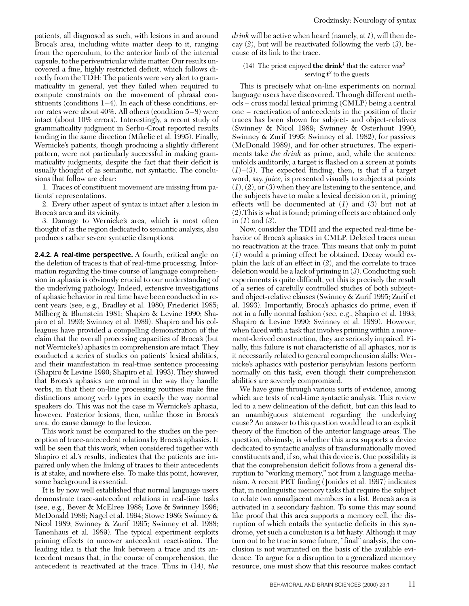patients, all diagnosed as such, with lesions in and around Broca's area, including white matter deep to it, ranging from the operculum, to the anterior limb of the internal capsule, to the periventricular white matter. Our results uncovered a fine, highly restricted deficit, which follows directly from the TDH: The patients were very alert to grammaticality in general, yet they failed when required to compute constraints on the movement of phrasal constituents (conditions 1–4). In each of these conditions, error rates were about 40%. All others (condition 5–8) were intact (about 10% errors). Interestingly, a recent study of grammaticality judgment in Serbo-Croat reported results tending in the same direction (Mikelic et al. 1995). Finally, Wernicke's patients, though producing a slightly different pattern, were not particularly successful in making grammaticality judgments, despite the fact that their deficit is usually thought of as semantic, not syntactic. The conclusions that follow are clear:

1. Traces of constituent movement are missing from patients' representations.

2. Every other aspect of syntax is intact after a lesion in Broca's area and its vicinity.

3. Damage to Wernicke's area, which is most often thought of as the region dedicated to semantic analysis, also produces rather severe syntactic disruptions.

**2.4.2. A real-time perspective.** A fourth, critical angle on the deletion of traces is that of real-time processing. Information regarding the time course of language comprehension in aphasia is obviously crucial to our understanding of the underlying pathology. Indeed, extensive investigations of aphasic behavior in real time have been conducted in recent years (see, e.g., Bradley et al. 1980; Friederici 1985; Milberg & Blumstein 1981; Shapiro & Levine 1990; Shapiro et al. 1993; Swinney et al. 1989). Shapiro and his colleagues have provided a compelling demonstration of the claim that the overall processing capacities of Broca's (but not Wernicke's) aphasics in comprehension are intact. They conducted a series of studies on patients' lexical abilities, and their manifestation in real-time sentence processing (Shapiro & Levine 1990; Shapiro et al. 1993). They showed that Broca's aphasics are normal in the way they handle verbs, in that their on-line processing routines make fine distinctions among verb types in exactly the way normal speakers do. This was not the case in Wernicke's aphasia, however. Posterior lesions, then, unlike those in Broca's area, do cause damage to the lexicon.

This work must be compared to the studies on the perception of trace-antecedent relations by Broca's aphasics. It will be seen that this work, when considered together with Shapiro et al.'s results, indicates that the patients are impaired only when the linking of traces to their antecedents is at stake, and nowhere else. To make this point, however, some background is essential.

It is by now well established that normal language users demonstrate trace-antecedent relations in real-time tasks (see, e.g., Bever & McElree 1988; Love & Swinney 1996; McDonald 1989; Nagel et al. 1994; Stowe 1986; Swinney & Nicol 1989; Swinney & Zurif 1995; Swinney et al. 1988; Tanenhaus et al. 1989). The typical experiment exploits priming effects to uncover antecedent reactivation. The leading idea is that the link between a trace and its antecedent means that, in the course of comprehension, the antecedent is reactivated at the trace. Thus in (14), *the*

*drink* will be active when heard (namely, at *1*), will then decay (*2*), but will be reactivated following the verb (*3*), because of its link to the trace.

#### (14) The priest enjoyed **the drink**<sup>*1*</sup> that the caterer was<sup>2</sup> serving  $t^3$  to the guests

This is precisely what on-line experiments on normal language users have discovered. Through different methods – cross modal lexical priming (CMLP) being a central one – reactivation of antecedents in the position of their traces has been shown for subject- and object-relatives (Swinney & Nicol 1989; Swinney & Osterhout 1990; Swinney & Zurif 1995; Swinney et al. 1982), for passives (McDonald 1989), and for other structures. The experiments take *the drink* as prime, and, while the sentence unfolds auditorily, a target is flashed on a screen at points  $(1)$ – $(3)$ . The expected finding, then, is that if a target word, say, *juice,* is presented visually to subjects at points (*1*), (*2*), or (*3*) when they are listening to the sentence, and the subjects have to make a lexical decision on it, priming effects will be documented at (*1*) and (*3*) but not at (*2*).This is what is found; priming effects are obtained only in (*1*) and (*3*).

Now, consider the TDH and the expected real-time behavior of Broca's aphasics in CMLP. Deleted traces mean no reactivation at the trace. This means that only in point (*1*) would a priming effect be obtained. Decay would explain the lack of an effect in (*2*), and the correlate to trace deletion would be a lack of priming in (*3*). Conducting such experiments is quite difficult, yet this is precisely the result of a series of carefully controlled studies of both subjectand object-relative clauses (Swinney & Zurif 1995; Zurif et al. 1993). Importantly, Broca's aphasics do prime, even if not in a fully normal fashion (see, e.g., Shapiro et al. 1993; Shapiro & Levine 1990; Swinney et al. 1989). However, when faced with a task that involves priming within a movement-derived construction, they are seriously impaired. Finally, this failure is not characteristic of all aphasics, nor is it necessarily related to general comprehension skills: Wernicke's aphasics with posterior perisylvian lesions perform normally on this task, even though their comprehension abilities are severely compromised.

We have gone through various sorts of evidence, among which are tests of real-time syntactic analysis. This review led to a new delineation of the deficit, but can this lead to an unambiguous statement regarding the underlying cause? An answer to this question would lead to an explicit theory of the function of the anterior language areas. The question, obviously, is whether this area supports a device dedicated to syntactic analysis of transformationally moved constituents and, if so, what this device is. One possibility is that the comprehension deficit follows from a general disruption to "working memory," not from a language mechanism. A recent PET finding (Jonides et al. 1997) indicates that, in nonlinguistic memory tasks that require the subject to relate two nonadjacent members in a list, Broca's area is activated in a secondary fashion. To some this may sound like proof that this area supports a memory cell, the disruption of which entails the syntactic deficits in this syndrome, yet such a conclusion is a bit hasty. Although it may turn out to be true in some future, "final" analysis, the conclusion is not warranted on the basis of the available evidence. To argue for a disruption to a generalized memory resource, one must show that this resource makes contact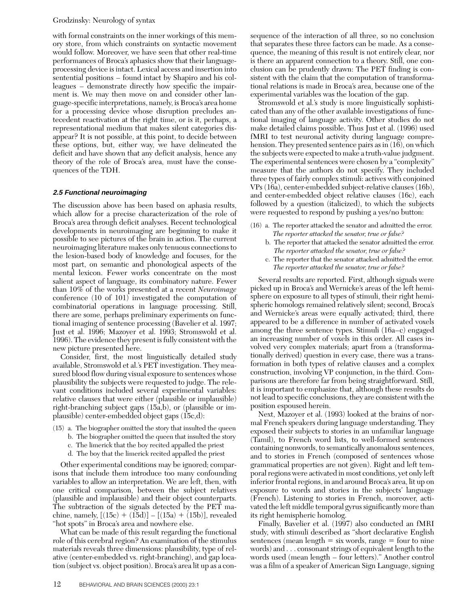#### Grodzinsky: Neurology of syntax

with formal constraints on the inner workings of this memory store, from which constraints on syntactic movement would follow. Moreover, we have seen that other real-time performances of Broca's aphasics show that their languageprocessing device is intact. Lexical access and insertion into sentential positions – found intact by Shapiro and his colleagues – demonstrate directly how specific the impairment is. We may then move on and consider other language-specific interpretations, namely, is Broca's area home for a processing device whose disruption precludes antecedent reactivation at the right time, or is it, perhaps, a representational medium that makes silent categories disappear? It is not possible, at this point, to decide between these options, but, either way, we have delineated the deficit and have shown that any deficit analysis, hence any theory of the role of Broca's area, must have the consequences of the TDH.

### **2.5 Functional neuroimaging**

The discussion above has been based on aphasia results, which allow for a precise characterization of the role of Broca's area through deficit analyses. Recent technological developments in neuroimaging are beginning to make it possible to see pictures of the brain in action. The current neuroimaging literature makes only tenuous connections to the lesion-based body of knowledge and focuses, for the most part, on semantic and phonological aspects of the mental lexicon. Fewer works concentrate on the most salient aspect of language, its combinatory nature. Fewer than 10% of the works presented at a recent *Neuroimage* conference (10 of 101) investigated the computation of combinatorial operations in language processing. Still, there are some, perhaps preliminary experiments on functional imaging of sentence processing (Bavelier et al. 1997; Just et al. 1996; Mazoyer et al. 1993; Stromswold et al. 1996). The evidence they present is fully consistent with the new picture presented here.

Consider, first, the most linguistically detailed study available, Stromswold et al.'s PET investigation. They measured blood flow during visual exposure to sentences whose plausibility the subjects were requested to judge. The relevant conditions included several experimental variables: relative clauses that were either (plausible or implausible) right-branching subject gaps (15a,b), or (plausible or implausible) center-embedded object gaps (15c,d):

- (15) a. The biographer omitted the story that insulted the queen
	- b. The biographer omitted the queen that insulted the story
	- c. The limerick that the boy recited appalled the priest
	- d. The boy that the limerick recited appalled the priest

Other experimental conditions may be ignored; comparisons that include them introduce too many confounding variables to allow an interpretation. We are left, then, with one critical comparison, between the subject relatives (plausible and implausible) and their object counterparts. The subtraction of the signals detected by the PET machine, namely,  $[(15c) + (15d)] - [(15a) + (15b)]$ , revealed "hot spots" in Broca's area and nowhere else.

What can be made of this result regarding the functional role of this cerebral region? An examination of the stimulus materials reveals three dimensions: plausibility, type of relative (center-embedded vs. right-branching), and gap location (subject vs. object position). Broca's area lit up as a consequence of the interaction of all three, so no conclusion that separates these three factors can be made. As a consequence, the meaning of this result is not entirely clear, nor is there an apparent connection to a theory. Still, one conclusion can be prudently drawn: The PET finding is consistent with the claim that the computation of transformational relations is made in Broca's area, because one of the experimental variables was the location of the gap.

Stromswold et al.'s study is more linguistically sophisticated than any of the other available investigations of functional imaging of language activity. Other studies do not make detailed claims possible. Thus Just et al. (1996) used fMRI to test neuronal activity during language comprehension. They presented sentence pairs as in (16), on which the subjects were expected to make a truth-value judgment. The experimental sentences were chosen by a "complexity" measure that the authors do not specify. They included three types of fairly complex stimuli: actives with conjoined VPs (16a), center-embedded subject-relative clauses (16b), and center-embedded object relative clauses (16c), each followed by a question (italicized), to which the subjects were requested to respond by pushing a yes/no button:

- (16) a. The reporter attacked the senator and admitted the error. *The reporter attacked the senator, true or false?*
	- b. The reporter that attacked the senator admitted the error. *The reporter attacked the senator, true or false?*
	- c. The reporter that the senator attacked admitted the error. *The reporter attacked the senator, true or false?*

Several results are reported. First, although signals were picked up in Broca's and Wernicke's areas of the left hemisphere on exposure to all types of stimuli, their right hemispheric homologs remained relatively silent; second, Broca's and Wernicke's areas were equally activated; third, there appeared to be a difference in number of activated voxels among the three sentence types. Stimuli (16a–c) engaged an increasing number of voxels in this order. All cases involved very complex materials; apart from a (transformationally derived) question in every case, there was a transformation in both types of relative clauses and a complex construction, involving VP conjunction, in the third. Comparisons are therefore far from being straightforward. Still, it is important to emphasize that, although these results do not lead to specific conclusions, they are consistent with the position espoused herein.

Next, Mazoyer et al. (1993) looked at the brains of normal French speakers during language understanding. They exposed their subjects to stories in an unfamiliar language (Tamil), to French word lists, to well-formed sentences containing nonwords, to semantically anomalous sentences, and to stories in French (composed of sentences whose grammatical properties are not given). Right and left temporal regions were activated in most conditions, yet only left inferior frontal regions, in and around Broca's area, lit up on exposure to words and stories in the subjects' language (French). Listening to stories in French, moreover, activated the left middle temporal gyrus significantly more than its right hemispheric homolog.

Finally, Bavelier et al. (1997) also conducted an fMRI study, with stimuli described as "short declarative English sentences (mean length  $=$  six words, range  $=$  four to nine words) and . . . consonant strings of equivalent length to the words used (mean length – four letters)." Another control was a film of a speaker of American Sign Language, signing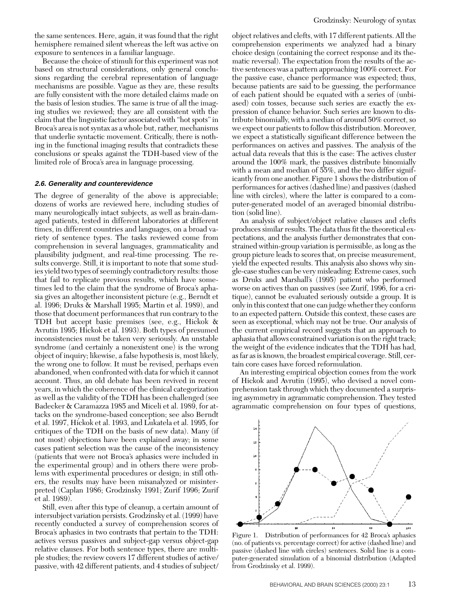the same sentences. Here, again, it was found that the right hemisphere remained silent whereas the left was active on exposure to sentences in a familiar language.

Because the choice of stimuli for this experiment was not based on structural considerations, only general conclusions regarding the cerebral representation of language mechanisms are possible. Vague as they are, these results are fully consistent with the more detailed claims made on the basis of lesion studies. The same is true of all the imaging studies we reviewed; they are all consistent with the claim that the linguistic factor associated with "hot spots" in Broca's area is not syntax as a whole but, rather, mechanisms that underlie syntactic movement. Critically, there is nothing in the functional imaging results that contradicts these conclusions or speaks against the TDH-based view of the limited role of Broca's area in language processing.

#### **2.6. Generality and counterevidence**

The degree of generality of the above is appreciable; dozens of works are reviewed here, including studies of many neurologically intact subjects, as well as brain-damaged patients, tested in different laboratories at different times, in different countries and languages, on a broad variety of sentence types. The tasks reviewed come from comprehension in several languages, grammaticality and plausibility judgment, and real-time processing. The results converge. Still, it is important to note that some studies yield two types of seemingly contradictory results: those that fail to replicate previous results, which have sometimes led to the claim that the syndrome of Broca's aphasia gives an altogether inconsistent picture (e.g., Berndt et al. 1996; Druks & Marshall 1995; Martin et al. 1989), and those that document performances that run contrary to the TDH but accept basic premises (see, e.g., Hickok & Avrutin 1995; Hickok et al. 1993). Both types of presumed inconsistencies must be taken very seriously. An unstable syndrome (and certainly a nonexistent one) is the wrong object of inquiry; likewise, a false hypothesis is, most likely, the wrong one to follow. It must be revised, perhaps even abandoned, when confronted with data for which it cannot account. Thus, an old debate has been revived in recent years, in which the coherence of the clinical categorization as well as the validity of the TDH has been challenged (see Badecker & Caramazza 1985 and Miceli et al. 1989, for attacks on the syndrome-based conception; see also Berndt et al. 1997, Hickok et al. 1993, and Lukatela et al. 1995, for critiques of the TDH on the basis of new data). Many (if not most) objections have been explained away; in some cases patient selection was the cause of the inconsistency (patients that were not Broca's aphasics were included in the experimental group) and in others there were problems with experimental procedures or design; in still others, the results may have been misanalyzed or misinterpreted (Caplan 1986; Grodzinsky 1991; Zurif 1996; Zurif et al. 1989).

Still, even after this type of cleanup, a certain amount of intersubject variation persists. Grodzinsky et al. (1999) have recently conducted a survey of comprehension scores of Broca's aphasics in two contrasts that pertain to the TDH: actives versus passives and subject-gap versus object-gap relative clauses. For both sentence types, there are multiple studies; the review covers 17 different studies of active/ passive, with 42 different patients, and 4 studies of subject/

object relatives and clefts, with 17 different patients. All the comprehension experiments we analyzed had a binary choice design (containing the correct response and its thematic reversal). The expectation from the results of the active sentences was a pattern approaching 100% correct. For the passive case, chance performance was expected; thus, because patients are said to be guessing, the performance of each patient should be equated with a series of (unbiased) coin tosses, because such series are exactly the expression of chance behavior. Such series are known to distribute binomially, with a median of around 50% correct, so we expect our patients to follow this distribution. Moreover, we expect a statistically significant difference between the performances on actives and passives. The analysis of the actual data reveals that this is the case: The actives cluster around the 100% mark, the passives distribute binomially with a mean and median of 55%, and the two differ significantly from one another. Figure 1 shows the distribution of performances for actives (dashed line) and passives (dashed line with circles), where the latter is compared to a computer-generated model of an averaged binomial distribution (solid line).

An analysis of subject/object relative clauses and clefts produces similar results. The data thus fit the theoretical expectations, and the analysis further demonstrates that constrained within-group variation is permissible, as long as the group picture leads to scores that, on precise measurement, yield the expected results. This analysis also shows why single-case studies can be very misleading: Extreme cases, such as Druks and Marshall's (1995) patient who performed worse on actives than on passives (see Zurif, 1996, for a critique), cannot be evaluated seriously outside a group. It is only in this context that one can judge whether they conform to an expected pattern. Outside this context, these cases are seen as exceptional, which may not be true. Our analysis of the current empirical record suggests that an approach to aphasia that allows constrained variation is on the right track; the weight of the evidence indicates that the TDH has had, as far as is known, the broadest empirical coverage. Still, certain core cases have forced reformulation.

An interesting empirical objection comes from the work of Hickok and Avrutin (1995), who devised a novel comprehension task through which they documented a surprising asymmetry in agrammatic comprehension. They tested agrammatic comprehension on four types of questions,



Figure 1. Distribution of performances for 42 Broca's aphasics (no. of patients vs. percentage correct) for active (dashed line) and passive (dashed line with circles) sentences. Solid line is a computer-generated simulation of a binomial distribution (Adapted from Grodzinsky et al. 1999).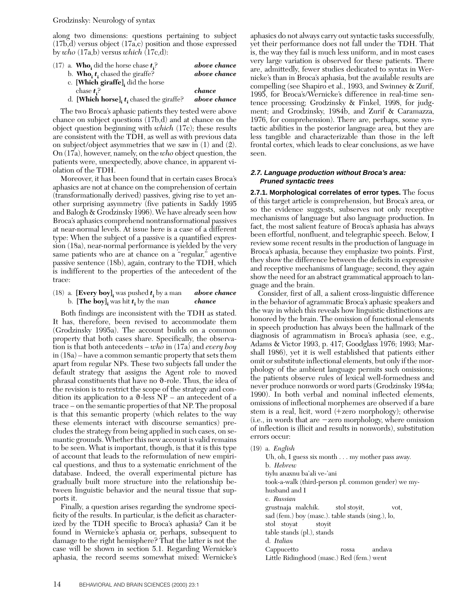along two dimensions: questions pertaining to subject (17b,d) versus object (17a,c) position and those expressed by *who* (17a,b) versus *which* (17c,d):

| (17) a. <b>Who</b> , did the horse chase $t_i$ ? | above chance |
|--------------------------------------------------|--------------|
| b. Who, $t_i$ , chased the giraffe?              | above chance |
| c. [Which giraffe], did the horse                |              |
| chase $t$ <sup>2</sup>                           | chance       |
| d. [Which horse], $t$ , chased the giraffe?      | above chance |

The two Broca's aphasic patients they tested were above chance on subject questions (17b,d) and at chance on the object question beginning with *which* (17c); these results are consistent with the TDH, as well as with previous data on subject/object asymmetries that we saw in (1) and (2). On (17a), however, namely, on the *who* object question, the patients were, unexpectedly, above chance, in apparent violation of the TDH.

Moreover, it has been found that in certain cases Broca's aphasics are not at chance on the comprehension of certain (transformationally derived) passives, giving rise to yet another surprising asymmetry (five patients in Saddy 1995 and Balogh & Grodzinsky 1996). We have already seen how Broca's aphasics comprehend nontransformational passives at near-normal levels. At issue here is a case of a different type: When the subject of a passive is a quantified expression (18a), near-normal performance is yielded by the very same patients who are at chance on a "regular," agentive passive sentence (18b), again, contrary to the TDH, which is indifferent to the properties of the antecedent of the trace:

(18) a.  $[\text{Every boy}]$  was pushed *t*<sub>i</sub> by a man *above chance*<br>b.  $[\text{The boy}]$  was hit *t*, by the man *chance* b. **[The boy]**, was hit  $t_i$  by the man

Both findings are inconsistent with the TDH as stated. It has, therefore, been revised to accommodate them (Grodzinsky 1995a). The account builds on a common property that both cases share. Specifically, the observation is that both antecedents – *who* in (17a) and *every boy* in (18a) – have a common semantic property that sets them apart from regular NPs. These two subjects fall under the default strategy that assigns the Agent role to moved phrasal constituents that have no  $\vartheta$ -role. Thus, the idea of the revision is to restrict the scope of the strategy and condition its application to a  $\vartheta$ -less NP – an antecedent of a trace – on the semantic properties of that NP. The proposal is that this semantic property (which relates to the way these elements interact with discourse semantics) precludes the strategy from being applied in such cases, on semantic grounds. Whether this new account is valid remains to be seen. What is important, though, is that it is this type of account that leads to the reformulation of new empirical questions, and thus to a systematic enrichment of the database. Indeed, the overall experimental picture has gradually built more structure into the relationship between linguistic behavior and the neural tissue that supports it.

Finally, a question arises regarding the syndrome specificity of the results. In particular, is the deficit as characterized by the TDH specific to Broca's aphasia? Can it be found in Wernicke's aphasia or, perhaps, subsequent to damage to the right hemisphere? That the latter is not the case will be shown in section 5.1. Regarding Wernicke's aphasia, the record seems somewhat mixed: Wernicke's aphasics do not always carry out syntactic tasks successfully, yet their performance does not fall under the TDH. That is, the way they fail is much less uniform, and in most cases very large variation is observed for these patients. There are, admittedly, fewer studies dedicated to syntax in Wernicke's than in Broca's aphasia, but the available results are compelling (see Shapiro et al., 1993, and Swinney & Zurif, 1995, for Broca's/Wernicke's difference in real-time sentence processing; Grodzinsky & Finkel, 1998, for judgment; and Grodzinsky, 1984b, and Zurif & Caramazza, 1976, for comprehension). There are, perhaps, some syntactic abilities in the posterior language area, but they are less tangible and characterizable than those in the left frontal cortex, which leads to clear conclusions, as we have seen.

#### **2.7. Language production without Broca's area: Pruned syntactic trees**

**2.7.1. Morphological correlates of error types.** The focus of this target article is comprehension, but Broca's area, or so the evidence suggests, subserves not only receptive mechanisms of language but also language production. In fact, the most salient feature of Broca's aphasia has always been effortful, nonfluent, and telegraphic speech. Below, I review some recent results in the production of language in Broca's aphasia, because they emphasize two points. First, they show the difference between the deficits in expressive and receptive mechanisms of language; second, they again show the need for an abstract grammatical approach to language and the brain.

Consider, first of all, a salient cross-linguistic difference in the behavior of agrammatic Broca's aphasic speakers and the way in which this reveals how linguistic distinctions are honored by the brain. The omission of functional elements in speech production has always been the hallmark of the diagnosis of agrammatism in Broca's aphasia (see, e.g., Adams & Victor 1993, p. 417; Goodglass 1976; 1993; Marshall 1986), yet it is well established that patients either omit or substitute inflectional elements, but only if the morphology of the ambient language permits such omissions; the patients observe rules of lexical well-formedness and never produce nonwords or word parts (Grodzinsky 1984a; 1990). In both verbal and nominal inflected elements, omissions of inflectional morphemes are observed if a bare stem is a real, licit, word  $(+$ zero morphology); otherwise  $(i.e., in words that are  $-zero$  morphology, where omission$ of inflection is illicit and results in nonwords), substitution errors occur:

```
(19) a. English
```
Uh, oh, I guess six month . . . my mother pass away. b. *Hebrew* tiylu anaxnu ba'ali ve-'ani took-a-walk (third-person pl. common gender) we myhusband and I c. *Russian* grustnaja malchik. stol stoyit, vot, sad (fem.) boy (masc.). table stands (sing.), lo, stol stoyat stoyit table stands (pl.), stands d. *Italian* Cappucetto rossa andava Little Ridinghood (masc.) Red (fem.) went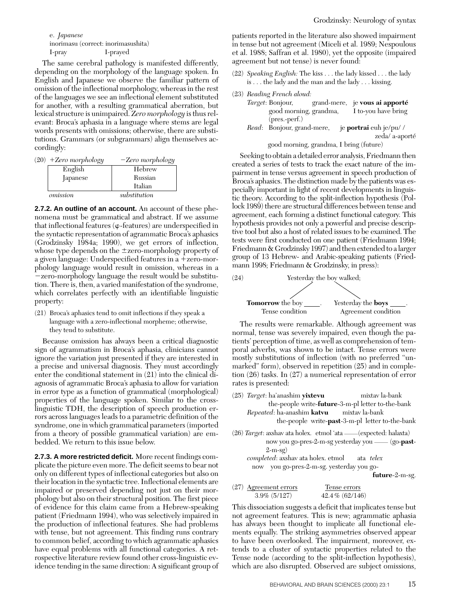e. *Japanese* inorimasu (correct: inorimasushita) I-pray I-prayed

The same cerebral pathology is manifested differently, depending on the morphology of the language spoken. In English and Japanese we observe the familiar pattern of omission of the inflectional morphology, whereas in the rest of the languages we see an inflectional element substituted for another, with a resulting grammatical aberration, but lexical structure is unimpaired. *Zero morphology* is thus relevant: Broca's aphasia in a language where stems are legal words presents with omissions; otherwise, there are substitutions. Grammars (or subgrammars) align themselves accordingly:

| $(20)$ +Zero morphology | $-Zero$ morphology |
|-------------------------|--------------------|
| English                 | Hebrew             |
| Japanese                | Russian            |
|                         | Italian            |
| omission                | substitution       |

**2.7.2. An outline of an account.** An account of these phenomena must be grammatical and abstract. If we assume that inflectional features  $(\varphi$ -features) are underspecified in the syntactic representation of agrammatic Broca's aphasics (Grodzinsky 1984a; 1990), we get errors of inflection, whose type depends on the  $\pm$ zero-morphology property of a given language: Underspecified features in  $a + zero - mor$ phology language would result in omission, whereas in a  $-zero$ -morphology language the result would be substitution. There is, then, a varied manifestation of the syndrome, which correlates perfectly with an identifiable linguistic property:

(21) Broca's aphasics tend to omit inflections if they speak a language with a zero-inflectional morpheme; otherwise, they tend to substitute.

Because omission has always been a critical diagnostic sign of agrammatism in Broca's aphasia, clinicians cannot ignore the variation just presented if they are interested in a precise and universal diagnosis. They must accordingly enter the conditional statement in (21) into the clinical diagnosis of agrammatic Broca's aphasia to allow for variation in error type as a function of grammatical (morphological) properties of the language spoken. Similar to the crosslinguistic TDH, the description of speech production errors across languages leads to a parametric definition of the syndrome, one in which grammatical parameters (imported from a theory of possible grammatical variation) are embedded. We return to this issue below.

**2.7.3. A more restricted deficit.** More recent findings complicate the picture even more. The deficit seems to bear not only on different types of inflectional categories but also on their location in the syntactic tree. Inflectional elements are impaired or preserved depending not just on their morphology but also on their structural position. The first piece of evidence for this claim came from a Hebrew-speaking patient (Friedmann 1994), who was selectively impaired in the production of inflectional features. She had problems with tense, but not agreement. This finding runs contrary to common belief, according to which agrammatic aphasics have equal problems with all functional categories. A retrospective literature review found other cross-linguistic evidence tending in the same direction: A significant group of

patients reported in the literature also showed impairment in tense but not agreement (Miceli et al. 1989; Nespoulous et al. 1988; Saffran et al. 1980), yet the opposite (impaired agreement but not tense) is never found:

- (22) *Speaking English:* The kiss . . . the lady kissed . . . the lady is . . . the lady and the man and the lady . . . kissing.
- (23) *Reading French aloud:*

| <i>Target</i> : Bonjour,                | grand-mere, je <b>vous ai apporté</b> |
|-----------------------------------------|---------------------------------------|
| good morning, grandma,                  | I to-you have bring                   |
| $(pres.\text{-perf.})$                  |                                       |
| Read: Bonjour, grand-mere,              | je <b>portrai</b> euh je/pu//         |
|                                         | zeda/a-aporté                         |
| good morning, grandma, I bring (future) |                                       |

Seeking to obtain a detailed error analysis, Friedmann then created a series of tests to track the exact nature of the impairment in tense versus agreement in speech production of Broca's aphasics. The distinction made by the patients was especially important in light of recent developments in linguistic theory. According to the split-inflection hypothesis (Pollock 1989) there are structural differences between tense and agreement, each forming a distinct functional category. This hypothesis provides not only a powerful and precise descriptive tool but also a host of related issues to be examined. The tests were first conducted on one patient (Friedmann 1994; Friedmann & Grodzinsky 1997) and then extended to a larger group of 13 Hebrew- and Arabic-speaking patients (Friedmann 1998; Friedmann & Grodzinsky, in press):



The results were remarkable. Although agreement was normal, tense was severely impaired, even though the patients' perception of time, as well as comprehension of temporal adverbs, was shown to be intact. Tense errors were mostly substitutions of inflection (with no preferred "unmarked" form), observed in repetition (25) and in completion (26) tasks. In (27) a numerical representation of error rates is presented:

- (25) *Target*: ha'anashim **yixtevu** mixtav la-bank the-people write-**future**-3-m-pl letter to-the-bank *Repeated*: ha-anashim **katvu** mixtav la-bank the-people write-**past**-3-m-pl letter to-the-bank
- (26) *Target*: axshav ata holex. etmol 'ata ———(expected: halaxta) now you go-pres-2-m-sg yesterday you ——— (go-**past**-2-m-sg)

*completed*: axshav ata holex. etmol ata *telex* now you go-pres-2-m-sg. yesterday you go-

**future**-2-m-sg.

(27) Agreement errors Tense errors 3.9% (5/127) 42.4 % (62/146)

This dissociation suggests a deficit that implicates tense but not agreement features. This is new; agrammatic aphasia has always been thought to implicate all functional elements equally. The striking asymmetries observed appear to have been overlooked. The impairment, moreover, extends to a cluster of syntactic properties related to the Tense node (according to the split-inflection hypothesis), which are also disrupted. Observed are subject omissions,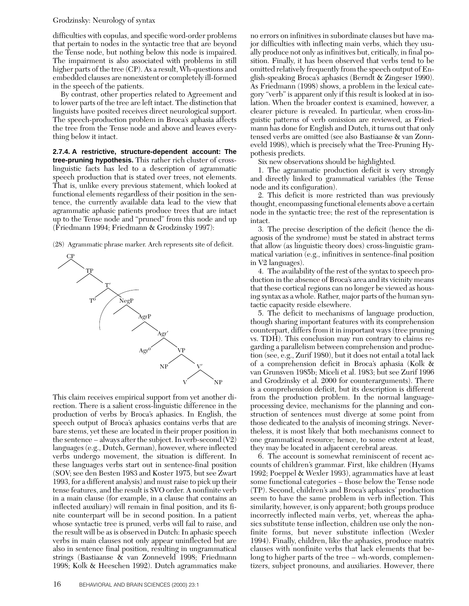#### Grodzinsky: Neurology of syntax

difficulties with copulas, and specific word-order problems that pertain to nodes in the syntactic tree that are beyond the Tense node, but nothing below this node is impaired. The impairment is also associated with problems in still higher parts of the tree (CP). As a result, Wh-questions and embedded clauses are nonexistent or completely ill-formed in the speech of the patients.

By contrast, other properties related to Agreement and to lower parts of the tree are left intact. The distinction that linguists have posited receives direct neurological support. The speech-production problem in Broca's aphasia affects the tree from the Tense node and above and leaves everything below it intact.

**2.7.4. A restrictive, structure-dependent account: The tree-pruning hypothesis.** This rather rich cluster of crosslinguistic facts has led to a description of agrammatic speech production that is stated over trees, not elements. That is, unlike every previous statement, which looked at functional elements regardless of their position in the sentence, the currently available data lead to the view that agrammatic aphasic patients produce trees that are intact up to the Tense node and "pruned" from this node and up (Friedmann 1994; Friedmann & Grodzinsky 1997):

(28) Agrammatic phrase marker. Arch represents site of deficit.



This claim receives empirical support from yet another direction. There is a salient cross-linguistic difference in the production of verbs by Broca's aphasics. In English, the speech output of Broca's aphasics contains verbs that are bare stems, yet these are located in their proper position in the sentence – always after the subject. In verb-second (V2) languages (e.g., Dutch, German), however, where inflected verbs undergo movement, the situation is different. In these languages verbs start out in sentence-final position (SOV; see den Besten 1983 and Koster 1975, but see Zwart 1993, for a different analysis) and must raise to pick up their tense features, and the result is SVO order. A nonfinite verb in a main clause (for example, in a clause that contains an inflected auxiliary) will remain in final position, and its finite counterpart will be in second position. In a patient whose syntactic tree is pruned, verbs will fail to raise, and the result will be as is observed in Dutch: In aphasic speech verbs in main clauses not only appear uninflected but are also in sentence final position, resulting in ungrammatical strings (Bastiaanse & van Zonneveld 1998; Friedmann 1998; Kolk & Heeschen 1992). Dutch agrammatics make no errors on infinitives in subordinate clauses but have major difficulties with inflecting main verbs, which they usually produce not only as infinitives but, critically, in final position. Finally, it has been observed that verbs tend to be omitted relatively frequently from the speech output of English-speaking Broca's aphasics (Berndt & Zingeser 1990). As Friedmann (1998) shows, a problem in the lexical category "verb" is apparent only if this result is looked at in isolation. When the broader context is examined, however, a clearer picture is revealed. In particular, when cross-linguistic patterns of verb omission are reviewed, as Friedmann has done for English and Dutch, it turns out that only tensed verbs are omitted (see also Bastiaanse & van Zonneveld 1998), which is precisely what the Tree-Pruning Hypothesis predicts.

Six new observations should be highlighted.

1. The agrammatic production deficit is very strongly and directly linked to grammatical variables (the Tense node and its configuration).

2. This deficit is more restricted than was previously thought, encompassing functional elements above a certain node in the syntactic tree; the rest of the representation is intact.

3. The precise description of the deficit (hence the diagnosis of the syndrome) must be stated in abstract terms that allow (as linguistic theory does) cross-linguistic grammatical variation (e.g., infinitives in sentence-final position in V2 languages).

4. The availability of the rest of the syntax to speech production in the absence of Broca's area and its vicinity means that these cortical regions can no longer be viewed as housing syntax as a whole. Rather, major parts of the human syntactic capacity reside elsewhere.

5. The deficit to mechanisms of language production, though sharing important features with its comprehension counterpart, differs from it in important ways (tree pruning vs. TDH). This conclusion may run contrary to claims regarding a parallelism between comprehension and production (see, e.g., Zurif 1980), but it does not entail a total lack of a comprehension deficit in Broca's aphasia (Kolk & van Grunsven 1985b; Miceli et al. 1983; but see Zurif 1996 and Grodzinsky et al. 2000 for counterarguments). There is a comprehension deficit, but its description is different from the production problem. In the normal languageprocessing device, mechanisms for the planning and construction of sentences must diverge at some point from those dedicated to the analysis of incoming strings. Nevertheless, it is most likely that both mechanisms connect to one grammatical resource; hence, to some extent at least, they may be located in adjacent cerebral areas.

6. The account is somewhat reminiscent of recent accounts of children's grammar. First, like children (Hyams 1992; Poeppel & Wexler 1993), agrammatics have at least some functional categories – those below the Tense node (TP). Second, children's and Broca's aphasics' production seem to have the same problem in verb inflection. This similarity, however, is only apparent; both groups produce incorrectly inflected main verbs, yet, whereas the aphasics substitute tense inflection, children use only the nonfinite forms, but never substitute inflection (Wexler 1994). Finally, children, like the aphasics, produce matrix clauses with nonfinite verbs that lack elements that belong to higher parts of the tree – wh-words, complementizers, subject pronouns, and auxiliaries. However, there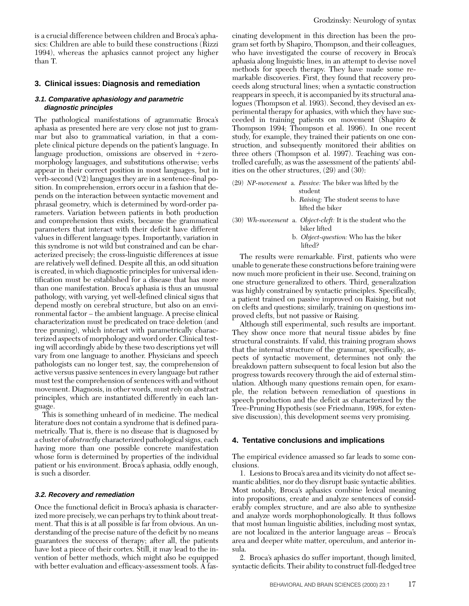is a crucial difference between children and Broca's aphasics: Children are able to build these constructions (Rizzi 1994), whereas the aphasics cannot project any higher than T.

#### **3. Clinical issues: Diagnosis and remediation**

#### **3.1. Comparative aphasiology and parametric diagnostic principles**

The pathological manifestations of agrammatic Broca's aphasia as presented here are very close not just to grammar but also to grammatical variation, in that a complete clinical picture depends on the patient's language. In language production, omissions are observed in  $+$ zeromorphology languages, and substitutions otherwise; verbs appear in their correct position in most languages, but in verb-second (V2) languages they are in a sentence-final position. In comprehension, errors occur in a fashion that depends on the interaction between syntactic movement and phrasal geometry, which is determined by word-order parameters. Variation between patients in both production and comprehension thus exists, because the grammatical parameters that interact with their deficit have different values in different language types. Importantly, variation in this syndrome is not wild but constrained and can be characterized precisely; the cross-linguistic differences at issue are relatively well defined. Despite all this, an odd situation is created, in which diagnostic principles for universal identification must be established for a disease that has more than one manifestation. Broca's aphasia is thus an unusual pathology, with varying, yet well-defined clinical signs that depend mostly on cerebral structure, but also on an environmental factor – the ambient language. A precise clinical characterization must be predicated on trace deletion (and tree pruning), which interact with parametrically characterized aspects of morphology and word order. Clinical testing will accordingly abide by these two descriptions yet will vary from one language to another. Physicians and speech pathologists can no longer test, say, the comprehension of active versus passive sentences in every language but rather must test the comprehension of sentences with and without movement. Diagnosis, in other words, must rely on abstract principles, which are instantiated differently in each language.

This is something unheard of in medicine. The medical literature does not contain a syndrome that is defined parametrically. That is, there is no disease that is diagnosed by a cluster of *abstractly* characterized pathological signs, each having more than one possible concrete manifestation whose form is determined by properties of the individual patient or his environment. Broca's aphasia, oddly enough, is such a disorder.

#### **3.2. Recovery and remediation**

Once the functional deficit in Broca's aphasia is characterized more precisely, we can perhaps try to think about treatment. That this is at all possible is far from obvious. An understanding of the precise nature of the deficit by no means guarantees the success of therapy; after all, the patients have lost a piece of their cortex. Still, it may lead to the invention of better methods, which might also be equipped with better evaluation and efficacy-assessment tools. A fas-

cinating development in this direction has been the program set forth by Shapiro, Thompson, and their colleagues, who have investigated the course of recovery in Broca's aphasia along linguistic lines, in an attempt to devise novel methods for speech therapy. They have made some remarkable discoveries. First, they found that recovery proceeds along structural lines; when a syntactic construction reappears in speech, it is accompanied by its structural analogues (Thompson et al. 1993). Second, they devised an experimental therapy for aphasics, with which they have succeeded in training patients on movement (Shapiro & Thompson 1994; Thompson et al. 1996). In one recent study, for example, they trained their patients on one construction, and subsequently monitored their abilities on three others (Thompson et al. 1997). Teaching was controlled carefully, as was the assessment of the patients' abilities on the other structures, (29) and (30):

- (29) *NP-movement* a. *Passive:* The biker was lifted by the student
	- b. *Raising:* The student seems to have lifted the biker
- (30) *Wh-movement* a. *Object-cleft:* It is the student who the biker lifted
	- b. *Object-question:* Who has the biker lifted?

The results were remarkable. First, patients who were unable to generate these constructions before training were now much more proficient in their use. Second, training on one structure generalized to others. Third, generalization was highly constrained by syntactic principles. Specifically, a patient trained on passive improved on Raising, but not on clefts and questions; similarly, training on questions improved clefts, but not passive or Raising.

Although still experimental, such results are important. They show once more that neural tissue abides by fine structural constraints. If valid, this training program shows that the internal structure of the grammar, specifically, aspects of syntactic movement, determines not only the breakdown pattern subsequent to focal lesion but also the progress towards recovery through the aid of external stimulation. Although many questions remain open, for example, the relation between remediation of questions in speech production and the deficit as characterized by the Tree-Pruning Hypothesis (see Friedmann, 1998, for extensive discussion), this development seems very promising.

#### **4. Tentative conclusions and implications**

The empirical evidence amassed so far leads to some conclusions.

1. Lesions to Broca's area and its vicinity do not affect semantic abilities, nor do they disrupt basic syntactic abilities. Most notably, Broca's aphasics combine lexical meaning into propositions, create and analyze sentences of considerably complex structure, and are also able to synthesize and analyze words morphophonologically. It thus follows that most human linguistic abilities, including most syntax, are not localized in the anterior language areas – Broca's area and deeper white matter, operculum, and anterior insula.

2. Broca's aphasics do suffer important, though limited, syntactic deficits. Their ability to construct full-fledged tree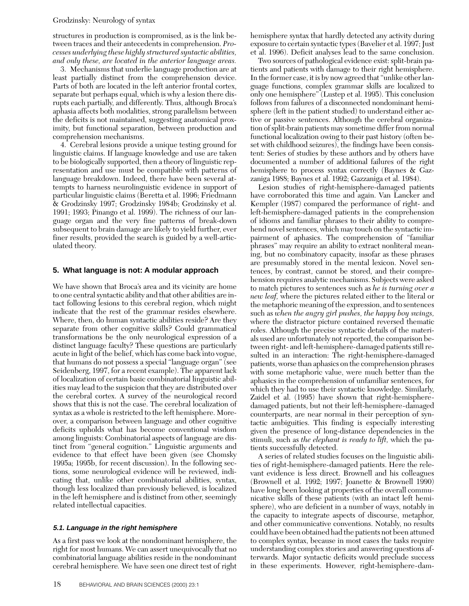### Grodzinsky: Neurology of syntax

structures in production is compromised, as is the link between traces and their antecedents in comprehension. *Processes underlying these highly structured syntactic abilities, and only these, are located in the anterior language areas.*

3. Mechanisms that underlie language production are at least partially distinct from the comprehension device. Parts of both are located in the left anterior frontal cortex, separate but perhaps equal, which is why a lesion there disrupts each partially, and differently. Thus, although Broca's aphasia affects both modalities, strong parallelism between the deficits is not maintained, suggesting anatomical proximity, but functional separation, between production and comprehension mechanisms.

4. Cerebral lesions provide a unique testing ground for linguistic claims. If language knowledge and use are taken to be biologically supported, then a theory of linguistic representation and use must be compatible with patterns of language breakdown. Indeed, there have been several attempts to harness neurolinguistic evidence in support of particular linguistic claims (Beretta et al. 1996; Friedmann & Grodzinsky 1997; Grodzinsky 1984b; Grodzinsky et al. 1991; 1993; Pinango et al. 1999). The richness of our language organ and the very fine patterns of break-down subsequent to brain damage are likely to yield further, ever finer results, provided the search is guided by a well-articulated theory.

### **5. What language is not: A modular approach**

We have shown that Broca's area and its vicinity are home to one central syntactic ability and that other abilities are intact following lesions to this cerebral region, which might indicate that the rest of the grammar resides elsewhere. Where, then, do human syntactic abilities reside? Are they separate from other cognitive skills? Could grammatical transformations be the only neurological expression of a distinct language faculty? These questions are particularly acute in light of the belief, which has come back into vogue, that humans do not possess a special "language organ" (see Seidenberg, 1997, for a recent example). The apparent lack of localization of certain basic combinatorial linguistic abilities may lead to the suspicion that they are distributed over the cerebral cortex. A survey of the neurological record shows that this is not the case. The cerebral localization of syntax as a whole is restricted to the left hemisphere. Moreover, a comparison between language and other cognitive deficits upholds what has become conventional wisdom among linguists: Combinatorial aspects of language are distinct from "general cognition." Linguistic arguments and evidence to that effect have been given (see Chomsky 1995a; 1995b, for recent discussion). In the following sections, some neurological evidence will be reviewed, indicating that, unlike other combinatorial abilities, syntax, though less localized than previously believed, is localized in the left hemisphere and is distinct from other, seemingly related intellectual capacities.

### **5.1. Language in the right hemisphere**

As a first pass we look at the nondominant hemisphere, the right for most humans. We can assert unequivocally that no combinatorial language abilities reside in the nondominant cerebral hemisphere*.* We have seen one direct test of right hemisphere syntax that hardly detected any activity during exposure to certain syntactic types (Bavelier et al. 1997; Just et al. 1996). Deficit analyses lead to the same conclusion.

Two sources of pathological evidence exist: split-brain patients and patients with damage to their right hemisphere. In the former case, it is by now agreed that "unlike other language functions, complex grammar skills are localized to only one hemisphere" (Lustep et al. 1995). This conclusion follows from failures of a disconnected nondominant hemisphere (left in the patient studied) to understand either active or passive sentences. Although the cerebral organization of split-brain patients may sometime differ from normal functional localization owing to their past history (often beset with childhood seizures), the findings have been consistent: Series of studies by these authors and by others have documented a number of additional failures of the right hemisphere to process syntax correctly (Baynes & Gazzaniga 1988; Baynes et al. 1992; Gazzaniga et al. 1984).

Lesion studies of right-hemisphere-damaged patients have corroborated this time and again. Van Lancker and Kempler (1987) compared the performance of right- and left-hemisphere-damaged patients in the comprehension of idioms and familiar phrases to their ability to comprehend novel sentences, which may touch on the syntactic impairment of aphasics. The comprehension of "familiar phrases" may require an ability to extract nonliteral meaning, but no combinatory capacity, insofar as these phrases are presumably stored in the mental lexicon. Novel sentences, by contrast, cannot be stored, and their comprehension requires analytic mechanisms. Subjects were asked to match pictures to sentences such as *he is turning over a new leaf,* where the pictures related either to the literal or the metaphoric meaning of the expression, and to sentences such as *when the angry girl pushes, the happy boy swings,* where the distractor picture contained reversed thematic roles. Although the precise syntactic details of the materials used are unfortunately not reported, the comparison between right- and left-hemisphere-damaged patients still resulted in an interaction: The right-hemisphere-damaged patients, worse than aphasics on the comprehension phrases with some metaphoric value, were much better than the aphasics in the comprehension of unfamiliar sentences, for which they had to use their syntactic knowledge. Similarly, Zaidel et al. (1995) have shown that right-hemispheredamaged patients, but not their left-hemisphere-damaged counterparts, are near normal in their perception of syntactic ambiguities. This finding is especially interesting given the presence of long-distance dependencies in the stimuli, such as *the elephant is ready to lift,* which the patients successfully detected.

A series of related studies focuses on the linguistic abilities of right-hemisphere-damaged patients. Here the relevant evidence is less direct. Brownell and his colleagues (Brownell et al. 1992; 1997; Joanette & Brownell 1990) have long been looking at properties of the overall communicative skills of these patients (with an intact left hemisphere), who are deficient in a number of ways, notably in the capacity to integrate aspects of discourse, metaphor, and other communicative conventions. Notably, no results could have been obtained had the patients not been attuned to complex syntax, because in most cases the tasks require understanding complex stories and answering questions afterwards. Major syntactic deficits would preclude success in these experiments. However, right-hemisphere-dam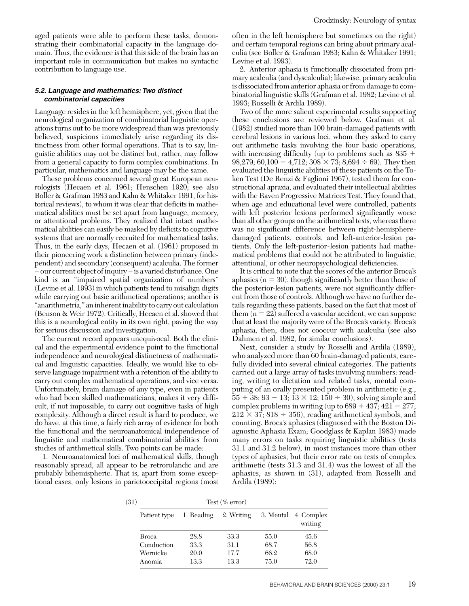aged patients were able to perform these tasks, demonstrating their combinatorial capacity in the language domain. Thus, the evidence is that this side of the brain has an important role in communication but makes no syntactic contribution to language use.

#### **5.2. Language and mathematics: Two distinct combinatorial capacities**

Language resides in the left hemisphere, yet, given that the neurological organization of combinatorial linguistic operations turns out to be more widespread than was previously believed, suspicions immediately arise regarding its distinctness from other formal operations. That is to say, linguistic abilities may not be distinct but, rather, may follow from a general capacity to form complex combinations. In particular, mathematics and language may be the same.

These problems concerned several great European neurologists (Hecaen et al. 1961; Henschen 1920; see also Boller & Grafman 1983 and Kahn & Whitaker 1991, for historical reviews), to whom it was clear that deficits in mathematical abilities must be set apart from language, memory, or attentional problems. They realized that intact mathematical abilities can easily be masked by deficits to cognitive systems that are normally recruited for mathematical tasks. Thus, in the early days, Hecaen et al. (1961) proposed in their pioneering work a distinction between primary (independent) and secondary (consequent) acalculia. The former – our current object of inquiry – is a varied disturbance. One kind is an "impaired spatial organization of numbers" (Levine et al. 1993) in which patients tend to misalign digits while carrying out basic arithmetical operations; another is "anarithmetria," an inherent inability to carry out calculation (Benson & Weir 1972). Critically, Hecaen et al. showed that this is a neurological entity in its own right, paving the way for serious discussion and investigation.

The current record appears unequivocal. Both the clinical and the experimental evidence point to the functional independence and neurological distinctness of mathematical and linguistic capacities. Ideally, we would like to observe language impairment with a retention of the ability to carry out complex mathematical operations, and vice versa. Unfortunately, brain damage of any type, even in patients who had been skilled mathematicians, makes it very difficult, if not impossible, to carry out cognitive tasks of high complexity. Although a direct result is hard to produce, we do have, at this time, a fairly rich array of evidence for both the functional and the neuroanatomical independence of linguistic and mathematical combinatorial abilities from studies of arithmetical skills. Two points can be made:

1. Neuroanatomical loci of mathematical skills, though reasonably spread, all appear to be retrorolandic and are probably bihemispheric. That is, apart from some exceptional cases, only lesions in parietooccipital regions (most

often in the left hemisphere but sometimes on the right) and certain temporal regions can bring about primary acalculia (see Boller & Grafman 1983; Kahn & Whitaker 1991; Levine et al. 1993).

2. Anterior aphasia is functionally dissociated from primary acalculia (and dyscalculia); likewise, primary acalculia is dissociated from anterior aphasia or from damage to combinatorial linguistic skills (Grafman et al. 1982; Levine et al. 1993; Rosselli & Ardila 1989).

Two of the more salient experimental results supporting these conclusions are reviewed below. Grafman et al. (1982) studied more than 100 brain-damaged patients with cerebral lesions in various loci, whom they asked to carry out arithmetic tasks involving the four basic operations, with increasing difficulty (up to problems such as  $835 +$ 98,279; 60,100 - 4,712; 308  $\times$  73; 8,694  $\div$  69). They then evaluated the linguistic abilities of these patients on the Token Test (De Renzi & Faglioni 1967), tested them for constructional apraxia, and evaluated their intellectual abilities with the Raven Progressive Matrices Test. They found that, when age and educational level were controlled, patients with left posterior lesions performed significantly worse than all other groups on the arithmetical tests, whereas there was no significant difference between right-hemispheredamaged patients, controls, and left-anterior-lesion patients. Only the left-posterior-lesion patients had mathematical problems that could not be attributed to linguistic, attentional, or other neuropsychological deficiencies.

It is critical to note that the scores of the anterior Broca's aphasics  $(n = 30)$ , though significantly better than those of the posterior-lesion patients, were not significantly different from those of controls. Although we have no further details regarding these patients, based on the fact that most of them  $(n = 22)$  suffered a vascular accident, we can suppose that at least the majority were of the Broca's variety. Broca's aphasia, then, does not cooccur with acalculia (see also Dahmen et al. 1982, for similar conclusions).

Next, consider a study by Rosselli and Ardila (1989), who analyzed more than 60 brain-damaged patients, carefully divided into several clinical categories. The patients carried out a large array of tasks involving numbers: reading, writing to dictation and related tasks, mental computing of an orally presented problem in arithmetic (e.g.,  $55 + 38$ ;  $93 - 13$ ;  $13 \times 12$ ;  $150 \div 30$ ), solving simple and complex problems in writing (up to  $689 + 437$ ;  $421 - 277$ ;  $212 \times 37$ ; 818 ÷ 356), reading arithmetical symbols, and counting. Broca's aphasics (diagnosed with the Boston Diagnostic Aphasia Exam; Goodglass & Kaplan 1983) made many errors on tasks requiring linguistic abilities (tests 31.1 and 31.2 below), in most instances more than other types of aphasics, but their error rate on tests of complex arithmetic (tests 31.3 and 31.4) was the lowest of all the aphasics, as shown in (31), adapted from Rosselli and Ardila (1989):

 $\text{Test} \, (\% \, \text{error})$ Patient type 1. Reading 2. Writing 3. Mental 4. Complex writing Broca 28.8 33.3 55.0 45.6 Conduction 33.3 31.1 68.7 56.8 Wernicke 20.0 17.7 66.2 68.0

Anomia 13.3 13.3 75.0 72.0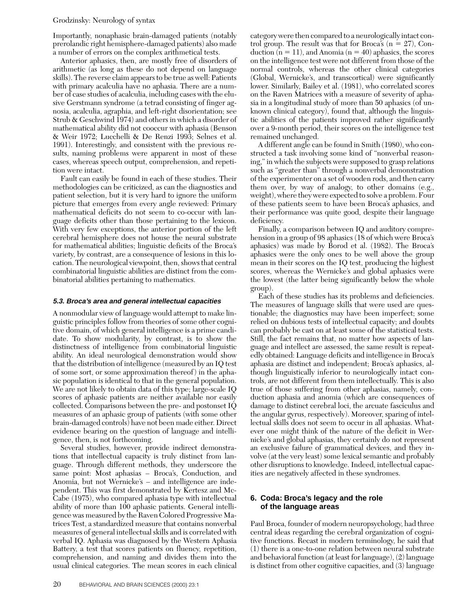### Grodzinsky: Neurology of syntax

Importantly, nonaphasic brain-damaged patients (notably prerolandic right hemisphere-damaged patients) also made a number of errors on the complex arithmetical tests.

Anterior aphasics, then, are mostly free of disorders of arithmetic (as long as these do not depend on language skills). The reverse claim appears to be true as well: Patients with primary acalculia have no aphasia. There are a number of case studies of acalculia, including cases with the elusive Gerstmann syndrome (a tetrad consisting of finger agnosia, acalculia, agraphia, and left-right disorientation; see Strub & Geschwind 1974) and others in which a disorder of mathematical ability did not cooccur with aphasia (Benson & Weir 1972; Lucchelli & De Renzi 1993; Selnes et al. 1991). Interestingly, and consistent with the previous results, naming problems were apparent in most of these cases, whereas speech output, comprehension, and repetition were intact.

Fault can easily be found in each of these studies. Their methodologies can be criticized, as can the diagnostics and patient selection, but it is very hard to ignore the uniform picture that emerges from every angle reviewed: Primary mathematical deficits do not seem to co-occur with language deficits other than those pertaining to the lexicon. With very few exceptions, the anterior portion of the left cerebral hemisphere does not house the neural substrate for mathematical abilities; linguistic deficits of the Broca's variety, by contrast, are a consequence of lesions in this location. The neurological viewpoint, then, shows that central combinatorial linguistic abilities are distinct from the combinatorial abilities pertaining to mathematics.

### **5.3. Broca's area and general intellectual capacities**

A nonmodular view of language would attempt to make linguistic principles follow from theories of some other cognitive domain, of which general intelligence is a prime candidate. To show modularity, by contrast, is to show the distinctness of intelligence from combinatorial linguistic ability. An ideal neurological demonstration would show that the distribution of intelligence (measured by an IQ test of some sort, or some approximation thereof) in the aphasic population is identical to that in the general population. We are not likely to obtain data of this type; large-scale IQ scores of aphasic patients are neither available nor easily collected. Comparisons between the pre- and postonset IQ measures of an aphasic group of patients (with some other brain-damaged controls) have not been made either. Direct evidence bearing on the question of language and intelligence, then, is not forthcoming.

Several studies, however, provide indirect demonstrations that intellectual capacity is truly distinct from language. Through different methods, they underscore the same point: Most aphasias – Broca's, Conduction, and Anomia, but not Wernicke's – and intelligence are independent. This was first demonstrated by Kertesz and Mc-Cabe (1975), who compared aphasia type with intellectual ability of more than 100 aphasic patients. General intelligence was measured by the Raven Colored Progressive Matrices Test, a standardized measure that contains nonverbal measures of general intellectual skills and is correlated with verbal IQ. Aphasia was diagnosed by the Western Aphasia Battery, a test that scores patients on fluency, repetition, comprehension, and naming and divides them into the usual clinical categories. The mean scores in each clinical category were then compared to a neurologically intact control group. The result was that for Broca's  $(n = 27)$ , Conduction  $(n = 11)$ , and Anomia  $(n = 40)$  aphasics, the scores on the intelligence test were not different from those of the normal controls, whereas the other clinical categories (Global, Wernicke's, and transcortical) were significantly lower. Similarly, Bailey et al. (1981), who correlated scores on the Raven Matrices with a measure of severity of aphasia in a longitudinal study of more than 50 aphasics (of unknown clinical category), found that, although the linguistic abilities of the patients improved rather significantly over a 9-month period, their scores on the intelligence test remained unchanged.

A different angle can be found in Smith (1980), who constructed a task involving some kind of "nonverbal reasoning," in which the subjects were supposed to grasp relations such as "greater than" through a nonverbal demonstration of the experimenter on a set of wooden rods, and then carry them over, by way of analogy, to other domains (e.g., weight), where they were expected to solve a problem. Four of these patients seem to have been Broca's aphasics, and their performance was quite good, despite their language deficiency.

Finally, a comparison between IQ and auditory comprehension in a group of 98 aphasics (18 of which were Broca's aphasics) was made by Borod et al. (1982). The Broca's aphasics were the only ones to be well above the group mean in their scores on the IQ test, producing the highest scores, whereas the Wernicke's and global aphasics were the lowest (the latter being significantly below the whole group).

Each of these studies has its problems and deficiencies. The measures of language skills that were used are questionable; the diagnostics may have been imperfect; some relied on dubious tests of intellectual capacity; and doubts can probably be cast on at least some of the statistical tests. Still, the fact remains that, no matter how aspects of language and intellect are assessed, the same result is repeatedly obtained: Language deficits and intelligence in Broca's aphasia are distinct and independent; Broca's aphasics, although linguistically inferior to neurologically intact controls, are not different from them intellectually. This is also true of those suffering from other aphasias, namely, conduction aphasia and anomia (which are consequences of damage to distinct cerebral loci, the arcuate fasciculus and the angular gyrus, respectively). Moreover, sparing of intellectual skills does not seem to occur in all aphasias. Whatever one might think of the nature of the deficit in Wernicke's and global aphasias, they certainly do not represent an exclusive failure of grammatical devices, and they involve (at the very least) some lexical semantic and probably other disruptions to knowledge. Indeed, intellectual capacities are negatively affected in these syndromes.

### **6. Coda: Broca's legacy and the role of the language areas**

Paul Broca, founder of modern neuropsychology, had three central ideas regarding the cerebral organization of cognitive functions. Recast in modern terminology, he said that (1) there is a one-to-one relation between neural substrate and behavioral function (at least for language), (2) language is distinct from other cognitive capacities, and (3) language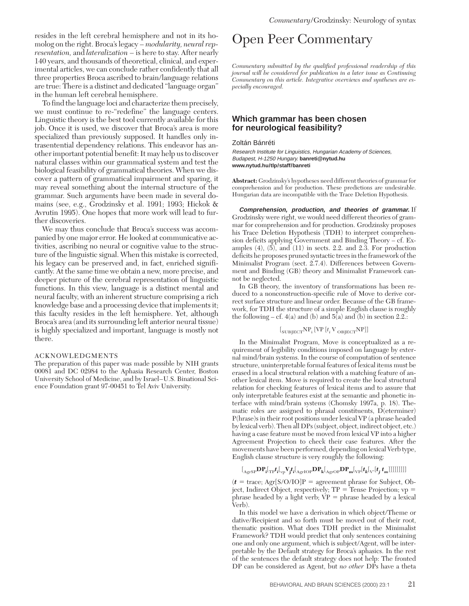resides in the left cerebral hemisphere and not in its homolog on the right. Broca's legacy – *modularity, neural representation,* and *lateralization* – is here to stay. After nearly 140 years, and thousands of theoretical, clinical, and experimental articles, we can conclude rather confidently that all three properties Broca ascribed to brain/language relations are true: There is a distinct and dedicated "language organ" in the human left cerebral hemisphere.

To find the language loci and characterize them precisely, we must continue to re-"redefine" the language centers. Linguistic theory is the best tool currently available for this job. Once it is used, we discover that Broca's area is more specialized than previously supposed. It handles only intrasentential dependency relations. This endeavor has another important potential benefit: It may help us to discover natural classes within our grammatical system and test the biological feasibility of grammatical theories. When we discover a pattern of grammatical impairment and sparing, it may reveal something about the internal structure of the grammar. Such arguments have been made in several domains (see, e.g., Grodzinsky et al. 1991; 1993; Hickok & Avrutin 1995). One hopes that more work will lead to further discoveries.

We may thus conclude that Broca's success was accompanied by one major error. He looked at communicative activities, ascribing no neural or cognitive value to the structure of the linguistic signal. When this mistake is corrected, his legacy can be preserved and, in fact, enriched significantly. At the same time we obtain a new, more precise, and deeper picture of the cerebral representation of linguistic functions. In this view, language is a distinct mental and neural faculty, with an inherent structure comprising a rich knowledge base and a processing device that implements it; this faculty resides in the left hemisphere. Yet, although Broca's area (and its surrounding left anterior neural tissue) is highly specialized and important, language is mostly not there.

#### ACKNOWLEDGMENTS

The preparation of this paper was made possible by NIH grants 00081 and DC 02984 to the Aphasia Research Center, Boston University School of Medicine, and by Israel–U.S. Binational Science Foundation grant 97-00451 to Tel Aviv University.

## Open Peer Commentary

*Commentary submitted by the qualified professional readership of this journal will be considered for publication in a later issue as Continuing Commentary on this article. Integrative overviews and syntheses are especially encouraged.*

### **Which grammar has been chosen for neurological feasibility?**

Zoltán Bánréti

Research Institute for Linguistics, Hungarian Academy of Sciences, Budapest, H-1250 Hungary. **banreti@nytud.hu www.nytud.hu/tlp/staff/banreti**

**Abstract:** Grodzinsky's hypotheses need different theories of grammar for comprehension and for production. These predictions are undesirable. Hungarian data are incompatible with the Trace Deletion Hypothesis.

**Comprehension, production, and theories of grammar.** If Grodzinsky were right, we would need different theories of grammar for comprehension and for production. Grodzinsky proposes his Trace Deletion Hypothesis (TDH) to interpret comprehension deficits applying Government and Binding Theory – cf. Examples  $(4)$ ,  $(5)$ , and  $(11)$  in sects. 2.2. and 2.3. For production deficits he proposes pruned syntactic trees in the framework of the Minimalist Program (sect. 2.7.4). Differences between Government and Binding (GB) theory and Minimalist Framework cannot be neglected.

In GB theory, the inventory of transformations has been reduced to a nonconstruction-specific rule of Move to derive correct surface structure and linear order. Because of the GB framework, for TDH the structure of a simple English clause is roughly the following – cf. 4(a) and (b) and  $5(a)$  and (b) in section 2.2.:

#### $\left[\begin{smallmatrix} \begin{smallmatrix} \begin{smallmatrix} \begin{smallmatrix} \end{smallmatrix} \end{smallmatrix} \\ \end{smallmatrix} \\ \begin{smallmatrix} \end{smallmatrix} \\ \end{smallmatrix} \end{smallmatrix} \right]$

In the Minimalist Program, Move is conceptualized as a requirement of legibility conditions imposed on language by external mind/brain systems. In the course of computation of sentence structure, uninterpretable formal features of lexical items must be erased in a local structural relation with a matching feature of another lexical item. Move is required to create the local structural relation for checking features of lexical items and to assure that only interpretable features exist at the semantic and phonetic interface with mind/brain systems (Chomsky 1997a, p. 18). Thematic roles are assigned to phrasal constituents, D(eterminer) P(hrase)s in their root positions under lexical VP (a phrase headed by lexical verb). Then all DPs (subject, object, indirect object, etc.) having a case feature must be moved from lexical VP into a higher Agreement Projection to check their case features. After the movements have been performed, depending on lexical Verb type, English clause structure is very roughly the following:

$$
[\mathbf{R}_{\mathrm{AgrSP}}\mathbf{DP}_{\mathbf{i}}]_{\mathrm{TP}}t_{\mathbf{i}}[\mathbf{I}_{\mathrm{VP}}\mathbf{V}_{\mathbf{j}}t_{\mathbf{i}}]\mathbf{A}_{\mathrm{grIDP}}\mathbf{DP}_{\mathbf{k}}[\mathbf{A}_{\mathrm{grOP}}\mathbf{DP}_{\mathbf{m}}]\mathbf{V}_{\mathrm{VP}}[t_{\mathbf{k}}[\mathbf{V}_{\mathrm{V}}[t_{\mathbf{j}}\;t_{\mathbf{m}}]]]]]]]]]
$$

 $(t = \text{trace}; \text{Agr}[S/O/IO]P = \text{agreement phrase for Subject}, Ob$ ject, Indirect Object, respectively;  $TP =$  Tense Projection;  $vp =$ phrase headed by a light verb;  $VP =$  phrase headed by a lexical Verb).

In this model we have a derivation in which object/Theme or dative/Recipient and so forth must be moved out of their root, thematic position. What does TDH predict in the Minimalist Framework? TDH would predict that only sentences containing one and only one argument, which is subject/Agent, will be interpretable by the Default strategy for Broca's aphasics. In the rest of the sentences the default strategy does not help: The fronted DP can be considered as Agent, but *no other* DPs have a theta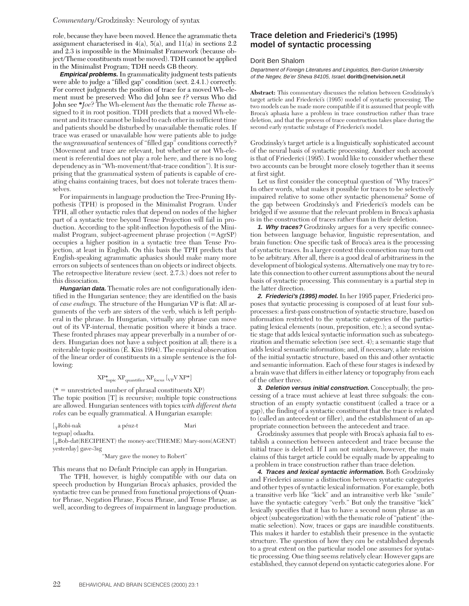#### *Commentary/*Grodzinsky: Neurology of syntax

role, because they have been moved. Hence the agrammatic theta assignment characterised in  $4(a)$ ,  $5(a)$ , and  $11(a)$  in sections 2.2 and 2.3 is impossible in the Minimalist Framework (because object/Theme constituents must be moved). TDH cannot be applied in the Minimalist Program; TDH needs GB theory.

**Empirical problems.** In grammaticality judgment tests patients were able to judge a "filled gap" condition (sect. 2.4.1.) correctly. For correct judgments the position of trace for a moved Wh-element must be preserved: Who did John see *t*? versus Who did John see **\****Joe*? The Wh-element *has* the thematic role *Theme* assigned to it in root position. TDH predicts that a moved Wh-element and its trace cannot be linked to each other in sufficient time and patients should be disturbed by unavailable thematic roles. If trace was erased or unavailable how were patients able to judge the *ungrammatical* sentences of "filled gap" conditions correctly? (Movement and trace are relevant, but whether or not Wh-element is referential does not play a role here, and there is no long dependency as in "Wh-movement/that-trace condition"). It is surprising that the grammatical system of patients is capable of creating chains containing traces, but does not tolerate traces themselves.

For impairments in language production the Tree-Pruning Hypothesis (TPH) is proposed in the Minimalist Program. Under TPH, all other syntactic rules that depend on nodes of the higher part of a syntactic tree beyond Tense Projection will fail in production. According to the split-inflection hypothesis of the Minimalist Program, subject-agreement phrase projection  $(=AgrSP)$ occupies a higher position in a syntactic tree than Tense Projection, at least in English. On this basis the TPH predicts that English-speaking agrammatic aphasics should make many more errors on subjects of sentences than on objects or indirect objects. The retrospective literature review (sect. 2.7.3.) does not refer to this dissociation.

**Hungarian data.** Thematic roles are not configurationally identified in the Hungarian sentence; they are identified on the basis of *case endings.* The structure of the Hungarian VP is flat: All arguments of the verb are sisters of the verb, which is left peripheral in the phrase. In Hungarian, virtually any phrase can move out of its VP-internal, thematic position where it binds a trace. These fronted phrases may appear preverbally in a number of orders. Hungarian does not have a subject position at all; there is a reiterable topic position (É. Kiss 1994). The empirical observation of the linear order of constituents in a simple sentence is the following:

$$
\mathrm{XP_{topic}^*}\,\mathrm{XP_{quantifier}\,XP_{focus}\,[}_{\mathrm{VP}}\mathrm{V}\,\mathrm{XP}^*]
$$

 $(* =$  unrestricted number of phrasal constituents  $XP$ )

The topic position [T] is recursive; multiple topic constructions are allowed. Hungarian sentences with topics *with different theta roles* can be equally grammatical. A Hungarian example:

[<sub>T</sub>Robi-nak a pénz-t Mari

tegnap] odaadta.

[TBob-dat(RECIPIENT) the money-acc(THEME) Mary-nom(AGENT) yesterday] gave-3sg

#### "Mary gave the money to Robert"

This means that no Default Principle can apply in Hungarian.

The TPH, however, is highly compatible with our data on speech production by Hungarian Broca's aphasics, provided the syntactic tree can be pruned from functional projections of Quantor Phrase, Negation Phrase, Focus Phrase, and Tense Phrase, as well, according to degrees of impairment in language production.

### **Trace deletion and Friederici's (1995) model of syntactic processing**

#### Dorit Ben Shalom

Department of Foreign Literatures and Linguistics, Ben-Gurion University of the Negev, Be'er Sheva 84105, Israel. **doritb@netvision.net.il**

**Abstract:** This commentary discusses the relation between Grodzinsky's target article and Friederici's (1995) model of syntactic processing. The two models can be made more compatible if it is assumed that people with Broca's aphasia have a problem in trace construction rather than trace deletion, and that the process of trace construction takes place during the second early syntactic substage of Friederici's model.

Grodzinsky's target article is a linguistically sophisticated account of the neural basis of syntactic processing. Another such account is that of Friederici (1995). I would like to consider whether these two accounts can be brought more closely together than it seems at first sight.

Let us first consider the conceptual question of "Why traces?" In other words, what makes it possible for traces to be selectively impaired relative to some other syntactic phenomena? Some of the gap between Grodzinsky's and Friederici's models can be bridged if we assume that the relevant problem in Broca's aphasia is in the construction of traces rather than in their deletion.

**1. Why traces?** Grodzinsky argues for a very specific connection between language behavior, linguistic representation, and brain function: One specific task of Broca's area is the processing of syntactic traces. In a larger context this connection may turn out to be arbitrary. After all, there is a good deal of arbitrariness in the development of biological systems. Alternatively one may try to relate this connection to other current assumptions about the neural basis of syntactic processing. This commentary is a partial step in the latter direction.

**2. Friederici's (1995) model.** In her 1995 paper, Friederici proposes that syntactic processing is composed of at least four subprocesses: a first-pass construction of syntactic structure, based on information restricted to the syntactic categories of the participating lexical elements (noun, preposition, etc.); a second syntactic stage that adds lexical syntactic information such as subcategorization and thematic selection (see sect. 4); a semantic stage that adds lexical semantic information; and, if necessary, a late revision of the initial syntactic structure, based on this and other syntactic and semantic information. Each of these four stages is indexed by a brain wave that differs in either latency or topography from each of the other three.

**3. Deletion versus initial construction.** Conceptually, the processing of a trace must achieve at least three subgoals: the construction of an empty syntactic constituent (called a trace or a gap), the finding of a syntactic constituent that the trace is related to (called an antecedent or filler), and the establishment of an appropriate connection between the antecedent and trace.

Grodzinsky assumes that people with Broca's aphasia fail to establish a connection between antecedent and trace because the initial trace is deleted. If I am not mistaken, however, the main claims of this target article could be equally made by appealing to a problem in trace construction rather than trace deletion.

**4. Traces and lexical syntactic information.** Both Grodzinsky and Friederici assume a distinction between syntactic categories and other types of syntactic lexical information. For example, both a transitive verb like "kick" and an intransitive verb like "smile" have the syntactic category "verb." But only the transitive "kick" lexically specifies that it has to have a second noun phrase as an object (subcategorization) with the thematic role of "patient" (thematic selection). Now, traces or gaps are inaudible constituents. This makes it harder to establish their presence in the syntactic structure. The question of how they *can* be established depends to a great extent on the particular model one assumes for syntactic processing. One thing seems relatively clear: However gaps are established, they cannot depend on syntactic categories alone. For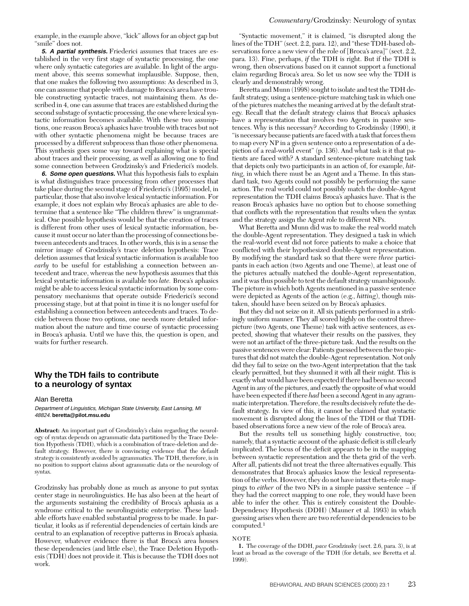**5. A partial synthesis.** Friederici assumes that traces are established in the very first stage of syntactic processing, the one where only syntactic categories are available. In light of the argument above, this seems somewhat implausible. Suppose, then, that one makes the following two assumptions: As described in 3, one can assume that people with damage to Broca's area have trouble constructing syntactic traces, not maintaining them. As described in 4, one can assume that traces are established during the second substage of syntactic processing, the one where lexical syntactic information becomes available. With these two assumptions, one reason Broca's aphasics have trouble with traces but not with other syntactic phenomena might be because traces are processed by a different subprocess than those other phenomena. This synthesis goes some way toward explaining what is special about traces and their processing, as well as allowing one to find some connection between Grodzinsky's and Friederici's models.

**6. Some open questions.** What this hypothesis fails to explain is what distinguishes trace processing from other processes that take place during the second stage of Friederici's (1995) model, in particular, those that also involve lexical syntactic information. For example, it does not explain why Broca's aphasics are able to determine that a sentence like "The children threw" is ungrammatical. One possible hypothesis would be that the creation of traces is different from other uses of lexical syntactic information, because it must occur no later than the processing of connections between antecedents and traces. In other words, this is in a sense the mirror image of Grodzinsky's trace deletion hypothesis: Trace deletion assumes that lexical syntactic information is available too *early* to be useful for establishing a connection between antecedent and trace, whereas the new hypothesis assumes that this lexical syntactic information is available too *late.* Broca's aphasics might be able to access lexical syntactic information by some compensatory mechanisms that operate outside Friederici's second processing stage, but at that point in time it is no longer useful for establishing a connection between antecedents and traces. To decide between those two options, one needs more detailed information about the nature and time course of syntactic processing in Broca's aphasia. Until we have this, the question is open, and waits for further research.

### **Why the TDH fails to contribute to a neurology of syntax**

Alan Beretta

Department of Linguistics, Michigan State University, East Lansing, MI 48824. **beretta@pilot.msu.edu**

**Abstract:** An important part of Grodzinsky's claim regarding the neurology of syntax depends on agrammatic data partitioned by the Trace Deletion Hypothesis (TDH), which is a combination of trace-deletion and default strategy. However, there is convincing evidence that the default strategy is consistently avoided by agrammatics. The TDH, therefore, is in no position to support claims about agrammatic data or the neurology of syntax.

Grodzinsky has probably done as much as anyone to put syntax center stage in neurolinguistics. He has also been at the heart of the arguments sustaining the credibility of Broca's aphasia as a syndrome critical to the neurolinguistic enterprise. These laudable efforts have enabled substantial progress to be made. In particular, it looks as if referential dependencies of certain kinds are central to an explanation of receptive patterns in Broca's aphasia. However, whatever evidence there is that Broca's area houses these dependencies (and little else), the Trace Deletion Hypothesis (TDH) does not provide it. This is because the TDH does not work.

"Syntactic movement," it is claimed, "is disrupted along the lines of the TDH" (sect. 2.2, para. 12), and "these TDH-based observations force a new view of the role of [Broca's area]" (sect. 2.2, para. 13). Fine, perhaps, *if* the TDH is right. But if the TDH is wrong, then observations based on it cannot support a functional claim regarding Broca's area. So let us now see why the TDH is clearly and demonstrably wrong.

Beretta and Munn (1998) sought to isolate and test the TDH default strategy, using a sentence-picture matching task in which one of the pictures matches the meaning arrived at by the default strategy. Recall that the default strategy claims that Broca's aphasics have a representation that involves two Agents in passive sentences. Why is this necessary? According to Grodzinsky (1990), it "is necessary because patients are faced with a task that forces them to map every NP in a given sentence onto a representation of a depiction of a real-world event" (p. 136). And what task is it that patients are faced with? A standard sentence-picture matching task that depicts only two participants in an action of, for example, *hitting,* in which there must be an Agent and a Theme. In this standard task, two Agents could not possibly be performing the same action. The real world could not possibly match the double-Agent representation the TDH claims Broca's aphasics have. That is the reason Broca's aphasics have no option but to choose something that conflicts with the representation that results when the syntax and the strategy assign the Agent role to different NPs.

What Beretta and Munn did was to make the real world match the double-Agent representation. They designed a task in which the real-world event did not force patients to make a choice that conflicted with their hypothesized double-Agent representation. By modifying the standard task so that there were *three* participants in each action (two Agents and one Theme), at least one of the pictures actually matched the double-Agent representation, and it was thus possible to test the default strategy unambiguously. The picture in which both Agents mentioned in a passive sentence were depicted as Agents of the action (e.g., *hitting*), though mistaken, should have been seized on by Broca's aphasics.

But they did not seize on it. All six patients performed in a strikingly uniform manner. They all scored highly on the control threepicture (two Agents, one Theme) task with active sentences, as expected, showing that whatever their results on the passives, they were not an artifact of the three-picture task. And the results on the passive sentences were clear: Patients guessed between the two pictures that did not match the double-Agent representation. Not only did they fail to seize on the two-Agent interpretation that the task clearly permitted, but they shunned it with all their might. This is exactly what would have been expected if there had been *no* second Agent in any of the pictures, and exactly the opposite of what would have been expected if there *had* been a second Agent in any agrammatic interpretation. Therefore, the results decisively refute the default strategy. In view of this, it cannot be claimed that syntactic movement is disrupted along the lines of the TDH or that TDHbased observations force a new view of the role of Broca's area.

But the results tell us something highly constructive, too; namely, that a syntactic account of the aphasic deficit is still clearly implicated. The locus of the deficit appears to be in the mapping between syntactic representation and the theta grid of the verb. After all, patients did not treat the three alternatives equally. This demonstrates that Broca's aphasics know the lexical representation of the verbs. However, they do not have intact theta-role mappings to *either* of the two NPs in a simple passive sentence – if they had the correct mapping to one role, they would have been able to infer the other. This is entirely consistent the Double-Dependency Hypothesis (DDH) (Mauner et al. 1993) in which guessing arises when there are two referential dependencies to be computed.1

#### NOTE

**1.** The coverage of the DDH, *pace* Grodzinsky (sect. 2.6, para. 3), is at least as broad as the coverage of the TDH (for details, see Beretta et al. 1999).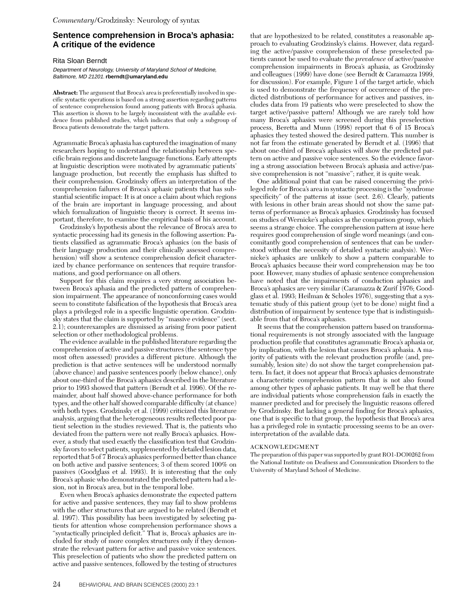### **Sentence comprehension in Broca's aphasia: A critique of the evidence**

Rita Sloan Berndt

Department of Neurology, University of Maryland School of Medicine, Baltimore, MD 21201. **rberndt@umaryland.edu**

**Abstract:** The argument that Broca's area is preferentially involved in specific syntactic operations is based on a strong assertion regarding patterns of sentence comprehension found among patients with Broca's aphasia. This assertion is shown to be largely inconsistent with the available evidence from published studies, which indicates that only a subgroup of Broca patients demonstrate the target pattern.

Agrammatic Broca's aphasia has captured the imagination of many researchers hoping to understand the relationship between specific brain regions and discrete language functions. Early attempts at linguistic description were motivated by agrammatic patients' language production, but recently the emphasis has shifted to their comprehension. Grodzinsky offers an interpretation of the comprehension failures of Broca's aphasic patients that has substantial scientific impact: It is at once a claim about which regions of the brain are important in language processing, and about which formalization of linguistic theory is correct. It seems important, therefore, to examine the empirical basis of his account.

Grodzinsky's hypothesis about the relevance of Broca's area to syntactic processing had its genesis in the following assertion: Patients classified as agrammatic Broca's aphasics (on the basis of their language production and their clinically assessed comprehension) will show a sentence comprehension deficit characterized by chance performance on sentences that require transformations, and good performance on all others.

Support for this claim requires a very strong association between Broca's aphasia and the predicted pattern of comprehension impairment. The appearance of nonconforming cases would seem to constitute falsification of the hypothesis that Broca's area plays a privileged role in a specific linguistic operation. Grodzinsky states that the claim is supported by "massive evidence" (sect. 2.1); counterexamples are dismissed as arising from poor patient selection or other methodological problems.

The evidence available in the published literature regarding the comprehension of active and passive structures (the sentence type most often assessed) provides a different picture. Although the prediction is that active sentences will be understood normally (above chance) and passive sentences poorly (below chance), only about one-third of the Broca's aphasics described in the literature prior to 1993 showed that pattern (Berndt et al. 1996). Of the remainder, about half showed above-chance performance for both types, and the other half showed comparable difficulty (at chance) with both types. Grodzinsky et al. (1999) criticized this literature analysis, arguing that the heterogeneous results reflected poor patient selection in the studies reviewed. That is, the patients who deviated from the pattern were not really Broca's aphasics. However, a study that used exactly the classification test that Grodzinsky favors to select patients, supplemented by detailed lesion data, reported that 5 of 7 Broca's aphasics performed better than chance on both active and passive sentences; 3 of them scored 100% on passives (Goodglass et al. 1993). It is interesting that the only Broca's aphasic who demonstrated the predicted pattern had a lesion, not in Broca's area, but in the temporal lobe.

Even when Broca's aphasics demonstrate the expected pattern for active and passive sentences, they may fail to show problems with the other structures that are argued to be related (Berndt et al. 1997). This possibility has been investigated by selecting patients for attention whose comprehension performance shows a "syntactically principled deficit." That is, Broca's aphasics are included for study of more complex structures only if they demonstrate the relevant pattern for active and passive voice sentences. This preselection of patients who show the predicted pattern on active and passive sentences, followed by the testing of structures

that are hypothesized to be related, constitutes a reasonable approach to evaluating Grodzinsky's claims. However, data regarding the active/passive comprehension of these preselected patients cannot be used to evaluate the *prevalence* of active/passive comprehension impairments in Broca's aphasia, as Grodzinsky and colleagues (1999) have done (see Berndt & Caramazza 1999, for discussion). For example, Figure 1 of the target article, which is used to demonstrate the frequency of occurrence of the predicted distributions of performance for actives and passives, includes data from 19 patients who were preselected to show the target active/passive pattern! Although we are rarely told how many Broca's aphasics were screened during this preselection process, Beretta and Munn (1998) report that 6 of 15 Broca's aphasics they tested showed the desired pattern. This number is not far from the estimate generated by Berndt et al. (1996) that about one-third of Broca's aphasics will show the predicted pattern on active and passive voice sentences. So the evidence favoring a strong association between Broca's aphasia and active/passive comprehension is not "massive"; rather, it is quite weak.

One additional point that can be raised concerning the privileged role for Broca's area in syntactic processing is the "syndrome specificity" of the patterns at issue (sect. 2.6). Clearly, patients with lesions in other brain areas should not show the same patterns of performance as Broca's aphasics. Grodzinsky has focused on studies of Wernicke's aphasics as the comparison group, which seems a strange choice. The comprehension pattern at issue here requires good comprehension of single word meanings (and concomitantly good comprehension of sentences that can be understood without the necessity of detailed syntactic analysis). Wernicke's aphasics are unlikely to show a pattern comparable to Broca's aphasics because their word comprehension may be too poor. However, many studies of aphasic sentence comprehension have noted that the impairments of conduction aphasics and Broca's aphasics are very similar (Caramazza & Zurif 1976; Goodglass et al. 1993; Heilman & Scholes 1976), suggesting that a systematic study of this patient group (yet to be done) might find a distribution of impairment by sentence type that is indistinguishable from that of Broca's aphasics.

It seems that the comprehension pattern based on transformational requirements is not strongly associated with the language production profile that constitutes agrammatic Broca's aphasia or, by implication, with the lesion that causes Broca's aphasia. A majority of patients with the relevant production profile (and, presumably, lesion site) do not show the target comprehension pattern. In fact, it does not appear that Broca's aphasics demonstrate a characteristic comprehension pattern that is not also found among other types of aphasic patients. It may well be that there are individual patients whose comprehension fails in exactly the manner predicted and for precisely the linguistic reasons offered by Grodzinsky. But lacking a general finding for Broca's aphasics, one that is specific to that group, the hypothesis that Broca's area has a privileged role in syntactic processing seems to be an overinterpretation of the available data.

#### ACKNOWLEDGMENT

The preparation of this paper was supported by grant RO1-DC00262 from the National Institute on Deafness and Communication Disorders to the University of Maryland School of Medicine.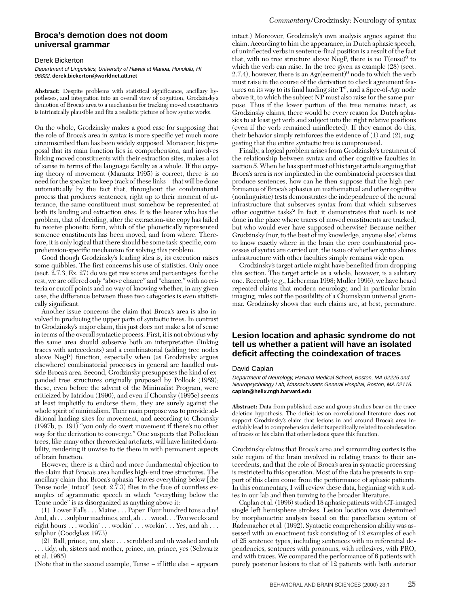### **Broca's demotion does not doom universal grammar**

#### Derek Bickerton

Department of Linguistics, University of Hawaii at Manoa, Honolulu, HI 96822. **derek.bickerton@worldnet.att.net**

**Abstract:** Despite problems with statistical significance, ancillary hypotheses, and integration into an overall view of cognition, Grodzinsky's demotion of Broca's area to a mechanism for tracking moved constituents is intrinsically plausible and fits a realistic picture of how syntax works.

On the whole, Grodzinsky makes a good case for supposing that the role of Broca's area in syntax is more specific yet much more circumscribed than has been widely supposed. Moreover, his proposal that its main function lies in comprehension, and involves linking moved constituents with their extraction sites, makes a lot of sense in terms of the language faculty as a whole. If the copying theory of movement (Marantz 1995) is correct, there is no need for the speaker to keep track of these links – that will be done automatically by the fact that, throughout the combinatorial process that produces sentences, right up to their moment of utterance, the same constituent must somehow be represented at both its landing and extraction sites. It is the hearer who has the problem, that of deciding, after the extraction-site copy has failed to receive phonetic form, which of the phonetically represented sentence constituents has been moved, and from where. Therefore, it is only logical that there should be some task-specific, comprehension-specific mechanism for solving this problem.

Good though Grodzinsky's leading idea is, its execution raises some quibbles. The first concerns his use of statistics. Only once (sect. 2.7.3, Ex. 27) do we get raw scores and percentages; for the rest, we are offered only "above chance" and "chance," with no criteria or cutoff points and no way of knowing whether, in any given case, the difference between these two categories is even statistically significant.

Another issue concerns the claim that Broca's area is also involved in producing the upper parts of syntactic trees. In contrast to Grodzinsky's major claim, this just does not make a lot of sense in terms of the overall syntactic process. First, it is not obvious why the same area should subserve both an interpretative (linking traces with antecedents) and a combinatorial (adding tree nodes above NegP) function, especially when (as Grodzinsky argues elsewhere) combinatorial processes in general are handled outside Broca's area. Second, Grodzinsky presupposes the kind of expanded tree structures originally proposed by Pollock (1989); these, even before the advent of the Minimalist Program, were criticized by Iatridou (1990), and even if Chomsky (1995c) seems at least implicitly to endorse them, they are surely against the whole spirit of minimalism. Their main purpose was to provide additional landing sites for movement, and according to Chomsky (1997b, p. 191) "you only do overt movement if there's no other way for the derivation to converge." One suspects that Pollockian trees, like many other theoretical artefacts, will have limited durability, rendering it unwise to tie them in with permanent aspects of brain function.

However, there is a third and more fundamental objection to the claim that Broca's area handles high-end tree structures. The ancillary claim that Broca's aphasia "leaves everything below [the Tense node] intact" (sect. 2.7.3) flies in the face of countless examples of agrammatic speech in which "everything below the Tense node" is as disorganized as anything above it:

(1) Lower Falls . . . Maine . . . Paper. Four hundred tons a day! And, ah . . . sulphur machines, and, ah . . . wood. . . Two weeks and eight hours . . . workin' . . . workin' . . . workin' . . . Yes, and ah . . . sulphur (Goodglass 1973)

(2) Ball, prince, um, shoe . . . scrubbed and uh washed and uh . . . tidy, uh, sisters and mother, prince, no, prince, yes (Schwartz et al. 1985).

(Note that in the second example, Tense – if little else – appears

intact.) Moreover, Grodzinsky's own analysis argues against the claim. According to him the appearance, in Dutch aphasic speech, of uninflected verbs in sentence-final position is a result of the fact that, with no tree structure above NegP, there is no  $T(\text{ense})^0$  to which the verb can raise. In the tree given as example (28) (sect. 2.7.4), however, there is an  $Agr(eement)^0$  node to which the verb must raise in the course of the derivation to check agreement features on its way to its final landing site  $T^0$ , and a Spec-of-Agr node above it, to which the subject NP must also raise for the same purpose. Thus if the lower portion of the tree remains intact, as Grodzinsky claims, there would be every reason for Dutch aphasics to at least get verb and subject into the right relative positions (even if the verb remained uninflected). If they cannot do this, their behavior simply reinforces the evidence of (1) and (2), suggesting that the entire syntactic tree is compromised.

Finally, a logical problem arises from Grodzinsky's treatment of the relationship between syntax and other cognitive faculties in section 5. When he has spent most of his target article arguing that Broca's area is *not* implicated in the combinatorial processes that produce sentences, how can he then suppose that the high performance of Broca's aphasics on mathematical and other cognitive (nonlinguistic) tests demonstrates the independence of the neural infrastructure that subserves syntax from that which subserves other cognitive tasks? In fact, it demonstrates that math is not done in the place where traces of moved constituents are tracked, but who would ever have supposed otherwise? Because neither Grodzinsky (nor, to the best of my knowledge, anyone else) claims to know exactly where in the brain the core combinatorial processes of syntax are carried out, the issue of whether syntax shares infrastructure with other faculties simply remains wide open.

Grodzinsky's target article might have benefited from dropping this section. The target article as a whole, however, is a salutary one. Recently (e.g., Lieberman 1998; Muller 1996), we have heard repeated claims that modern neurology, and in particular brain imaging, rules out the possibility of a Chomskyan universal grammar. Grodzinsky shows that such claims are, at best, premature.

### **Lesion location and aphasic syndrome do not tell us whether a patient will have an isolated deficit affecting the coindexation of traces**

#### David Caplan

Department of Neurology, Harvard Medical School, Boston, MA 02225 and Neuropsychology Lab, Massachusetts General Hospital, Boston, MA 02116. **caplan@helix.mgh.harvard.edu**

Abstract: Data from published case and group studies bear on the trace deletion hypothesis. The deficit-lesion correlational literature does not support Grodzinsky's claim that lesions in and around Broca's area inevitably lead to comprehension deficits specifically related to coindexation of traces or his claim that other lesions spare this function.

Grodzinsky claims that Broca's area and surrounding cortex is the sole region of the brain involved in relating traces to their antecedents, and that the role of Broca's area in syntactic processing is restricted to this operation. Most of the data he presents in support of this claim come from the performance of aphasic patients. In this commentary, I will review these data, beginning with studies in our lab and then turning to the broader literature.

Caplan et al. (1996) studied 18 aphasic patients with CT-imaged single left hemisphere strokes. Lesion location was determined by morphometric analysis based on the parcellation system of Rademacher et al. (1992). Syntactic comprehension ability was assessed with an enactment task consisting of 12 examples of each of 25 sentence types, including sentences with no referential dependencies, sentences with pronouns, with reflexives, with PRO, and with traces. We compared the performance of 6 patients with purely posterior lesions to that of 12 patients with both anterior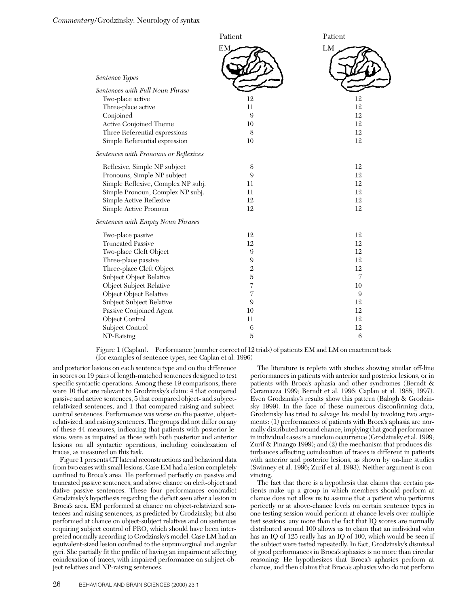|                                       | Patient          | Patient        |
|---------------------------------------|------------------|----------------|
|                                       | EM               | LM             |
|                                       |                  |                |
|                                       |                  |                |
| Sentence Types                        |                  |                |
| Sentences with Full Noun Phrase       |                  |                |
| Two-place active                      | 12               | 12             |
| Three-place active                    | 11               | 12             |
| Conjoined                             | $\boldsymbol{9}$ | 12             |
| Active Conjoined Theme                | 10               | 12             |
| Three Referential expressions         | 8                | 12             |
| Simple Referential expression         | 10               | 12             |
| Sentences with Pronouns or Reflexives |                  |                |
| Reflexive, Simple NP subject          | 8                | 12             |
| Pronouns, Simple NP subject           | 9                | 12             |
| Simple Reflexive, Complex NP subj.    | 11               | 12             |
| Simple Pronoun, Complex NP subj.      | 11               | 12             |
| Simple Active Reflexive               | 12               | 12             |
| Simple Active Pronoun                 | 12               | 12             |
| Sentences with Empty Noun Phrases     |                  |                |
| Two-place passive                     | 12               | 12             |
| <b>Truncated Passive</b>              | 12               | 12             |
| Two-place Cleft Object                | 9                | 12             |
| Three-place passive                   | 9                | 12             |
| Three-place Cleft Object              | $\mathbf 2$      | 12             |
| Subject Object Relative               | $\overline{5}$   | $\overline{7}$ |
| Object Subject Relative               | $\overline{7}$   | 10             |
| Object Object Relative                | 7                | 9              |
| Subject Subject Relative              | 9                | 12             |
| Passive Conjoined Agent               | 10               | 12             |
| Object Control                        | 11               | 12             |
| Subject Control                       | 6                | 12             |
| NP-Raising                            | $\bf 5$          | 6              |

Figure 1 (Caplan). Performance (number correct of 12 trials) of patients EM and LM on enactment task (for examples of sentence types, see Caplan et al. 1996)

and posterior lesions on each sentence type and on the difference in scores on 19 pairs of length-matched sentences designed to test specific syntactic operations. Among these 19 comparisons, there were 10 that are relevant to Grodzinsky's claim: 4 that compared passive and active sentences, 5 that compared object- and subjectrelativized sentences, and 1 that compared raising and subjectcontrol sentences. Performance was worse on the passive, objectrelativized, and raising sentences. The groups did not differ on any of these 44 measures, indicating that patients with posterior lesions were as impaired as those with both posterior and anterior lesions on all syntactic operations, including coindexation of traces, as measured on this task.

Figure 1 presents CT lateral reconstructions and behavioral data from two cases with small lesions. Case EM had a lesion completely confined to Broca's area. He performed perfectly on passive and truncated passive sentences, and above chance on cleft-object and dative passive sentences. These four performances contradict Grodzinsky's hypothesis regarding the deficit seen after a lesion in Broca's area. EM performed at chance on object-relativized sentences and raising sentences, as predicted by Grodzinsky, but also performed at chance on object-subject relatives and on sentences requiring subject control of PRO, which should have been interpreted normally according to Grodzinsky's model. Case LM had an equivalent-sized lesion confined to the supramarginal and angular gyri. She partially fit the profile of having an impairment affecting coindexation of traces, with impaired performance on subject-object relatives and NP-raising sentences.

The literature is replete with studies showing similar off-line performances in patients with anterior and posterior lesions, or in patients with Broca's aphasia and other syndromes (Berndt & Caramazza 1999; Berndt et al. 1996; Caplan et al. 1985; 1997). Even Grodzinsky's results show this pattern (Balogh & Grodzinsky 1999). In the face of these numerous disconfirming data, Grodzinsky has tried to salvage his model by invoking two arguments: (1) performances of patients with Broca's aphasia are normally distributed around chance, implying that good performance in individual cases is a random occurrence (Grodzinsky et al. 1999; Zurif & Pinango 1999); and (2) the mechanism that produces disturbances affecting coindexation of traces is different in patients with anterior and posterior lesions, as shown by on-line studies (Swinney et al. 1996; Zurif et al. 1993). Neither argument is convincing.

The fact that there is a hypothesis that claims that certain patients make up a group in which members should perform at chance does not allow us to assume that a patient who performs perfectly or at above-chance levels on certain sentence types in one testing session would perform at chance levels over multiple test sessions, any more than the fact that IQ scores are normally distributed around 100 allows us to claim that an individual who has an IQ of 125 really has an IQ of 100, which would be seen if the subject were tested repeatedly. In fact, Grodzinsky's dismissal of good performances in Broca's aphasics is no more than circular reasoning: He hypothesizes that Broca's aphasics perform at chance, and then claims that Broca's aphasics who do not perform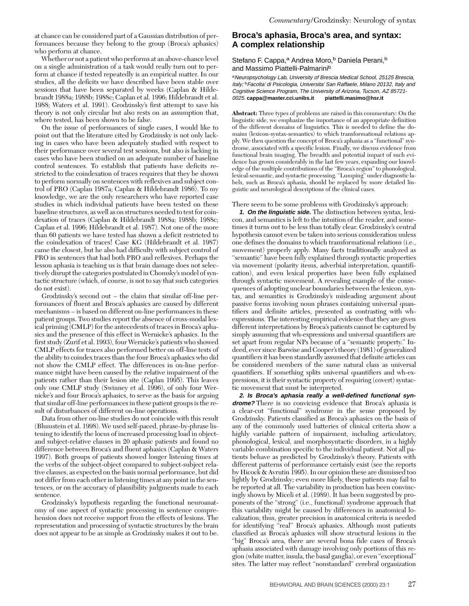at chance can be considered part of a Gaussian distribution of performances because they belong to the group (Broca's aphasics) who perform at chance.

Whether or not a patient who performs at an above-chance level on a single administration of a task would really turn out to perform at chance if tested repeatedly is an empirical matter. In our studies, all the deficits we have described have been stable over sessions that have been separated by weeks (Caplan & Hildebrandt 1988a; 1988b; 1988c; Caplan et al. 1996; Hildebrandt et al. 1988; Waters et al. 1991). Grodzinsky's first attempt to save his theory is not only circular but also rests on an assumption that, where tested, has been shown to be false.

On the issue of performances of single cases, I would like to point out that the literature cited by Grodzinsky is not only lacking in cases who have been adequately studied with respect to their performance over several test sessions, but also is lacking in cases who have been studied on an adequate number of baseline control sentences. To establish that patients have deficits restricted to the coindexation of traces requires that they be shown to perform normally on sentences with reflexives and subject control of PRO (Caplan 1987a; Caplan & Hildebrandt 1986). To my knowledge, we are the only researchers who have reported case studies in which individual patients have been tested on these baseline structures, as well as on structures needed to test for coindexation of traces (Caplan & Hildebrandt 1988a; 1988b; 1988c; Caplan et al. 1996; Hildebrandt et al. 1987). Not one of the more than 60 patients we have tested has shown a deficit restricted to the coindexation of traces! Case KG (Hildebrandt et al. 1987) came the closest, but he also had difficulty with subject control of PRO in sentences that had both PRO and reflexives. Perhaps the lesson aphasia is teaching us is that brain damage does not selectively disrupt the categories postulated in Chomsky's model of syntactic structure (which, of course, is not to say that such categories do not exist).

Grodzinsky's second out – the claim that similar off-line performances of fluent and Broca's aphasics are caused by different mechanisms – is based on different on-line performances in these patient groups. Two studies report the absence of cross-modal lexical priming (CMLP) for the antecedents of traces in Broca's aphasics and the presence of this effect in Wernicke's aphasics. In the first study (Zurif et al. 1993), four Wernicke's patients who showed CMLP effects for traces also performed better on off-line tests of the ability to coindex traces than the four Broca's aphasics who did not show the CMLP effect. The differences in on-line performance might have been caused by the relative impairment of the patients rather than their lesion site (Caplan 1995). This leaves only one CMLP study (Swinney et al. 1996), of only four Wernicke's and four Broca's aphasics, to serve as the basis for arguing that similar off-line performances in these patient groups is the result of disturbances of different on-line operations.

Data from other on-line studies do not coincide with this result (Blumstein et al. 1998). We used self-paced, phrase-by-phrase listening to identify the locus of increased processing load in objectand subject-relative clauses in 20 aphasic patients and found no difference between Broca's and fluent aphasics (Caplan & Waters 1997). Both groups of patients showed longer listening times at the verbs of the subject-object compared to subject-subject relative clauses, as expected on the basis normal performance, but did not differ from each other in listening times at any point in the sentences, or on the accuracy of plausibility judgments made to each sentence.

Grodzinsky's hypothesis regarding the functional neuroanatomy of one aspect of syntactic processing in sentence comprehension does not receive support from the effects of lesions. The representation and processing of syntactic structures by the brain does not appear to be as simple as Grodzinsky makes it out to be.

### **Broca's aphasia, Broca's area, and syntax: A complex relationship**

Stefano F. Cappa,<sup>a</sup> Andrea Moro,<sup>b</sup> Daniela Perani,<sup>b</sup> and Massimo Piattelli-Palmarini<sup>b</sup>

a Neuropsychology Lab, University of Brescia Medical School, 25125 Brescia, Italy; <sup>b</sup>Facolta' di Psicologia, Universita' San Raffaele, Milano 20132, Italy and Cognitive Science Program, The University of Arizona, Tucson, AZ 85721- 0025. **cappa@master.cci.unibs.it piattelli.masimo@hsr.it**

**Abstract:** Three types of problems are raised in this commentary: On the linguistic side, we emphasize the importance of an appropriate definition of the different domains of linguistics. This is needed to define the domains (lexicon-syntax-semantics) to which transformational relations apply. We then question the concept of Broca's aphasia as a "functional" syndrome, associated with a specific lesion. Finally, we discuss evidence from functional brain imaging. The breadth and potential impact of such evidence has grown considerably in the last few years, expanding our knowledge of the multiple contributions of the "Broca's region" to phonological, lexical-semantic, and syntactic processing. "Lumping" under diagnostic labels, such as Broca's aphasia, should be replaced by more detailed linguistic and neurological descriptions of the clinical cases.

There seem to be some problems with Grodzinsky's approach:

**1. On the linguistic side.** The distinction between syntax, lexicon, and semantics is left to the intuition of the reader, and sometimes it turns out to be less than totally clear. Grodzinsky's central hypothesis cannot even be taken into serious consideration unless one defines the domains to which transformational relations (i.e., movement) properly apply. Many facts traditionally analyzed as "semantic" have been fully explained through syntactic properties via movement (polarity items, adverbial interpretation, quantification), and even lexical properties have been fully explained through syntactic movement. A revealing example of the consequences of adopting unclear boundaries between the lexicon, syntax, and semantics is Grodzinsky's misleading argument about passive forms involving noun phrases containing universal quantifiers and definite articles, presented as contrasting with whexpressions. The interesting empirical evidence that they are given different interpretations by Broca's patients cannot be captured by simply assuming that wh-expressions and universal quantifiers are set apart from regular NPs because of a "semantic property." Indeed, ever since Barwise and Cooper's theory (1981) of generalized quantifiers it has been standardly assumed that definite articles can be considered members of the same natural class as universal quantifiers. If something splits universal quantifiers and wh-expressions, it is their syntactic property of requiring (covert) syntactic movement that must be interpreted.

**2. Is Broca's aphasia really a well-defined functional syndrome?** There is no convicing evidence that Broca's aphasia is a clear-cut "functional" syndrome in the sense proposed by Grodzinsky. Patients classified as Broca's aphasics on the basis of any of the commonly used batteries of clinical criteria show a highly variable pattern of impairment, including articulatory, phonological, lexical, and morphosyntactic disorders, in a highly variable combination specific to the individual patient. Not all patients behave as predicted by Grodzinsky's theory. Patients with different patterns of performance certainly exist (see the reports by Hicock & Avrutin 1995). In our opinion these are dismissed too lightly by Grodzinsky; even more likely, these patients may fail to be reported at all. The variability in production has been convincingly shown by Miceli et al. (1989). It has been suggested by proponents of the "strong" (i.e., functional) syndrome approach that this variability might be caused by differences in anatomical localization; thus, greater precision in anatomical criteria is needed for identifying "real" Broca's aphasics. Although most patients classified as Broca's aphasics will show structural lesions in the "big" Broca's area, there are several bona fide cases of Broca's aphasia associated with damage involving only portions of this region (white matter, insula, the basal ganglia), or even "exceptional" sites. The latter may reflect "nonstandard" cerebral organization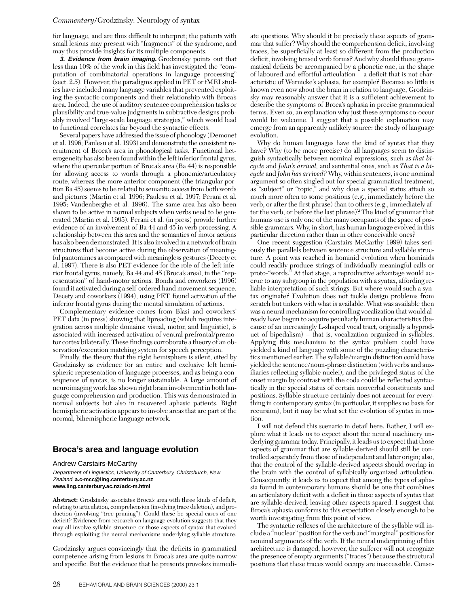#### *Commentary/*Grodzinsky: Neurology of syntax

for language, and are thus difficult to interpret; the patients with small lesions may present with "fragments" of the syndrome, and may thus provide insights for its multiple components.

**3. Evidence from brain imaging.** Grodzinsky points out that less than 10% of the work in this field has investigated the "computation of combinatorial operations in language processing" (sect. 2.5). However, the paradigms applied in PET or fMRI studies have included many language variables that prevented exploiting the syntactic components and their relationship with Broca's area. Indeed, the use of auditory sentence comprehension tasks or plausibility and true-value judgments in subtractive designs probably involved "large-scale language strategies," which would lead to functional correlates far beyond the syntactic effects.

Several papers have addressed the issue of phonology (Demonet et al. 1996; Paulesu et al. 1993) and demonstrate the consistent recruitment of Broca's area in phonological tasks. Functional heterogeneity has also been found within the left inferior frontal gyrus, where the opercular portion of Broca's area (Ba 44) is responsible for allowing access to words through a phonemic/articulatory route, whereas the more anterior component (the triangular portion Ba 45) seems to be related to semantic access from both words and pictures (Martin et al. 1996; Paulesu et al. 1997; Perani et al. 1995; Vandenberghe et al. 1996). The same area has also been shown to be active in normal subjects when verbs need to be generated (Martin et al. 1995). Perani et al. (in press) provide further evidence of an involvement of Ba 44 and 45 in verb processing. A relationship between this area and the semantics of motor actions has also been demonstrated. It is also involved in a network of brain structures that become active during the observation of meaningful pantomimes as compared with meaningless gestures (Decety et al. 1997). There is also PET evidence for the role of the left inferior frontal gyrus, namely, Ba 44 and 45 (Broca's area), in the "representation" of hand-motor actions. Bonda and coworkers (1996) found it activated during a self-ordered hand movement sequence. Decety and coworkers (1994), using PET, found activation of the inferior frontal gyrus during the mental simulation of actions.

Complementary evidence comes from Blasi and coworkers' PET data (in press) showing that lipreading (which requires integration across multiple domains: visual, motor, and linguistic), is associated with increased activation of ventral prefrontal/premotor cortex bilaterally. These findings corroborate a theory of an observation/execution matching system for speech perception.

Finally, the theory that the right hemisphere is silent, cited by Grodzinsky as evidence for an entire and exclusive left hemispheric representation of language processes, and as being a consequence of syntax, is no longer sustainable. A large amount of neuroimaging work has shown right brain involvement in both language comprehension and production. This was demonstrated in normal subjects but also in recovered aphasic patients. Right hemispheric activation appears to involve areas that are part of the normal, bihemispheric language network.

### **Broca's area and language evolution**

Andrew Carstairs-McCarthy

Department of Linguistics, University of Canterbury, Christchurch, New Zealand. **a.c-mcc@ling.canterbury.ac.nz www.ling.canterbury.ac.nz/adc-m.html**

**Abstract:** Grodzinsky associates Broca's area with three kinds of deficit, relating to articulation, comprehension (involving trace deletion), and production (involving "tree pruning"). Could these be special cases of one deficit? Evidence from research on language evolution suggests that they may all involve syllable structure or those aspects of syntax that evolved through exploiting the neural mechanisms underlying syllable structure.

Grodzinsky argues convincingly that the deficits in grammatical competence arising from lesions in Broca's area are quite narrow and specific. But the evidence that he presents provokes immediate questions. Why should it be precisely these aspects of grammar that suffer? Why should the comprehension deficit, involving traces, be superficially at least so different from the production deficit, involving tensed verb forms? And why should these grammatical deficits be accompanied by a phonetic one, in the shape of laboured and effortful articulation – a deficit that is not characteristic of Wernicke's aphasia, for example? Because so little is known even now about the brain in relation to language, Grodzinsky may reasonably answer that it is a sufficient achievement to describe the symptoms of Broca's aphasia in precise grammatical terms. Even so, an explanation why just these symptoms co-occur would be welcome. I suggest that a possible explanation may emerge from an apparently unlikely source: the study of language evolution.

Why do human languages have the kind of syntax that they have? Why (to be more precise) do all languages seem to distinguish syntactically between nominal expressions, such as *that bicycle* and *John's arrival,* and sentential ones, such as *That is a bicycle* and *John has arrived?* Why, within sentences, is one nominal argument so often singled out for special grammatical treatment, as "subject" or "topic," and why does a special status attach so much more often to some positions (e.g., immediately before the verb, or after the first phrase) than to others (e.g., immediately after the verb, or before the last phrase)? The kind of grammar that humans use is only one of the many occupants of the space of possible grammars. Why, in short, has human language evolved in this particular direction rather than in other conceivable ones?

One recent suggestion (Carstairs-McCarthy 1999) takes seriously the parallels between sentence structure and syllable structure. A point was reached in hominid evolution when hominids could readily produce strings of individually meaningful calls or proto-"words." At that stage, a reproductive advantage would accrue to any subgroup in the population with a syntax, affording reliable interpretation of such strings. But where would such a syntax originate? Evolution does not tackle design problems from scratch but tinkers with what is available. What was available then was a neural mechanism for controlling vocalization that would already have begun to acquire peculiarly human characteristics (because of an increasingly L-shaped vocal tract, originally a byproduct of bipedalism) – that is, vocalization organized in syllables. Applying this mechanism to the syntax problem could have yielded a kind of language with some of the puzzling characteristics mentioned earlier: The syllable/margin distinction could have yielded the sentence/noun-phrase distinction (with verbs and auxiliaries reflecting syllabic nuclei), and the privileged status of the onset margin by contrast with the coda could be reflected syntactically in the special status of certain nonverbal constituents and positions. Syllable structure certainly does not account for everything in contemporary syntax (in particular, it supplies no basis for recursion), but it may be what set the evolution of syntax in motion.

I will not defend this scenario in detail here. Rather, I will explore what it leads us to expect about the neural machinery underlying grammar today. Principally, it leads us to expect that those aspects of grammar that are syllable-derived should still be controlled separately from those of independent and later origin; also, that the control of the syllable-derived aspects should overlap in the brain with the control of syllabically organized articulation. Consequently, it leads us to expect that among the types of aphasia found in contemporary humans should be one that combines an articulatory deficit with a deficit in those aspects of syntax that are syllable-derived, leaving other aspects spared. I suggest that Broca's aphasia conforms to this expectation closely enough to be worth investigating from this point of view.

The syntactic reflexes of the architecture of the syllable will include a "nuclear" position for the verb and "marginal" positions for nominal arguments of the verb. If the neural underpinning of this architecture is damaged, however, the sufferer will not recognize the presence of empty arguments ("traces") because the structural positions that these traces would occupy are inaccessible. Conse-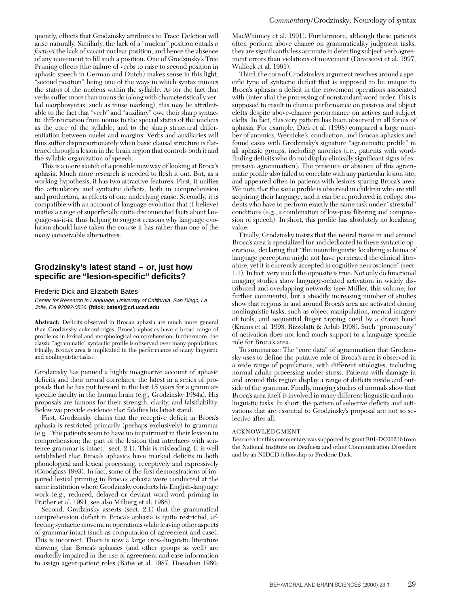quently, effects that Grodzinsky attributes to Trace Deletion will arise naturally. Similarly, the lack of a "nuclear" position entails *a fortiori* the lack of vacant nuclear position, and hence the absence of any movement to fill such a position. One of Grodzinsky's Tree Pruning effects (the failure of verbs to raise to second position in aphasic speech in German and Dutch) makes sense in this light, "second position" being one of the ways in which syntax mimics the status of the nucleus within the syllable. As for the fact that verbs suffer more than nouns do (along with characteristically verbal morphosyntax, such as tense marking), this may be attributable to the fact that "verb" and "auxiliary" owe their sharp syntactic differentiation from nouns to the special status of the nucleus as the core of the syllable, and to the sharp structural differentiation between nuclei and margins. Verbs and auxiliaries will thus suffer disproportionately when basic clausal structure is flattened through a lesion in the brain region that controls both it and the syllabic organization of speech.

This is a mere sketch of a possible new way of looking at Broca's aphasia. Much more research is needed to flesh it out. But, as a working hypothesis, it has two attractive features. First, it unifies the articulatory and syntactic deficits, both in comprehension and production, as effects of one underlying cause. Secondly, it is compatible with an account of language evolution that (I believe) unifies a range of superficially quite disconnected facts about language-as-it-is, thus helping to suggest reasons why language evolution should have taken the course it has rather than one of the many conceivable alternatives.

### **Grodzinsky's latest stand – or, just how specific are "lesion-specific" deficits?**

#### Frederic Dick and Elizabeth Bates

Center for Research in Language, University of California, San Diego, La Jolla, CA 92092-0526. **{fdick; bates}@crl.ucsd.edu**

**Abstract:** Deficits observed in Broca's aphasia are much more general than Grodzinsky acknowledges. Broca's aphasics have a broad range of problems in lexical and morphological comprehension; furthermore, the classic "agrammatic" syntactic profile is observed over many populations. Finally, Broca's area is implicated in the performance of many linguistic and nonlinguistic tasks.

Grodzinsky has penned a highly imaginative account of aphasic deficits and their neural correlates, the latest in a series of proposals that he has put forward in the last 15 years for a grammarspecific faculty in the human brain (e.g., Grodzinsky 1984a). His proposals are famous for their strength, clarity, and falsifiability. Below we provide evidence that falsifies his latest stand.

First, Grodzinsky claims that the receptive deficit in Broca's aphasia is restricted primarily (perhaps exclusively) to grammar (e.g., "the patients seem to have no impairment in their lexicon in comprehension; the part of the lexicon that interfaces with sentence grammar is intact." sect. 2.1). This is misleading. It is well established that Broca's aphasics have marked deficits in both phonological and lexical processing, receptively and expressively (Goodglass 1993). In fact, some of the first demonstrations of impaired lexical priming in Broca's aphasia were conducted at the same institution where Grodzinsky conducts his English-language work (e.g., reduced, delayed or deviant word-word priming in Prather et al. 1991; see also Milberg et al. 1988).

Second, Grodzinsky asserts (sect. 2.1) that the grammatical comprehension deficit in Broca's aphasia is quite restricted, affecting syntactic movement operations while leaving other aspects of grammar intact (such as computation of agreement and case). This is incorrect. There is now a large cross-linguistic literature showing that Broca's aphasics (and other groups as well) are markedly impaired in the use of agreement and case information to assign agent-patient roles (Bates et al. 1987; Heeschen 1980;

MacWhinney et al. 1991). Furthermore, although these patients often perform above chance on grammaticality judgment tasks, they are significantly less accurate in detecting subject-verb agreement errors than violations of movement (Devescovi et al. 1997; Wulfeck et al. 1991).

Third, the core of Grodzinsky's argument revolves around a specific type of syntactic deficit that is supposed to be unique to Broca's aphasia: a deficit in the movement operations associated with (inter alia) the processing of nonstandard word order. This is supposed to result in chance performance on passives and object clefts despite above-chance performance on actives and subject clefts. In fact, this very pattern has been observed in all forms of aphasia. For example, Dick et al. (1998) compared a large number of anomics, Wernicke's, conduction, and Broca's aphasics and found cases with Grodzinsky's signature "agrammatic profile" in all aphasic groups, including anomics (i.e., patients with wordfinding deficits who do not display clinically significant signs of expressive agrammatism). The presence or absence of this agrammatic profile also failed to correlate with any particular lesion site, and appeared often in patients with lesions sparing Broca's area. We note that the same profile is observed in children who are still acquiring their language, and it can be reproduced in college students who have to perform exactly the same task under "stressful" conditions (e.g., a combination of low-pass filtering and compression of speech). In short, this profile has absolutely no localizing value.

Finally, Grodzinsky insists that the neural tissue in and around Broca's area is specialized for and dedicated to these syntactic operations, declaring that "the neurolinguistic localizing schema of language perception might not have permeated the clinical literature, yet it is currently accepted in cognitive neuroscience" (sect. 1.1). In fact, very much the opposite is true. Not only do functional imaging studies show language-related activation in widely distributed and overlapping networks (see Müller, this volume, for further comments), but a steadily increasing number of studies show that regions in and around Broca's area are activated during nonlinguistic tasks, such as object manipulation, mental imagery of tools, and sequential finger tapping cued by a drawn hand (Krams et al. 1998; Rizzolatti & Arbib 1998). Such "promiscuity" of activation does not lend much support to a language-specific role for Broca's area.

To summarize: The "core data" of agrammatism that Grodzinsky uses to define the putative role of Broca's area is observed in a wide range of populations, with different etiologies, including normal adults processing under stress. Patients with damage in and around this region display a range of deficits inside and outside of the grammar. Finally, imaging studies of normals show that Broca's area itself is involved in many different linguistic and nonlinguistic tasks. In short, the pattern of selective deficits and activations that are essential to Grodzinsky's proposal are not so selective after all.

#### ACKNOWLEDGMENT

Research for this commentary was supported by grant R01-DC00216 from the National Institute on Deafness and other Communication Disorders and by an NIDCD fellowship to Frederic Dick.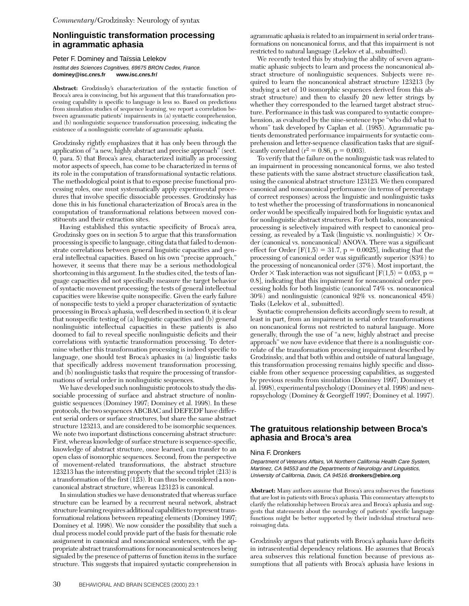### **Nonlinguistic transformation processing in agrammatic aphasia**

Peter F. Dominey and Taïssia Lelekov Institut des Sciences Cognitives, 69675 BRON Cedex, France. **dominey@isc.cnrs.fr www.isc.cnrs.fr/**

**Abstract:** Grodzinsky's characterization of the syntactic function of Broca's area is convincing, but his argument that this transformation processing capability is specific to language is less so. Based on predictions from simulation studies of sequence learning, we report a correlation between agrammatic patients' impairments in (a) syntactic comprehension, and (b) nonlinguistic sequence transformation processing, indicating the existence of a nonlinguistic correlate of agrammatic aphasia.

Grodzinsky rightly emphasizes that it has only been through the application of "a new, highly abstract and precise approach" (sect. 0, para. 5) that Broca's area, characterized initially as processing motor aspects of speech, has come to be characterized in terms of its role in the computation of transformational syntactic relations. The methodological point is that to expose precise functional processing roles, one must systematically apply experimental procedures that involve specific dissociable processes. Grodzinsky has done this in his functional characterization of Broca's area in the computation of transformational relations between moved constituents and their extraction sites.

Having established this syntactic specificity of Broca's area, Grodzinsky goes on in section 5 to argue that this transformation processing is specific to language, citing data that failed to demonstrate correlations between general linguistic capacities and general intellectual capacities. Based on his own "precise approach," however, it seems that there may be a serious methodological shortcoming in this argument. In the studies cited, the tests of language capacities did not specifically measure the target behavior of syntactic movement processing; the tests of general intellectual capacities were likewise quite nonspecific. Given the early failure of nonspecific tests to yield a proper characterization of syntactic processing in Broca's aphasia, well described in section 0, it is clear that nonspecific testing of (a) linguistic capacities and (b) general nonlinguistic intellectual capacities in these patients is also doomed to fail to reveal specific nonlinguistic deficits and their correlations with syntactic transformation processing. To determine whether this transformation processing is indeed specific to language, one should test Broca's aphasics in (a) linguistic tasks that specifically address movement transformation processing, and (b) nonlinguistic tasks that require the processing of transformations of serial order in nonlinguistic sequences.

We have developed such nonlinguistic protocols to study the dissociable processing of surface and abstract structure of nonlinguistic sequences (Dominey 1997; Dominey et al. 1998). In these protocols, the two sequences ABCBAC and DEFEDF have different serial orders or surface structures, but share the same abstract structure 123213, and are considered to be isomorphic sequences. We note two important distinctions concerning abstract structure: First, whereas knowledge of surface structure is sequence-specific, knowledge of abstract structure, once learned, can transfer to an open class of isomorphic sequences. Second, from the perspective of movement-related transformations, the abstract structure 123213 has the interesting property that the second triplet (213) is a transformation of the first (123). It can thus be considered a noncanonical abstract structure, whereas 123123 is canonical.

In simulation studies we have demonstrated that whereas surface structure can be learned by a recurrent neural network, abstract structure learning requires additional capabilities to represent transformational relations between repeating elements (Dominey 1997; Dominey et al. 1998). We now consider the possibility that such a dual process model could provide part of the basis for thematic role assignment in canonical and noncanonical sentences, with the appropriate abstract transformations for noncanonical sentences being signaled by the presence of patterns of function items in the surface structure. This suggests that impaired syntactic comprehension in agrammatic aphasia is related to an impairment in serial order transformations on noncanonical forms, and that this impairment is not restricted to natural language (Lelekov et al., submitted).

We recently tested this by studying the ability of seven agrammatic aphasic subjects to learn and process the noncanonical abstract structure of nonlinguistic sequences. Subjects were required to learn the noncanonical abstract structure 123213 (by studying a set of 10 isomorphic sequences derived from this abstract structure) and then to classify 20 new letter strings by whether they corresponded to the learned target abstract structure. Performance in this task was compared to syntactic comprehension, as evaluated by the nine-sentence type "who did what to whom" task developed by Caplan et al. (1985). Agrammatic patients demonstrated performance impairments for syntactic comprehension and letter-sequence classification tasks that are significantly correlated ( $r^2 = 0.86$ ,  $p = 0.003$ ).

To verify that the failure on the nonlinguistic task was related to an impairment in processing noncanonical forms, we also tested these patients with the same abstract structure classification task, using the canonical abstract structure 123123. We then compared canonical and noncanonical performance (in terms of percentage of correct responses) across the linguistic and nonlinguistic tasks to test whether the processing of transformations in noncanonical order would be specifically impaired both for linguistic syntax and for nonlinguistic abstract structures. For both tasks, noncanonical processing is selectively impaired with respect to canonical processing, as revealed by a Task (linguistic vs. nonlinguistic)  $\times$  Order (canonical vs. noncanonical) ANOVA. There was a significant effect for Order  $[F(1,5) = 31.7, p = 0.0025]$ , indicating that the processing of canonical order was significantly superior (83%) to the processing of noncanonical order (37%). Most important, the Order  $\times$  Task interaction was not significant [F(1,5) = 0.053, p = 0.8], indicating that this impairment for noncanonical order processing holds for both linguistic (canonical 74% vs. noncanonical 30%) and nonlinguistic (canonical 92% vs. noncanonical 45%) Tasks (Lelekov et al., submitted).

Syntactic comprehension deficits accordingly seem to result, at least in part, from an impairment in serial order transformations on noncanonical forms not restricted to natural language. More generally, through the use of "a new, highly abstract and precise approach" we now have evidence that there is a nonlinguistic correlate of the transformation processing impairment described by Grodzinsky, and that both within and outside of natural language, this transformation processing remains highly specific and dissociable from other sequence processing capabilities, as suggested by previous results from simulation (Dominey 1997; Dominey et al. 1998), experimental psychology (Dominey et al. 1998) and neuropsychology (Dominey & Georgieff 1997; Dominey et al. 1997).

### **The gratuitous relationship between Broca's aphasia and Broca's area**

#### Nina F. Dronkers

Department of Veterans Affairs, VA Northern California Health Care System, Martinez, CA 94553 and the Departments of Neurology and Linguistics, University of California, Davis, CA 94516. **dronkers@ebire.org**

**Abstract:** Many authors assume that Broca's area subserves the functions that are lost in patients with Broca's aphasia. This commentary attempts to clarify the relationship between Broca's area and Broca's aphasia and suggests that statements about the neurology of patients' specific language functions might be better supported by their individual structural neuroimaging data.

Grodzinsky argues that patients with Broca's aphasia have deficits in intrasentential dependency relations. He assumes that Broca's area subserves this relational function because of previous assumptions that all patients with Broca's aphasia have lesions in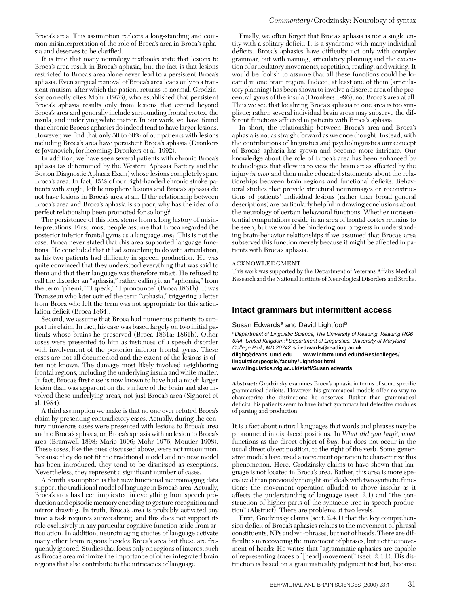Broca's area. This assumption reflects a long-standing and common misinterpretation of the role of Broca's area in Broca's aphasia and deserves to be clarified.

It is true that many neurology textbooks state that lesions to Broca's area result in Broca's aphasia, but the fact is that lesions restricted to Broca's area alone never lead to a persistent Broca's aphasia. Even surgical removal of Broca's area leads only to a transient mutism, after which the patient returns to normal. Grodzinsky correctly cites Mohr (1976), who established that persistent Broca's aphasia results only from lesions that extend beyond Broca's area and generally include surrounding frontal cortex, the insula, and underlying white matter. In our work, we have found that chronic Broca's aphasics do indeed tend to have larger lesions. However, we find that only 50 to 60% of our patients with lesions including Broca's area have persistent Broca's aphasia (Dronkers & Jovanovich, forthcoming; Dronkers et al. 1992).

In addition, we have seen several patients with chronic Broca's aphasia (as determined by the Western Aphasia Battery and the Boston Diagnostic Aphasiz Exam) whose lesions completely spare Broca's area. In fact, 15% of our right-handed chronic stroke patients with single, left hemisphere lesions and Broca's aphasia do not have lesions in Broca's area at all. If the relationship between Broca's area and Broca's aphasia is so poor, why has the idea of a perfect relationship been promoted for so long?

The persistence of this idea stems from a long history of misinterpretations. First, most people assume that Broca regarded the posterior inferior frontal gyrus as a language area. This is not the case. Broca never stated that this area supported language functions. He concluded that it had something to do with articulation, as his two patients had difficulty in speech production. He was quite convinced that they understood everything that was said to them and that their language was therefore intact. He refused to call the disorder an "aphasia," rather calling it an "aphemia," from the term "phemi," "I speak," "I pronounce" (Broca 1861b). It was Trousseau who later coined the term "aphasia," triggering a letter from Broca who felt the term was not appropriate for this articulation deficit (Broca 1864).

Second, we assume that Broca had numerous patients to support his claim. In fact, his case was based largely on two initial patients whose brains he preserved (Broca 1861a; 1861b). Other cases were presented to him as instances of a speech disorder with involvement of the posterior inferior frontal gyrus. These cases are not all documented and the extent of the lesions is often not known. The damage most likely involved neighboring frontal regions, including the underlying insula and white matter. In fact, Broca's first case is now known to have had a much larger lesion than was apparent on the surface of the brain and also involved these underlying areas, not just Broca's area (Signoret et al. 1984).

A third assumption we make is that no one ever refuted Broca's claim by presenting contradictory cases. Actually, during the century numerous cases were presented with lesions to Broca's area and no Broca's aphasia, or, Broca's aphasia with no lesion to Broca's area (Bramwell 1898; Marie 1906; Mohr 1976; Moutier 1908). These cases, like the ones discussed above, were not uncommon. Because they do not fit the traditional model and no new model has been introduced, they tend to be dismissed as exceptions. Nevertheless, they represent a significant number of cases.

A fourth assumption is that new functional neuroimaging data support the traditional model of language in Broca's area. Actually, Broca's area has been implicated in everything from speech production and episodic memory encoding to gesture recognition and mirror drawing. In truth, Broca's area is probably activated any time a task requires subvocalizing, and this does not support its role exclusively in any particular cognitive function aside from articulation. In addition, neuroimaging studies of language activate many other brain regions besides Broca's area but these are frequently ignored. Studies that focus only on regions of interest such as Broca's area minimize the importance of other integrated brain regions that also contribute to the intricacies of language.

Finally, we often forget that Broca's aphasia is not a single entity with a solitary deficit. It is a syndrome with many individual deficits. Broca's aphasics have difficulty not only with complex grammar, but with naming, articulatory planning and the execution of articulatory movements, repetition, reading, and writing. It would be foolish to assume that all these functions could be located in one brain region. Indeed, at least one of them (articulatory planning) has been shown to involve a discrete area of the precentral gyrus of the insula (Dronkers 1996), not Broca's area at all. Thus we see that localizing Broca's aphasia to one area is too simplistic; rather, several individual brain areas may subserve the different functions affected in patients with Broca's aphasia.

In short, the relationship between Broca's area and Broca's aphasia is not as straightforward as we once thought. Instead, with the contributions of linguistics and psycholinguistics our concept of Broca's aphasia has grown and become more intricate. Our knowledge about the role of Broca's area has been enhanced by technologies that allow us to view the brain areas affected by the injury *in vivo* and then make educated statements about the relationships between brain regions and functional deficits. Behavioral studies that provide structural neuroimages or reconstructions of patients' individual lesions (rather than broad general descriptions) are particularly helpful in drawing conclusions about the neurology of certain behavioral functions. Whether intrasentential computations reside in an area of frontal cortex remains to be seen, but we would be hindering our progress in understanding brain-behavior relationships if we assumed that Broca's area subserved this function merely because it might be affected in patients with Broca's aphasia.

#### ACKNOWLEDGMENT

This work was supported by the Department of Veterans Affairs Medical Research and the National Institute of Neurological Disorders and Stroke.

### **Intact grammars but intermittent access**

#### Susan Edwards<sup>a</sup> and David Lightfoot<sup>b</sup>

aDepartment of Linguistic Science, The University of Reading, Reading RG6 6AA, United Kingdom; <sup>b</sup>Department of Linguistics, University of Maryland, College Park, MD 20742. **s.i.edwards@reading.ac.uk dlight@deans. umd.edu www.inform.umd.edu/tdRes/colleges/ linguistics/people/faculty/Lightfoot.html www.linguistics.rdg.ac.uk/staff/Susan.edwards**

**Abstract:** Grodzinsky examines Broca's aphasia in terms of some specific grammatical deficits. However, his grammatical models offer no way to characterize the distinctions he observes. Rather than grammatical deficits, his patients seem to have intact grammars but defective modules of parsing and production.

It is a fact about natural languages that words and phrases may be pronounced in displaced positions. In *What did you buy?, what* functions as the direct object of *buy,* but does not occur in the usual direct object position, to the right of the verb. Some generative models have used a movement operation to characterize this phenomenon. Here, Grodzinsky claims to have shown that language is not located in Broca's area. Rather, this area is more specialized than previously thought and deals with two syntactic functions: the movement operation alluded to above insofar as it affects the understanding of language (sect. 2.1) and "the construction of higher parts of the syntactic tree in speech production" (Abstract). There are problems at two levels.

First, Grodzinsky claims (sect. 2.4.1) that the key comprehension deficit of Broca's aphasics relates to the movement of phrasal constituents, NPs and wh-phrases, but not of heads. There are difficulties in recovering the movement of phrases, but not the movement of heads: He writes that "agrammatic aphasics are capable of representing traces of [head] movement" (sect. 2.4.1). His distinction is based on a grammaticality judgment test but, because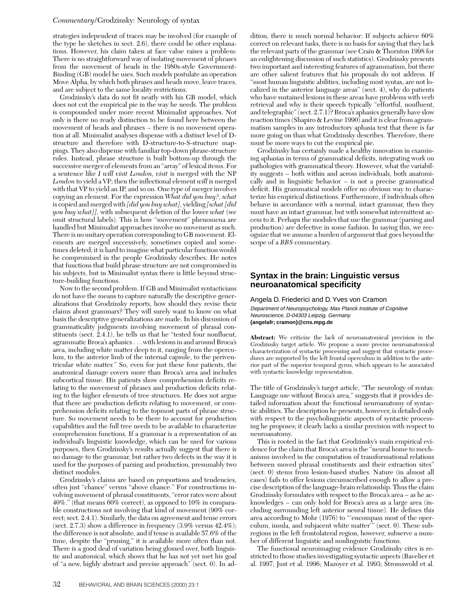strategies independent of traces may be involved (for example of the type he sketches in sect. 2.6), there could be other explanations. However, his claim taken at face value raises a problem: There is no straightforward way of isolating movement of phrases from the movement of heads in the 1980s-style Government-Binding (GB) model he uses. Such models postulate an operation Move Alpha, by which both phrases and heads move, leave traces, and are subject to the same locality restrictions.

Grodzinsky's data do not fit neatly with his GB model, which does not cut the empirical pie in the way he needs. The problem is compounded under more recent Minimalist approaches. Not only is there no ready distinction to be found here between the movement of heads and phrases – there is no movement operation at all. Minimalist analyses dispense with a distinct level of Dstructure and therefore with D-structure-to-S-structure mappings. They also dispense with familiar top-down phrase-structure rules. Instead, phrase structure is built bottom-up through the successive merger of elements from an "array" of lexical items. For a sentence like *I will visit London, visit* is merged with the NP *London* to yield a VP; then the inflectional element *will* is merged with that VP to yield an IP, and so on. One type of merger involves copying an element. For the expression *What did you buy?, what* is copied and merged with *[did you buy what],* yielding *[what [did you buy what]],* with subsequent deletion of the lower *what* (we omit structural labels). This is how "movement" phenomena are handled but Minimalist approaches involve no movement as such. There is no unitary operation corresponding to GB movement. Elements are merged successively, sometimes copied and sometimes deleted; it is hard to imagine what particular function would be compromised in the people Grodzinsky describes. He notes that functions that build phrase structure are not compromised in his subjects, but in Minimalist syntax there is little beyond structure-building functions.

Now to the second problem. If GB and Minimalist syntacticians do not have the means to capture naturally the descriptive generalizations that Grodzinsky reports, how should they revise their claims about grammars? They will surely want to know on what basis the descriptive generalizations are made. In his discussion of grammaticality judgments involving movement of phrasal constituents (sect. 2.4.1), he tells us that he "tested four nonfluent, agrammatic Broca's aphasics . . . with lesions in and around Broca's area, including white matter deep to it, ranging from the operculum, to the anterior limb of the internal capsule, to the periventricular white matter." So, even for just these four patients, the anatomical damage covers more than Broca's area and includes subcortical tissue. His patients show comprehension deficits relating to the movement of phrases and production deficits relating to the higher elements of tree structures. He does not argue that there are production deficits relating to movement, or comprehension deficits relating to the topmost parts of phrase structure. So movement needs to be there to account for production capabilities and the full tree needs to be available to characterize comprehension functions. If a grammar is a representation of an individual's linguistic knowledge, which can be used for various purposes, then Grodzinsky's results actually suggest that there is no damage to the grammar, but rather two defects in the way it is used for the purposes of parsing and production, presumably two distinct modules.

Grodzinsky's claims are based on proportions and tendencies, often just "chance" versus "above chance." For constructions involving movement of phrasal constituents, "error rates were about 40%." (that means 60% correct), as opposed to 10% in comparable constructions not involving that kind of movement (90% correct; sect. 2.4.1). Similarly, the data on agreement and tense errors (sect. 2.7.3) show a difference in frequency (3.9% versus 42.4%); the difference is not absolute, and if tense is available 57.6% of the time, despite the "pruning," it is available more often than not. There is a good deal of variation being glossed over, both linguistic and anatomical, which shows that he has not yet met his goal of "a new, highly abstract and precise approach" (sect. 0). In addition, there is much normal behavior: If subjects achieve 60% correct on relevant tasks, there is no basis for saying that they lack the relevant parts of the grammar (see Crain & Thornton 1998 for an enlightening discussion of such statistics). Grodzinsky presents two important and interesting features of agrammatism, but there are other salient features that his proposals do not address. If "most human linguistic abilities, including most syntax, are not localized in the anterior language areas" (sect. 4), why do patients who have sustained lesions in these areas have problems with verb retrieval and why is their speech typically "effortful, nonfluent, and telegraphic" (sect. 2.7.1)? Broca's aphasics generally have slow reaction times (Shapiro & Levine 1990) and it is clear from agrammatism samples in any introductory aphasia text that there is far more going on than what Grodzinsky describes. Therefore, there must be more ways to cut the empirical pie.

Grodzinsky has certainly made a healthy innovation in examining aphasias in terms of grammatical deficits, integrating work on pathologies with grammatical theory. However, what the variability suggests – both within and across individuals, both anatomically and in linguistic behavior – is not a precise grammatical deficit. His grammatical models offer no obvious way to characterize his empirical distinctions. Furthermore, if individuals often behave in accordance with a normal, intact grammar, then they must have an intact grammar, but with somewhat intermittent access to it. Perhaps the modules that use the grammar (parsing and production) are defective in some fashion. In saying this, we recognize that we assume a burden of argument that goes beyond the scope of a *BBS* commentary.

### **Syntax in the brain: Linguistic versus neuroanatomical specificity**

Angela D. Friederici and D.Yves von Cramon Department of Neuropsychology, Max Planck Institute of Cognitive Neuroscience, D-04303 Leipzig, Germany. **{angelafr; cramon}@cns.mpg.de**

**Abstract:** We criticize the lack of neuroanatomical precision in the Grodzinsky target article. We propose a more precise neuroanatomical characterization of syntactic processing and suggest that syntactic procedures are supported by the left frontal operculum in addition to the anterior part of the superior temporal gyrus, which appears to be associated with syntactic knowledge representation.

The title of Grodzinsky's target article, "The neurology of syntax: Language use without Broca's area," suggests that it provides detailed information about the functional neuroanatomy of syntactic abilities. The description he presents, however, is detailed only with respect to the psycholinguistic aspects of syntactic processing he proposes; it clearly lacks a similar precision with respect to neuroanatomy.

This is rooted in the fact that Grodzinsky's main empirical evidence for the claim that Broca's area is the "neural home to mechanisms involved in the computation of transformational relations between moved phrasal constituents and their extraction sites" (sect. 0) stems from lesion-based studies. Nature (in almost all cases) fails to offer lesions circumscribed enough to allow a precise description of the language-brain relationship. Thus the claim Grodzinsky formulates with respect to the Broca's area – as he acknowledges – can only hold for Broca's area as a large area (including surrounding left anterior neural tissue). He defines this area according to Mohr (1976) to "'encompass most of the operculum, insula, and subjacent white matter" (sect. 0). These subregions in the left frontolateral region, however, subserve a number of different linguistic and nonlinguistic functions.

The functional neuroimaging evidence Grodzinsky cites is restricted to those studies investigating syntactic aspects (Bavelier et al. 1997; Just et al. 1996; Mazoyer et al. 1993; Stromswold et al.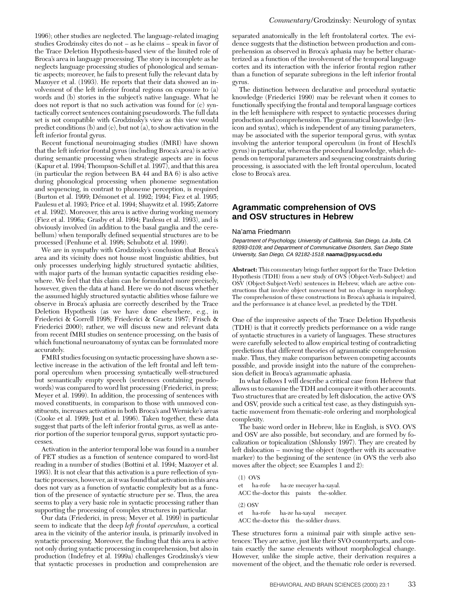1996); other studies are neglected. The language-related imaging studies Grodzinsky cites do not – as he claims – speak in favor of the Trace Deletion Hypothesis-based view of the limited role of Broca's area in language processing. The story is incomplete as he neglects language processing studies of phonological and semantic aspects; moreover, he fails to present fully the relevant data by Mazoyer et al. (1993). He reports that their data showed an involvement of the left inferior frontal regions on exposure to (a) words and (b) stories in the subject's native language. What he does not report is that no such activation was found for (c) syntactically correct sentences containing pseudowords. The full data set is not compatible with Grodzinsky's view as this view would predict conditions (b) and (c), but not (a), to show activation in the left inferior frontal gyrus.

Recent functional neuroimaging studies (fMRI) have shown that the left inferior frontal gyrus (including Broca's area) is active during semantic processing when strategic aspects are in focus (Kapur et al. 1994; Thompson-Schill et al. 1997), and that this area (in particular the region between BA 44 and BA 6) is also active during phonological processing when phoneme segmentation and sequencing, in contrast to phoneme perception, is required (Burton et al. 1999; Démonet et al. 1992; 1994; Fiez et al. 1995; Paulesu et al. 1993; Price et al. 1994; Shaywitz et al. 1995; Zatorre et al. 1992). Moreover, this area is active during working memory (Fiez et al. 1996a; Grasby et al. 1994; Paulesu et al. 1993), and is obviously involved (in addition to the basal ganglia and the cerebellum) when temporally defined sequential structures are to be processed (Penhune et al. 1998; Schubotz et al. 1999).

We are in sympathy with Grodzinsky's conclusion that Broca's area and its vicinity does not house most linguistic abilities, but only processes underlying highly structured syntactic abilities, with major parts of the human syntactic capacities residing elsewhere. We feel that this claim can be formulated more precisely, however, given the data at hand. Here we do not discuss whether the assumed highly structured syntactic abilities whose failure we observe in Broca's aphasia are correctly described by the Trace Deletion Hypothesis (as we have done elsewhere, e.g., in Friederici & Gorrell 1998; Friederici & Graetz 1987; Frisch & Friederici 2000); rather, we will discuss new and relevant data from recent fMRI studies on sentence processing, on the basis of which functional neuroanatomy of syntax can be formulated more accurately.

FMRI studies focusing on syntactic processing have shown a selective increase in the activation of the left frontal and left temporal operculum when processing syntactically well-structured but semantically empty speech (sentences containing pseudowords) was compared to word list processing (Friederici, in press; Meyer et al. 1999). In addition, the processing of sentences with moved constituents, in comparison to those with unmoved constituents, increases activation in both Broca's and Wernicke's areas (Cooke et al. 1999; Just et al. 1996). Taken together, these data suggest that parts of the left inferior frontal gyrus, as well as anterior portion of the superior temporal gyrus, support syntactic processes.

Activation in the anterior temporal lobe was found in a number of PET studies as a function of sentence compared to word-list reading in a number of studies (Bottini et al. 1994; Mazoyer et al. 1993). It is not clear that this activation is a pure reflection of syntactic processes, however, as it was found that activation in this area does not vary as a function of syntactic complexity but as a function of the presence of syntactic structure per se. Thus, the area seems to play a very basic role in syntactic processing rather than supporting the processing of complex structures in particular.

Our data (Friederici, in press; Meyer et al. 1999) in particular seem to indicate that the deep *left frontal operculum,* a cortical area in the vicinity of the anterior insula, is primarily involved in syntactic processing. Moreover, the finding that this area is active not only during syntactic processing in comprehension, but also in production (Indefrey et al. 1999a) challenges Grodzinsky's view that syntactic processes in production and comprehension are separated anatomically in the left frontolateral cortex. The evidence suggests that the distinction between production and comprehension as observed in Broca's aphasia may be better characterized as a function of the involvement of the temporal language cortex and its interaction with the inferior frontal region rather than a function of separate subregions in the left inferior frontal gyrus.

The distinction between declarative and procedural syntactic knowledge (Friederici 1990) may be relevant when it comes to functionally specifying the frontal and temporal language cortices in the left hemisphere with respect to syntactic processes during production and comprehension. The grammatical knowledge (lexicon and syntax), which is independent of any timing parameters, may be associated with the superior temporal gyrus, with syntax involving the anterior temporal operculum (in front of Heschl's gyrus) in particular, whereas the procedural knowledge, which depends on temporal parameters and sequencing constraints during processing, is associated with the left frontal operculum, located close to Broca's area.

### **Agrammatic comprehension of OVS and OSV structures in Hebrew**

#### Na'ama Friedmann

Department of Psychology, University of California, San Diego, La Jolla, CA 92093-0109; and Department of Communicative Disorders, San Diego State University, San Diego, CA 92182-1518. **naama@psy.ucsd.edu**

**Abstract:** This commentary brings further support for the Trace Deletion Hypothesis (TDH) from a new study of OVS (Object-Verb-Subject) and OSV (Object-Subject-Verb) sentences in Hebrew, which are active constructions that involve object movement but no change in morphology. The comprehension of these constructions in Broca's aphasia is impaired, and the performance is at chance level, as predicted by the TDH.

One of the impressive aspects of the Trace Deletion Hypothesis (TDH) is that it correctly predicts performance on a wide range of syntactic structures in a variety of languages. These structures were carefully selected to allow empirical testing of contradicting predictions that different theories of agrammatic comprehension make. Thus, they make comparison between competing accounts possible, and provide insight into the nature of the comprehension deficit in Broca's agrammatic aphasia.

In what follows I will describe a critical case from Hebrew that allows us to examine the TDH and compare it with other accounts. Two structures that are created by left dislocation, the active OVS and OSV, provide such a critical test case, as they distinguish syntactic movement from thematic-role ordering and morphological complexity.

The basic word order in Hebrew, like in English, is SVO. OVS and OSV are also possible, but secondary, and are formed by focalization or topicalization (Shlonsky 1997). They are created by left dislocation – moving the object (together with its accusative marker) to the beginning of the sentence (in OVS the verb also moves after the object; see Examples 1 and 2):

(1) OVS et ha-rofe ha-ze mecayer ha-xayal. ACC the-doctor this paints the-soldier. (2) OSV ha-ze ha-xayal mecayer. ACC the-doctor this the-soldier draws.

These structures form a minimal pair with simple active sentences: They are active, just like their SVO counterparts, and contain exactly the same elements without morphological change. However, unlike the simple active, their derivation requires a movement of the object, and the thematic role order is reversed.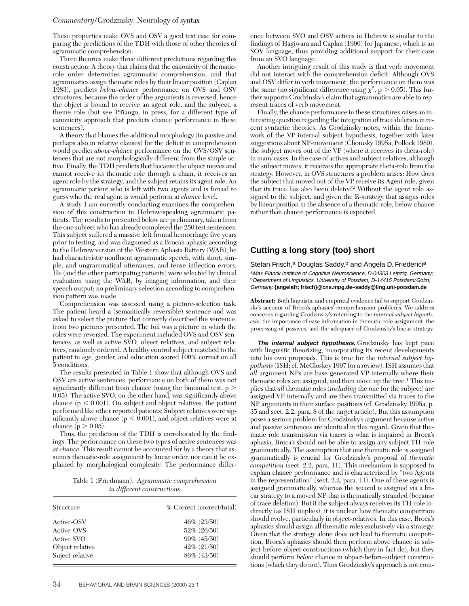These properties make OVS and OSV a good test case for comparing the predictions of the TDH with those of other theories of agrammatic comprehension.

Three theories make three different predictions regarding this construction: A theory that claims that the canonicity of thematicrole order determines agrammatic comprehension, and that agrammatics assign thematic roles by their linear position (Caplan 1983), predicts *below-chance* performance on OVS and OSV structures, because the order of the arguments is reversed, hence the object is bound to receive an agent role, and the subject, a theme role (but see Piñango, in press, for a different type of canonicity approach that predicts chance performance in these sentences).

A theory that blames the additional morphology (in passive and perhaps also in relative clauses) for the deficit in comprehension would predict *above-chance* performance on the OVS/OSV sentences that are not morphologically different from the simple active. Finally, the TDH predicts that because the object moves and cannot receive its thematic role through a chain, it receives an agent role by the strategy, and the subject retains its agent role. An agrammatic patient who is left with two agents and is forced to guess who the real agent is would perform at *chance* level.

A study I am currently conducting examines the comprehension of this construction in Hebrew-speaking agrammatic patients. The results to presented below are preliminary, taken from the one subject who has already completed the 250 test sentences. This subject suffered a massive left frontal hemorrhage five years prior to testing, and was diagnosed as a Broca's aphasic according to the Hebrew version of the Western Aphasia Battery (WAB); he had characteristic nonfluent agrammatic speech, with short, simple, and ungrammatical utterances, and tense inflection errors. He (and the other participating patients) were selected by clinical evaluation using the WAB, by imaging information, and their speech output; no preliminary selection according to comprehension pattern was made.

Comprehension was assessed using a picture-selection task. The patient heard a (semantically reversible) sentence and was asked to select the picture that correctly described the sentence, from two pictures presented. The foil was a picture in which the roles were reversed. The experiment included OVS and OSV sentences, as well as active SVO, object relatives, and subject relatives, randomly ordered. A healthy control subject matched to the patient in age, gender, and education scored 100% correct on all 5 conditions.

The results presented in Table 1 show that although OVS and OSV are active sentences, performance on both of them was not significantly different from chance (using the binomial test,  $p$  > 0.05). The active SVO, on the other hand, was significantly above chance  $(p < 0.001)$ . On subject and object relatives, the patient performed like other reported patients: Subject relatives were significantly above chance  $(p < 0.001)$ , and object relatives were at chance  $(p > 0.05)$ .

Thus, the prediction of the TDH is corroborated by the findings: The performance on these two types of active sentences was *at chance.* This result cannot be accounted for by a theory that assumes thematic-role assignment by linear order, nor can it be explained by morphological complexity. The performance differ-

Table 1 (Friedmann). *Agrammatic comprehension in different constructions*

| Structure       | % Correct (correct/total) |  |
|-----------------|---------------------------|--|
| Active-OSV      | $46\%$ (23/50)            |  |
| Active-OVS      | 52% (26/50)               |  |
| Active SVO      | $90\%$ (45/50)            |  |
| Object relative | $42\%$ (21/50)            |  |
| Suject relative | 86% (43/50)               |  |

ence between SVO and OSV actives in Hebrew is similar to the findings of Hagiwara and Caplan (1990) for Japanese, which is an SOV language, thus providing additional support for their case from an SVO language.

Another intriguing result of this study is that verb movement did not interact with the comprehension deficit: Although OVS and OSV differ in verb movement, the performance on them was the same (no significant difference using  $\chi^2$ , p > 0.05). This further supports Grodzinsky's claim that agrammatics are able to represent traces of verb movement.

Finally, the chance performance in these structures raises an interesting question regarding the integration of trace deletion in recent syntactic theories. As Grodzinsky notes, within the framework of the VP-internal subject hypothesis, together with later suggestions about NP-movement (Chomsky 1995a; Pollock 1989), the subject moves out of the VP (where it receives its theta-role) in many cases. In the case of actives and subject relatives, although the subject moves, it receives the appropriate theta-role from the strategy. However, in OVS structures a problem arises: How does the subject that moved out of the VP receive its Agent role, given that its trace has also been deleted? Without the agent role assigned to the subject, and given the R-strategy that assigns roles by linear position in the absence of a thematic-role, below-chance rather than chance performance is expected.

### **Cutting a long story (too) short**

Stefan Frisch,<sup>a</sup> Douglas Saddy,<sup>b</sup> and Angela D. Friederici<sup>a</sup> aMax Planck Institute of Cognitive Neuroscience, D-04303 Leipzig, Germany; <sup>b</sup>Department of Linguistics, University of Potsdam, D-14415 Potsdam/Golm, Germany. **{angelafr; frisch}@cns.mpg.de–saddy@ling.uni-potsdam.de**

**Abstract:** Both linguistic and empirical evidence fail to support Grodzinsky's account of Broca's aphasics' comprehension problems. We address concerns regarding Grodzinsky's referring to the *internal subject hypothesis,* the importance of case information in thematic role assignment, the processing of passives, and the adequacy of Grodzinsky's linear strategy.

**The internal subject hypothesis.** Grodzinsky has kept pace with linguistic theorizing, incorporating its recent developments into his own proposals. This is true for the *internal subject hypothesis*(ISH; cf. McCloskey 1997 for a review). ISH assumes that *all* argument NPs are base-generated VP-internally where their thematic roles are assigned, and then move up the tree.<sup>1</sup> This implies that *all* thematic roles (*including* the one for the subject) are assigned VP-internally and are then transmitted via traces to the NP arguments in their surface positions (cf. Grodzinsky 1995a, p. 35 and sect. 2.2, para. 8 of the target article). But this assumption poses a serious problem for Grodzinsky's argument because active and passive sentences are identical in this regard. Given that thematic role transmission via traces is what is impaired in Broca's aphasia, Broca's should not be able to assign any subject TH-role grammatically. The assumption that one thematic role is assigned grammatically is crucial for Grodzinsky's proposal of *thematic competition* (sect. 2.2, para. 11). This mechanism is supposed to explain chance performance and is characterized by "two Agents in the representation" (sect. 2.2, para. 11). One of these agents is assigned grammatically, whereas the second is assigned via a linear strategy to a moved NP that is thematically stranded (because of trace deletion). But if the subject always receives its TH-role indirectly (as ISH implies), it is unclear how thematic competition should evolve, particularly in object-relatives. In this case, Broca's aphasics should assign all thematic roles exclusively via a strategy. Given that the strategy alone does not lead to thematic competition, Broca's aphasics should then perform above chance in subject-before-object constructions (which they in fact do), but they should perform *below* chance in object-before-subject constructions (which they do not). Thus Grodzinsky's approach is not com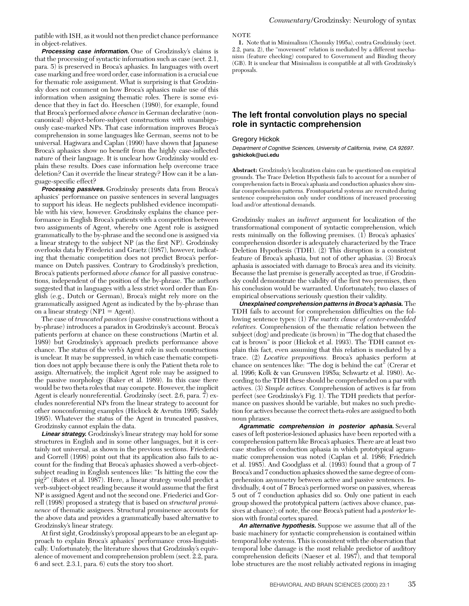patible with ISH, as it would not then predict chance performance in object-relatives.

**Processing case information.** One of Grodzinsky's claims is that the processing of syntactic information such as case (sect. 2.1, para. 5) is preserved in Broca's aphasics. In languages with overt case marking and free word order, case information is a crucial cue for thematic role assignment. What is surprising is that Grodzinsky does not comment on how Broca's aphasics make use of this information when assigning thematic roles. There is some evidence that they in fact do. Heeschen (1980), for example, found that Broca's performed *above chance* in German declarative (noncanonical) object-before-subject constructions with unambiguously case-marked NPs. That case information improves Broca's comprehension in some languages like German, seems not to be universal. Hagiwara and Caplan (1990) have shown that Japanese Broca's aphasics show no benefit from the highly case-inflected nature of their language. It is unclear how Grodzinsky would explain these results. Does case information help overcome trace deletion? Can it override the linear strategy? How can it be a language-specific effect?

**Processing passives.** Grodzinsky presents data from Broca's aphasics' performance on passive sentences in several languages to support his ideas. He neglects published evidence incompatible with his view, however. Grodzinsky explains the chance performance in English Broca's patients with a competition between two assignments of Agent, whereby one Agent role is assigned grammatically to the by-phrase and the second one is assigned via a linear strategy to the subject NP (as the first NP). Grodzinsky overlooks data by Friederici and Graetz (1987), however, indicating that thematic competition does not predict Broca's performance on Dutch passives. Contrary to Grodzinsky's prediction, Broca's patients performed *above chance* for all passive constructions, independent of the position of the by-phrase. The authors suggested that in languages with a less strict word order than English (e.g., Dutch or German), Broca's might rely more on the grammatically assigned Agent as indicated by the by-phrase than on a linear strategy  $(NPI = Agent)$ .

The case of *truncated passives* (passive constructions without a by-phrase) introduces a paradox in Grodzinsky's account. Broca's patients perform at chance on these constructions (Martin et al. 1989) but Grodzinsky's approach predicts performance above chance. The status of the verb's Agent role in such constructions is unclear. It may be suppressed, in which case thematic competition does not apply because there is only the Patient theta role to assign. Alternatively, the implicit Agent role may be assigned to the passive morphology (Baker et al. 1989). In this case there would be two theta roles that may compete. However, the implicit Agent is clearly nonreferential. Grodzinsky (sect. 2.6, para. 7) excludes nonreferential NPs from the linear strategy to account for other nonconforming examples (Hickock & Avrutin 1995; Saddy 1995). Whatever the status of the Agent in truncated passives, Grodzinsky cannot explain the data.

**Linear strategy.** Grodzinsky's linear strategy may hold for some structures in English and in some other languages, but it is certainly not universal, as shown in the previous sections. Friederici and Gorrell (1998) point out that its application also fails to account for the finding that Broca's aphasics showed a verb-objectsubject reading in English sentences like: "Is hitting the cow the pig?" (Bates et al. 1987). Here, a linear strategy would predict a verb-subject-object reading because it would assume that the first NP is assigned Agent and not the second one. Friederici and Gorrell (1998) proposed a strategy that is based on *structural prominence* of thematic assignees. Structural prominence accounts for the above data and provides a grammatically based alternative to Grodzinsky's linear strategy.

At first sight, Grodzinsky's proposal appears to be an elegant approach to explain Broca's aphasics' performance cross-linguistically. Unfortunately, the literature shows that Grodzinsky's equivalence of movement and comprehension problem (sect. 2.2, para. 6 and sect. 2.3.1, para. 6) cuts the story too short.

**NOTE** 

**1.** Note that in Minimalism (Chomsky 1995a), contra Grodzinsky (sect. 2.2, para. 2), the "movement" relation is mediated by a different mechanism (feature checking) compared to Government and Binding theory (GB). It is unclear that Minimalism is compatible at all with Grodzinsky's proposals.

### **The left frontal convolution plays no special role in syntactic comprehension**

#### Gregory Hickok

Department of Cognitive Sciences, University of California, Irvine, CA 92697. **gshickok@uci.edu**

**Abstract:** Grodzinsky's localization claim can be questioned on empirical grounds. The Trace Deletion Hypothesis fails to account for a number of comprehension facts in Broca's aphasia and conduction aphasics show similar comprehension patterns. Frontoparietal systems are recruited during sentence comprehension only under conditions of increased processing load and/or attentional demands.

Grodzinsky makes an *indirect* argument for localization of the transformational component of syntactic comprehension, which rests minimally on the following premises. (1) Broca's aphasics' comprehension disorder is adequately characterized by the Trace Deletion Hypothesis (TDH).  $(2)$  This disruption is a consistent feature of Broca's aphasia, but not of other aphasias. (3) Broca's aphasia is associated with damage to Broca's area and its vicinity. Because the last premise is generally accepted as true, if Grodzinsky could demonstrate the validity of the first two premises, then his conclusion would be warranted. Unfortunately, two classes of empirical observations seriously question their validity.

**Unexplained comprehension patterns in Broca's aphasia.** The TDH fails to account for comprehension difficulties on the following sentence types: (1) *The matrix clause of center-embedded relatives.* Comprehension of the thematic relation between the subject (dog) and predicate (is brown) in "The dog that chased the cat is brown" is poor (Hickok et al. 1993). The TDH cannot explain this fact, even assuming that this relation is mediated by a trace. (2) *Locative prepositions.* Broca's aphasics perform at chance on sentences like: "The dog is behind the cat" (Crerar et al. 1996; Kolk & van Grunsven 1985a; Schwartz et al. 1980). According to the TDH these should be comprehended on a par with actives. (3) *Simple actives.* Comprehension of actives is far from perfect (see Grodzinsky's Fig. 1). The TDH predicts that performance on passives should be variable, but makes no such prediction for actives because the correct theta-roles are assigned to both noun phrases.

**Agrammatic comprehension in posterior aphasia.** Several cases of left posterior-lesioned aphasics have been reported with a comprehension pattern like Broca's aphasics. There are at least two case studies of conduction aphasia in which prototypical agrammatic comprehension was noted (Caplan et al. 1986; Friedrich et al. 1985). And Goodglass et al. (1993) found that a group of 7 Broca's and 7 conduction aphasics showed the same degree of comprehension asymmetry between active and passive sentences. Individually, 4 out of 7 Broca's performed worse on passives, whereas 5 out of 7 conduction aphasics did so. Only one patient in each group showed the prototypical pattern (actives above chance, passives at chance); of note, the one Broca's patient had a *posterior* lesion with frontal cortex spared.

**An alternative hypothesis.** Suppose we assume that all of the basic machinery for syntactic comprehension is contained within temporal lobe systems. This is consistent with the observation that temporal lobe damage is the most reliable predictor of auditory comprehension deficits (Naeser et al. 1987), and that temporal lobe structures are the most reliably activated regions in imaging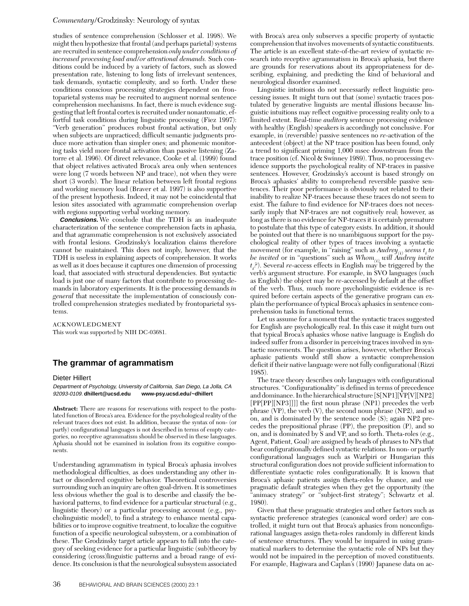#### *Commentary/*Grodzinsky: Neurology of syntax

studies of sentence comprehension (Schlosser et al. 1998). We might then hypothesize that frontal (and perhaps parietal) systems are recruited in sentence comprehension *only under conditions of increased processing load and/or attentional demands.* Such conditions could be induced by a variety of factors, such as slowed presentation rate, listening to long lists of irrelevant sentences, task demands, syntactic complexity, and so forth. Under these conditions conscious processing strategies dependent on frontoparietal systems may be recruited to augment normal sentence comprehension mechanisms. In fact, there is much evidence suggesting that left frontal cortex is recruited under nonautomatic, effortful task conditions during linguistic processing (Fiez 1997): "Verb generation" produces robust frontal activation, but only when subjects are unpracticed; difficult semantic judgments produce more activation than simpler ones; and phonemic monitoring tasks yield more frontal activation than passive listening (Zatorre et al. 1996). Of direct relevance, Cooke et al. (1999) found that object relatives activated Broca's area only when sentences were long (7 words between NP and trace), not when they were short (3 words). The linear relation between left frontal regions and working memory load (Braver et al. 1997) is also supportive of the present hypothesis. Indeed, it may not be coincidental that lesion sites associated with agrammatic comprehension overlap with regions supporting verbal working memory.

**Conclusions.** We conclude that the TDH is an inadequate characterization of the sentence comprehension facts in aphasia, and that agrammatic comprehension is not exclusively associated with frontal lesions. Grodzinsky's localization claims therefore cannot be maintained. This does not imply, however, that the TDH is useless in explaining aspects of comprehension. It works as well as it does because it captures one dimension of processing load, that associated with structural dependencies. But syntactic load is just one of many factors that contribute to processing demands in laboratory experiments. It is the processing demands *in general* that necessitate the implementation of consciously controlled comprehension strategies mediated by frontoparietal systems.

ACKNOWLEDGMENT This work was supported by NIH DC-03681.

### **The grammar of agrammatism**

#### Dieter Hillert

Department of Psychology, University of California, San Diego, La Jolla, CA 92093-0109. **dhillert@ucsd.edu www-psy.ucsd.edu/~dhillert**

**Abstract:** There are reasons for reservations with respect to the postulated function of Broca's area. Evidence for the psychological reality of the relevant traces does not exist. In addition, because the syntax of non- (or partly) configurational languages is not described in terms of empty categories, no receptive agrammatism should be observed in these languages. Aphasia should not be examined in isolation from its cognitive components.

Understanding agrammatism in typical Broca's aphasia involves methodological difficulties, as does understanding any other intact or disordered cognitive behavior. Theoretical controversies surrounding such an inquiry are often goal-driven. It is sometimes less obvious whether the goal is to describe and classify the behavioral patterns, to find evidence for a particular structural (e.g., linguistic theory) or a particular processing account (e.g., psycholinguistic model), to find a strategy to enhance mental capabilities or to improve cognitive treatment, to localize the cognitive function of a specific neurological subsystem, or a combination of these. The Grodzinsky target article appears to fall into the category of seeking evidence for a particular linguistic (sub)theory by considering (cross)linguistic patterns and a broad range of evidence. Its conclusion is that the neurological subsystem associated with Broca's area only subserves a specific property of syntactic comprehension that involves movements of syntactic constituents. The article is an excellent state-of-the-art review of syntactic research into receptive agrammatism in Broca's aphasia, but there are grounds for reservations about its appropriateness for describing, explaining, and predicting the kind of behavioral and neurological disorder examined.

Linguistic intuitions do not necessarily reflect linguistic processing issues. It might turn out that (some) syntactic traces postulated by generative linguists are mental illusions because linguistic intuitions may reflect cognitive processing reality only to a limited extent. Real-time *auditory* sentence processing evidence with healthy (English) speakers is accordingly not conclusive. For example, in (reversible) passive sentences no *re*-activation of the antecedent (object) at the NP trace position has been found, only a trend to significant priming 1,000 msec downstream from the trace position (cf. Nicol & Swinney 1989). Thus, no processing evidence supports the psychological reality of NP-traces in passive sentences. However, Grodzinsky's account is based strongly on Broca's aphasics' ability to comprehend reversible passive sentences. Their poor performance is obviously not related to their inability to realize NP-traces because these traces do not seem to exist. The failure to find evidence for NP-traces does not necessarily imply that NP-traces are not cognitively real; however, as long as there is no evidence for NP-traces it is certainly premature to postulate that this type of category exists. In addition, it should be pointed out that there is no unambiguous support for the psychological reality of other types of traces involving a syntactic movement (for example, in "raising" such as *Audrey(i) seems ti to be invited* or in "questions" such as *Whom(i) will Audrey invite t i ?*). Several *re*-access effects in English may be triggered by the verb's argument structure. For example, in SVO languages (such as English) the object may be *re*-accessed by default at the offset of the verb. Thus, much more psycholinguistic evidence is required before certain aspects of the generative program can explain the performance of typical Broca's aphasics in sentence comprehension tasks in functional terms.

Let us assume for a moment that the syntactic traces suggested for English are psychologically real. In this case it might turn out that typical Broca's aphasics whose native language is English do indeed suffer from a disorder in perceiving traces involved in syntactic movements. The question arises, however, whether Broca's aphasic patients would still show a syntactic comprehension deficit if their native language were not fully configurational (Rizzi 1985).

The trace theory describes only languages with configurational structures. "Configurationality" is defined in terms of precedence and dominance. In the hierarchical structure [S[NP1][VP[V][NP2] [PP[PP][NP3]]]] the first noun phrase (NP1) precedes the verb phrase (VP), the verb (V), the second noun phrase (NP2), and so on, and is dominated by the sentence node (S); again NP2 precedes the prepositional phrase (PP), the preposition (P), and so on, and is dominated by S and VP, and so forth. Theta-roles (e.g., Agent, Patient, Goal) are assigned by heads of phrases to NPs that bear configurationally defined syntactic relations. In non- or partly configurational languages such as Warlpiri or Hungarian this structural configuration does not provide sufficient information to differentiate syntactic roles configurationally. It is known that Broca's aphasic patients assign theta-roles by chance, and use pragmatic default strategies when they get the opportunity (the "animacy strategy" or "subject-first strategy"; Schwartz et al. 1980).

Given that these pragmatic strategies and other factors such as syntactic preference strategies (canonical word order) are controlled, it might turn out that Broca's aphasics from nonconfigurational languages assign theta-roles randomly in different kinds of sentence structures. They would be impaired in using grammatical markers to determine the syntactic role of NPs but they would not be impaired in the perception of moved constituents. For example, Hagiwara and Caplan's (1990) Japanese data on ac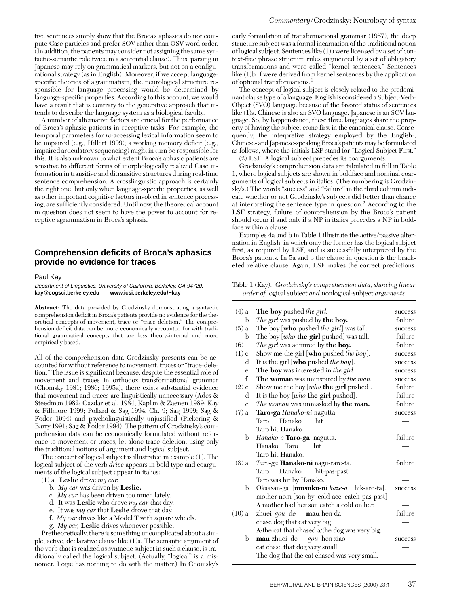tive sentences simply show that the Broca's aphasics do not compute Case particles and prefer SOV rather than OSV word order. (In addition, the patients may consider not assigning the same syntactic-semantic role twice in a sentential clause). Thus, parsing in Japanese may rely on grammatical markers, but not on a configurational strategy (as in English). Moreover, if we accept languagespecific theories of agrammatism, the neurological structure responsible for language processing would be determined by language-specific properties. According to this account, we would have a result that is contrary to the generative approach that intends to describe the language system as a biological faculty.

A number of alternative factors are crucial for the performance of Broca's aphasic patients in receptive tasks. For example, the temporal parameters for *re*-accessing lexical information seem to be impaired (e.g., Hillert 1999); a working memory deficit (e.g., impaired articulatory sequencing) might in turn be responsible for this. It is also unknown to what extent Broca's aphasic patients are sensitive to different forms of morphologically realized Case information in transitive and ditransitive structures during real-time sentence comprehension. A crosslinguistic approach is certainly the right one, but only when language-specific properties, as well as other important cognitive factors involved in sentence processing, are sufficiently considered. Until now, the theoretical account in question does not seem to have the power to account for receptive agrammatism in Broca's aphasia.

### **Comprehension deficits of Broca's aphasics provide no evidence for traces**

#### Paul Kay

Department of Linguistics, University of California, Berkeley, CA 94720. **kay@cogsci.berkeley.edu www.icsi.berkeley.edu/~kay**

**Abstract:** The data provided by Grodzinsky demonstrating a syntactic comprehension deficit in Broca's patients provide no evidence for the theoretical concepts of movement, trace or "trace deletion." The comprehension deficit data can be more economically accounted for with traditional grammatical concepts that are less theory-internal and more empirically based.

All of the comprehension data Grodzinsky presents can be accounted for without reference to movement, traces or "trace-deletion." The issue is significant because, despite the essential role of movement and traces in orthodox transformational grammar (Chomsky 1981; 1986; 1995a), there exists substantial evidence that movement and traces are linguistically unnecessary (Ades & Steedman 1982; Gazdar et al. 1984; Kaplan & Zaenen 1989; Kay & Fillmore 1999; Pollard & Sag 1994, Ch. 9; Sag 1999; Sag & Fodor 1994) and psycholinguistically unjustified (Pickering & Barry 1991; Sag & Fodor 1994). The pattern of Grodzinsky's comprehension data can be economically formulated without reference to movement or traces, let alone trace-deletion, using only the traditional notions of argument and logical subject.

The concept of logical subject is illustrated in example (1). The logical subject of the verb *drive* appears in bold type and coarguments of the logical subject appear in italics:

- (1) a. **Leslie** drove *my car.*
	- b. *My car* was driven by **Leslie.**
	- c. *My car* has been driven too much lately.
	- d. It was **Leslie** who drove *my car* that day.
	- e. It was *my car* that **Leslie** drove that day.
	- f. *My car* drives like a Model T with square wheels.
	- g. *My car,* **Leslie** drives whenever possible.

Pretheoretically, there is something uncomplicated about a simple, active, declarative clause like (1)a. The semantic argument of the verb that is realized as syntactic subject in such a clause, is traditionally called the logical subject. (Actually, "logical" is a misnomer. Logic has nothing to do with the matter.) In Chomsky's

early formulation of transformational grammar (1957), the deep structure subject was a formal incarnation of the traditional notion of logical subject. Sentences like (1)a were licensed by a set of context-free phrase structure rules augmented by a set of obligatory transformations and were called "kernel sentences." Sentences like (1)b–f were derived from kernel sentences by the application of optional transformations.1

The concept of logical subject is closely related to the predominant clause type of a language. English is considered a Subject-Verb-Object (SVO) language because of the favored status of sentences like (1)a. Chinese is also an SVO language. Japanese is an SOV language. So, by happenstance, these three languages share the property of having the subject come first in the canonical clause. Consequently, the interpretive strategy employed by the English-, Chinese- and Japanese-speaking Broca's patients may be formulated as follows, where the initials LSF stand for "Logical Subject First." (2) LSF: A logical subject precedes its coarguments.

Grodzinsky's comprehension data are tabulated in full in Table

1, where logical subjects are shown in boldface and nominal coarguments of logical subjects in italics. (The numbering is Grodzinsky's.) The words "success" and "failure" in the third column indicate whether or not Grodzinsky's subjects did better than chance at interpreting the sentence type in question.2 According to the LSF strategy, failure of comprehension by the Broca's patient should occur if and only if a NP in italics precedes a NP in boldface within a clause.

Examples 4a and b in Table 1 illustrate the active/passive alternation in English, in which only the former has the logical subject first, as required by LSF, and is successfully interpreted by the Broca's patients. In 5a and b the clause in question is the bracketed relative clause. Again, LSF makes the correct predictions.

Table 1 (Kay). *Grodzinsky's comprehension data, showing linear order of* logical subject *and* nonlogical-subject *arguments*

| $(4)$ a | The boy pushed the girl.                           | success |
|---------|----------------------------------------------------|---------|
| b       | The girl was pushed by the boy.                    | failure |
| $(5)$ a | The boy [who pushed the girl] was tall.            | success |
| b       | The boy [who the girl pushed] was tall.            | failure |
| (6)     | The girl was admired by the boy.                   | failure |
| $(1)$ c | Show me the girl [who pushed the boy].             | success |
| d       | It is the girl [who pushed the boy].               | success |
| e       | The boy was interested in the girl.                | success |
| f       | The woman was uninspired by the man.               | success |
| $(2)$ c | Show me the boy [who the girl pushed].             | failure |
| d       | It is the boy [who the girl pushed].               | failure |
| e       | The woman was unmasked by the man.                 | failure |
| $(7)$ a | Taro-ga Hanako-ni nagutta.                         |         |
|         | Hanako<br>hit<br>Taro                              | success |
|         | Taro hit Hanako.                                   |         |
| b       |                                                    | failure |
|         | Hanako-o Taro-ga nagutta.<br>Taro<br>Hanako<br>hit |         |
|         |                                                    |         |
|         | Taro hit Hanako.                                   | failure |
| $(8)$ a | Taro-ga Hanako-ni nagu-rare-ta.                    |         |
|         | Hanako<br>Taro<br>hit-pas-past                     |         |
|         | Taro was hit by Hanako.                            |         |
| b       | Okaasan-ga [ <b>musuku-ni</b> kaze-o hik-are-ta].  | success |
|         | mother-nom [son-by cold-acc catch-pas-past]        |         |
|         | A mother had her son catch a cold on her.          |         |
| (10) a  | zhuei gou de <b>mau</b> hen da                     | failure |
|         | chase dog that cat very big                        |         |
|         | A/the cat that chased a/the dog was very big.      |         |
| b       | <b>mau</b> zhuei de gou hen xiao                   | success |
|         | cat chase that dog very small                      |         |
|         | The dog that the cat chased was very small.        |         |
|         |                                                    |         |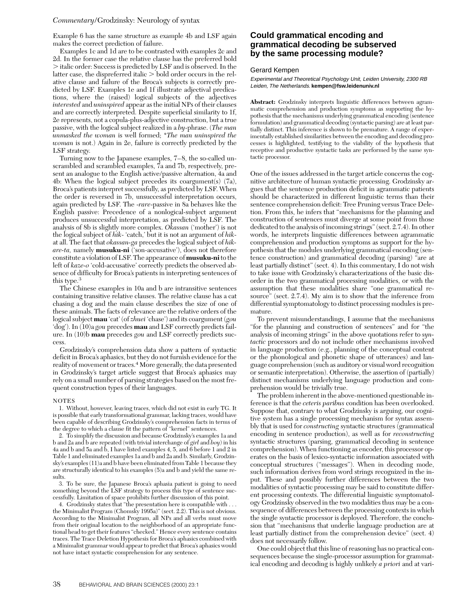#### *Commentary/*Grodzinsky: Neurology of syntax

Example 6 has the same structure as example 4b and LSF again makes the correct prediction of failure.

Examples 1c and 1d are to be contrasted with examples 2c and 2d. In the former case the relative clause has the preferred bold . italic order: Success is predicted by LSF and is observed. In the latter case, the dispreferred italic  $>$  bold order occurs in the relative clause and failure of the Broca's subjects is correctly predicted by LSF. Examples 1e and 1f illustrate adjectival predications, where the (raised) logical subjects of the adjectives *interested* and *uninspired* appear as the initial NPs of their clauses and are correctly interpreted. Despite superficial similarity to 1f, 2e represents, not a copula-plus-adjective construction, but a true passive, with the logical subject realized in a *by*-phrase. (*The man unmasked the woman* is well formed; \**The man uninspired the woman* is not.) Again in 2e, failure is correctly predicted by the LSF strategy.

Turning now to the Japanese examples, 7–8, the so-called unscrambled and scrambled examples, 7a and 7b, respectively, present an analogue to the English active/passive alternation, 4a and 4b: When the logical subject precedes its coargument(s) (7a), Broca's patients interpret successfully, as predicted by LSF. When the order is reversed in 7b, unsuccessful interpretation occurs, again predicted by LSF. The -*rare*-passive in 8a behaves like the English passive: Precedence of a nonlogical-subject argument produces unsuccessful interpretation, as predicted by LSF. The analysis of 8b is slightly more complex. *Okassan* ('mother') is not the logical subject of *hik*- 'catch,' but it is not an argument of *hik*at all. The fact that *okassan-ga* precedes the logical subject of *hikare-ta,* namely **musuku-ni** ('son-accusative'), does not therefore constitute a violation of LSF. The appearance of **musuku-ni** to the left of *kaze-o* 'cold-accusative' correctly predicts the observed absence of difficulty for Broca's patients in interpreting sentences of this type.3

The Chinese examples in 10a and b are intransitive sentences containing transitive relative clauses. The relative clause has a cat chasing a dog and the main clause describes the size of one of these animals. The facts of relevance are the relative orders of the logical subject **mau** 'cat' (of *zhuei* 'chase') and its coargument (*gou* 'dog'). In (10)a *gou* precedes **mau** and LSF correctly predicts failure. In (10)b **mau** precedes *gou* and LSF correctly predicts success.

Grodzinsky's comprehension data show a pattern of syntactic deficit in Broca's aphasics, but they do not furnish evidence for the reality of movement or traces.<sup>4</sup> More generally, the data presented in Grodzinsky's target article suggest that Broca's aphasics may rely on a small number of parsing strategies based on the most frequent construction types of their languages.

#### NOTES

1. Without, however, leaving traces, which did not exist in early TG. It is possible that early transformational grammar, lacking traces, would have been capable of describing Grodzinsky's comprehension facts in terms of the degree to which a clause fit the pattern of "kernel" sentences.

2. To simplify the discussion and because Grodzinsky's examples 1a and b and 2a and b are repeated (with trivial interchange of *girl* and *boy*) in his 4a and b and 5a and b, I have listed examples 4, 5, and 6 before 1 and 2 in Table 1 and eliminated examples 1a and b and 2a and b. Similarly, Grodzinsky's examples (11)a and b have been eliminated from Table 1 because they are structurally identical to his examples (5)a and b and yield the same results.

3. To be sure, the Japanese Broca's aphasia patient is going to need something beyond the LSF strategy to process this type of sentence successfully. Limitation of space prohibits further discussion of this point.

4. Grodzinsky states that "the presentation here is compatible with . . . the Minimalist Program (Chomsky 1995a)" (sect. 2.2). This is not obvious. According to the Minimalist Program, all NPs and all verbs must move from their original location to the neighborhood of an appropriate functional head to get their features "checked." Hence every sentence contains traces. The Trace Deletion Hypothesis for Broca's aphasics combined with a Minimalist grammar would appear to predict that Broca's aphasics would not have intact syntactic comprehension for any sentence.

### **Could grammatical encoding and grammatical decoding be subserved by the same processing module?**

#### Gerard Kempen

Experimental and Theoretical Psychology Unit, Leiden University, 2300 RB Leiden, The Netherlands. **kempen@fsw.leidenuniv.nl**

**Abstract:** Grodzinsky interprets linguistic differences between agrammatic comprehension and production symptoms as supporting the hypothesis that the mechanisms underlying grammatical encoding (sentence formulation) and grammatical decoding (syntactic parsing) are at least partially distinct. This inference is shown to be premature. A range of experimentally established similarities between the encoding and decoding processes is highlighted, testifying to the viability of the hypothesis that receptive and productive syntactic tasks are performed by the same syntactic processor.

One of the issues addressed in the target article concerns the cognitive architecture of human syntactic processing. Grodzinsky argues that the sentence production deficit in agrammatic patients should be characterized in different linguistic terms than their sentence comprehension deficit: Tree Pruning versus Trace Deletion. From this, he infers that "mechanisms for the planning and construction of sentences must diverge at some point from those dedicated to the analysis of incoming strings" (sect. 2.7.4). In other words, he interprets linguistic differences between agrammatic comprehension and production symptoms as support for the hypothesis that the modules underlying grammatical encoding (sentence construction) and grammatical decoding (parsing) "are at least partially distinct" (sect. 4). In this commentary, I do not wish to take issue with Grodzinsky's characterizations of the basic disorder in the two grammatical processing modalities, or with the assumption that these modalities share "one grammatical resource" (sect. 2.7.4). My aim is to show that the inference from differential symptomatology to distinct processing modules is premature.

To prevent misunderstandings, I assume that the mechanisms "for the planning and construction of sentences" and for "the analysis of incoming strings" in the above quotations refer to *syntactic* processors and do not include other mechanisms involved in language production (e.g., planning of the conceptual content or the phonological and phonetic shape of utterances) and language comprehension (such as auditory or visual word recognition or semantic interpretation). Otherwise, the assertion of (partially) distinct mechanisms underlying language production and comprehension would be trivially true.

The problem inherent in the above-mentioned questionable inference is that the *ceteris paribus* condition has been overlooked. Suppose that, contrary to what Grodzinsky is arguing, our cognitive system has a single processing mechanism for syntax assembly that is used for *constructing* syntactic structures (grammatical encoding in sentence production), as well as for *reconstructing* syntactic structures (parsing, grammatical decoding in sentence comprehension). When functioning as encoder, this processor operates on the basis of lexico-syntactic information associated with conceptual structures ("messages"). When in decoding mode, such information derives from word strings recognized in the input. These and possibly further differences between the two modalities of syntactic processing may be said to constitute different processing contexts. The differential linguistic symptomatology Grodzinsky observed in the two modalities thus may be a consequence of differences between the processing contexts in which the single syntactic processor is deployed. Therefore, the conclusion that "mechanisms that underlie language production are at least partially distinct from the comprehension device" (sect. 4) does not necessarily follow.

One could object that this line of reasoning has no practical consequences because the single-processor assumption for grammatical encoding and decoding is highly unlikely *a priori* and at vari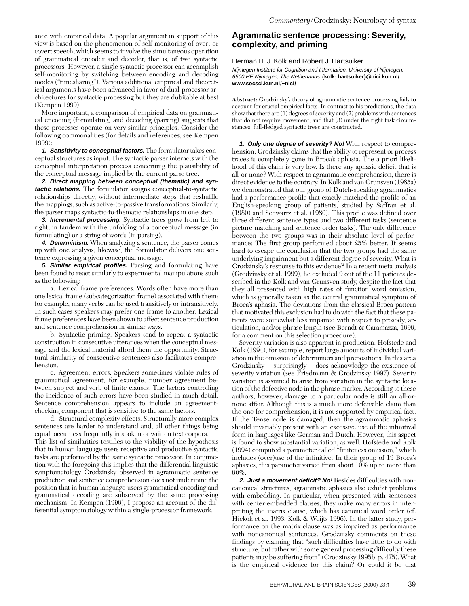ance with empirical data. A popular argument in support of this view is based on the phenomenon of self-monitoring of overt or covert speech, which seems to involve the simultaneous operation of grammatical encoder and decoder, that is, of two syntactic processors. However, a single syntactic processor can accomplish self-monitoring by switching between encoding and decoding modes ("timesharing"). Various additional empirical and theoretical arguments have been advanced in favor of dual-processor architectures for syntactic processing but they are dubitable at best (Kempen 1999).

More important, a comparison of empirical data on grammatical encoding (formulating) and decoding (parsing) suggests that these processes operate on very similar principles. Consider the following commonalities (for details and references, see Kempen 1999):

**1. Sensitivity to conceptual factors.** The formulator takes conceptual structures as input. The syntactic parser interacts with the conceptual interpretation process concerning the plausibility of the conceptual message implied by the current parse tree.

**2. Direct mapping between conceptual (thematic) and syntactic relations.** The formulator assigns conceptual-to-syntactic relationships directly, without intermediate steps that reshuffle the mappings, such as active-to-passive transformations. Similarly, the parser maps syntactic-to-thematic relationships in one step.

**3. Incremental processing.** Syntactic trees grow from left to right, in tandem with the unfolding of a conceptual message (in formulating) or a string of words (in parsing).

**4. Determinism.** When analyzing a sentence, the parser comes up with one analysis; likewise, the formulator delivers one sentence expressing a given conceptual message.

**5. Similar empirical profiles.** Parsing and formulating have been found to react similarly to experimental manipulations such as the following:

a. Lexical frame preferences. Words often have more than one lexical frame (subcategorization frame) associated with them; for example, many verbs can be used transitively or intransitively. In such cases speakers may prefer one frame to another. Lexical frame preferences have been shown to affect sentence production and sentence comprehension in similar ways.

b. Syntactic priming. Speakers tend to repeat a syntactic construction in consecutive utterances when the conceptual message and the lexical material afford them the opportunity. Structural similarity of consecutive sentences also facilitates comprehension.

c. Agreement errors. Speakers sometimes violate rules of grammatical agreement, for example, number agreement between subject and verb of finite clauses. The factors controlling the incidence of such errors have been studied in much detail. Sentence comprehension appears to include an agreementchecking component that is sensitive to the same factors.

d. Structural complexity effects. Structurally more complex sentences are harder to understand and, all other things being equal, occur less frequently in spoken or written text corpora. This list of similarities testifies to the viability of the hypothesis that in human language users receptive and productive syntactic tasks are performed by the same syntactic processor. In conjunction with the foregoing this implies that the differential linguistic symptomatology Grodzinsky observed in agrammatic sentence production and sentence comprehension does not undermine the position that in human language users grammatical encoding and grammatical decoding are subserved by the same processing mechanism. In Kempen (1999), I propose an account of the differential symptomatology within a single-processor framework.

### **Agrammatic sentence processing: Severity, complexity, and priming**

Herman H. J. Kolk and Robert J. Hartsuiker Nijmegen Institute for Cognition and Information, University of Nijmegen, 6500 HE Nijmegen, The Netherlands. **{kolk; hartsuiker}@nici.kun.nl/ www.socsci.kun.nl/~nici/**

**Abstract:** Grodzinsky's theory of agrammatic sentence processing fails to account for crucial empirical facts. In contrast to his predictions, the data show that there are (1) degrees of severity and (2) problems with sentences that do not require movement, and that (3) under the right task circumstances, full-fledged syntactic trees are constructed.

**1. Only one degree of severity? No!** With respect to comprehension, Grodzinsky claims that the ability to represent or process traces is completely gone in Broca's aphasia. The a priori likelihood of this claim is very low. Is there any aphasic deficit that is all-or-none? With respect to agrammatic comprehension, there is direct evidence to the contrary. In Kolk and van Grunsven (1985a) we demonstrated that our group of Dutch-speaking agrammatics had a performance profile that exactly matched the profile of an English-speaking group of patients, studied by Saffran et al. (1980) and Schwartz et al. (1980). This profile was defined over three different sentence types and two different tasks (sentence picture matching and sentence order tasks). The only difference between the two groups was in their absolute level of performance: The first group performed about 25% better. It seems hard to escape the conclusion that the two groups had the same underlying impairment but a different degree of severity. What is Grodzinsky's response to this evidence? In a recent meta analysis (Grodzinsky et al. 1999), he excluded 9 out of the 11 patients described in the Kolk and van Grunsven study, despite the fact that they all presented with high rates of function word omission, which is generally taken as the central grammatical symptom of Broca's aphasia. The deviations from the classical Broca pattern that motivated this exclusion had to do with the fact that these patients were somewhat less impaired with respect to prosody, articulation, and/or phrase length (see Berndt & Caramazza, 1999, for a comment on this selection procedure).

Severity variation is also apparent in production. Hofstede and Kolk (1994), for example, report large amounts of individual variation in the omission of determiners and prepositions. In this area Grodzinsky – surprisingly – does acknowledge the existence of severity variation (see Friedmann & Grodzinsky 1997). Severity variation is assumed to arise from variation in the syntactic location of the defective node in the phrase marker. According to these authors, however, damage to a particular node is still an all-ornone affair. Although this is a much more defensible claim than the one for comprehension, it is not supported by empirical fact. If the Tense node is damaged, then the agrammatic aphasics should invariably present with an excessive use of the infinitival form in languages like German and Dutch. However, this aspect is found to show substantial variation, as well. Hofstede and Kolk (1994) computed a parameter called "finiteness omission," which includes (over)use of the infinitive. In their group of 19 Broca's aphasics, this parameter varied from about 10% up to more than 90%.

**2. Just a movement deficit? No!** Besides difficulties with noncanonical structures, agrammatic aphasics also exhibit problems with embedding. In particular, when presented with sentences with center-embedded clauses, they make many errors in interpreting the matrix clause, which has canonical word order (cf. Hickok et al. 1993; Kolk & Weijts 1996). In the latter study, performance on the matrix clause was as impaired as performance with noncanonical sentences. Grodzinsky comments on these findings by claiming that "such difficulties have little to do with structure, but rather with some general processing difficulty these patients may be suffering from" (Grodzinsky 1995b, p. 475). What is the empirical evidence for this claim? Or could it be that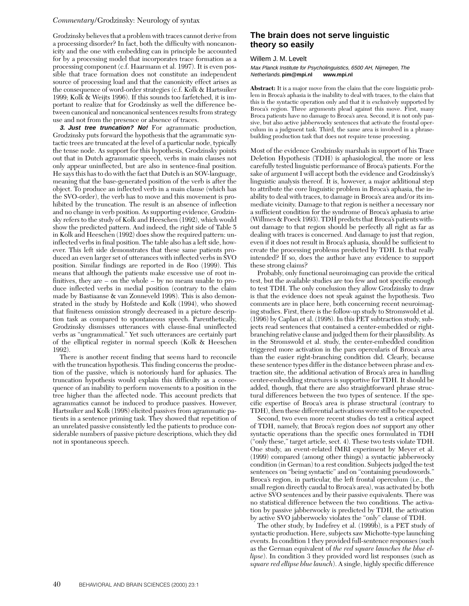#### *Commentary/*Grodzinsky: Neurology of syntax

Grodzinsky believes that a problem with traces cannot derive from a processing disorder? In fact, both the difficulty with noncanonicity and the one with embedding can in principle be accounted for by a processing model that incorporates trace formation as a processing component (c.f. Haarmann et al. 1997). It is even possible that trace formation does not constitute an independent source of processing load and that the canonicity effect arises as the consequence of word-order strategies (c.f. Kolk & Hartsuiker 1999; Kolk & Weijts 1996). If this sounds too farfetched, it is important to realize that for Grodzinsky as well the difference between canonical and noncanonical sentences results from strategy use and not from the presence or absence of traces.

**3. Just tree truncation? No!** For agrammatic production, Grodzinsky puts forward the hypothesis that the agrammatic syntactic trees are truncated at the level of a particular node, typically the tense node. As support for this hypothesis, Grodzinsky points out that in Dutch agrammatic speech, verbs in main clauses not only appear uninflected, but are also in sentence-final position. He says this has to do with the fact that Dutch is an SOV-language, meaning that the base-generated position of the verb is after the object. To produce an inflected verb in a main clause (which has the SVO-order), the verb has to move and this movement is prohibited by the truncation. The result is an absence of inflection and no change in verb position. As supporting evidence, Grodzinsky refers to the study of Kolk and Heeschen (1992), which would show the predicted pattern. And indeed, the right side of Table 5 in Kolk and Heeschen (1992) does show the required pattern: uninflected verbs in final position. The table also has a left side, however. This left side demonstrates that these same patients produced an even larger set of utterances with inflected verbs in SVO position. Similar findings are reported in de Roo (1999). This means that although the patients make excessive use of root infinitives, they are – on the whole – by no means unable to produce inflected verbs in medial position (contrary to the claim made by Bastiaanse & van Zonneveld 1998). This is also demonstrated in the study by Hofstede and Kolk (1994), who showed that finiteness omission strongly decreased in a picture description task as compared to spontaneous speech. Parenthetically, Grodzinsky dismisses utterances with clause-final uninflected verbs as "ungrammatical." Yet such utterances are certainly part of the elliptical register in normal speech (Kolk & Heeschen 1992).

There is another recent finding that seems hard to reconcile with the truncation hypothesis. This finding concerns the production of the passive, which is notoriously hard for aphasics. The truncation hypothesis would explain this difficulty as a consequence of an inability to perform movements to a position in the tree higher than the affected node. This account predicts that agrammatics cannot be induced to produce passives. However, Hartsuiker and Kolk (1998) elicited passives from agrammatic patients in a sentence priming task. They showed that repetition of an unrelated passive consistently led the patients to produce considerable numbers of passive picture descriptions, which they did not in spontaneous speech.

### **The brain does not serve linguistic theory so easily**

#### Willem J. M. Levelt

Max Planck Institute for Psycholinguistics, 6500 AH, Nijmegen, The Netherlands. **pim@mpi.nl www.mpi.nl**

**Abstract:** It is a major move from the claim that the core linguistic problem in Broca's aphasia is the inability to deal with traces, to the claim that this is the syntactic operation only and that it is exclusively supported by Broca's region. Three arguments plead against this move. First, many Broca patients have no damage to Broca's area. Second, it is not only passive, but also active jabberwocky sentences that activate the frontal operculum in a judgment task. Third, the same area is involved in a phrasebuilding production task that does not require tense processing.

Most of the evidence Grodzinsky marshals in support of his Trace Deletion Hypothesis (TDH) is aphasiological, the more or less carefully tested linguistic performance of Broca's patients. For the sake of argument I will accept both the evidence and Grodzinsky's linguistic analysis thereof. It is, however, a major additional step to attribute the core linguistic problem in Broca's aphasia, the inability to deal with traces, to damage in Broca's area and/or its immediate vicinity. Damage to that region is neither a necessary nor a sufficient condition for the syndrome of Broca's aphasia to arise (Willmes & Poeck 1993). TDH predicts that Broca's patients without damage to that region should be perfectly all right as far as dealing with traces is concerned. And damage to just that region, even if it does not result in Broca's aphasia, should be sufficient to create the processing problems predicted by TDH. Is that really intended? If so, does the author have any evidence to support these strong claims?

Probably, only functional neuroimaging can provide the critical test, but the available studies are too few and not specific enough to test TDH. The only conclusion they allow Grodzinsky to draw is that the evidence does not speak against the hypothesis. Two comments are in place here, both concerning recent neuroimaging studies. First, there is the follow-up study to Stromswold et al. (1996) by Caplan et al. (1998). In this PET subtraction study, subjects read sentences that contained a center-embedded or rightbranching relative clause and judged them for their plausibility. As in the Stromswold et al. study, the center-embedded condition triggered more activation in the pars opercularis of Broca's area than the easier right-branching condition did. Clearly, because these sentence types differ in the distance between phrase and extraction site, the additional activation of Broca's area in handling center-embedding structures is supportive for TDH. It should be added, though, that there are also straightforward phrase structural differences between the two types of sentence. If the specific expertise of Broca's area is phrase structural (contrary to TDH), then these differential activations were still to be expected.

Second, two even more recent studies do test a critical aspect of TDH, namely, that Broca's region does *not* support any other syntactic operations than the specific ones formulated in TDH ("only these," target article, sect. 4). These two tests violate TDH. One study, an event-related fMRI experiment by Meyer et al. (1999) compared (among other things) a syntactic jabberwocky condition (in German) to a rest condition. Subjects judged the test sentences on "being syntactic" and on "containing pseudowords." Broca's region, in particular, the left frontal operculum (i.e., the small region directly caudal to Broca's area), was activated by both active SVO sentences and by their passive equivalents. There was no statistical difference between the two conditions. The activation by passive jabberwocky is predicted by TDH, the activation by active SVO jabberwocky violates the "only" clause of TDH.

The other study, by Indefrey et al. (1999b), is a PET study of syntactic production. Here, subjects saw Michotte-type launching events. In condition 1 they provided full-sentence responses (such as the German equivalent of *the red square launches the blue ellipse*). In condition 3 they provided word list responses (such as *square red ellipse blue launch*). A single, highly specific difference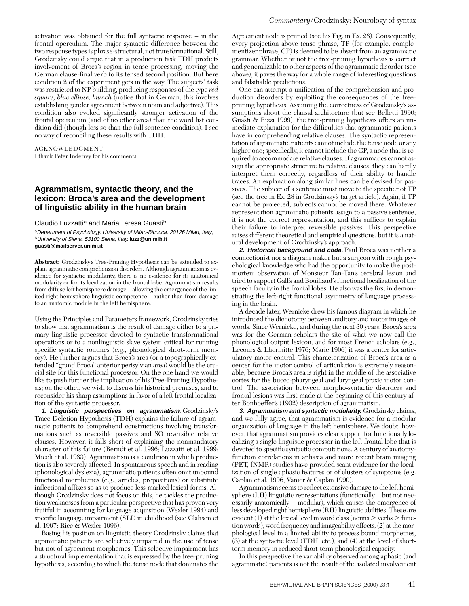activation was obtained for the full syntactic response – in the frontal operculum. The major syntactic difference between the two response types is phrase-structural, not transformational. Still, Grodzinsky could argue that in a production task TDH predicts involvement of Broca's region in tense processing, moving the German clause-final verb to its tensed second position. But here condition 2 of the experiment gets in the way. The subjects' task was restricted to NP building, producing responses of the type *red square, blue ellipse, launch* (notice that in German, this involves establishing gender agreement between noun and adjective). This condition also evoked significantly stronger activation of the frontal operculum (and of no other area) than the word list condition did (though less so than the full sentence condition). I see no way of reconciling these results with TDH.

#### ACKNOWLEDGMENT

I thank Peter Indefrey for his comments.

### **Agrammatism, syntactic theory, and the lexicon: Broca's area and the development of linguistic ability in the human brain**

Claudio Luzzatti<sup>a</sup> and Maria Teresa Guasti<sup>b</sup>

aDepartment of Psychology, University of Milan-Bicocca, 20126 Milan, Italy; <sup>b</sup>University of Siena, 53100 Siena, Italy. **luzz@unimib.it guasti@mailserver.unimi.it**

**Abstract:** Grodzinsky's Tree-Pruning Hypothesis can be extended to explain agrammatic comprehension disorders. Although agrammatism is evidence for syntactic modularity, there is no evidence for its anatomical modularity or for its localization in the frontal lobe. Agrammatism results from diffuse left hemisphere damage – allowing the emergence of the limited right hemisphere linguistic competence – rather than from damage to an anatomic module in the left hemisphere.

Using the Principles and Parameters framework, Grodzinsky tries to show that agrammatism is the result of damage either to a primary linguistic processor devoted to syntactic transformational operations or to a nonlinguistic slave system critical for running specific syntactic routines (e.g., phonological short-term memory). He further argues that Broca's area (or a topographically extended "grand Broca" anterior perisylvian area) would be the crucial site for this functional processor. On the one hand we would like to push further the implication of his Tree-Pruning Hypothesis; on the other, we wish to discuss his historical premises, and to reconsider his sharp assumptions in favor of a left frontal localization of the syntactic processor.

**1. Linguistic perspectives on agrammatism.** Grodzinsky's Trace Deletion Hypothesis (TDH) explains the failure of agrammatic patients to comprehend constructions involving transformations such as reversible passives and SO reversible relative clauses. However, it falls short of explaining the nonmandatory character of this failure (Berndt et al. 1996; Luzzatti et al. 1999; Miceli et al. 1983). Agrammatism is a condition in which production is also severely affected. In spontaneous speech and in reading (phonological dyslexia), agrammatic patients often omit unbound functional morphemes (e.g., articles, prepositions) or substitute inflectional affixes so as to produce less marked lexical forms. Although Grodzinsky does not focus on this, he tackles the production weaknesses from a particular perspective that has proven very fruitful in accounting for language acquisition (Wexler 1994) and specific language impairment (SLI) in childhood (see Clahsen et al. 1997; Rice & Wexler 1996).

Basing his position on linguistic theory Grodzinsky claims that agrammatic patients are selectively impaired in the use of tense but not of agreement morphemes. This selective impairment has a structural implementation that is expressed by the tree-pruning hypothesis, according to which the tense node that dominates the

Agreement node is pruned (see his Fig. in Ex. 28). Consequently, every projection above tense phrase, TP (for example, complementizer phrase, CP) is deemed to be absent from an agrammatic grammar. Whether or not the tree-pruning hypothesis is correct and generalizable to other aspects of the agrammatic disorder (see above), it paves the way for a whole range of interesting questions and falsifiable predictions.

One can attempt a unification of the comprehension and production disorders by exploiting the consequences of the treepruning hypothesis. Assuming the correctness of Grodzinsky's assumptions about the clausal architecture (but see Belletti 1990; Guasti & Rizzi 1999), the tree-pruning hypothesis offers an immediate explanation for the difficulties that agrammatic patients have in comprehending relative clauses. The syntactic representation of agrammatic patients cannot include the tense node or any higher one; specifically, it cannot include the CP, a node that is required to accommodate relative clauses. If agrammatics cannot assign the appropriate structure to relative clauses, they can hardly interpret them correctly, regardless of their ability to handle traces. An explanation along similar lines can be devised for passives. The subject of a sentence must move to the specifier of TP (see the tree in Ex. 28 in Grodzinsky's target article). Again, if TP cannot be projected, subjects cannot be moved there. Whatever representation agrammatic patients assign to a passive sentence, it is not the correct representation, and this suffices to explain their failure to interpret reversible passives. This perspective raises different theoretical and empirical questions, but it is a natural development of Grodzinsky's approach.

**2. Historical background and coda.** Paul Broca was neither a connectionist nor a diagram maker but a surgeon with rough psychological knowledge who had the opportunity to make the postmortem observation of Monsieur Tan-Tan's cerebral lesion and tried to support Gall's and Bouillaud's functional localization of the speech faculty in the frontal lobes. He also was the first in demonstrating the left-right functional asymmetry of language processing in the brain.

A decade later, Wernicke drew his famous diagram in which he introduced the dichotomy between auditory and motor images of words. Since Wernicke, and during the next 30 years, Broca's area was for the German scholars the site of what we now call the phonological output lexicon, and for most French scholars (e.g., Lecours & Lhermitte 1976; Marie 1906) it was a center for articulatory motor control. This characterization of Broca's area as a center for the motor control of articulation is extremely reasonable, because Broca's area is right in the middle of the associative cortex for the bucco-pharyngeal and laryngeal praxic motor control. The association between morpho-syntactic disorders and frontal lesions was first made at the beginning of this century after Bonhoeffer's (1902) description of agrammatism.

**3. Agrammatism and syntactic modularity.** Grodzinsky claims, and we fully agree, that agrammatism is evidence for a modular organization of language in the left hemisphere. We doubt, however, that agrammatism provides clear support for functionally localizing a single linguistic processor in the left frontal lobe that is devoted to specific syntactic computations. A century of anatomyfunction correlations in aphasia and more recent brain imaging (PET, fNMR) studies have provided scant evidence for the localization of single aphasic features or of clusters of symptoms (e.g. Caplan et al. 1996; Vanier & Caplan 1990).

Agrammatism seems to reflect extensive damage to the left hemisphere (LH) linguistic representations (functionally – but not necessarily anatomically – modular), which causes the emergence of less developed right hemisphere (RH) linguistic abilities. These are evident (1) at the lexical level in word class (nouns  $>$  verbs  $>$  function words), word frequency and imageability effects, (2) at the morphological level in a limited ability to process bound morphemes, (3) at the syntactic level (TDH, etc.), and (4) at the level of shortterm memory in reduced short-term phonological capacity.

In this perspective the variability observed among aphasic (and agrammatic) patients is not the result of the isolated involvement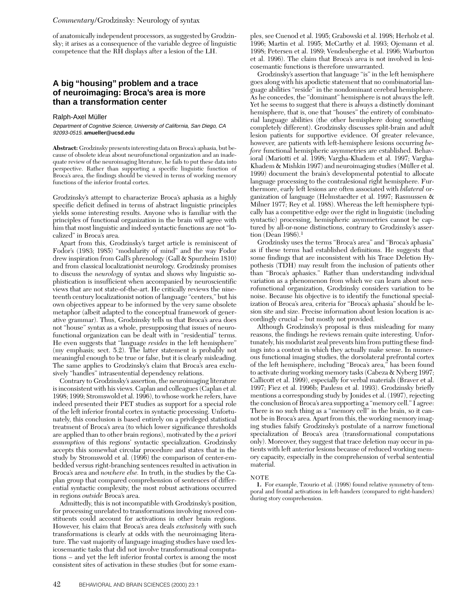#### *Commentary/*Grodzinsky: Neurology of syntax

of anatomically independent processors, as suggested by Grodzinsky; it arises as a consequence of the variable degree of linguistic competence that the RH displays after a lesion of the LH.

### **A big "housing" problem and a trace of neuroimaging: Broca's area is more than a transformation center**

#### Ralph-Axel Müller

Department of Cognitive Science, University of California, San Diego, CA 92093-0515. **amueller@ucsd.edu**

**Abstract:** Grodzinsky presents interesting data on Broca's aphasia, but because of obsolete ideas about neurofunctional organization and an inadequate review of the neuroimaging literature, he fails to put these data into perspective. Rather than supporting a specific linguistic function of Broca's area, the findings should be viewed in terms of working memory functions of the inferior frontal cortex.

Grodzinsky's attempt to characterize Broca's aphasia as a highly specific deficit defined in terms of abstract linguistic principles yields some interesting results. Anyone who is familiar with the principles of functional organization in the brain will agree with him that most linguistic and indeed syntactic functions are not "localized" in Broca's area.

Apart from this, Grodzinsky's target article is reminiscent of Fodor's (1983; 1985) "modularity of mind" and the way Fodor drew inspiration from Gall's phrenology (Gall & Spurzheim 1810) and from classical localizationist neurology. Grodzinsky promises to discuss the *neurology* of syntax and shows why linguistic sophistication is insufficient when accompanied by neuroscientific views that are not state-of-the-art. He critically reviews the nineteenth century localizationist notion of language "centers," but his own objectives appear to be informed by the very same obsolete metaphor (albeit adapted to the conceptual framework of generative grammar). Thus, Grodzinsky tells us that Broca's area does not "house" syntax as a whole, presupposing that issues of neurofunctional organization can be dealt with in "residential" terms. He even suggests that "language *resides* in the left hemisphere" (my emphasis; sect. 5.2). The latter statement is probably not meaningful enough to be true or false, but it is clearly misleading. The same applies to Grodzinsky's claim that Broca's area exclusively "handles" intrasentential dependency relations.

Contrary to Grodzinsky's assertion, the neuroimaging literature is inconsistent with his views. Caplan and colleagues (Caplan et al. 1998; 1999; Stromswold et al. 1996), to whose work he refers, have indeed presented their PET studies as support for a special role of the left inferior frontal cortex in syntactic processing. Unfortunately, this conclusion is based entirely on a privileged statistical treatment of Broca's area (to which lower significance thresholds are applied than to other brain regions), motivated by the *a priori assumption* of this regions' syntactic specialization. Grodzinsky accepts this somewhat circular procedure and states that in the study by Stromswold et al. (1996) the comparison of center-embedded versus right-branching sentences resulted in activation in Broca's area and *nowhere else.* In truth, in the studies by the Caplan group that compared comprehension of sentences of differential syntactic complexity, the most robust activations occurred in regions *outside* Broca's area.

Admittedly, this is not incompatible with Grodzinsky's position, for processing unrelated to transformations involving moved constituents could account for activations in other brain regions. However, his claim that Broca's area deals *exclusively* with such transformations is clearly at odds with the neuroimaging literature. The vast majority of language imaging studies have used lexicosemantic tasks that did not involve transformational computations – and yet the left inferior frontal cortex is among the most consistent sites of activation in these studies (but for some examples, see Cuenod et al. 1995; Grabowski et al. 1998; Herholz et al. 1996; Martin et al. 1995; McCarthy et al. 1993; Ojemann et al. 1998; Petersen et al. 1989; Vendenberghe et al. 1996; Warburton et al. 1996). The claim that Broca's area is not involved in lexicosemantic functions is therefore unwarranted.

Grodzinsky's assertion that language "is" in the left hemisphere goes along with his apodictic statement that no combinatorial language abilities "reside" in the nondominant cerebral hemisphere. As he concedes, the "dominant" hemisphere is not always the left. Yet he seems to suggest that there is always a distinctly dominant hemisphere, that is, one that "houses" the entirety of combinatorial language abilities (the other hemisphere doing something completely different). Grodzinsky discusses split-brain and adult lesion patients for supportive evidence. Of greater relevance, however, are patients with left-hemisphere lesions occurring *before* functional hemispheric asymmetries are established. Behavioral (Mariotti et al. 1998; Vargha-Khadem et al. 1997; Vargha-Khadem & Mishkin 1997) and neuroimaging studies (Müller et al. 1999) document the brain's developmental potential to allocate language processing to the contralesional right hemisphere. Furthermore, early left lesions are often associated with *bilateral* organization of language (Helmstaedter et al. 1997; Rasmussen & Milner 1977; Rey et al. 1988). Whereas the left hemisphere typically has a competitive edge over the right in linguistic (including syntactic) processing, hemispheric asymmetries cannot be captured by all-or-none distinctions, contrary to Grodzinsky's assertion (Dean 1986).1

Grodzinsky uses the terms "Broca's area" and "Broca's aphasia" as if these terms had established definitions. He suggests that some findings that are inconsistent with his Trace Deletion Hypothesis (TDH) may result from the inclusion of patients other than "Broca's aphasics." Rather than understanding individual variation as a phenomenon from which we can learn about neurofunctional organization, Grodzinsky considers variation to be noise. Because his objective is to identify the functional specialization of Broca's area, criteria for "Broca's aphasia" should be lesion site and size. Precise information about lesion location is accordingly crucial – but mostly not provided.

Although Grodzinsky's proposal is thus misleading for many reasons, the findings he reviews remain quite interesting. Unfortunately, his modularist zeal prevents him from putting these findings into a context in which they actually make sense. In numerous functional imaging studies, the dorsolateral prefrontal cortex of the left hemisphere, including "Broca's area," has been found to activate during working memory tasks (Cabeza & Nyberg 1997; Callicott et al. 1999), especially for verbal materials (Braver et al. 1997; Fiez et al. 1996b; Paulesu et al. 1993). Grodzinsky briefly mentions a corresponding study by Jonides et al. (1997), rejecting the conclusion of Broca's area supporting a "memory cell." I agree: There is no such thing as a "memory cell" in the brain, so it cannot be in Broca's area. Apart from this, the working memory imaging studies falsify Grodzinsky's postulate of a narrow functional specialization of Broca's area (transformational computations only). Moreover, they suggest that trace deletion may occur in patients with left anterior lesions because of reduced working memory capacity, especially in the comprehension of verbal sentential material.

#### NOTE

**1.** For example, Tzourio et al. (1998) found relative symmetry of temporal and frontal activations in left-handers (compared to right-handers) during story comprehension.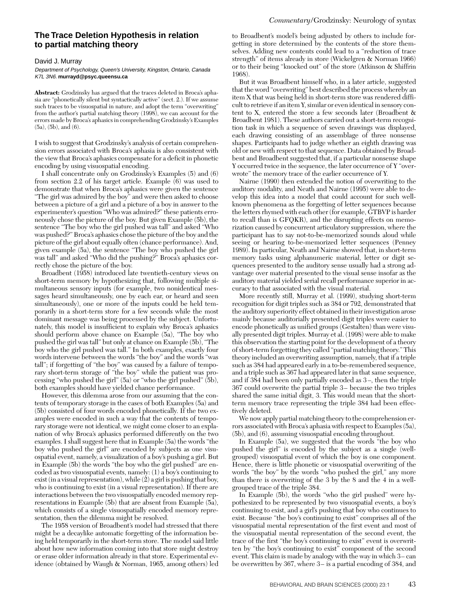### **The Trace Deletion Hypothesis in relation to partial matching theory**

#### David J. Murray

Department of Psychology, Queen's University, Kingston, Ontario, Canada K7L 3N6. **murrayd@psyc.queensu.ca**

**Abstract:** Grodzinsky has argued that the traces deleted in Broca's aphasia are "phonetically silent but syntactically active" (sect. 2.). If we assume such traces to be visuospatial in nature, and adopt the term "overwriting" from the author's partial matching theory (1998), we can account for the errors made by Broca's aphasics in comprehending Grodzinsky's Examples (5a), (5b), and (6).

I wish to suggest that Grodzinsky's analysis of certain comprehension errors associated with Broca's aphasia is also consistent with the view that Broca's aphasics compensate for a deficit in phonetic encoding by using visuospatial encoding.

I shall concentrate only on Grodzinsky's Examples (5) and (6) from section 2.2 of his target article. Example (6) was used to demonstrate that when Broca's aphasics were given the sentence "The girl was admired by the boy" and were then asked to choose between a picture of a girl and a picture of a boy in answer to the experimenter's question "Who was admired?" these patients erroneously chose the picture of the boy. But given Example (5b), the sentence "The boy who the girl pushed was tall" and asked "Who was pushed?" Broca's aphasics chose the picture of the boy and the picture of the girl about equally often (chance performance). And, given example (5a), the sentence "The boy who pushed the girl was tall" and asked "Who did the pushing?" Broca's aphasics correctly chose the picture of the boy.

Broadbent (1958) introduced late twentieth-century views on short-term memory by hypothesizing that, following multiple simultaneous sensory inputs (for example, two nonidentical messages heard simultaneously, one by each ear, or heard and seen simultaneously), one or more of the inputs could be held temporarily in a short-term store for a few seconds while the most dominant message was being processed by the subject. Unfortunately, this model is insufficient to explain why Broca's aphasics should perform above chance on Example (5a), "The boy who pushed the girl was tall" but only at chance on Example (5b), "The boy who the girl pushed was tall." In both examples, exactly four words intervene between the words "the boy" and the words "was tall"; if forgetting of "the boy" was caused by a failure of temporary short-term storage of "the boy" while the patient was processing "who pushed the girl" (5a) or "who the girl pushed" (5b), both examples should have yielded chance performance.

However, this dilemma arose from our assuming that the contents of temporary storage in the cases of both Examples (5a) and (5b) consisted of four words encoded phonetically. If the two examples were encoded in such a way that the contents of temporary storage were not identical, we might come closer to an explanation of why Broca's aphasics performed differently on the two examples. I shall suggest here that in Example (5a) the words "the boy who pushed the girl" are encoded by subjects as one visuospatial event, namely, a visualization of a boy's pushing a girl. But in Example (5b) the words "the boy who the girl pushed" are encoded as two visuospatial events, namely: (1) a boy's continuing to exist (in a visual representation), while (2) a girl is pushing that boy, who is continuing to exist (in a visual representation). If there are interactions between the two visuospatially encoded memory representations in Example (5b) that are absent from Example (5a), which consists of a single visuospatially encoded memory representation, then the dilemma might be resolved.

The 1958 version of Broadbent's model had stressed that there might be a decaylike automatic forgetting of the information being held temporarily in the short-term store. The model said little about how new information coming into that store might destroy or erase older information already in that store. Experimental evidence (obtained by Waugh & Norman, 1965, among others) led

to Broadbent's model's being adjusted by others to include forgetting in store determined by the contents of the store themselves. Adding new contents could lead to a "reduction of trace strength" of items already in store (Wickelgren & Norman 1966) or to their being "knocked out" of the store (Atkinson & Shiffrin 1968).

But it was Broadbent himself who, in a later article, suggested that the word "overwriting" best described the process whereby an item X that was being held in short-term store was rendered difficult to retrieve if an item Y, similar or even identical in sensory content to X, entered the store a few seconds later (Broadbent & Broadbent 1981). These authors carried out a short-term recognition task in which a sequence of seven drawings was displayed, each drawing consisting of an assemblage of three nonsense shapes. Participants had to judge whether an eighth drawing was old or new with respect to that sequence. Data obtained by Broadbent and Broadbent suggested that, if a particular nonsense shape Y occurred twice in the sequence, the later occurrence of Y "overwrote" the memory trace of the earlier occurrence of Y.

Nairne (1990) then extended the notion of overwriting to the auditory modality, and Neath and Nairne (1995) were able to develop this idea into a model that could account for such wellknown phenomena as the forgetting of letter sequences because the letters rhymed with each other (for example, GTBVP is harder to recall than is GFQKR), and the disrupting effects on memorization caused by concurrent articulatory suppression, where the participant has to say not-to-be-memorized sounds aloud while seeing or hearing to-be-memorized letter sequences (Penney 1989). In particular, Neath and Nairne showed that, in short-term memory tasks using alphanumeric material, letter or digit sequences presented to the auditory sense usually had a strong advantage over material presented to the visual sense insofar as the auditory material yielded serial recall performance superior in accuracy to that associated with the visual material.

More recently still, Murray et al. (1999), studying short-term recognition for digit triples such as 384 or 792, demonstrated that the auditory superiority effect obtained in their investigation arose mainly because auditorially presented digit triples were easier to encode phonetically as unified groups (Gestalten) than were visually presented digit triples. Murray et al. (1998) were able to make this observation the starting point for the development of a theory of short-term forgetting they called "partial matching theory." This theory included an overwriting assumption, namely, that if a triple such as 384 had appeared early in a to-be-remembered sequence, and a triple such as 367 had appeared later in that same sequence, and if 384 had been only partially encoded as 3 –, then the triple 367 could overwrite the partial triple 3– because the two triples shared the same initial digit, 3. This would mean that the shortterm memory trace representing the triple 384 had been effectively deleted.

We now apply partial matching theory to the comprehension errors associated with Broca's aphasia with respect to Examples (5a), (5b), and (6), assuming visuospatial encoding throughout.

In Example (5a), we suggested that the words "the boy who pushed the girl" is encoded by the subject as a single (wellgrouped) visuospatial event of which the boy is one component. Hence, there is little phonetic or visuospatial overwriting of the words "the boy" by the words "who pushed the girl," any more than there is overwriting of the 3 by the 8 and the 4 in a wellgrouped trace of the triple 384.

In Example (5b), the words "who the girl pushed" were hypothesized to be represented by two visuospatial events, a boy's continuing to exist, and a girl's pushing that boy who continues to exist. Because "the boy's continuing to exist" comprises all of the visuospatial mental representation of the first event and most of the visuospatial mental representation of the second event, the trace of the first "the boy's continuing to exist" event is overwritten by "the boy's continuing to exist" component of the second event. This claim is made by analogy with the way in which 3– can be overwritten by 367, where 3– is a partial encoding of 384, and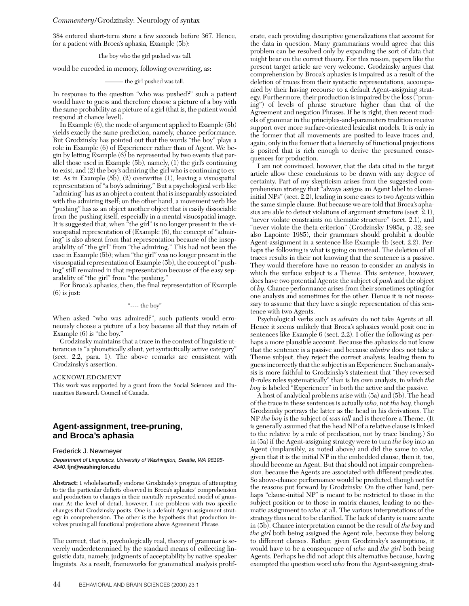384 entered short-term store a few seconds before 367. Hence, for a patient with Broca's aphasia, Example (5b):

#### The boy who the girl pushed was tall.

would be encoded in memory, following overwriting, as:

#### ——— the girl pushed was tall.

In response to the question "who was pushed?" such a patient would have to guess and therefore choose a picture of a boy with the same probability as a picture of a girl (that is, the patient would respond at chance level).

In Example (6), the mode of argument applied to Example (5b) yields exactly the same prediction, namely, chance performance. But Grodzinsky has pointed out that the words "the boy" plays a role in Example (6) of Experiencer rather than of Agent. We begin by letting Example (6) be represented by two events that parallel those used in Example (5b), namely, (1) the girl's continuing to exist, and (2) the boy's admiring the girl who is continuing to exist. As in Example (5b), (2) overwrites (1), leaving a visuospatial representation of "a boy's admiring." But a psychological verb like "admiring" has as an object a content that is inseparably associated with the admiring itself; on the other hand, a movement verb like "pushing" has as an object another object that is easily dissociable from the pushing itself, especially in a mental visuospatial image. It is suggested that, when "the girl" is no longer present in the visuospatial representation of (Example (6), the concept of "admiring" is also absent from that representation because of the inseparability of "the girl" from "the admiring." This had not been the case in Example (5b); when "the girl" was no longer present in the visuospatial representation of Example (5b), the concept of "pushing" still remained in that representation because of the easy separability of "the girl" from "the pushing."

For Broca's aphasics, then, the final representation of Example (6) is just:

#### "---- the boy"

When asked "who was admired?", such patients would erroneously choose a picture of a boy because all that they retain of Example (6) is "the boy."

Grodzinsky maintains that a trace in the context of linguistic utterances is "a phonetically silent, yet syntactically active category" (sect. 2.2, para. 1). The above remarks are consistent with Grodzinsky's assertion.

#### ACKNOWLEDGMENT

This work was supported by a grant from the Social Sciences and Humanities Research Council of Canada.

### **Agent-assignment, tree-pruning, and Broca's aphasia**

Frederick J. Newmeyer

Department of Linguistics, University of Washington, Seattle, WA 98195- 4340. **fjn@washington.edu**

**Abstract:** I wholeheartedly endorse Grodzinsky's program of attempting to tie the particular deficits observed in Broca's aphasics' comprehension and production to changes in their mentally represented model of grammar. At the level of detail, however, I see problems with two specific changes that Grodzinsky posits. One is a default Agent-assignment strategy in comprehension. The other is the hypothesis that production involves pruning all functional projections above Agreement Phrase.

The correct, that is, psychologically real, theory of grammar is severely underdetermined by the standard means of collecting linguistic data, namely, judgments of acceptability by native-speaker linguists. As a result, frameworks for grammatical analysis proliferate, each providing descriptive generalizations that account for the data in question. Many grammarians would agree that this problem can be resolved only by expanding the sort of data that might bear on the correct theory. For this reason, papers like the present target article are very welcome. Grodzinsky argues that comprehension by Broca's aphasics is impaired as a result of the deletion of traces from their syntactic representations, accompanied by their having recourse to a default Agent-assigning strategy. Furthermore, their production is impaired by the loss ("pruning") of levels of phrase structure higher than that of the Agreement and negation Phrases. If he is right, then recent models of grammar in the principles-and-parameters tradition receive support over more surface-oriented lexicalist models. It is only in the former that all movements are posited to leave traces and, again, only in the former that a hierarchy of functional projections is posited that is rich enough to derive the presumed consequences for production.

I am not convinced, however, that the data cited in the target article allow these conclusions to be drawn with any degree of certainty. Part of my skepticism arises from the suggested comprehension strategy that "always assigns an Agent label to clauseinitial NPs" (sect. 2.2), leading in some cases to two Agents within the same simple clause. But because we are told that Broca's aphasics are able to detect violations of argument structure (sect. 2.1), "never violate constraints on thematic structure" (sect. 2.1), and "never violate the theta-criterion" (Grodzinsky 1995a, p. 32; see also Lapointe 1985), their grammars should prohibit a double Agent-assignment in a sentence like Example 4b (sect. 2.2). Perhaps the following is what is going on instead. The deletion of all traces results in their not knowing that the sentence is a passive. They would therefore have no reason to consider an analysis in which the surface subject is a Theme. This sentence, however, does have two potential Agents: the subject of *push* and the object of *by.* Chance performance arises from their sometimes opting for one analysis and sometimes for the other. Hence it is not necessary to assume that they have a single representation of this sentence with two Agents.

Psychological verbs such as *admire* do not take Agents at all. Hence it seems unlikely that Broca's aphasics would posit one in sentences like Example 6 (sect. 2.2). I offer the following as perhaps a more plausible account. Because the aphasics do not know that the sentence is a passive and because *admire* does not take a Theme subject, they reject the correct analysis, leading them to guess incorrectly that the subject is an Experiencer. Such an analysis is more faithful to Grodzinsky's statement that "they reversed q-roles roles systematically" than is his own analysis, in which *the boy* is labeled "Experiencer" in both the active and the passive.

A host of analytical problems arise with (5a) and (5b). The head of the trace in these sentences is actually *who,* not *the boy,* though Grodzinsky portrays the latter as the head in his derivations. The NP *the boy* is the subject of *was tall* and is therefore a Theme. (It is generally assumed that the head NP of a relative clause is linked to the relative by a rule of predication, not by trace binding.) So in (5a) if the Agent-assigning strategy were to turn *the boy* into an Agent (implausibly, as noted above) and did the same to *who,* given that it is the initial NP in the embedded clause, then it, too, should become an Agent. But that should not impair comprehension, because the Agents are associated with different predicates. So above-chance performance would be predicted, though not for the reasons put forward by Grodzinsky. On the other hand, perhaps "clause-initial NP" is meant to be restricted to those in the subject position or to those in matrix clauses, leading to no thematic assignment to *who* at all. The various interpretations of the strategy thus need to be clarified. The lack of clarity is more acute in (5b). Chance interpretation cannot be the result of *the boy* and *the girl* both being assigned the Agent role, because they belong to different clauses. Rather, given Grodzinsky's assumptions, it would have to be a consequence of *who* and *the girl* both being Agents. Perhaps he did not adopt this alternative because, having exempted the question word *who* from the Agent-assigning strat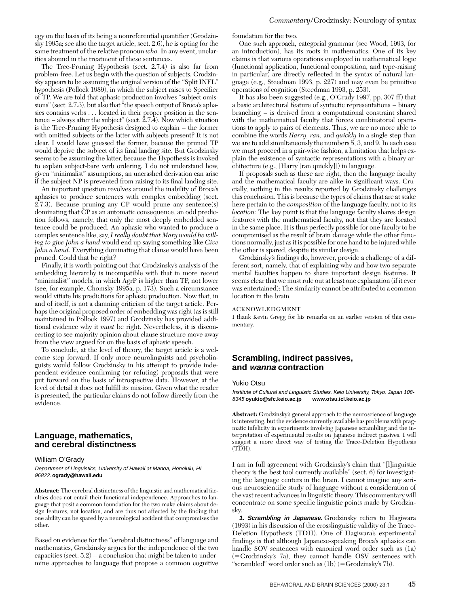egy on the basis of its being a nonreferential quantifier (Grodzinsky 1995a; see also the target article, sect. 2.6), he is opting for the same treatment of the relative pronoun *who.* In any event, unclarities abound in the treatment of these sentences.

The Tree-Pruning Hypothesis (sect. 2.7.4) is also far from problem-free. Let us begin with the question of subjects. Grodzinsky appears to be assuming the original version of the "Split INFL" hypothesis (Pollock 1989), in which the subject raises to Specifier of TP. We are told that aphasic production involves "subject omissions" (sect. 2.7.3), but also that "the speech output of Broca's aphasics contains verbs . . . located in their proper position in the sentence – always after the subject" (sect.  $2.7.\overline{4}$ ). Now which situation is the Tree-Pruning Hypothesis designed to explain – the former with omitted subjects or the latter with subjects present? It is not clear. I would have guessed the former, because the pruned TP would deprive the subject of its final landing site. But Grodzinsky seems to be assuming the latter, because the Hypothesis is invoked to explain subject-bare verb ordering. I do not understand how, given "minimalist" assumptions, an uncrashed derivation can arise if the subject NP is prevented from raising to its final landing site.

An important question revolves around the inability of Broca's aphasics to produce sentences with complex embedding (sect. 2.7.3). Because pruning any CP would prune any sentence(s) dominating that CP as an automatic consequence, an odd prediction follows, namely, that only the most deeply embedded sentence could be produced. An aphasic who wanted to produce a complex sentence like, say, *I really doubt that Mary would be willing to give John a hand* would end up saying something like *Give John a hand.* Everything dominating that clause would have been pruned. Could that be right?

Finally, it is worth pointing out that Grodzinsky's analysis of the embedding hierarchy is incompatible with that in more recent "minimalist" models, in which AgrP is higher than TP, not lower (see, for example, Chomsky 1995a, p. 173). Such a circumstance would vitiate his predictions for aphasic production. Now that, in and of itself, is not a damning criticism of the target article. Perhaps the original proposed order of embedding was right (as is still maintained in Pollock 1997) and Grodzinsky has provided additional evidence why it *must* be right. Nevertheless, it is disconcerting to see majority opinion about clause structure move away from the view argued for on the basis of aphasic speech.

To conclude, at the level of theory, the target article is a welcome step forward. If only more neurolinguists and psycholinguists would follow Grodzinsky in his attempt to provide independent evidence confirming (or refuting) proposals that were put forward on the basis of introspective data. However, at the level of detail it does not fulfill its mission. Given what the reader is presented, the particular claims do not follow directly from the evidence.

### **Language, mathematics, and cerebral distinctness**

William O'Grady

Department of Linguistics, University of Hawaii at Manoa, Honolulu, HI 96822. **ogrady@hawaii.edu**

**Abstract:** The cerebral distinctness of the linguistic and mathematical faculties does not entail their functional independence. Approaches to language that posit a common foundation for the two make claims about design features, not location, and are thus not affected by the finding that one ability can be spared by a neurological accident that compromises the other.

Based on evidence for the "cerebral distinctness" of language and mathematics, Grodzinsky argues for the independence of the two capacities (sect.  $5.2$ ) – a conclusion that might be taken to undermine approaches to language that propose a common cognitive

foundation for the two.

One such approach, categorial grammar (see Wood, 1993, for an introduction), has its roots in mathematics. One of its key claims is that various operations employed in mathematical logic (functional application, functional composition, and type-raising in particular) are directly reflected in the syntax of natural language (e.g., Steedman 1993, p. 227) and may even be primitive operations of cognition (Steedman 1993, p. 253).

It has also been suggested (e.g., O'Grady 1997, pp. 307 ff) that a basic architectural feature of syntactic representations – binary branching – is derived from a computational constraint shared with the mathematical faculty that forces combinatorial operations to apply to pairs of elements. Thus, we are no more able to combine the words *Harry, ran,* and *quickly* in a single step than we are to add simultaneously the numbers 5, 3, and 9. In each case we must proceed in a pair-wise fashion, a limitation that helps explain the existence of syntactic representations with a binary architecture (e.g., [Harry [ran quickly]]) in language.

If proposals such as these are right, then the language faculty and the mathematical faculty are alike in significant ways. Crucially, nothing in the results reported by Grodzinsky challenges this conclusion. This is because the types of claims that are at stake here pertain to the *composition* of the language faculty, not to its *location:* The key point is that the language faculty shares design features with the mathematical faculty, not that they are located in the same place. It is thus perfectly possible for one faculty to be compromised as the result of brain damage while the other functions normally, just as it is possible for one hand to be injured while the other is spared, despite its similar design.

Grodzinsky's findings do, however, provide a challenge of a different sort, namely, that of explaining why and how two separate mental faculties happen to share important design features. It seems clear that we must rule out at least one explanation (if it ever was entertained): The similarity cannot be attributed to a common location in the brain.

#### ACKNOWLEDGMENT

I thank Kevin Gregg for his remarks on an earlier version of this commentary.

### **Scrambling, indirect passives, and wanna contraction**

#### Yukio Otsu

Institute of Cultural and Linguistic Studies, Keio University, Tokyo, Japan 108- 8345 **oyukio@sfc.keio.ac.jp www.otsu.icl.keio.ac.jp**

**Abstract:** Grodzinsky's general approach to the neuroscience of language is interesting, but the evidence currently available has problems with pragmatic infelicity in experiments involving Japanese scrambling and the interpretation of experimental results on Japanese indirect passives. I will suggest a more direct way of testing the Trace-Deletion Hypothesis (TDH).

I am in full agreement with Grodzinsky's claim that "[l]inguistic theory is the best tool currently available" (sect. 6) for investigating the language centers in the brain. I cannot imagine any serious neuroscientific study of language without a consideration of the vast recent advances in linguistic theory. This commentary will concentrate on some specific linguistic points made by Grodzinsky.

**1. Scrambling in Japanese.** Grodzinsky refers to Hagiwara (1993) in his discussion of the crosslinguistic validity of the Trace-Deletion Hypothesis (TDH). One of Hagiwara's experimental findings is that although Japanese-speaking Broca's aphasics can handle SOV sentences with canonical word order such as (1a)  $(=\text{Grodzinsky's } 7a)$ , they cannot handle OSV sentences with "scrambled" word order such as (1b) (=Grodzinsky's 7b).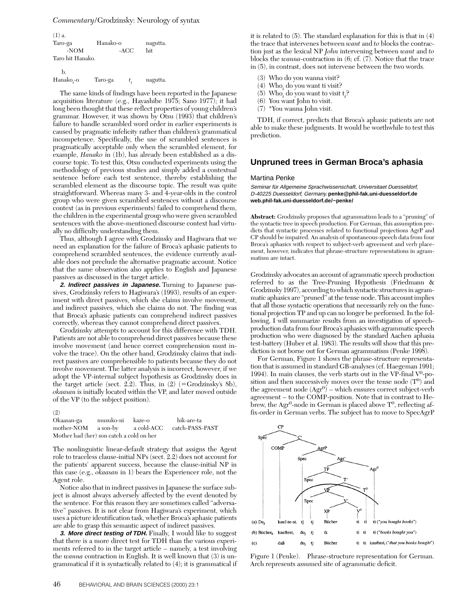#### *Commentary/*Grodzinsky: Neurology of syntax

| $(1)$ a.         |          |          |
|------------------|----------|----------|
| Taro-ga          | Hanako-o | nagutta. |
| $-NOM$           | -ACC     | hit      |
| Taro hit Hanako. |          |          |
|                  |          |          |
| h                |          |          |

Hanako<sub>*i*</sub>-o  $Taro-ga$   $t_i$ *<sup>i</sup>* nagutta. The same kinds of findings have been reported in the Japanese acquisition literature (e.g., Hayashibe 1975; Sano 1977); it had long been thought that these reflect properties of young children's grammar. However, it was shown by Otsu (1993) that children's failure to handle scrambled word order in earlier experiments is caused by pragmatic infelicity rather than children's grammatical incompetence. Specifically, the use of scrambled sentences is pragmatically acceptable only when the scrambled element, for example, *Hanako* in (1b), has already been established as a discourse topic. To test this, Otsu conducted experiments using the methodology of previous studies and simply added a contextual sentence before each test sentence, thereby establishing the scrambled element as the discourse topic. The result was quite straightforward. Whereas many 3- and 4-year-olds in the control group who were given scrambled sentences without a discourse context (as in previous experiments) failed to comprehend them,

the children in the experimental group who were given scrambled sentences with the above-mentioned discourse context had virtually no difficulty understanding them. Thus, although I agree with Grodzinsky and Hagiwara that we

need an explanation for the failure of Broca's aphasic patients to comprehend scrambled sentences, the evidence currently available does not preclude the alternative pragmatic account. Notice that the same observation also applies to English and Japanese passives as discussed in the target article.

**2. Indirect passives in Japanese.** Turning to Japanese passives, Grodzinsky refers to Hagiwara's (1993), results of an experiment with direct passives, which she claims involve movement, and indirect passives, which she claims do not. The finding was that Broca's aphasic patients can comprehend indirect passives correctly, whereas they cannot comprehend direct passives.

Grodzinsky attempts to account for this difference with TDH. Patients are not able to comprehend direct passives because these involve movement (and hence correct comprehension must involve the trace). On the other hand, Grodzinsky claims that indirect passives are comprehensible to patients because they do not involve movement. The latter analysis is incorrect, however, if we adopt the VP-internal subject hypothesis as Grodzinsky does in the target article (sect. 2.2). Thus, in  $(2)$  (=Grodzinsky's 8b), *okaasan* is initially located within the VP, and later moved outside of the VP (to the subject position).

(2)

| Okaasan-ga                               | musuko-ni | kaze-o     | hik-are-ta      |
|------------------------------------------|-----------|------------|-----------------|
| mother-NOM                               | a son-by  | a cold-ACC | catch-PASS-PAST |
| Mother had (her) son catch a cold on her |           |            |                 |

The nonlinguistic linear-default strategy that assigns the Agent role to traceless clause-initial NPs (sect. 2.2) does not account for the patients' apparent success, because the clause-initial NP in this case (e.g., *okaasan* in 1) bears the Experiencer role, not the Agent role.

Notice also that in indirect passives in Japanese the surface subject is almost always adversely affected by the event denoted by the sentence. For this reason they are sometimes called "adversative" passives. It is not clear from Hagiwara's experiment, which uses a picture identification task, whether Broca's aphasic patients are able to grasp this semantic aspect of indirect passives.

**3. More direct testing of TDH.** Finally, I would like to suggest that there is a more direct test for TDH than the various experiments referred to in the target article – namely, a test involving the *wanna* contraction in English. It is well known that (3) is ungrammatical if it is syntactically related to (4); it is grammatical if it is related to (5). The standard explanation for this is that in (4) the trace that intervenes between *want* and *to* blocks the contraction just as the lexical NP *John* intervening between *want* and *to* blocks the *wanna*-contraction in (6; cf. (7). Notice that the trace in (5), in contrast, does not intervene between the two words.

- (3) Who do you wanna visit?
- (4) Who*<sup>i</sup>* do you want ti visit?
- (5) Who*<sup>i</sup>* do you want to visit t*<sup>i</sup>* ?
- (6) You want John to visit.
- (7) \*You wanna John visit.

TDH, if correct, predicts that Broca's aphasic patients are not able to make these judgments. It would be worthwhile to test this prediction.

#### **Unpruned trees in German Broca's aphasia**

#### Martina Penke

Seminar für Allgemeine Sprachwissenschaft, Universitaet Duesseldorf, D-40225 Duesseldorf, Germany. **penke@phil-fak.uni-duesseldorf.de web.phil-fak.uni-duesseldorf.de/~penke/**

**Abstract:** Grodzinsky proposes that agrammatism leads to a "pruning" of the syntactic tree in speech production. For German, this assumption predicts that syntactic processes related to functional projections AgrP and CP should be impaired. An analysis of spontaneous-speech data from four Broca's aphasics with respect to subject-verb agreement and verb placement, however, indicates that phrase-structure representations in agrammatism are intact.

Grodzinsky advocates an account of agrammatic speech production referred to as the Tree-Pruning Hypothesis (Friedmann & Grodzinsky 1997), according to which syntactic structures in agrammatic aphasics are "pruned" at the tense node. This account implies that all those syntactic operations that necessarily rely on the functional projection TP and up can no longer be performed. In the following, I will summarize results from an investigation of speechproduction data from four Broca's aphasics with agrammatic speech production who were diagnosed by the standard Aachen aphasia test-battery (Huber et al. 1983). The results will show that this prediction is not borne out for German agrammatism (Penke 1998).

For German, Figure 1 shows the phrase-structure representation that is assumed in standard GB-analyses (cf. Haegeman 1991; 1994). In main clauses, the verb starts out in the VP-final  $V^0$ -position and then successively moves over the tense node (T<sup>0</sup>) and the agreement node  $(Agr^0)$  – which ensures correct subject-verb agreement – to the COMP-position. Note that in contrast to Hebrew, the Agr<sup>0</sup>-node in German is placed above T<sup>o</sup>, reflecting affix-order in German verbs. The subject has to move to SpecAgrP



Figure 1 (Penke). Phrase-structure representation for German. Arch represents assumed site of agrammatic deficit.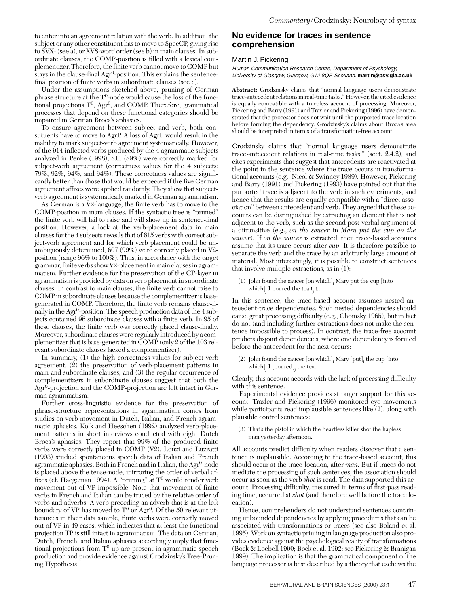to enter into an agreement relation with the verb. In addition, the subject or any other constituent has to move to SpecCP, giving rise to SVX- (see a), or XVS-word order (see b) in main clauses. In subordinate clauses, the COMP-position is filled with a lexical complementizer. Therefore, the finite verb cannot move to COMP but stays in the clause-final Agr<sup>0</sup>-position. This explains the sentencefinal position of finite verbs in subordinate clauses (see c).

Under the assumptions sketched above, pruning of German phrase structure at the T<sup>o</sup>-node would cause the loss of the functional projections T<sup>0</sup>, Agr<sup>0</sup>, and COMP. Therefore, grammatical processes that depend on these functional categories should be impaired in German Broca's aphasics.

To ensure agreement between subject and verb, both constituents have to move to AgrP. A loss of AgrP would result in the inability to mark subject-verb agreement systematically. However, of the 914 inflected verbs produced by the 4 agrammatic subjects analyzed in Penke (1998), 811 (89%) were correctly marked for subject-verb agreement (correctness values for the 4 subjects: 79%, 92%, 94%, and 94%). These correctness values are significantly better than those that would be expected if the five German agreement affixes were applied randomly. They show that subjectverb agreement is systematically marked in German agrammatism.

As German is a V2-language, the finite verb has to move to the COMP-position in main clauses. If the syntactic tree is "pruned" the finite verb will fail to raise and will show up in sentence-final position. However, a look at the verb-placement data in main clauses for the 4 subjects reveals that of 615 verbs with correct subject-verb agreement and for which verb placement could be unambiguously determined, 607 (99%) were correctly placed in V2 position (range 96% to 100%). Thus, in accordance with the target grammar, finite verbs show V2-placement in main clauses in agrammatism. Further evidence for the preservation of the CP-layer in agrammatism is provided by data on verb placement in subordinate clauses. In contrast to main clauses, the finite verb cannot raise to COMP in subordinate clauses because the complementizer is basegenerated in COMP. Therefore, the finite verb remains clause-finally in the Agr<sup>0</sup>-position. The speech production data of the 4 subjects contained 96 subordinate clauses with a finite verb. In 95 of these clauses, the finite verb was correctly placed clause-finally. Moreover, subordinate clauses were regularly introduced by a complementizer that is base-generated in COMP (only 2 of the 103 relevant subordinate clauses lacked a complementizer).

In summary, (1) the high correctness values for subject-verb agreement, (2) the preservation of verb-placement patterns in main and subordinate clauses, and (3) the regular occurrence of complementizers in subordinate clauses suggest that both the Agr<sup>0</sup>-projection and the COMP-projection are left intact in German agrammatism.

Further cross-linguistic evidence for the preservation of phrase-structure representations in agrammatism comes from studies on verb movement in Dutch, Italian, and French agrammatic aphasics. Kolk and Heeschen (1992) analyzed verb-placement patterns in short interviews conducted with eight Dutch Broca's aphasics. They report that 99% of the produced finite verbs were correctly placed in COMP (V2). Lonzi and Luzzatti (1993) studied spontaneous speech data of Italian and French agrammatic aphasics. Both in French and in Italian, the Agr<sup>0</sup>-node is placed above the tense-node, mirroring the order of verbal affixes (cf. Haegeman 1994). A "pruning" at  $T<sup>0</sup>$  would render verb movement out of VP impossible. Note that movement of finite verbs in French and Italian can be traced by the relative order of verbs and adverbs: A verb preceding an adverb that is at the left boundary of VP has moved to  $T^0$  or Agr<sup>0</sup>. Of the 50 relevant utterances in their data sample, finite verbs were correctly moved out of VP in 49 cases, which indicates that at least the functional projection TP is still intact in agrammatism. The data on German, Dutch, French, and Italian aphasics accordingly imply that functional projections from  $T^0$  up are present in agrammatic speech production and provide evidence against Grodzinsky's Tree-Pruning Hypothesis.

### **No evidence for traces in sentence comprehension**

#### Martin J. Pickering

Human Communication Research Centre, Department of Psychology, University of Glasgow, Glasgow, G12 8QF, Scotland. **martin@psy.gla.ac.uk**

**Abstract:** Grodzinsky claims that "normal language users demonstrate trace-antecedent relations in real-time tasks." However, the cited evidence is equally compatible with a traceless account of processing. Moreover, Pickering and Barry (1991) and Traxler and Pickering (1996) have demonstrated that the processor does not wait until the purported trace location before forming the dependency. Grodzinsky's claims about Broca's area should be interpreted in terms of a transformation-free account.

Grodzinsky claims that "normal language users demonstrate trace-antecedent relations in real-time tasks." (sect. 2.4.2), and cites experiments that suggest that antecedents are reactivated at the point in the sentence where the trace occurs in transformational accounts (e.g., Nicol & Swinney 1989). However, Pickering and Barry (1991) and Pickering (1993) have pointed out that the purported trace is adjacent to the verb in such experiments, and hence that the results are equally compatible with a "direct association" between antecedent and verb. They argued that these accounts can be distinguished by extracting an element that is not adjacent to the verb, such as the second post-verbal argument of a ditransitive (e.g., *on the saucer* in *Mary put the cup on the saucer*). If *on the saucer* is extracted, then trace-based accounts assume that its trace occurs after *cup.* It is therefore possible to separate the verb and the trace by an arbitrarily large amount of material. Most interestingly, it is possible to construct sentences that involve multiple extractions, as in (1):

 $(1)$  John found the saucer [on which], Mary put the cup [into which] $_{\rm j}$  I poured the tea t $_{\rm j}$  t $_{\rm i}$ .

In this sentence, the trace-based account assumes nested antecedent-trace dependencies. Such nested dependencies should cause great processing difficulty (e.g., Chomsky 1965), but in fact do not (and including further extractions does not make the sentence impossible to process). In contrast, the trace-free account predicts disjoint dependencies, where one dependency is formed before the antecedent for the next occurs:

 $(2)$  John found the saucer [on which], Mary [put], the cup [into] which] $I$  [poured] $I$ , the tea.

Clearly, this account accords with the lack of processing difficulty with this sentence.

Experimental evidence provides stronger support for this account. Traxler and Pickering (1996) monitored eye movements while participants read implausible sentences like (2), along with plausible control sentences:

(3) That's the pistol in which the heartless killer shot the hapless man yesterday afternoon.

All accounts predict difficulty when readers discover that a sentence is implausible. According to the trace-based account, this should occur at the trace-location, after *man.* But if traces do not mediate the processing of such sentences, the association should occur as soon as the verb *shot* is read. The data supported this account: Processing difficulty, measured in terms of first-pass reading time, occurred at *shot* (and therefore well before the trace location).

Hence, comprehenders do not understand sentences containing unbounded dependencies by applying procedures that can be associated with transformations or traces (see also Boland et al. 1995). Work on syntactic priming in language production also provides evidence against the psychological reality of transformations (Bock & Loebell 1990; Bock et al. 1992; see Pickering & Branigan 1999). The implication is that the grammatical component of the language processor is best described by a theory that eschews the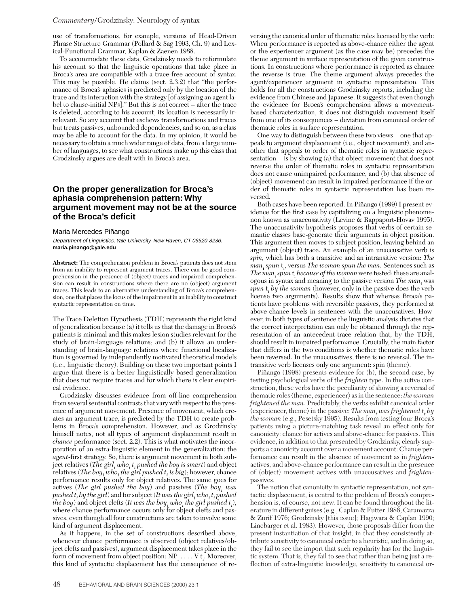#### *Commentary/*Grodzinsky: Neurology of syntax

use of transformations, for example, versions of Head-Driven Phrase Structure Grammar (Pollard & Sag 1993, Ch. 9) and Lexical-Functional Grammar, Kaplan & Zaenen 1988.

To accommodate these data, Grodzinsky needs to reformulate his account so that the linguistic operations that take place in Broca's area are compatible with a trace-free account of syntax. This may be possible. He claims (sect. 2.3.2) that "the performance of Broca's aphasics is predicted only by the location of the trace and its interaction with the strategy [of assigning an agent label to clause-initial NPs]." But this is not correct – after the trace is deleted, according to his account, its location is necessarily irrelevant. So any account that eschews transformations and traces but treats passives, unbounded dependencies, and so on, as a class may be able to account for the data. In my opinion, it would be necessary to obtain a much wider range of data, from a large number of languages, to see what constructions make up this class that Grodzinsky argues are dealt with in Broca's area.

### **On the proper generalization for Broca's aphasia comprehension pattern: Why argument movement may not be at the source of the Broca's deficit**

Maria Mercedes Piñango

Department of Linguistics, Yale University, New Haven, CT 06520-8236. **maria.pinango@yale.edu**

**Abstract:** The comprehension problem in Broca's patients does not stem from an inability to represent argument traces. There can be good comprehension in the presence of (object) traces and impaired comprehension can result in constructions where there are no (object) argument traces. This leads to an alternative understanding of Broca's comprehension, one that places the locus of the impairment in an inability to construct syntactic representation on time.

The Trace Deletion Hypothesis (TDH) represents the right kind of generalization because (a) it tells us that the damage in Broca's patients is minimal and this makes lesion studies relevant for the study of brain-language relations; and (b) it allows an understanding of brain-language relations where functional localization is governed by independently motivated theoretical models (i.e., linguistic theory). Building on these two important points I argue that there is a better linguistically based generalization that does not require traces and for which there is clear empirical evidence.

Grodzinsky discusses evidence from off-line comprehension from several sentential contrasts that vary with respect to the presence of argument movement. Presence of movement, which creates an argument trace, is predicted by the TDH to create problems in Broca's comprehension. However, and as Grodzinsky himself notes, not all types of argument displacement result in *chance* performance (sect. 2.2). This is what motivates the incorporation of an extra-linguistic element in the generalization: the *agent*-first strategy. So, there is argument movement in both subject relatives (*The girl<sub>i</sub>* who<sub>i</sub>  $t_i$  *pushed the boy is smart*) and object relatives (*The boy<sub>i</sub> who<sub>i</sub> the girl pushed*  $t_i$  *<i>is big*); however, chance performance results only for object relatives. The same goes for actives (*The girl pushed the boy*) and passives (*The boyi was*  $p$ ushed  $t_i$  *by the girl*) and for subject (*It was the girl<sub>i</sub> who*  $_i$   $t_i$   $p$ ushed  $t$ *he boy*) and object clefts (*It was the boy<sub>i</sub> who<sub>i</sub> the girl pushed t<sub>i</sub>),* where chance performance occurs only for object clefts and passives, even though all four constructions are taken to involve some kind of argument displacement.

As it happens, in the set of constructions described above, whenever chance performance is observed (object relatives/object clefts and passives), argument displacement takes place in the form of movement from object position:  $NP_i$ ....  $V$   $t_i$ . Moreover, this kind of syntactic displacement has the consequence of reversing the canonical order of thematic roles licensed by the verb: When performance is reported as above-chance either the agent or the experiencer argument (as the case may be) precedes the theme argument in surface representation of the given constructions. In constructions where performance is reported as chance the reverse is true: The theme argument always precedes the agent/experiencer argument in syntactic representation. This holds for all the constructions Grodzinsky reports, including the evidence from Chinese and Japanese. It suggests that even though the evidence for Broca's comprehension allows a movementbased characterization, it does not distinguish movement itself from one of its consequences – deviation from canonical order of thematic roles in surface representation.

One way to distinguish between these two views – one that appeals to argument displacement (i.e., object movement), and another that appeals to order of thematic roles in syntactic representation – is by showing (a) that object movement that does not reverse the order of thematic roles in syntactic representation does not cause unimpaired performance, and (b) that absence of (object) movement can result in impaired performance if the order of thematic roles in syntactic representation has been reversed.

Both cases have been reported. In Piñango (1999) I present evidence for the first case by capitalizing on a linguistic phenomenon known as unaccusativity (Levine & Rappaport-Hovav 1995). The unaccusativity hypothesis proposes that verbs of certain semantic classes base-generate their arguments in object position. This argument then moves to subject position, leaving behind an argument (object) trace. An example of an unaccusative verb is *spin,* which has both a transitive and an intransitive version: *The man*<sup>i</sup> *spun* t i , versus *The woman spun the man.* Sentences such as *The man<sub>i</sub> spun* **t**<sub>i</sub> *because of the woman* were tested; these are analogous in syntax and meaning to the passive version *The man*<sub>i</sub> was spun t<sub>i</sub> by the woman (however, only in the passive does the verb license two arguments). Results show that whereas Broca's patients have problems with reversible passives, they performed at above-chance levels in sentences with the unaccusatives. However, in both types of sentence the linguistic analysis dictates that the correct interpretation can only be obtained through the representation of an antecedent-trace relation that, by the TDH, should result in impaired performance. Crucially, the main factor that differs in the two conditions is whether thematic roles have been reversed. In the unaccusatives, there is no reversal. The intransitive verb licenses only one argument: spin (theme).

Piñango (1998) presents evidence for (b), the second case, by testing psychological verbs of the *frighten* type. In the active construction, these verbs have the peculiarity of showing a reversal of thematic roles (theme, experiencer) as in the sentence: *the woman frightened the man.* Predictably, the verbs exhibit canonical order  $\langle$  experiencer, theme) in the passive: *The man<sub>t</sub> was frightened t<sub>t</sub> by the woman* (e.g., Pesetsky 1995). Results from testing four Broca's patients using a picture-matching task reveal an effect only for canonicity: chance for actives and above-chance for passives. This evidence, in addition to that presented by Grodzinsky, clearly supports a canonicity account over a movement account: Chance performance can result in the absence of movement as in *frighten*actives, and above-chance performance can result in the presence of (object) movement actives with unaccusatives and *frighten*passives.

The notion that canonicity in syntactic representation, not syntactic displacement, is central to the problem of Broca's comprehension is, of course, not new. It can be found throughout the literature in different guises (e.g., Caplan & Futter 1986; Caramazza & Zurif 1976; Grodzinsky [this issue]; Hagiwara & Caplan 1990; Linebarger et al. 1983). However, those proposals differ from the present instantiation of that insight, in that they consistently attribute sensitivity to canonical order to a heuristic, and in doing so, they fail to see the import that such regularity has for the linguistic system. That is, they fail to see that rather than being just a reflection of extra-linguistic knowledge, sensitivity to canonical or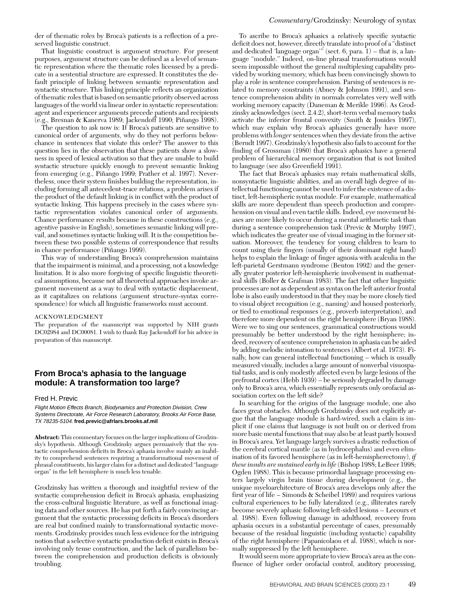der of thematic roles by Broca's patients is a reflection of a preserved linguistic construct.

That linguistic construct is argument structure. For present purposes, argument structure can be defined as a level of semantic representation where the thematic roles licensed by a predicate in a sentential structure are expressed. It constitutes the default principle of linking between semantic representation and syntactic structure. This linking principle reflects an organization of thematic roles that is based on semantic priority observed across languages of the world via linear order in syntactic representation: agent and experiencer arguments precede patients and recipients (e.g., Bresnan & Kanerva 1989; Jackendoff 1990; Piñango 1998).

The question to ask now is: If Broca's patients are sensitive to canonical order of arguments, why do they not perform belowchance in sentences that violate this order? The answer to this question lies in the observation that these patients show a slowness in speed of lexical activation so that they are unable to build syntactic structure quickly enough to prevent semantic linking from emerging (e.g., Piñango 1999; Prather et al. 1997). Nevertheless, once their system finishes building the representation, including forming all antecedent-trace relations, a problem arises if the product of the default linking is in conflict with the product of syntactic linking. This happens precisely in the cases where syntactic representation violates canonical order of arguments. Chance performance results because in these constructions (e.g., agentive passive in English), sometimes semantic linking will prevail, and sometimes syntactic linking will. It is the competition between these two possible systems of correspondence that results in chance performance (Piñango 1999).

This way of understanding Broca's comprehension maintains that the impairment is minimal, and a processing, not a knowledge limitation. It is also more forgiving of specific linguistic theoretical assumptions, because not all theoretical approaches invoke argument movement as a way to deal with syntactic displacement, as it capitalizes on relations (argument structure-syntax correspondence) for which all linguistic frameworks must account.

#### ACKNOWLEDGMENT

The preparation of the manuscript was supported by NIH grants DC02984 and DC00081. I wish to thank Ray Jackendoff for his advice in preparation of this manuscript.

### **From Broca's aphasia to the language module: A transformation too large?**

#### Fred H. Previc

Flight Motion Effects Branch, Biodynamics and Protection Division, Crew Systems Directorate, Air Force Research Laboratory, Brooks Air Force Base, TX 78235-5104. **fred.previc@afrlars.brooks.af.mil**

**Abstract:** This commentary focuses on the larger implications of Grodzinsky's hypothesis. Although Grodzinsky argues persuasively that the syntactic comprehension deficits in Broca's aphasia involve mainly an inability to comprehend sentences requiring a transformational movement of phrasal constituents, his larger claim for a distinct and dedicated "language organ" in the left hemisphere is much less tenable.

Grodzinsky has written a thorough and insightful review of the syntactic comprehension deficit in Broca's aphasia, emphasizing the cross-cultural linguistic literature, as well as functional imaging data and other sources. He has put forth a fairly convincing argument that the syntactic processing deficits in Broca's disorders are real but confined mainly to transformational syntactic movements. Grodzinsky provides much less evidence for the intriguing notion that a selective syntactic production deficit exists in Broca's involving only tense construction, and the lack of parallelism between the comprehension and production deficits is obviously troubling.

To ascribe to Broca's aphasics a relatively specific syntactic deficit does not, however, directly translate into proof of a "distinct and dedicated 'language organ'" (sect. 6, para.  $1$ ) – that is, a language "module." Indeed, on-line phrasal transformations would seem impossible without the general multiplexing capability provided by working memory, which has been convincingly shown to play a role in sentence comprehension. Parsing of sentences is related to memory constraints (Abney & Johnson 1991), and sentence comprehension ability in normals correlates very well with working memory capacity (Daneman & Merikle 1996). As Grodzinsky acknowledges (sect. 2.4.2), short-term verbal memory tasks activate the inferior frontal convexity (Smith & Jonides 1997), which may explain why Broca's aphasics generally have more problems with *longer* sentences when they deviate from the active (Berndt 1997). Grodzinsky's hypothesis also fails to account for the finding of Grossman (1980) that Broca's aphasics have a general problem of hierarchical memory organization that is not limited to language (see also Greenfield 1991).

The fact that Broca's aphasics may retain mathematical skills, nonsyntactic linguistic abilities, and an overall high degree of intellectual functioning cannot be used to infer the existence of a distinct, left-hemispheric syntax module. For example, mathematical skills are more dependent than speech production and comprehension on visual and even tactile skills. Indeed, eye movement biases are more likely to occur during a mental arithmetic task than during a sentence comprehension task (Previc & Murphy 1997), which indicates the greater use of visual imaging in the former situation. Moreover, the tendency for young children to learn to count using their fingers (usually of their dominant right hand) helps to explain the linkage of finger agnosia with acalculia in the left-parietal Gerstmann syndrome (Benton 1992) and the generally greater posterior left-hemispheric involvement in mathematical skills (Boller & Grafman 1983). The fact that other linguistic processes are not as dependent as syntax on the left anterior frontal lobe is also easily understood in that they may be more closely tied to visual object recognition (e.g., naming) and housed posteriorly, or tied to emotional responses (e.g., proverb interpretation), and therefore more dependent on the right hemisphere (Bryan 1988). Were we to sing our sentences, grammatical constructions would presumably be better understood by the right hemisphere; indeed, recovery of sentence comprehension in aphasia can be aided by adding melodic intonation to sentences (Albert et al. 1973). Finally, how can general intellectual functioning – which is usually measured visually, includes a large amount of nonverbal visuospatial tasks, and is only modestly affected even by large lesions of the prefrontal cortex (Hebb 1939) – be seriously degraded by damage only to Broca's area, which essentially represents only orofacial association cortex on the left side?

In searching for the origins of the language module, one also faces great obstacles. Although Grodzinsky does not explicitly argue that the language module is hard-wired, such a claim is implicit if one claims that language is not built on or derived from more basic mental functions that may also be at least partly housed in Broca's area. Yet language largely survives a drastic reduction of the cerebral cortical mantle (as in hydrocephalus) and even elimination of its favored hemisphere (as in left-hemispherectomy), *if these insults are sustained early in life* (Bishop 1988; LeBeer 1998; Ogden 1988). This is because primordial language processing enters largely virgin brain tissue during development (e.g., the unique myeloarchitecture of Broca's area develops only after the first year of life – Simonds & Scheibel 1989) and requires various cultural experiences to be fully lateralized (e.g., illiterates rarely become severely aphasic following left-sided lesions – Lecours et al. 1988). Even following damage in adulthood, recovery from aphasia occurs in a substantial percentage of cases, presumably because of the residual linguistic (including syntactic) capability of the right hemisphere (Papanicolaou et al. 1988), which is normally suppressed by the left hemisphere.

It would seem more appropriate to view Broca's area as the confluence of higher order orofacial control, auditory processing,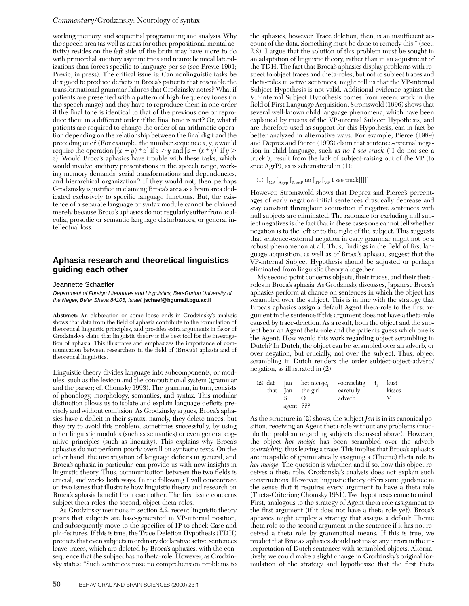#### *Commentary/*Grodzinsky: Neurology of syntax

working memory, and sequential programming and analysis. Why the speech area (as well as areas for other propositional mental activity) resides on the *left* side of the brain may have more to do with primordial auditory asymmetries and neurochemical lateralizations than forces specific to language per se (see Previc 1991; Previc, in press). The critical issue is: Can nonlinguistic tasks be designed to produce deficits in Broca's patients that resemble the transformational grammar failures that Grodzinsky notes? What if patients are presented with a pattern of high-frequency tones (in the speech range) and they have to reproduce them in one order if the final tone is identical to that of the previous one or reproduce them in a different order if the final tone is not? Or, what if patients are required to change the order of an arithmetic operation depending on the relationship between the final digit and the preceding one? (For example, the number sequence x, y, z would require the operation  $[(x + y) * z]$  if  $z > y$  and  $[z + (x * y)]$  if  $y >$ *z*). Would Broca's aphasics have trouble with these tasks, which would involve auditory presentations in the speech range, working memory demands, serial transformations and dependencies, and hierarchical organization? If they would not, then perhaps Grodzinsky is justified in claiming Broca's area as a brain area dedicated exclusively to specific language functions. But, the existence of a separate language or syntax module cannot be claimed merely because Broca's aphasics do not regularly suffer from acalculia, prosodic or semantic language disturbances, or general intellectual loss.

### **Aphasia research and theoretical linguistics guiding each other**

#### Jeannette Schaeffer

Department of Foreign Literatures and Linguistics, Ben-Gurion University of the Negev, Be'er Sheva 84105, Israel. **jschaef@bgumail.bgu.ac.il**

**Abstract:** An elaboration on some loose ends in Grodzinsky's analysis shows that data from the field of aphasia contribute to the formulation of theoretical linguistic principles, and provides extra arguments in favor of Grodzinsky's claim that linguistic theory is the best tool for the investigation of aphasia. This illustrates and emphasizes the importance of communication between researchers in the field of (Broca's) aphasia and of theoretical linguistics.

Linguistic theory divides language into subcomponents, or modules, such as the lexicon and the computational system (grammar and the parser; cf. Chomsky 1993). The grammar, in turn, consists of phonology, morphology, semantics, and syntax. This modular distinction allows us to isolate and explain language deficits precisely and without confusion. As Grodzinsky argues, Broca's aphasics have a deficit in their syntax, namely, they delete traces, but they try to avoid this problem, sometimes successfully, by using other linguistic modules (such as semantics) or even general cognitive principles (such as linearity). This explains why Broca's aphasics do not perform poorly overall on syntactic texts. On the other hand, the investigation of language deficits in general, and Broca's aphasia in particular, can provide us with new insights in linguistic theory. Thus, communication between the two fields is crucial, and works both ways. In the following I will concentrate on two issues that illustrate how linguistic theory and research on Broca's aphasia benefit from each other. The first issue concerns subject theta-roles, the second, object theta-roles.

As Grodzinsky mentions in section 2.2, recent linguistic theory posits that subjects are base-generated in VP-internal position, and subsequently move to the specifier of IP to check Case and phi-features. If this is true, the Trace Deletion Hypothesis (TDH) predicts that even subjects in ordinary declarative active sentences leave traces, which are deleted by Broca's aphasics, with the consequence that the subject has no theta-role. However, as Grodzinsky states: "Such sentences pose no comprehension problems to the aphasics, however. Trace deletion, then, is an insufficient account of the data. Something must be done to remedy this." (sect. 2.2). I argue that the solution of this problem must be sought in an adaptation of linguistic theory, rather than in an adjustment of the TDH. The fact that Broca's aphasics display problems with respect to object traces and theta-roles, but not to subject traces and theta-roles in active sentences, might tell us that the VP-internal Subject Hypothesis is not valid. Additional evidence against the VP-internal Subject Hypothesis comes from recent work in the field of First Language Acquisition. Stromswold (1996) shows that several well-known child language phenomena, which have been explained by means of the VP-internal Subject Hypothesis, and are therefore used as support for this Hypothesis, can in fact be better analyzed in alternative ways. For example, Pierce (1989) and Deprez and Pierce (1993) claim that sentence-external negation in child language, such as *no I see truck* ("I do not see a truck"), result from the lack of subject-raising out of the VP (to spec AgrP), as is schematized in (1):

(1)  $\left[\frac{}{\text{Cp}}\right]\left[\frac{}{\text{Negr}}\right]$  no  $\left[\frac{}{\text{TP}}\left[\frac{}{\text{VP}}\right]$  see truck]]]]]

However, Stromswold shows that Deprez and Pierce's percentages of early negation-initial sentences drastically decrease and stay constant throughout acquisition if negative sentences with null subjects are eliminated. The rationale for excluding null subject negatives is the fact that in these cases one cannot tell whether negation is to the left or to the right of the subject. This suggests that sentence-external negation in early grammar might not be a robust phenomenon at all. Thus, findings in the field of first language acquisition, as well as of Broca's aphasia, suggest that the VP-internal Subject Hypothesis should be adjusted or perhaps eliminated from linguistic theory altogether.

My second point concerns objects, their traces, and their thetaroles in Broca's aphasia. As Grodzinsky discusses, Japanese Broca's aphasics perform at chance on sentences in which the object has scrambled over the subject. This is in line with the strategy that Broca's aphasics assign a default Agent theta-role to the first argument in the sentence if this argument does not have a theta-role caused by trace-deletion. As a result, both the object and the subject bear an Agent theta-role and the patients guess which one is the Agent. How would this work regarding object scrambling in Dutch? In Dutch, the object can be scrambled over an adverb, or over negation, but crucially, not over the subject. Thus, object scrambling in Dutch renders the order subject-object-adverb/ negation, as illustrated in (2):

| (2) dat Ian |           |          | het meisje, voorzichtig t. | kust   |
|-------------|-----------|----------|----------------------------|--------|
| that        | - Jan     | the girl | carefully                  | kisses |
|             |           |          | adverb                     |        |
|             | agent ??? |          |                            |        |

As the structure in (2) shows, the subject *Jan* is in its canonical position, receiving an Agent theta-role without any problems (modulo the problem regarding subjects discussed above). However, the object *het meisje* has been scrambled over the adverb *voorzichtig,* thus leaving a trace. This implies that Broca's aphasics are incapable of grammatically assigning a (Theme) theta role to *het meisje.* The question is whether, and if so, how this object receives a theta role. Grodzinsky's analysis does not explain such constructions. However, linguistic theory offers some guidance in the sense that it requires every argument to have a theta role (Theta-Criterion; Chomsky 1981). Two hypotheses come to mind. First, analogous to the strategy of Agent theta role assignment to the first argument (if it does not have a theta role yet), Broca's aphasics might employ a strategy that assigns a default Theme theta role to the second argument in the sentence if it has not received a theta role by grammatical means. If this is true, we predict that Broca's aphasics should not make any errors in the interpretation of Dutch sentences with scrambled objects. Alternatively, we could make a slight change in Grodzinsky's original formulation of the strategy and hypothesize that the first theta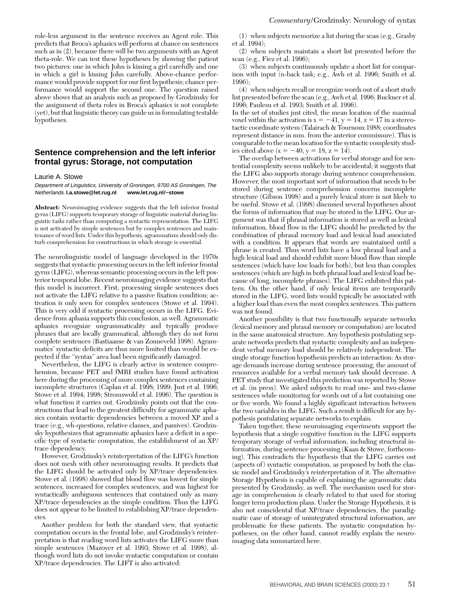role-less argument in the sentence receives an Agent role. This predicts that Broca's aphasics will perform at chance on sentences such as in (2), because there will be two arguments with an Agent theta-role. We can test these hypotheses by showing the patient two pictures: one in which John is kissing a girl carefully and one in which a girl is kissing John carefully. Above-chance performance would provide support for our first hypothesis; chance performance would support the second one. The question raised above shows that an analysis such as proposed by Grodzinsky for the assignment of theta roles in Broca's aphasics is not complete (yet), but that linguistic theory can guide us in formulating testable hypotheses.

### **Sentence comprehension and the left inferior frontal gyrus: Storage, not computation**

#### Laurie A. Stowe

Department of Linguistics, University of Groningen, 9700 AS Groningen, The Netherlands. **l.a.stowe@let.rug.nl www.let.rug.nl/~stowe**

**Abstract:** Neuroimaging evidence suggests that the left inferior frontal gyrus (LIFG) supports temporary storage of linguistic material during linguistic tasks rather than computing a syntactic representation. The LIFG is not activated by simple sentences but by complex sentences and maintenance of word lists. Under this hypothesis, agrammatism should only disturb comprehension for constructions in which storage is essential.

The neurolinguistic model of language developed in the 1970s suggests that syntactic processing occurs in the left inferior frontal gyrus (LIFG), whereas semantic processing occurs in the left posterior temporal lobe. Recent neuroimaging evidence suggests that this model is incorrect. First, processing simple sentences does not activate the LIFG relative to a passive fixation condition; activation is only seen for complex sentences (Stowe et al. 1994). This is very odd if syntactic processing occurs in the LIFG. Evidence from aphasia supports this conclusion, as well. Agrammatic aphasics recognize ungrammaticality and typically produce phrases that are locally grammatical, although they do not form complete sentences (Bastiaanse & van Zonneveld 1998). Agrammatics' syntactic deficits are thus more limited than would be expected if the "syntax" area had been significantly damaged.

Nevertheless, the LIFG is clearly active in sentence comprehension, because PET and fMRI studies have found activation here during the processing of more complex sentences containing incomplete structures (Caplan et al. 1998; 1999; Just et al. 1996; Stowe et al. 1994; 1998; Stromswold et al. 1996). The question is what function it carries out. Grodzinsky points out that the constructions that lead to the greatest difficulty for agrammatic aphasics contain syntactic dependencies between a moved XP and a trace (e.g., wh-questions, relative clauses, and passives). Grodzinsky hypothesizes that agrammatic aphasics have a deficit in a specific type of syntactic computation, the establishment of an XP/ trace dependency.

However, Grodzinsky's reinterpretation of the LIFG's function does not mesh with other neuroimaging results. It predicts that the LIFG should be activated only by XP/trace dependencies. Stowe et al. (1998) showed that blood flow was lowest for simple sentences, increased for complex sentences, and was highest for syntactically ambiguous sentences that contained only as many XP/trace dependencies as the simple condition. Thus the LIFG does not appear to be limited to establishing XP/trace dependencies.

Another problem for both the standard view, that syntactic computation occurs in the frontal lobe, and Grodzinsky's reinterpretation is that reading word lists activates the LIFG more than simple sentences (Mazoyer et al. 1993; Stowe et al. 1998), although word lists do not invoke syntactic computation or contain XP/trace dependencies. The LIFT is also activated:

(1) when subjects memorize a list during the scan (e.g., Grasby et al. 1994);

(2) when subjects maintain a short list presented before the scan (e.g., Fiez et al. 1996);

(3) when subjects continuously update a short list for comparison with input (n-back task; e.g., Awh et al. 1996; Smith et al. 1996);

(4) when subjects recall or recognize words out of a short study list presented before the scan (e.g., Awh et al. 1996; Buckner et al. 1996; Paulesu et al. 1993; Smith et al. 1996).

In the set of studies just cited, the mean location of the maximal voxel within the activation is  $x = -41$ ,  $y = 14$ ,  $z = 17$  in a stereotactic coordinate system (Talairach & Tournoux 1988; coordinates represent distance in mm. from the anterior commissure). This is comparable to the mean location for the syntactic complexity studies cited above  $(x = -40, y = 18, z = 14)$ .

The overlap between activations for verbal storage and for sentential complexity seems unlikely to be accidental; it suggests that the LIFG also supports storage during sentence comprehension. However, the most important sort of information that needs to be stored during sentence comprehension concerns incomplete structure (Gibson 1998) and a purely lexical store is not likely to be useful. Stowe et al. (1998) discussed several hypotheses about the forms of information that may be stored in the LIFG. Our argument was that if phrasal information is stored as well as lexical information, blood flow in the LIFG should be predicted by the combination of phrasal memory load and lexical load associated with a condition. It appears that words are maintained until a phrase is created. Thus word lists have a low phrasal load and a high lexical load and should exhibit more blood flow than simple sentences (which have low loads for both), but less than complex sentences (which are high in both phrasal load and lexical load because of long, incomplete phrases). The LIFG exhibited this pattern. On the other hand, if only lexical items are temporarily stored in the LIFG, word lists would typically be associated with a higher load than even the most complex sentences. This pattern was not found.

Another possibility is that two functionally separate networks (lexical memory and phrasal memory or computation) are located in the same anatomical structure. Any hypothesis postulating separate networks predicts that syntactic complexity and an independent verbal memory load should be relatively independent. The single storage function hypothesis predicts an interaction: As storage demands increase during sentence processing, the amount of resources available for a verbal memory task should decrease. A PET study that investigated this prediction was reported by Stowe et al. (in press). We asked subjects to read one- and two-clause sentences while monitoring for words out of a list containing one or five words. We found a highly significant interaction between the two variables in the LIFG. Such a result is difficult for any hypothesis postulating separate networks to explain.

Taken together, these neuroimaging experiments support the hypothesis that a single cognitive function in the LIFG supports temporary storage of verbal information, including structural information, during sentence processing (Kaan & Stowe, forthcoming). This contradicts the hypothesis that the LIFG carries out (aspects of) syntactic computation, as proposed by both the classic model and Grodzinsky's reinterpretation of it. The alternative Storage Hypothesis is capable of explaining the agrammatic data presented by Grodzinsky, as well. The mechanism used for storage in comprehension is clearly related to that used for storing longer term production plans. Under the Storage Hypothesis, it is also not coincidental that XP/trace dependencies, the paradigmatic case of storage of unintegrated structural information, are problematic for these patients. The syntactic computation hypotheses, on the other hand, cannot readily explain the neuroimaging data summarized here.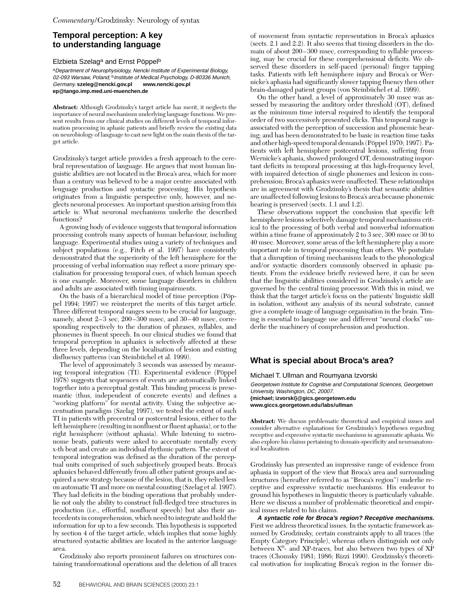### **Temporal perception: A key to understanding language**

#### Elzbieta Szelag<sup>a</sup> and Ernst Pöppel<sup>b</sup>

aDepartment of Neurophysiology, Nencki Institute of Experimental Biology, 02-093 Warsaw, Poland; <sup>b</sup>Institute of Medical Psychology, D-80336 Munich, Germany. **szeleg@nencki.gov.pl www.nencki.gov.pl ep@tango.imp.med.uni-muenchen.de**

**Abstract:** Although Grodzinsky's target article has merit, it neglects the importance of neural mechanisms underlying language functions. We present results from our clinical studies on different levels of temporal information processing in aphasic patients and briefly review the existing data on neurobiology of language to cast new light on the main thesis of the target article.

Grodzinsky's target article provides a fresh approach to the cerebral representation of language. He argues that most human linguistic abilities are not located in the Broca's area, which for more than a century was believed to be a major centre associated with lenguage production and syntactic processing. His hypothesis originates from a linguistic perspective only, however, and neglects neuronal processes. An important question arising from this article is: What neuronal mechanisms underlie the described functions?

A growing body of evidence suggests that temporal information processing controls many aspects of human behaviour, including language. Experimental studies using a variety of techniques and subject populations (e.g., Fitch et al. 1997) have consistently demonstrated that the superiority of the left hemisphere for the processing of verbal information may reflect a more primary specialisation for processing temporal cues, of which human speech is one example. Moreover, some language disorders in children and adults are associated with timing impairments.

On the basis of a hierarchical model of time perception (Pöppel 1994; 1997) we reinterpret the merits of this target article. Three different temporal ranges seem to be crucial for language, namely, about 2–3 sec, 200–300 msec, and 30–40 msec, corresponding respectively to the duration of phrases, syllables, and phonemes in fluent speech. In our clinical studies we found that temporal perception in aphasics is selectively affected at these three levels, depending on the localisation of lesion and existing disfluency patterns (van Steinbüchel et al. 1999).

The level of approximately 3 seconds was assessed by measuring temporal integration (TI). Experimental evidence (Pöppel 1978) suggests that sequences of events are automatically linked together into a perceptual gestalt. This binding process is presemantic (thus, independent of concrete events) and defines a "working platform" for mental activity. Using the subjective accentuation paradigm (Szelag 1997), we tested the extent of such TI in patients with precentral or postcentral lesions, either to the left hemisphere (resulting in nonfluent or fluent aphasia), or to the right hemisphere (without aphasia). While listening to metronome beats, patients were asked to accentuate mentally every x-th beat and create an individual rhythmic pattern. The extent of temporal integration was defined as the duration of the perceptual units comprised of such subjectively grouped beats. Broca's aphasics behaved differently from all other patient groups and acquired a new strategy because of the lesion, that is, they relied less on automatic TI and more on mental counting (Szelag et al. 1997). They had deficits in the binding operations that probably underlie not only the ability to construct full-fledged tree structures in production (i.e., effortful, nonfluent speech) but also their antecedents in comprehension, which need to integrate and hold the information for up to a few seconds. This hypothesis is supported by section 4 of the target article, which implies that some highly structured syntactic abilities are located in the anterior language area.

Grodzinsky also reports prominent failures on structures containing transformational operations and the deletion of all traces of movement from syntactic representation in Broca's aphasics (sects. 2.1 and 2.2). It also seems that timing disorders in the domain of about 200–300 msec, corresponding to syllable processing, may be crucial for these comprehensional deficits. We observed these disorders in self-paced (personal) finger tapping tasks. Patients with left hemisphere injury and Broca's or Wernicke's aphasia had significantly slower tapping fluency then other brain-damaged patient groups (von Steinbüchel et al. 1999).

On the other hand, a level of approximately 30 msec was assessed by measuring the auditory order threshold (OT), defined as the minimum time interval required to identify the temporal order of two successively presented clicks. This temporal range is associated with the perception of succession and phonemic hearing; and has been demonstrated to be basic in reaction time tasks and other high-speed temporal demands (Pöppel 1970; 1997). Patients with left hemisphere postcentral lesions, suffering from Wernicke's aphasia, showed prolonged OT, demonstrating important deficits in temporal processing at this high-frequency level, with impaired detection of single phonemes and lexicon in comprehension; Broca's aphasics were unaffected. These relationships are in agreement with Grodzinsky's thesis that semantic abilities are unaffected following lesions to Broca's area because phonemic hearing is preserved (sects. 1.1 and 1.2).

These observations support the conclusion that specific left hemisphere lesions selectively damage temporal mechanisms critical to the processing of both verbal and nonverbal information within a time frame of approximately 2 to 3 sec, 300 msec or 30 to 40 msec. Moreover, some areas of the left hemisphere play a more important role in temporal processing than others. We postulate that a disruption of timing mechanisms leads to the phonological and/or syntactic disorders commonly observed in aphasic patients. From the evidence briefly reviewed here, it can be seen that the linguistic abilities considered in Grodzinsky's article are governed by the central timing processor. With this in mind, we think that the target article's focus on the patients' linguistic skill in isolation, without any analysis of its neural substrate, cannot give a complete image of language organisation in the brain. Timing is essential to language use and different "neural clocks" underlie the machinery of comprehension and production.

### **What is special about Broca's area?**

Michael T. Ullman and Roumyana Izvorski

Georgetown Institute for Cognitive and Computational Sciences, Georgetown University, Washington, DC, 20007.

**{michael; izvorski}@gics.georgetown.edu www.giccs.georgetown.edu/labs/ullman**

**Abstract:** We discuss problematic theoretical and empirical issues and consider alternative explanations for Grodzinsky's hypotheses regarding receptive and expressive syntactic mechanisms in agrammatic aphasia. We also explore his claims pertaining to domain-specificity and neuroanatomical localization.

Grodzinsky has presented an impressive range of evidence from aphasia in support of the view that Broca's area and surrounding structures (hereafter referred to as "Broca's region") underlie receptive and expressive syntactic mechanisms. His endeavor to ground his hypotheses in linguistic theory is particularly valuable. Here we discuss a number of problematic theoretical and empirical issues related to his claims.

**A syntactic role for Broca's region? Receptive mechanisms.** First we address theoretical issues. In the syntactic framework assumed by Grodzinsky, certain constraints apply to all traces (the Empty Category Principle), whereas others distinguish not only between X0- and XP-traces, but also between two types of XP traces (Chomsky 1981; 1986; Rizzi 1990). Grodzinsky's theoretical motivation for implicating Broca's region in the former dis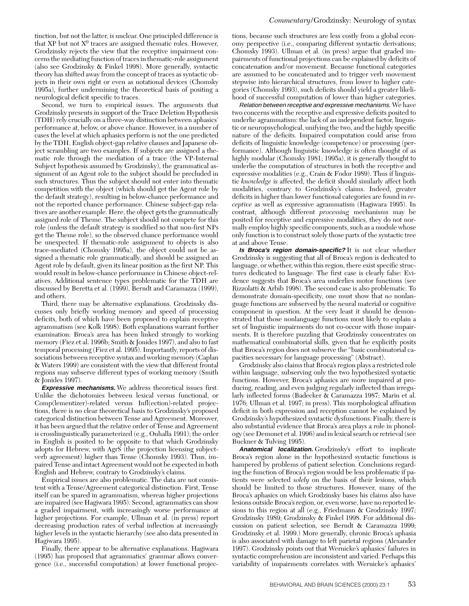tinction, but not the latter, is unclear. One principled difference is that  $XP$  but not  $X^0$  traces are assigned thematic roles. However, Grodzinsky rejects the view that the receptive impairment concerns the mediating function of traces in thematic-role assignment (also see Grodzinsky & Finkel 1998). More generally, syntactic theory has shifted away from the concept of traces as syntactic objects in their own right or even as notational devices (Chomsky 1995a), further undermining the theoretical basis of positing a neurological deficit specific to traces.

Second, we turn to empirical issues. The arguments that Grodzinsky presents in support of the Trace Deletion Hypothesis (TDH) rely crucially on a three-way distinction between aphasics' performance at, below, or above chance. However, in a number of cases the level at which aphasics perform is not the one predicted by the TDH. English object-gap relative clauses and Japanese object scrambling are two examples. If subjects are assigned a thematic role through the mediation of a trace (the VP-Internal Subject hypothesis assumed by Grodzinsky), the grammatical assignment of an Agent role to the subject should be precluded in such structures. Thus the subject should not enter into thematic competition with the object (which should get the Agent role by the default strategy), resulting in below-chance performance and not the reported chance performance. Chinese subject-gap relatives are another example. Here, the object gets the grammatically assigned role of Theme. The subject should not compete for this role (unless the default strategy is modified so that non-first NPs get the Theme role), so the observed chance performance would be unexpected. If thematic-role assignment to objects is also trace-mediated (Chomsky 1995a), the object could not be assigned a thematic role grammatically, and should be assigned an Agent role by default, given its linear position as the first NP. This would result in below-chance performance in Chinese object-relatives. Additional sentence types problematic for the TDH are discussed by Beretta et al. (1999), Berndt and Caramazza (1999), and others.

Third, there may be alternative explanations. Grodzinsky discusses only briefly working memory and speed of processing deficits, both of which have been proposed to explain receptive agrammatism (see Kolk 1998). Both explanations warrant further examination: Broca's area has been linked strongly to working memory (Fiez et al. 1996b; Smith & Jonides 1997), and also to fast temporal processing (Fiez et al. 1995). Importantly, reports of dissociations between receptive syntax and working memory (Caplan & Waters 1999) are consistent with the view that different frontal regions may subserve different types of working memory (Smith & Jonides 1997).

**Expressive mechanisms.** We address theoretical issues first. Unlike the dichotomies between lexical versus functional, or Comp(lementizer)-related versus Infl(ection)-related projections, there is no clear theoretical basis to Grodzinsky's proposed categorical distinction between Tense and Agreement. Moreover, it has been argued that the relative order of Tense and Agreement is crosslinguistically parameterized (e.g., Ouhalla 1991); the order in English is posited to be opposite to that which Grodzinsky adopts for Hebrew, with AgrS (the projection licensing subjectverb agreement) higher than Tense (Chomsky 1993). Thus, impaired Tense and intact Agreement would not be expected in both English and Hebrew, contrary to Grodzinsky's claims.

Empirical issues are also problematic. The data are not consistent with a Tense/Agreement categorical distinction. First, Tense itself can be spared in agrammatism, whereas higher projections are impaired (see Hagiwara 1995). Second, agrammatics can show a graded impairment, with increasingly worse performance at higher projections. For example, Ullman et al. (in press) report decreasing production rates of verbal inflection at increasingly higher levels in the syntactic hierarchy (see also data presented in Hagiwara 1995).

Finally, there appear to be alternative explanations. Hagiwara (1995) has proposed that agrammatics' grammar allows convergence (i.e., successful computation) at lower functional projec-

tions, because such structures are less costly from a global economy perspective (i.e., comparing different syntactic derivations; Chomsky 1993). Ullman et al. (in press) argue that graded impairments of functional projections can be explained by deficits of concatenation and/or movement. Because functional categories are assumed to be concatenated and to trigger verb movement stepwise into hierarchical structures, from lower to higher categories (Chomsky 1993), such deficits should yield a greater likelihood of successful computation of lower than higher categories.

Relation between receptive and expressive mechanisms. We have two concerns with the receptive and expressive deficits posited to underlie agrammatism: the lack of an independent factor, linguistic or neuropsychological, unifying the two, and the highly specific nature of the deficits. Impaired computation could arise from deficits of linguistic knowledge (competence) or processing (performance). Although linguistic knowledge is often thought of as highly modular (Chomsky 1981; 1995a), it is generally thought to underlie the computation of structures in both the receptive and expressive modalities (e.g., Crain & Fodor 1989). Thus if linguistic *knowledge* is affected, the deficit should similarly affect both modalities, contrary to Grodzinsky's claims. Indeed, greater deficits in higher than lower functional categories are found in *receptive* as well as expressive agrammatism (Hagiwara 1995). In contrast, although different *processing* mechanisms may be posited for receptive and expressive modalities, they do not normally employ highly specific components, such as a module whose only function is to construct solely those parts of the syntactic tree at and above Tense.

**Is Broca's region domain-specific?** It is not clear whether Grodzinsky is suggesting that all of Broca's region is dedicated to language, or whether, within this region, there exist specific structures dedicated to language. The first case is clearly false: Evidence suggests that Broca's area underlies motor functions (see Rizzolatti & Arbib 1998). The second case is also problematic. To demonstrate domain-specificity, one must show that *no* nonlanguage functions are subserved by the neural material or cognitive component in question. At the very least it should be demonstrated that those nonlanguage functions most likely to explain a set of linguistic impairments do not co-occur with those impairments. It is therefore puzzling that Grodzinsky concentrates on mathematical combinatorial skills, given that he explicitly posits that Broca's region does not subserve the "basic combinatorial capacities necessary for language processing" (Abstract).

Grodzinsky also claims that Broca's region plays a restricted role within language, subserving only the two hypothesized syntactic functions. However, Broca's aphasics are more impaired at producing, reading, and even judging regularly inflected than irregularly inflected forms (Badecker & Caramazza 1987; Marin et al. 1976; Ullman et al. 1997; in press). This morphological affixation deficit in both expression and reception cannot be explained by Grodzinsky's hypothesized syntactic dysfunctions. Finally, there is also substantial evidence that Broca's area plays a role in phonology (see Demonet et al. 1996) and in lexical search or retrieval (see Buckner & Tulving 1995).

**Anatomical localization.** Grodzinsky's effort to implicate Broca's region alone in the hypothesized syntactic functions is hampered by problems of patient selection. Conclusions regarding the function of Broca's region would be less problematic if patients were selected *solely* on the basis of their lesions, which should be limited to those structures. However, many of the Broca's aphasics on which Grodzinsky bases his claims also have lesions outside Broca's region, or, even worse, have no reported lesions to this region at all (e.g., Friedmann & Grodzinsky 1997; Grodzinsky 1989; Grodzinsky & Finkel 1998. For additional discussion on patient selection, see Berndt & Caramazza 1999; Grodzinsky et al. 1999.) More generally, chronic Broca's aphasia is also associated with damage to left parietal regions (Alexander 1997). Grodzinsky points out that Wernicke's aphasics' failures in syntactic comprehension are inconsistent and varied. Perhaps this variability of impairments correlates with Wernicke's aphasics'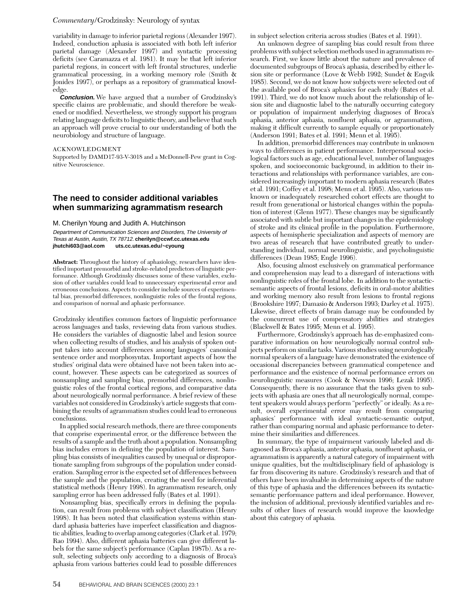#### *Commentary/*Grodzinsky: Neurology of syntax

variability in damage to inferior parietal regions (Alexander 1997). Indeed, conduction aphasia is associated with both left inferior parietal damage (Alexander 1997) and syntactic processing deficits (see Caramazza et al. 1981). It may be that left inferior parietal regions, in concert with left frontal structures, underlie grammatical processing, in a working memory role (Smith & Jonides 1997), or perhaps as a repository of grammatical knowledge.

**Conclusion.** We have argued that a number of Grodzinsky's specific claims are problematic, and should therefore be weakened or modified. Nevertheless, we strongly support his program relating language deficits to linguistic theory, and believe that such an approach will prove crucial to our understanding of both the neurobiology and structure of language.

#### ACKNOWLEDGMENT

Supported by DAMD17-93-V-3018 and a McDonnell-Pew grant in Cognitive Neuroscience.

### **The need to consider additional variables when summarizing agrammatism research**

M. Cherilyn Young and Judith A. Hutchinson

Department of Communication Sciences and Disorders, The University of Texas at Austin, Austin, TX 78712. **cherilyn@ccwf.cc.utexas.edu jhutchi603@aol.com uts.cc.utexas.edu/~cyoung**

**Abstract:** Throughout the history of aphasiology, researchers have identified important premorbid and stroke-related predictors of linguistic performance. Although Grodzinsky discusses some of these variables, exclusion of other variables could lead to unnecessary experimental error and erroneous conclusions. Aspects to consider include sources of experimental bias, premorbid differences, nonlinguistic roles of the frontal regions, and comparison of normal and aphasic performance.

Grodzinsky identifies common factors of linguistic performance across languages and tasks, reviewing data from various studies. He considers the variables of diagnostic label and lesion source when collecting results of studies, and his analysis of spoken output takes into account differences among languages' canonical sentence order and morphosyntax. Important aspects of how the studies' original data were obtained have not been taken into account, however. These aspects can be categorized as sources of nonsampling and sampling bias, premorbid differences, nonlinguistic roles of the frontal cortical regions, and comparative data about neurologically normal performance. A brief review of these variables not considered in Grodzinsky's article suggests that combining the results of agrammatism studies could lead to erroneous conclusions.

In applied social research methods, there are three components that comprise experimental error, or the difference between the results of a sample and the truth about a population. Nonsampling bias includes errors in defining the population of interest. Sampling bias consists of inequalities caused by unequal or disproportionate sampling from subgroups of the population under consideration. Sampling error is the expected set of differences between the sample and the population, creating the need for inferential statistical methods (Henry 1998). In agrammatism research, only sampling error has been addressed fully (Bates et al. 1991).

Nonsampling bias, specifically errors in defining the population, can result from problems with subject classification (Henry 1998). It has been noted that classification systems within standard aphasia batteries have imperfect classification and diagnostic abilities, leading to overlap among categories (Clark et al. 1979; Rao 1994). Also, different aphasia batteries can give different labels for the same subject's performance (Caplan 1987b). As a result, selecting subjects only according to a diagnosis of Broca's aphasia from various batteries could lead to possible differences in subject selection criteria across studies (Bates et al. 1991).

An unknown degree of sampling bias could result from three problems with subject selection methods used in agrammatism research. First, we know little about the nature and prevalence of documented subgroups of Broca's aphasia, described by either lesion site or performance (Love & Webb 1992; Sundet & Engvik 1985). Second, we do not know how subjects were selected out of the available pool of Broca's aphasics for each study (Bates et al. 1991). Third, we do not know much about the relationship of lesion site and diagnostic label to the naturally occurring category or population of impairment underlying diagnoses of Broca's aphasia, anterior aphasia, nonfluent aphasia, or agrammatism, making it difficult currently to sample equally or proportionately (Anderson 1991; Bates et al. 1991; Menn et al. 1995).

In addition, premorbid differences may contribute in unknown ways to differences in patient performance. Interpersonal sociological factors such as age, educational level, number of languages spoken, and socioeconomic background, in addition to their interactions and relationships with performance variables, are considered increasingly important to modern aphasia research (Bates et al. 1991; Coffey et al. 1998; Menn et al. 1995). Also, various unknown or inadequately researched cohort effects are thought to result from generational or historical changes within the population of interest (Glenn 1977). These changes may be significantly associated with subtle but important changes in the epidemiology of stroke and its clinical profile in the population. Furthermore, aspects of hemispheric specialization and aspects of memory are two areas of research that have contributed greatly to understanding individual, normal neurolinguistic, and psycholinguistic differences (Dean 1985; Engle 1996).

Also, focusing almost exclusively on grammatical performance and comprehension may lead to a disregard of interactions with nonlinguistic roles of the frontal lobe. In addition to the syntacticsemantic aspects of frontal lesions, deficits in oral-motor abilities and working memory also result from lesions to frontal regions (Brookshire 1997; Damasio & Anderson 1993; Darley et al. 1975). Likewise, direct effects of brain damage may be confounded by the concurrent use of compensatory abilities and strategies (Blackwell & Bates 1995; Menn et al. 1995).

Furthermore, Grodzinsky's approach has de-emphasized comparative information on how neurologically normal control subjects perform on similar tasks. Various studies using neurologically normal speakers of a language have demonstrated the existence of occasional discrepancies between grammatical competence and performance and the existence of normal performance errors on neurolinguistic measures (Cook & Newson 1996; Lezak 1995). Consequently, there is no assurance that the tasks given to subjects with aphasia are ones that all neurologically normal, competent speakers would always perform "perfectly" or ideally. As a result, overall experimental error may result from comparing aphasics' performance with ideal syntactic-semantic output, rather than comparing normal and aphasic performance to determine their similarities and differences.

In summary, the type of impairment variously labeled and diagnosed as Broca's aphasia, anterior aphasia, nonfluent aphasia, or agrammatism is apparently a natural category of impairment with unique qualities, but the multidisciplinary field of aphasiology is far from discovering its nature. Grodzinsky's research and that of others have been invaluable in determining aspects of the nature of this type of aphasia and the differences between its syntacticsemantic performance pattern and ideal performance. However, the inclusion of additional, previously identified variables and results of other lines of research would improve the knowledge about this category of aphasia.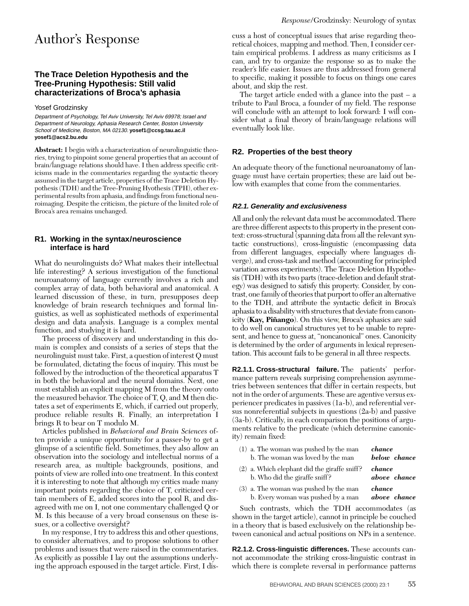# Author's Response

### **The Trace Deletion Hypothesis and the Tree-Pruning Hypothesis: Still valid characterizations of Broca's aphasia**

#### Yosef Grodzinsky

Department of Psychology, Tel Aviv University, Tel Aviv 69978; Israel and Department of Neurology, Aphasia Research Center, Boston University School of Medicine, Boston, MA 02130. **yosef1@ccsg.tau.ac.il yosef1@acs2.bu.edu**

**Abstract:** I begin with a characterization of neurolinguistic theories, trying to pinpoint some general properties that an account of brain/language relations should have. I then address specific criticisms made in the commentaries regarding the syntactic theory assumed in the target article, properties of the Trace Deletion Hypothesis (TDH) and the Tree-Pruning Hyothesis (TPH), other experimental results from aphasia, and findings from functional neuroimaging. Despite the criticism, the picture of the limited role of Broca's area remains unchanged.

### **R1. Working in the syntax/neuroscience interface is hard**

What do neurolinguists do? What makes their intellectual life interesting? A serious investigation of the functional neuroanatomy of language currently involves a rich and complex array of data, both behavioral and anatomical. A learned discussion of these, in turn, presupposes deep knowledge of brain research techniques and formal linguistics, as well as sophisticated methods of experimental design and data analysis. Language is a complex mental function, and studying it is hard.

The process of discovery and understanding in this domain is complex and consists of a series of steps that the neurolinguist must take. First, a question of interest Q must be formulated, dictating the focus of inquiry. This must be followed by the introduction of the theoretical apparatus T in both the behavioral and the neural domains. Next, one must establish an explicit mapping M from the theory onto the measured behavior. The choice of T, Q, and M then dictates a set of experiments E, which, if carried out properly, produce reliable results R. Finally, an interpretation I brings R to bear on T modulo M.

Articles published in *Behavioral and Brain Sciences* often provide a unique opportunity for a passer-by to get a glimpse of a scientific field. Sometimes, they also allow an observation into the sociology and intellectual norms of a research area, as multiple backgrounds, positions, and points of view are rolled into one treatment. In this context it is interesting to note that although my critics made many important points regarding the choice of T, criticized certain members of E, added scores into the pool R, and disagreed with me on I, not one commentary challenged Q or M. Is this because of a very broad consensus on these issues, or a collective oversight?

In my response, I try to address this and other questions, to consider alternatives, and to propose solutions to other problems and issues that were raised in the commentaries. As explicitly as possible I lay out the assumptions underlying the approach espoused in the target article. First, I dis-

cuss a host of conceptual issues that arise regarding theoretical choices, mapping and method. Then, I consider certain empirical problems. I address as many criticisms as I can, and try to organize the response so as to make the reader's life easier. Issues are thus addressed from general to specific, making it possible to focus on things one cares about, and skip the rest.

The target article ended with a glance into the past – a tribute to Paul Broca, a founder of my field. The response will conclude with an attempt to look forward: I will consider what a final theory of brain/language relations will eventually look like.

#### **R2. Properties of the best theory**

An adequate theory of the functional neuroanatomy of language must have certain properties; these are laid out below with examples that come from the commentaries.

#### **R2.1. Generality and exclusiveness**

All and only the relevant data must be accommodated. There are three different aspects to this property in the present context: cross-structural (spanning data from all the relevant syntactic constructions), cross-linguistic (encompassing data from different languages, especially where languages diverge), and cross-task and method (accounting for principled variation across experiments). The Trace Deletion Hypothesis (TDH) with its two parts (trace-deletion and default strategy) was designed to satisfy this property. Consider, by contrast, one family of theories that purport to offer an alternative to the TDH, and attribute the syntactic deficit in Broca's aphasia to a disability with structures that deviate from canonicity (**Kay, Piñango**). On this view, Broca's aphasics are said to do well on canonical structures yet to be unable to represent, and hence to guess at, "noncanonical" ones. Canonicity is determined by the order of arguments in lexical representation. This account fails to be general in all three respects.

**R2.1.1. Cross-structural failure.** The patients' performance pattern reveals surprising comprehension asymmetries between sentences that differ in certain respects, but not in the order of arguments. These are agentive versus experiencer predicates in passives (1a-b), and referential versus nonreferential subjects in questions (2a-b) and passive (3a-b). Critically, in each comparison the positions of arguments relative to the predicate (which determine canonicity) remain fixed:

| $(1)$ a. The woman was pushed by the man<br>b. The woman was loved by the man   | chance<br>below chance |
|---------------------------------------------------------------------------------|------------------------|
| $(2)$ a. Which elephant did the giraffe sniff?<br>b. Who did the giraffe sniff? | chance<br>above chance |
| (3) a. The woman was pushed by the man<br>b. Every woman was pushed by a man    | chance<br>above chance |
| Such contrasts, which the TDH accommodates (as                                  |                        |

shown in the target article), cannot in principle be couched in a theory that is based exclusively on the relationship between canonical and actual positions on NPs in a sentence.

**R2.1.2. Cross-linguistic differences.** These accounts cannot accommodate the striking cross-linguistic contrast in which there is complete reversal in performance patterns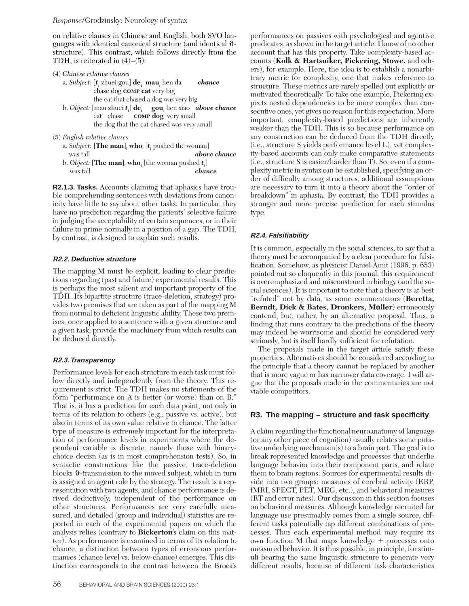*Response/*Grodzinsky: Neurology of syntax

on relative clauses in Chinese and English, both SVO languages with identical canonical structure (and identical  $\vartheta$ structure). This contrast, which follows directly from the TDH, is reiterated in  $(4)$ – $(5)$ :

| (4) Chinese relative clauses                                           |
|------------------------------------------------------------------------|
| a. Subject: $[t,$ zhuei gou] <b>de</b> , <b>mau</b> , hen da<br>chance |
| chase dog COMP cat very big                                            |
| the cat that chased a dog was very big                                 |
| b. Object: [mau zhuei $t_i$ ] de, gou, hen xiao above chance           |
| cat chase <b>COMP</b> dog very small                                   |
| the dog that the cat chased was very small                             |
| (5) English relative clauses                                           |

a. Subject:  $[\text{The man}]_i \text{ who}_i [t_i]$  pushed the woman] was tall  $\boldsymbol{a}$ above *chance* b. Object:  $[\text{The man}]_i$  who<sub>i</sub> [the woman pushed  $t_i$ ] was tall *chance*

**R2.1.3. Tasks.** Accounts claiming that aphasics have trouble comprehending sentences with deviations from canonicity have little to say about other tasks. In particular, they have no prediction regarding the patients' selective failure in judging the acceptability of certain sequences, or in their failure to prime normally in a position of a gap. The TDH, by contrast, is designed to explain such results.

### **R2.2. Deductive structure**

The mapping M must be explicit, leading to clear predictions regarding (past and future) experimental results. This is perhaps the most salient and important property of the TDH. Its bipartite structure (trace-deletion, strategy) provides two premises that are taken as part of the mapping M from normal to deficient linguistic ability. These two premises, once applied to a sentence with a given structure and a given task, provide the machinery from which results can be deduced directly.

### **R2.3. Transparency**

Performance levels for each structure in each task must follow directly and independently from the theory. This requirement is strict: The TDH makes no statements of the form "performance on A is better (or worse) than on B." That is, it has a prediction for each data point, not only in terms of its relation to others (e.g., passive vs. active), but also in terms of its own value relative to chance. The latter type of measure is extremely important for the interpretation of performance levels in experiments where the dependent variable is discrete, namely those with binarychoice decisn (as is in most comprehension tests). So, in syntactic constructions like the passive, trace-deletion blocks  $\vartheta$ -transmission to the moved subject, which in turn is assigned an agent role by the strategy. The result is a representation with two agents, and chance performance is derived deductively, independent of the performance on other structures. Performances are very carefully measured, and detailed (group and individual) statistics are reported in each of the experimental papers on which the analysis relies (contrary to **Bickerton**'s claim on this matter). As performance is examined in terms of its relation to chance, a distinction between types of erroneous performances (chance level vs. below-chance) emerges. This distinction corresponds to the contrast between the Broca's

performances on passives with psychological and agentive predicates, as shown in the target article. I know of no other account that has this property. Take complexity-based accounts (**Kolk & Hartsuiker, Pickering, Stowe,** and others), for example. Here, the idea is to establish a nonarbitrary metric for complexity, one that makes reference to structure. These metrics are rarely spelled out explicitly or motivated theoretically. To take one example, Pickering expects nested dependencies to be more complex than consecutive ones, yet gives no reason for this expectation. More important, complexity-based predictions are inherently weaker than the TDH. This is so because performance on any construction can be deduced from the TDH directly (i.e., structure S yields performance level L), yet complexity-based accounts can only make comparative statements (i.e., structure S is easier/harder than T). So, even if a complexity metric in syntax can be established, specifying an order of difficulty among structures, additional assumptions are necessary to turn it into a theory about the "order of breakdown" in aphasia. By contrast, the TDH provides a stronger and more precise prediction for each stimulus type.

### **R2.4. Falsifiability**

It is common, especially in the social sciences, to say that a theory must be accompanied by a clear procedure for falsification. Somehow, as physicist Daniel Amit (1996, p. 653) pointed out so eloquently in this journal, this requirement is overemphasized and misconstrued in biology (and the social sciences). It is important to note that a theory is at best "refuted" not by data, as some commentators (**Beretta, Berndt, Dick & Bates, Dronkers, Müller**) erroneously contend, but, rather, by an alternative proposal. Thus, a finding that runs contrary to the predictions of the theory may indeed be worrisome and should be considered very seriously, but is itself hardly sufficient for refutation.

The proposals made in the target article satisfy these properties. Alternatives should be considered according to the principle that a theory cannot be replaced by another that is more vague or has narrower data coverage. I will argue that the proposals made in the commentaries are not viable competitors.

### **R3. The mapping – structure and task specificity**

A claim regarding the functional neuroanatomy of language (or any other piece of cognition) usually relates some putative underlying mechanism(s) to a brain part. The goal is to break represented knowledge and processes that underlie language behavior into their component parts, and relate them to brain regions. Sources for experimental results divide into two groups: measures of cerebral activity (ERP, fMRI, SPECT, PET, MEG, etc.), and behavioral measures (RT and error rates). Our discussion in this section focuses on behavioral measures. Although knowledge recruited for language use presumably comes from a single source, different tasks potentially tap different combinations of processes. Thus each experimental method may require its own function  $M$  that maps knowledge  $+$  processes onto measured behavior. It is thus possible, in principle, for stimuli bearing the same linguistic structure to generate very different results, because of different task characteristics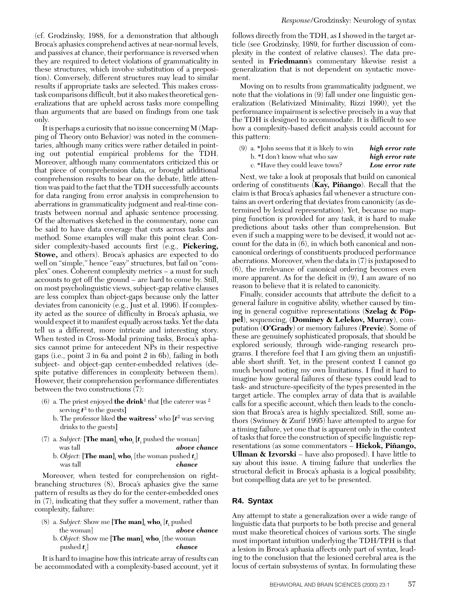(cf. Grodzinsky, 1988, for a demonstration that although Broca's aphasics comprehend actives at near-normal levels, and passives at chance, their performance is reversed when they are required to detect violations of grammaticality in these structures, which involve substitution of a preposition). Conversely, different structures may lead to similar results if appropriate tasks are selected. This makes crosstask comparisons difficult, but it also makes theoretical generalizations that are upheld across tasks more compelling than arguments that are based on findings from one task only.

It is perhaps a curiosity that no issue concerning M (Mapping of Theory onto Behavior) was noted in the commentaries, although many critics were rather detailed in pointing out potential empirical problems for the TDH. Moreover, although many commentators criticized this or that piece of comprehension data, or brought additional comprehension results to bear on the debate, little attention was paid to the fact that the TDH successfully accounts for data ranging from error analysis in comprehension to aberrations in grammaticality judgment and real-time contrasts between normal and aphasic sentence processing. Of the alternatives sketched in the commentary, none can be said to have data coverage that cuts across tasks and method. Some examples will make this point clear. Consider complexity-based accounts first (e.g., **Pickering, Stowe,** and others). Broca's aphasics are expected to do well on "simple," hence "easy" structures, but fail on "complex" ones. Coherent complexity metrics – a must for such accounts to get off the ground – are hard to come by. Still, on most psycholinguistic views, subject-gap relative clauses are less complex than object-gaps because only the latter deviates from canonicity (e.g., Just et al. 1996). If complexity acted as the source of difficulty in Broca's aphasia, we would expect it to manifest equally across tasks. Yet the data tell us a different, more intricate and interesting story. When tested in Cross-Modal priming tasks, Broca's aphasics cannot prime for antecedent NPs in their respective gaps (i.e., point *3* in 6a and point *2* in 6b), failing in both subject- and object-gap center-embedded relatives (despite putative differences in complexity between them). However, their comprehension performance differentiates between the two constructions (7):

- (6) a. The priest enjoyed **the drink**<sup>1</sup> that [the caterer was  $^2$ serving  $t^3$  to the guests]
	- b. The professor liked **the waitress**<sup>1</sup> who **[***t*<sup>2</sup> was serving drinks to the guests**]**
- (7) a. *Subject*: **[The man]**, **who**,  $[t$ , pushed the woman] was tall *above chance* b. *Object:* **[The man]**<sub>i</sub> **who**<sub>i</sub> [the woman pushed  $t_i$ ] was tall *chance*

Moreover, when tested for comprehension on rightbranching structures (8), Broca's aphasics give the same pattern of results as they do for the center-embedded ones in (7), indicating that they suffer a movement, rather than complexity, failure:

(8) a. *Subject:* Show me  $[\text{The man}]_i$  who<sub>i</sub>  $[t_i$  pushed the woman] *above chance* b. *Object:* Show me [**The man**], **who**, [the woman pushed  $t_i$ ] *chance*

It is hard to imagine how this intricate array of results can be accommodated with a complexity-based account, yet it follows directly from the TDH, as I showed in the target article (see Grodzinsky, 1989, for further discussion of complexity in the context of relative clauses). The data presented in **Friedmann**'s commentary likewise resist a generalization that is not dependent on syntactic movement.

Moving on to results from grammaticality judgment, we note that the violations in (9) fall under one linguistic generalization (Relativized Minimality, Rizzi 1990), yet the performance impairment is selective precisely in a way that the TDH is designed to accommodate. It is difficult to see how a complexity-based deficit analysis could account for this pattern:

| $(9)$ a. *John seems that it is likely to win | high error rate |
|-----------------------------------------------|-----------------|
| b. *I don't know what who saw                 | high error rate |
| c. *Have they could leave town?               | Low error rate  |

Next, we take a look at proposals that build on canonical ordering of constituents (**Kay, Piñango**). Recall that the claim is that Broca's aphasics fail whenever a structure contains an overt ordering that deviates from canonicity (as determined by lexical representation). Yet, because no mapping function is provided for any task, it is hard to make predictions about tasks other than comprehension. But even if such a mapping were to be devised, it would not account for the data in (6), in which both canonical and noncanonical orderings of constituents produced performance aberrations. Moreover, when the data in (7) is juxtaposed to (6), the irrelevance of canonical ordering becomes even more apparent. As for the deficit in (9), I am aware of no reason to believe that it is related to canonicity.

Finally, consider accounts that attribute the deficit to a general failure in cognitive ability, whether caused by timing in general cognitive representations (**Szelag & Pöppel**), sequencing, (**Dominey & Lelekov, Murray**), computation (**O'Grady**) or memory failures (**Previc**). Some of these are genuinely sophisticated proposals, that should be explored seriously, through wide-ranging research programs. I therefore feel that I am giving them an unjustifiable short shrift. Yet, in the present context I cannot go much beyond noting my own limitations. I find it hard to imagine how general failures of these types could lead to task- and structure-specificity of the types presented in the target article. The complex array of data that is available calls for a specific account, which then leads to the conclusion that Broca's area is highly specialized. Still, some authors (Swinney & Zurif 1995) have attempted to argue for a timing failure, yet one that is apparent only in the context of tasks that force the construction of specific linguistic representations (as some commentators – **Hickok, Piñango, Ullman & Izvorski** – have also proposed). I have little to say about this issue. A timing failure that underlies the structural deficit in Broca's aphasia is a logical possibility, but compelling data are yet to be presented.

### **R4. Syntax**

Any attempt to state a generalization over a wide range of linguistic data that purports to be both precise and general must make theoretical choices of various sorts. The single most important intuition underlying the TDH/TPH is that a lesion in Broca's aphasia affects only part of syntax, leading to the conclusion that the lesioned cerebral area is the locus of certain subsystems of syntax. In formulating these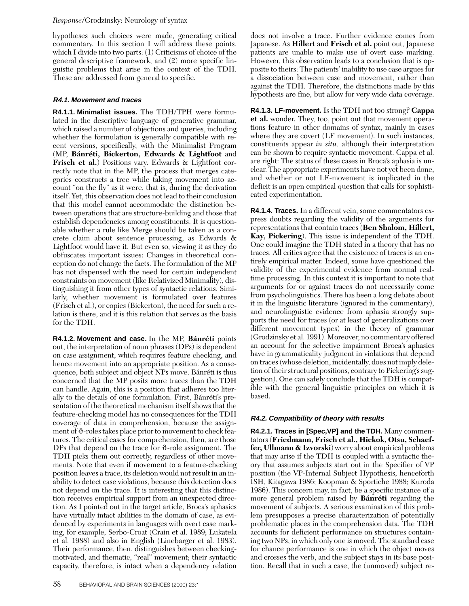### *Response/*Grodzinsky: Neurology of syntax

hypotheses such choices were made, generating critical commentary. In this section I will address these points, which I divide into two parts: (1) Criticisms of choice of the general descriptive framework, and (2) more specific linguistic problems that arise in the context of the TDH. These are addressed from general to specific.

### **R4.1. Movement and traces**

**R4.1.1. Minimalist issues.** The TDH/TPH were formulated in the descriptive language of generative grammar, which raised a number of objections and queries, including whether the formulation is generally compatible with recent versions, specifically, with the Minimalist Program (MP, **Bánréti, Bickerton, Edwards & Lightfoot** and **Frisch et al.**) Positions vary. Edwards & Lightfoot correctly note that in the MP, the process that merges categories constructs a tree while taking movement into account "on the fly" as it were, that is, during the derivation itself. Yet, this observation does not lead to their conclusion that this model cannot accommodate the distinction between operations that are structure-building and those that establish dependencies among constituents. It is questionable whether a rule like Merge should be taken as a concrete claim about sentence processing, as Edwards & Lightfoot would have it. But even so, viewing it as they do obfuscates important issues: Changes in theoretical conception do not change the facts. The formulation of the MP has not dispensed with the need for certain independent constraints on movement (like Relativized Minimality), distinguishing it from other types of syntactic relations. Similarly, whether movement is formulated over features (Frisch et al.), or copies (Bickerton), the need for such a relation is there, and it is this relation that serves as the basis for the TDH.

**R4.1.2. Movement and case.** In the MP, **Bánréti** points out, the interpretation of noun phrases (DPs) is dependent on case assignment, which requires feature checking, and hence movement into an appropriate position. As a consequence, both subject and object NPs move. Bánréti is thus concerned that the MP posits more traces than the TDH can handle. Again, this is a position that adheres too literally to the details of one formulation. First, Bánréti's presentation of the theoretical mechanism itself shows that the feature-checking model has no consequences for the TDH coverage of data in comprehension, because the assignment of  $\vartheta$ -roles takes place prior to movement to check features. The critical cases for comprehension, then, are those DPs that depend on the trace for  $\vartheta$ -role assignment. The TDH picks them out correctly, regardless of other movements. Note that even if movement to a feature-checking position leaves a trace, its deletion would not result in an inability to detect case violations, because this detection does not depend on the trace. It is interesting that this distinction receives empirical support from an unexpected direction. As I pointed out in the target article, Broca's aphasics have virtually intact abilities in the domain of case, as evidenced by experiments in languages with overt case marking, for example, Serbo-Croat (Crain et al. 1989; Lukatela et al. 1988) and also in English (Linebarger et al. 1983). Their performance, then, distinguishes between checkingmotivated, and thematic, "real" movement; their syntactic capacity, therefore, is intact when a dependency relation

does not involve a trace. Further evidence comes from Japanese. As **Hillert** and **Frisch et al.** point out, Japanese patients are unable to make use of overt case marking. However, this observation leads to a conclusion that is opposite to theirs: The patients' inability to use case argues for a dissociation between case and movement, rather than against the TDH. Therefore, the distinctions made by this hypothesis are fine, but allow for very wide data coverage.

**R4.1.3. LF-movement.** Is the TDH not too strong? **Cappa et al.** wonder. They, too, point out that movement operations feature in other domains of syntax, mainly in cases where they are covert (LF movement). In such instances, constituents appear *in situ,* although their interpretation can be shown to require syntactic movement. Cappa et al. are right: The status of these cases in Broca's aphasia is unclear. The appropriate experiments have not yet been done, and whether or not LF-movement is implicated in the deficit is an open empirical question that calls for sophisticated experimentation.

**R4.1.4. Traces.** In a different vein, some commentators express doubts regarding the validity of the arguments for representations that contain traces (**Ben Shalom, Hillert, Kay, Pickering**). This issue is independent of the TDH. One could imagine the TDH stated in a theory that has no traces. All critics agree that the existence of traces is an entirely empirical matter. Indeed, some have questioned the validity of the experimental evidence from normal realtime processing. In this context it is important to note that arguments for or against traces do not necessarily come from psycholinguistics. There has been a long debate about it in the linguistic literature (ignored in the commentary), and neurolinguistic evidence from aphasia strongly supports the need for traces (or at least of generalizations over different movement types) in the theory of grammar (Grodzinsky et al. 1991). Moreover, no commentary offered an account for the selective impairment Broca's aphasics have in grammaticality judgment in violations that depend on traces (whose deletion, incidentally, does not imply deletion of their structural positions, contrary to Pickering's suggestion). One can safely conclude that the TDH is compatible with the general linguistic principles on which it is based.

### **R4.2. Compatibility of theory with results**

**R4.2.1. Traces in [Spec,VP] and the TDH.** Many commentators (**Friedmann, Frisch et al., Hickok, Otsu, Schaeffer, Ullmann & Izvorski**) worry about empirical problems that may arise if the TDH is coupled with a syntactic theory that assumes subjects start out in the Specifier of VP position (the VP-Internal Subject Hypothesis, henceforth ISH, Kitagawa 1986; Koopman & Sportiche 1988; Kuroda 1986). This concern may, in fact, be a specific instance of a more general problem raised by **Bánréti** regarding the movement of subjects. A serious examination of this problem presupposes a precise characterization of potentially problematic places in the comprehension data. The TDH accounts for deficient performance on structures containing two NPs, in which only one is moved. The standard case for chance performance is one in which the object moves and crosses the verb, and the subject stays in its base position. Recall that in such a case, the (unmoved) subject re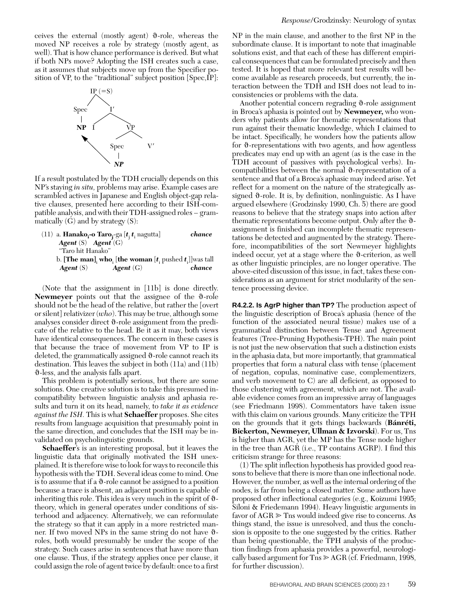ceives the external (mostly agent)  $\vartheta$ -role, whereas the moved NP receives a role by strategy (mostly agent, as well). That is how chance performance is derived. But what if both NPs move? Adopting the ISH creates such a case, as it assumes that subjects move up from the Specifier position of VP, to the "traditional" subject position [Spec,IP]:



If a result postulated by the TDH crucially depends on this NP's staying *in situ,* problems may arise. Example cases are scrambled actives in Japanese and English object-gap relative clauses, presented here according to their ISH-compatible analysis, and with their TDH-assigned roles – grammatically  $(G)$  and by strategy  $(S)$ :

| (11) a. <b>Hanako</b> <sub>i</sub> - <b>o Taro</b> <sub>i</sub> -ga $[t, t]$ nagutta] | chance |
|---------------------------------------------------------------------------------------|--------|
| Agent $(S)$ Agent $(G)$                                                               |        |
| "Taro hit Hanako"                                                                     |        |
| b. [The man], who, [the woman $[t,$ pushed $t,$ ]] was tall                           |        |
| Agent $(S)$<br>Agent $(G)$                                                            | chance |

(Note that the assignment in [11b] is done directly. **Newmeyer** points out that the assignee of the  $\vartheta$ -role should not be the head of the relative, but rather the [overt or silent] relativizer (*who*). This may be true, although some analyses consider direct  $\vartheta$ -role assignment from the predicate of the relative to the head. Be it as it may, both views have identical consequences. The concern in these cases is that because the trace of movement from VP to IP is deleted, the grammatically assigned  $\vartheta$ -role cannot reach its destination. This leaves the subject in both (11a) and (11b)  $\vartheta$ -less, and the analysis falls apart.

This problem is potentially serious, but there are some solutions. One creative solution is to take this presumed incompatibility between linguistic analysis and aphasia results and turn it on its head, namely, to *take it as evidence against the ISH.* This is what **Schaeffer** proposes. She cites results from language acquisition that presumably point in the same direction, and concludes that the ISH may be invalidated on psycholinguistic grounds.

**Schaeffer**'s is an interesting proposal, but it leaves the linguistic data that originally motivated the ISH unexplained. It is therefore wise to look for ways to reconcile this hypothesis with the TDH. Several ideas come to mind. One is to assume that if a  $\vartheta$ -role cannot be assigned to a position because a trace is absent, an adjacent position is capable of inheriting this role. This idea is very much in the spirit of  $\vartheta$ theory, which in general operates under conditions of sisterhood and adjacency. Alternatively, we can reformulate the strategy so that it can apply in a more restricted manner. If two moved NPs in the same string do not have  $\vartheta$ roles, both would presumably be under the scope of the strategy. Such cases arise in sentences that have more than one clause. Thus, if the strategy applies once per clause, it could assign the role of agent twice by default: once to a first

NP in the main clause, and another to the first NP in the subordinate clause. It is important to note that imaginable solutions exist, and that each of these has different empirical consequences that can be formulated precisely and then tested. It is hoped that more relevant test results will become available as research proceeds, but currently, the interaction between the TDH and ISH does not lead to inconsistencies or problems with the data.

Another potential concern regrading  $\vartheta$ -role assignment in Broca's aphasia is pointed out by **Newmeyer,** who wonders why patients allow for thematic representations that run against their thematic knowledge, which I claimed to be intact. Specifically, he wonders how the patients allow for  $\vartheta$ -representations with two agents, and how agentless predicates may end up with an agent (as is the case in the TDH account of passives with psychological verbs). Incompatibilities between the normal  $\vartheta$ -representation of a sentence and that of a Broca's aphasic may indeed arise. Yet reflect for a moment on the nature of the strategically assigned  $\vartheta$ -role. It is, by definition, nonlinguistic. As I have argued elsewhere (Grodzinsky 1990, Ch. 5) there are good reasons to believe that the strategy snaps into action after thematic representations become output. Only after the  $\vartheta$ assignment is finished can incomplete thematic representations be detected and augmented by the strategy. Therefore, incompatibilities of the sort Newmeyer highlights indeed occur, yet at a stage where the  $\vartheta$ -criterion, as well as other linguistic principles, are no longer operative. The above-cited discussion of this issue, in fact, takes these considerations as an argument for strict modularity of the sentence processing device.

**R4.2.2. Is AgrP higher than TP?** The production aspect of the linguistic description of Broca's aphasia (hence of the function of the associated neural tissue) makes use of a grammatical distinction between Tense and Agreement features (Tree-Pruning Hypothesis-TPH). The main point is not just the new observation that such a distinction exists in the aphasia data, but more importantly, that grammatical properties that form a natural class with tense (placement of negation, copulas, nominative case, complementizers, and verb movement to C) are all deficient, as opposed to those clustering with agreement, which are not. The available evidence comes from an impressive array of languages (see Friedmann 1998). Commentators have taken issue with this claim on various grounds. Many criticize the TPH on the grounds that it gets things backwards (**Bánréti, Bickerton, Newmeyer, Ullman & Izvorski**). For us, Tns is higher than AGR, yet the MP has the Tense node higher in the tree than AGR (i.e., TP contains AGRP). I find this criticism strange for three reasons:

(1) The split inflection hypothesis has provided good reasons to believe that there is more than one inflectional node. However, the number, as well as the internal ordering of the nodes, is far from being a closed matter. Some authors have proposed other inflectional categories (e.g., Koizumi 1995; Siloni & Friedemann 1994). Heavy linguistic arguments in favor of  $AGR \geq T$ ns would indeed give rise to concerns. As things stand, the issue is unresolved, and thus the conclusion is opposite to the one suggested by the critics. Rather than being questionable, the TPH analysis of the production findings from aphasia provides a powerful, neurologically based argument for  $\text{Trs} \geqslant \text{AGR}$  (cf. Friedmann, 1998, for further discussion).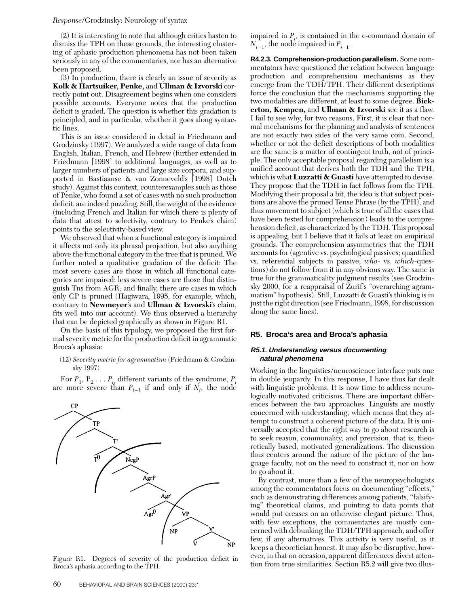#### *Response/*Grodzinsky: Neurology of syntax

(2) It is interesting to note that although critics hasten to dismiss the TPH on these grounds, the interesting clustering of aphasic production phenomena has not been taken seriously in any of the commentaries, nor has an alternative been proposed.

(3) In production, there is clearly an issue of severity as **Kolk & Hartsuiker, Penke,** and **Ullman & Izvorski** correctly point out. Disagreement begins when one considers possible accounts. Everyone notes that the production deficit is graded. The question is whether this gradation is principled, and in particular, whether it goes along syntactic lines.

This is an issue considered in detail in Friedmann and Grodzinsky (1997). We analyzed a wide range of data from English, Italian, French, and Hebrew (further extended in Friedmann [1998] to additional languages, as well as to larger numbers of patients and large size corpora, and supported in Bastiaanse & van Zonneveld's [1998] Dutch study). Against this context, counterexamples such as those of Penke, who found a set of cases with no such production deficit, are indeed puzzling. Still, the weight of the evidence (including French and Italian for which there is plenty of data that attest to selectivity, contrary to Penke's claim) points to the selectivity-based view.

We observed that when a functional category is impaired it affects not only its phrasal projection, but also anything above the functional category in the tree that is pruned. We further noted a qualitative gradation of the deficit: The most severe cases are those in which all functional categories are impaired; less severe cases are those that distinguish Tns from AGR; and finally, there are cases in which only CP is pruned (Hagiwara, 1995, for example, which, contrary to **Newmeyer**'s and **Ullman & Izvorski**'s claim, fits well into our account). We thus observed a hierarchy that can be depicted graphically as shown in Figure R1.

On the basis of this typology, we proposed the first formal severity metric for the production deficit in agrammatic Broca's aphasia:

(12) *Severity metric for agrammatism* (Friedmann & Grodzinsky 1997)

For  $P_1, P_2, \ldots, P_n$  different variants of the syndrome,  $P_i$ are more severe than  $P_{i-1}$  if and only if  $N_i$ , the node



Figure R1. Degrees of severity of the production deficit in Broca's aphasia according to the TPH.

impaired in  $P_p$  is contained in the c-command domain of  $N_{i-1}$ , the node impaired in  $P_{i-1}$ .

**R4.2.3. Comprehension-production parallelism.** Some commentators have questioned the relation between language production and comprehension mechanisms as they emerge from the TDH/TPH. Their different descriptions force the conclusion that the mechanisms supporting the two modalities are different, at least to some degree. **Bickerton, Kempen,** and **Ullman & Izvorski** see it as a flaw. I fail to see why, for two reasons. First, it is clear that normal mechanisms for the planning and analysis of sentences are not exactly two sides of the very same coin. Second, whether or not the deficit descriptions of both modalities are the same is a matter of contingent truth, not of principle. The only acceptable proposal regarding parallelism is a unified account that derives both the TDH and the TPH, which is what **Luzzatti & Guasti** have attempted to devise. They propose that the TDH in fact follows from the TPH. Modifying their proposal a bit, the idea is that subject positions are above the pruned Tense Phrase (by the TPH), and thus movement to subject (which is true of all the cases that have been tested for comprehension) leads to the comprehension deficit, as characterized by the TDH. This proposal is appealing, but I believe that it fails at least on empirical grounds. The comprehension asymmetries that the TDH accounts for (agentive vs. psychological passives; quantified vs. referential subjects in passive; *who*- vs. *which*-questions) do not follow from it in any obvious way. The same is true for the grammaticality judgment results (see Grodzinsky 2000, for a reappraisal of Zurif's "overarching agrammatism" hypothesis). Still, Luzzatti & Guasti's thinking is in just the right direction (see Friedmann, 1998, for discussion along the same lines).

#### **R5. Broca's area and Broca's aphasia**

#### **R5.1. Understanding versus documenting natural phenomena**

Working in the linguistics/neuroscience interface puts one in double jeopardy. In this response, I have thus far dealt with linguistic problems. It is now time to address neurologically motivated criticisms. There are important differences between the two approaches. Linguists are mostly concerned with understanding, which means that they attempt to construct a coherent picture of the data. It is universally accepted that the right way to go about research is to seek reason, commonality, and precision, that is, theoretically based, motivated generalizations. The discussion thus centers around the nature of the picture of the language faculty, not on the need to construct it, nor on how to go about it.

By contrast, more than a few of the neuropsychologists among the commentators focus on documenting "effects," such as demonstrating differences among patients, "falsifying" theoretical claims, and pointing to data points that would put creases on an otherwise elegant picture. Thus, with few exceptions, the commentaries are mostly concerned with debunking the TDH/TPH approach, and offer few, if any alternatives. This activity is very useful, as it keeps a theoretician honest. It may also be disruptive, however, in that on occasion, apparent differences divert attention from true similarities. Section R5.2 will give two illus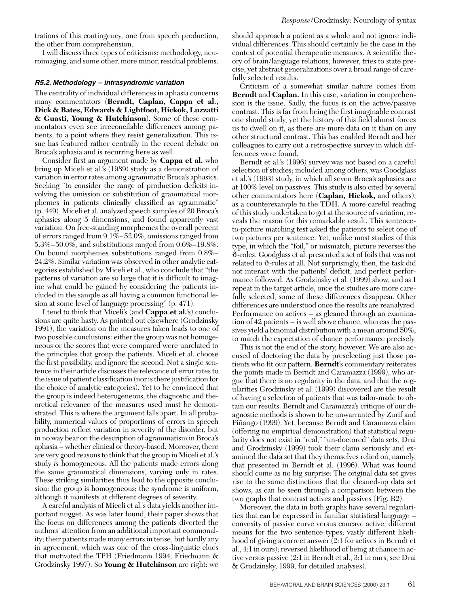trations of this contingency, one from speech production, the other from comprehension.

I will discuss three types of criticisms: methodology, neuroimaging, and some other, more minor, residual problems.

#### **R5.2. Methodology – intrasyndromic variation**

The centrality of individual differences in aphasia concerns many commentators (**Berndt, Caplan, Cappa et al., Dick & Bates, Edwards & Lightfoot, Hickok, Luzzatti & Guasti, Young & Hutchinson**). Some of these commentators even see irreconcilable differences among patients, to a point where they resist generalization. This issue has featured rather centrally in the recent debate on Broca's aphasia and is recurring here as well.

Consider first an argument made by **Cappa et al.** who bring up Miceli et al.'s (1989) study as a demonstration of variation in error rates among agrammatic Broca's aphasics. Seeking "to consider the range of production deficits involving the omission or substitution of grammatical morphemes in patients clinically classified as agrammatic" (p. 449), Miceli et al. analyzed speech samples of 20 Broca's aphasics along 5 dimensions, and found apparently vast variation. On free-standing morphemes the overall percent of errors ranged from 9.1%–52.0%, omissions ranged from 5.3%–50.0%, and substitutions ranged from 0.6%–19.8%. On bound morphemes substitutions ranged from 0.8%– 24.2%. Similar variation was observed in other analytic categories established by Miceli et al., who conclude that "the patterns of variation are so large that it is difficult to imagine what could be gained by considering the patients included in the sample as all having a common functional lesion at some level of language processing" (p. 471).

I tend to think that Miceli's (and **Cappa et al.**'s) conclusions are quite hasty. As pointed out elsewhere (Grodzinsky 1991), the variation on the measures taken leads to one of two possible conclusions: either the group was not homogeneous or the scores that were compared were unrelated to the principles that group the patients. Miceli et al. choose the first possibility, and ignore the second. Not a single sentence in their article discusses the relevance of error rates to the issue of patient classification (nor is there justification for the choice of analytic categories). Yet to be convinced that the group is indeed heterogeneous, the diagnostic and theoretical relevance of the measures used must be demonstrated. This is where the argument falls apart. In all probability, numerical values of proportions of errors in speech production reflect variation in severity of the disorder, but in no way bear on the description of agrammatism in Broca's aphasia – whether clinical or theory-based. Moreover, there are very good reasons to think that the group in Miceli et al.'s study *is* homogeneous. All the patients made errors along the same grammatical dimensions, varying only in rates. These striking similarities thus lead to the opposite conclusion: the group is homogeneous; the syndrome is uniform, although it manifests at different degrees of severity.

A careful analysis of Miceli et al.'s data yields another important nugget. As was later found, their paper shows that the focus on differences among the patients diverted the authors' attention from an additional important commonality; their patients made many errors in tense, but hardly any in agreement, which was one of the cross-linguistic clues that motivated the TPH (Friedmann 1994; Friedmann & Grodzinsky 1997). So **Young & Hutchinson** are right: we

should approach a patient as a whole and not ignore individual differences. This should certainly be the case in the context of potential therapeutic measures. A scientific theory of brain/language relations, however, tries to state precise, yet abstract generalizations over a broad range of carefully selected results.

Criticism of a somewhat similar nature comes from **Berndt** and **Caplan.** In this case, variation in comprehension is the issue. Sadly, the focus is on the active/passive contrast. This is far from being the first imaginable contrast one should study, yet the history of this field almost forces us to dwell on it, as there are more data on it than on any other structural contrast. This has enabled Berndt and her colleagues to carry out a retrospective survey in which differences were found.

Berndt et al.'s (1996) survey was not based on a careful selection of studies; included among others, was Goodglass et al.'s (1993) study, in which all seven Broca's aphasics are at 100% level on passives. This study is also cited by several other commentators here (**Caplan, Hickok,** and others), as a counterexample to the TDH. A more careful reading of this study undertaken to get at the source of variation, reveals the reason for this remarkable result. This sentenceto-picture matching test asked the patients to select one of two pictures per sentence. Yet, unlike most studies of this type, in which the "foil," or mismatch, picture reverses the q-roles, Goodglass et al. presented a set of foils that was not related to  $\vartheta$ -roles at all. Not surprisingly, then, the task did not interact with the patients' deficit, and perfect performance followed. As Grodzinsky et al. (1999) show, and as I repeat in the target article, once the studies are more carefully selected, some of these differences disappear. Other differences are understood once the results are reanalyzed. Performance on actives – as gleaned through an examination of 42 patients – is well above chance, whereas the passives yield a binomial distribution with a mean around 50%, to match the expectation of chance performance precisely.

This is not the end of the story, however. We are also accused of doctoring the data by preselecting just those patients who fit our pattern. **Berndt**'s commentary reiterates the points made in Berndt and Caramazza (1999), who argue that there is no regularity in the data, and that the regularities Grodzinsky et al. (1999) discovered are the result of having a selection of patients that was tailor-made to obtain our results. Berndt and Caramazza's critique of our diagnostic methods is shown to be unwarranted by Zurif and Piñango (1999). Yet, because Berndt and Caramazza claim (offering no empirical demonstration) that statistical regularity does not exist in "real," "un-doctored" data sets, Drai and Grodzinsky (1999) took their claim seriously and examined the data set that they themselves relied on, namely, that presented in Berndt et al. (1996). What was found should come as no big surprise: The original data set gives rise to the same distinctions that the cleaned-up data set shows, as can be seen through a comparison between the two graphs that contrast actives and passives (Fig. R2).

Moreover, the data in both graphs have several regularities that can be expressed in familiar statistical language – convexity of passive curve versus concave active; different means for the two sentence types; vastly different likelihood of giving a correct answer (2:1 for actives in Berndt et al., 4:1 in ours); reversed likelihood of being at chance in active versus passive (2:1 in Berndt et al., 3:1 in ours, see Drai & Grodzinsky, 1999, for detailed analyses).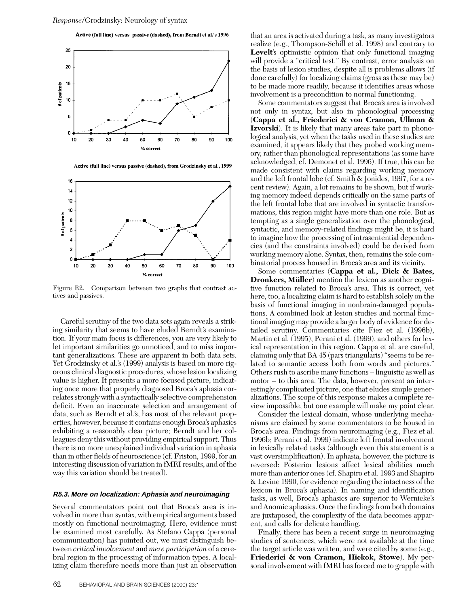Active (full line) versus passive (dashed), from Berndt et al.'s 1996



Active (full line) versus passive (dashed), from Grodzinsky et al., 1999



Figure R2. Comparison between two graphs that contrast actives and passives.

Careful scrutiny of the two data sets again reveals a striking similarity that seems to have eluded Berndt's examination. If your main focus is differences, you are very likely to let important similarities go unnoticed, and to miss important generalizations. These are apparent in both data sets. Yet Grodzinsky et al.'s (1999) analysis is based on more rigorous clinical diagnostic procedures, whose lesion localizing value is higher. It presents a more focused picture, indicating once more that properly diagnosed Broca's aphasia correlates strongly with a syntactically selective comprehension deficit. Even an inaccurate selection and arrangement of data, such as Berndt et al.'s, has most of the relevant properties, however, because it contains enough Broca's aphasics exhibiting a reasonably clear picture; Berndt and her colleagues deny this without providing empirical support. Thus there is no more unexplained individual variation in aphasia than in other fields of neuroscience (cf. Friston, 1999, for an interesting discussion of variation in fMRI results, and of the way this variation should be treated).

#### **R5.3. More on localization: Aphasia and neuroimaging**

Several commentators point out that Broca's area is involved in more than syntax, with empirical arguments based mostly on functional neuroimaging. Here, evidence must be examined most carefully. As Stefano Cappa (personal communication) has pointed out, we must distinguish between *critical involvement* and *mere participation* of a cerebral region in the processing of information types. A localizing claim therefore needs more than just an observation that an area is activated during a task, as many investigators realize (e.g., Thompson-Schill et al. 1998) and contrary to **Levelt**'s optimistic opinion that only functional imaging will provide a "critical test." By contrast, error analysis on the basis of lesion studies, despite all is problems allows (if done carefully) for localizing claims (gross as these may be) to be made more readily, because it identifies areas whose involvement is a precondition to normal functioning.

Some commentators suggest that Broca's area is involved not only in syntax, but also in phonological processing (**Cappa et al., Friederici & von Cramon, Ullman & Izvorski**). It is likely that many areas take part in phonological analysis, yet when the tasks used in these studies are examined, it appears likely that they probed working memory, rather than phonological representations (as some have acknowledged, cf. Demonet et al. 1996). If true, this can be made consistent with claims regarding working memory and the left frontal lobe (cf. Smith & Jonides, 1997, for a recent review). Again, a lot remains to be shown, but if working memory indeed depends critically on the same parts of the left frontal lobe that are involved in syntactic transformations, this region might have more than one role. But as tempting as a single generalization over the phonological, syntactic, and memory-related findings might be, it is hard to imagine how the processing of intrasentential dependencies (and the constraints involved) could be derived from working memory alone. Syntax, then, remains the sole combinatorial process housed in Broca's area and its vicinity.

Some commentaries (**Cappa et al., Dick & Bates, Dronkers, Müller**) mention the lexicon as another cognitive function related to Broca's area. This is correct, yet here, too, a localizing claim is hard to establish solely on the basis of functional imaging in nonbrain-damaged populations. A combined look at lesion studies and normal functional imaging may provide a larger body of evidence for detailed scrutiny. Commentaries cite Fiez et al. (1996b), Martin et al. (1995), Perani et al. (1999), and others for lexical representation in this region. Cappa et al. are careful, claiming only that BA 45 (pars triangularis) "seems to be related to semantic access both from words and pictures." Others rush to ascribe many functions – linguistic as well as motor – to this area. The data, however, present an interestingly complicated picture, one that eludes simple generalizations. The scope of this response makes a complete review impossible, but one example will make my point clear.

Consider the lexical domain, whose underlying mechanisms are claimed by some commentators to be housed in Broca's area. Findings from neuroimaging (e.g., Fiez et al. 1996b; Perani et al. 1999) indicate left frontal involvement in lexically related tasks (although even this statement is a vast oversimplification). In aphasia, however, the picture is reversed: Posterior lesions affect lexical abilities much more than anterior ones (cf. Shapiro et al. 1993 and Shapiro & Levine 1990, for evidence regarding the intactness of the lexicon in Broca's aphasia). In naming and identification tasks, as well, Broca's aphasics are superior to Wernicke's and Anomic aphasics. Once the findings from both domains are juxtaposed, the complexity of the data becomes apparent, and calls for delicate handling.

Finally, there has been a recent surge in neuroimaging studies of sentences, which were not available at the time the target article was written, and were cited by some (e.g., **Friederici & von Cramon, Hickok, Stowe**). My personal involvement with fMRI has forced me to grapple with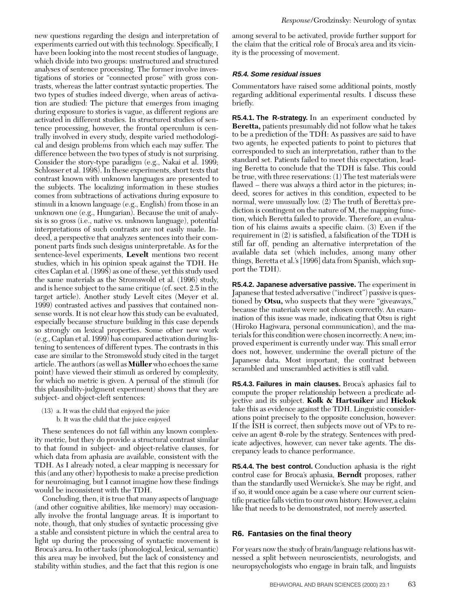new questions regarding the design and interpretation of experiments carried out with this technology. Specifically, I have been looking into the most recent studies of language, which divide into two groups: unstructured and structured analyses of sentence processing. The former involve investigations of stories or "connected prose" with gross contrasts, whereas the latter contrast syntactic properties. The two types of studies indeed diverge, when areas of activation are studied: The picture that emerges from imaging during exposure to stories is vague, as different regions are activated in different studies. In structured studies of sentence processing, however, the frontal operculum is centrally involved in every study, despite varied methodological and design problems from which each may suffer. The difference between the two types of study is not surprising. Consider the story-type paradigm (e.g., Nakai et al. 1999; Schlosser et al. 1998). In these experiments, short texts that contrast known with unknown languages are presented to the subjects. The localizing information in these studies comes from subtractions of activations during exposure to stimuli in a known language (e.g., English) from those in an unknown one (e.g., Hungarian). Because the unit of analysis is so gross (i.e., native vs. unknown language), potential interpretations of such contrasts are not easily made. Indeed, a perspective that analyzes sentences into their component parts finds such designs uninterpretable. As for the sentence-level experiments, **Levelt** mentions two recent studies, which in his opinion speak against the TDH. He cites Caplan et al. (1998) as one of these, yet this study used the same materials as the Stromswold et al. (1996) study, and is hence subject to the same critique (cf. sect. 2.5 in the target article). Another study Levelt cites (Meyer et al. 1999) contrasted actives and passives that contained nonsense words. It is not clear how this study can be evaluated, especially because structure building in this case depends so strongly on lexical properties. Some other new work (e.g., Caplan et al. 1999) has compared activation during listening to sentences of different types. The contrasts in this case are similar to the Stromswold study cited in the target article. The authors (as well as **Müller** who echoes the same point) have viewed their stimuli as ordered by complexity, for which no metric is given. A perusal of the stimuli (for this plausibility-judgment experiment) shows that they are subject- and object-cleft sentences:

(13) a. It was the child that enjoyed the juice b. It was the child that the juice enjoyed

These sentences do not fall within any known complexity metric, but they do provide a structural contrast similar to that found in subject- and object-relative clauses, for which data from aphasia are available, consistent with the TDH. As I already noted, a clear mapping is necessary for this (and any other) hypothesis to make a precise prediction for neuroimaging, but I cannot imagine how these findings would be inconsistent with the TDH.

Concluding, then, it is true that many aspects of language (and other cognitive abilities, like memory) may occasionally involve the frontal language areas. It is important to note, though, that only studies of syntactic processing give a stable and consistent picture in which the central area to light up during the processing of syntactic movement is Broca's area. In other tasks (phonological, lexical, semantic) this area may be involved, but the lack of consistency and stability within studies, and the fact that this region is one

among several to be activated, provide further support for the claim that the critical role of Broca's area and its vicinity is the processing of movement.

#### **R5.4. Some residual issues**

Commentators have raised some additional points, mostly regarding additional experimental results. I discuss these briefly.

**R5.4.1. The R-strategy.** In an experiment conducted by **Beretta,** patients presumably did not follow what he takes to be a prediction of the TDH: As passives are said to have two agents, he expected patients to point to pictures that corresponded to such an interpretation, rather than to the standard set. Patients failed to meet this expectation, leading Beretta to conclude that the TDH is false. This could be true, with three reservations: (1) The test materials were flawed – there was always a third actor in the pictures; indeed, scores for actives in this condition, expected to be normal, were unusually low. (2) The truth of Beretta's prediction is contingent on the nature of M, the mapping function, which Beretta failed to provide. Therefore, an evaluation of his claims awaits a specific claim. (3) Even if the requirement in (2) is satisfied, a falsification of the TDH is still far off, pending an alternative interpretation of the available data set (which includes, among many other things, Beretta et al.'s [1996] data from Spanish, which support the TDH).

**R5.4.2. Japanese adversative passive.** The experiment in Japanese that tested adversative ("indirect") passive is questioned by **Otsu,** who suspects that they were "giveaways," because the materials were not chosen correctly. An examination of this issue was made, indicating that Otsu is right (Hiroko Hagiwara, personal communication), and the materials for this condition were chosen incorrectly. A new, improved experiment is currently under way. This small error does not, however, undermine the overall picture of the Japanese data. Most important, the contrast between scrambled and unscrambled activities is still valid.

**R5.4.3. Failures in main clauses.** Broca's aphasics fail to compute the proper relationship between a predicate adjective and its subject. **Kolk & Hartsuiker** and **Hickok** take this as evidence against the TDH. Linguistic considerations point precisely to the opposite conclusion, however: If the ISH is correct, then subjects move out of VPs to receive an agent  $\vartheta$ -role by the strategy. Sentences with predicate adjectives, however, can never take agents. The discrepancy leads to chance performance.

**R5.4.4. The best control.** Conduction aphasia is the right control case for Broca's aphasia, **Berndt** proposes, rather than the standardly used Wernicke's. She may be right, and if so, it would once again be a case where our current scientific practice falls victim to our own history. However, a claim like that needs to be demonstrated, not merely asserted.

#### **R6. Fantasies on the final theory**

For years now the study of brain/language relations has witnessed a split between neuroscientists, neurologists, and neuropsychologists who engage in brain talk, and linguists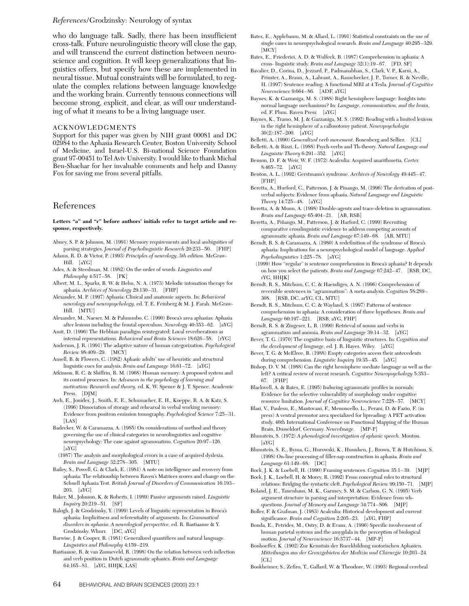who do language talk. Sadly, there has been insufficient cross-talk. Future neurolinguistic theory will close the gap, and will transcend the current distinction between neuroscience and cognition. It will keep generalizations that linguistics offers, but specify how these are implemented in neural tissue. Mutual constraints will be formulated, to regulate the complex relations between language knowledge and the working brain. Currently tenuous connections will become strong, explicit, and clear, as will our understanding of what it means to be a living language user.

#### ACKNOWLEDGMENTS

Support for this paper was given by NIH grant 00081 and DC 02984 to the Aphasia Research Center, Boston University School of Medicine, and Israel-U.S. Bi-national Science Foundation grant 97-00451 to Tel Aviv University. I would like to thank Michal Ben-Shachar for her invaluable comments and help and Danny Fox for saving me from several pitfalls.

### References

**Letters "a" and "r" before authors' initials refer to target article and response, respectively.**

- Abney, S. P. & Johnson, M. (1991) Memory requirements and local ambiguities of parsing strategies. *Journal of Psycholinguistic Research* 20:233–50. [FHP]
- Adams, R. D. & Victor, P. (1993) *Principles of neurology, 5th edition.* McGraw-Hill. [aYG]
- Ades, A. & Steedman, M. (1982) On the order of words. *Linguistics and Philosophy* 4:517–58. [PK]
- Albert, M. L., Sparks, R. W. & Helm, N. A. (1973) Melodic intonation therapy for aphasia. *Archives of Neurology* 29:130–31. [FHP]
- Alexander, M. P. (1997) Aphasia: Clinical and anatomic aspects. In: *Behavioral neurology and neuropsychology,* ed. T. E. Feinberg & M. J. Farah. McGraw-Hill. [MTU]
- Alexander, M., Naeser, M. & Palummbo, C. (1990) Broca's area aphasias: Aphasia after lesions including the frontal operculum. *Neurology* 40:353–62. [aYG]
- Amit, D. (1996) The Hebbian paradigm reintegrated: Local reverberations as internal representations. *Behavioral and Brain Sciences* 18:626–58. [rYG]
- Anderson, J. R. (1991) The adaptive nature of human categorization. *Psychological Review* 98:409–29. [MCY]
- Ansell, B. & Flowers, C. (1982) Aphasic adults' use of heuristic and structural linguistic cues for analysis. *Brain and Language* 16:61–72. [aYG]
- Atkinson, R. C. & Shiffrin, R. M. (1968) Human memory: A proposed system and its control processes. In: *Advances in the psychology of learning and motivation: Research and theory,* ed. K. W. Spence & J. T. Spence. Academic Press. [DIM]
- Awh, E., Jonides, J., Smith, E. E., Schumacher, E. H., Koeppe, R. A. & Katz, S. (1996) Dissociation of storage and rehearsal in verbal working memory: Evidence from positron emission tomography. *Psychological Science* 7:25–31. [LAS]

Badecker, W. & Caramazza, A. (1985) On considerations of method and theory governing the use of clinical categories in neurolinguistics and cognitive neuropsychology: The case against agrammatism. *Cognition* 20:97–126. [aYG]

(1987) The analysis and morphological errors in a case of acquired dyslexia. *Brain and Language* 32:278–305. [MTU]

- Bailey, S., Powell, G. & Clark, E. (1981) A note on intelligence and recovery from aphasia: The relationship between Raven's Matrices scores and change on the Schuell Aphasia Test. *British Journal of Disorders of Communication* 16:193– 203. [aYG]
- Baker, M., Johnson, K. & Roberts, I. (1989) Passive arguments raised. *Linguistic Inquiry* 20:219–51. [SF]
- Balogh, J. & Grodzinsky, Y. (1999) Levels of linguistic representation in Broca's aphasia: Implicitness and referentiality of arguments. In: *Grammatical disorders in aphasia: A neurological perspective,* ed. R. Bastiaanse & Y. Grodzinsky. Whurr. [DC, aYG]
- Barwise, J. & Cooper, R. (1981) Generalized quantifiers and natural language. *Linguistics and Philosophy* 4:159–219.
- Bastiaanse, R. & van Zonneveld, R. (1998) On the relation between verb inflection and verb position in Dutch agrammatic aphasics. *Brain and Language* 64:165–81. [aYG, HHJK, LAS]
- Bates, E., Applebaum, M. & Allard, L. (1991) Statistical constraints on the use of single cases in neuropsychological research. *Brain and Language* 40:295–329. [MCY]
- Bates, E., Friederici, A. D. & Wulfeck, B. (1987) Comprehension in aphasia: A cross- linguistic study. *Brain and Language* 32(1):19–67. [FD, SF]
- Bavalier, D., Corina, D., Jezzard, P., Padmanabhan, S., Clark, V. P., Karni, A., Prinster, A., Braun, A., Lalwant, A., Rauschecker, J. P., Turner, R. & Neville, H. (1997) Sentence reading: A functional MRI at 4 Tesla. *Journal of Cognitive Neuroscience* 9:664–86. [ADF, aYG]
- Baynes, K. & Gazzaniga, M. S. (1988) Right hemisphere language: Insights into normal language mechanisms? In: *Language, communication, and the brain,* ed. F. Plum. Raven Press. [aYG]
- Baynes, K., Tramo, M. J. & Gazzaniga, M. S. (1992) Reading with a limited lexicon in the right hemisphere of a callosotomy patient. *Neuropsychologia* 30(2):187–200. [aYG]
- Belletti, A. (1990) *Generalized verb movement.* Rosenberg and Sellier. [CL]
- Belletti, A. & Rizzi, L. (1988) Psych-verbs and Th-theory. *Natural Language and Linguistic Theory* 6:291–352. [aYG]
- Benson, D. F. & Weir, W. F. (1972) Acalculia: Acquired anarithmetia. *Cortex* 8:465–72. [aYG]
- Benton, A. L. (1992) Gerstmann's syndrome. *Archives of Neurology* 49:445–47. [FHP]
- Beretta, A., Hurford, C., Patterson, J. & Pinango, M. (1996) The derivation of postverbal subjects: Evidence from aphasia. *Natural Language and Linguistic Theory* 14:725–48. [aYG]
- Beretta, A. & Munn, A. (1998) Double-agents and trace-deletion in agrammatism. *Brain and Language* 65:404–21. [AB, RSB]
- Beretta, A., Piñango, M., Patterson, J. & Harford, C. (1999) Recruiting comparative crosslinguistic evidence to address competing accounts of agrammatic aphasia. *Brain and Language* 67:149–68. [AB, MTU]
- Berndt, R. S. & Caramazza, A. (1980) A redefinition of the syndrome of Broca's aphasia: Implications for a neuropsychological model of language. *Applied Psycholinguistics* 1:225–78. [aYG]
- (1999) How "regular" is sentence comprehension in Broca's aphasia? It depends on how you select the patients. *Brain and Language* 67:242–47. [RSB, DC, rYG, HHJK]
- Berndt, R. S., Mitchum, C. C. & Haendiges, A. N. (1996) Comprehension of reversible sentences in "agrammatism": A meta-analysis. *Cognition* 58:289– 308. [RSB, DC, arYG, CL, MTU]
- Berndt, R. S., Mitchum, C. C. & Wayland, S. (1997) Patterns of sentence comprehension in aphasia: A consideration of three hypotheses. *Brain and Language* 60:197–221. [RSB, aYG, FHP]
- Berndt, R. S. & Zingeser, L. B. (1990) Retrieval of nouns and verbs in agrammatism and anomia. *Brain and Language* 39:14–32. [aYG]
- Bever, T. G. (1970) The cognitive basis of linguistic structures. In: *Cognition and the development of language,* ed. J. R. Hayes. Wiley. [aYG]
- Bever, T. G. & McElree, B. (1988) Empty categories access their antecedents during comprehension. *Linguistic Inquiry* 19:35–45. [aYG]
- Bishop, D. V. M. (1988) Can the right hemisphere mediate language as well as the left? A critical review of recent research. *Cognitive Neuropsychology* 5:353– 67. [FHP]
- Blackwell, A. & Bates, E. (1995) Inducing agrammatic profiles in normals: Evidence for the selective vulnerability of morphology under cognitive resource limitation. *Journal of Cognitive Neuroscience* 7:228–57. [MCY]
- Blasi, V., Paulesu, E., Mantovani, F., Menoncello, L., Perani, D. & Fazio, F. (in press) A ventral premotor area specialized for lipreading: A PET activation study. 46th International Conference on Functional Mapping of the Human Brain, Dusseldorf, Germany. *NeuroImage.* [MP-P]
- Blumstein, S. (1972) *A phonological investigation of aphasic speech.* Mouton.  $|aYG|$
- Blumstein, S. E., Byma, G., Hurowski, K., Huunhen, J., Brown, T. & Hutchison, S. (1998) On-line processing of filler-sap construction in aphasia. *Brain and Language* 61:149–68. [DC]
- Bock, J. K. & Loebell, H. (1990) Framing sentences. *Cognition* 35:1–39. [MJP]
- Bock, J. K., Loebell, H. & Morey, R. (1992) From conceptual roles to structural relations: Bridging the syntactic cleft. *Psychological Review* 99:150–71. [MJP]
- Boland, J. E., Tanenhaus, M. K., Garnsey, S. M. & Carlson, G. N. (1995) Verb argument structure in parsing and interpretation: Evidence from whquestions. *Journal of Memory and Language* 34:774–806. [MJP]
- Boller, F. & Grafman, J. (1983) Acalculia: Historical development and current significance. *Brain and Cognition* 2:205–23. [aYG, FHP]
- Bonda, E., Petrides, M., Ostry, D. & Evans, A. (1996) Specific involvement of human parietal systems and the amygdala in the perception of biological motion. *Journal of Neuroscience* 16:3737–44. [MP-P]
- Bonhoeffer, K. (1902) Zur Kenntnis der Rueckbildung motorischen Aphasien. *Mitteilungen aus der Grenzgebieten der Medizin und Chirurgie* 10:203–24.  $|CL|$
- Bookheimer, S., Zefiro, T., Gallard, W. & Theodore, W. (1993) Regional cerebral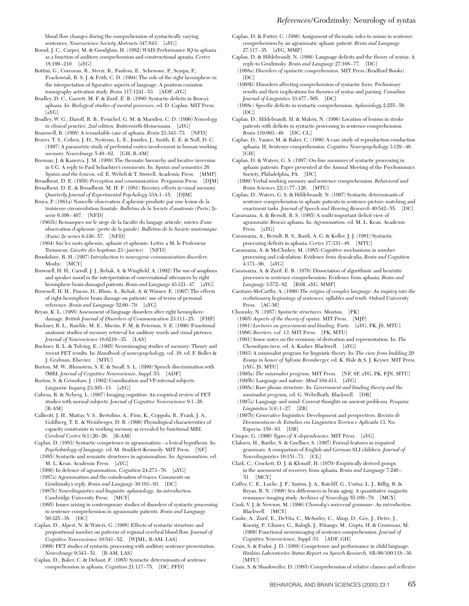blood flow changes during the comprehension of syntactically varying sentences. *Neuroscience Society Abstracts* 347:843. [aYG]

- Borod, J. C., Carper, M. & Goodglass, H. (1982) WAIS Performance IQ in aphasia as a function of auditory comprehension and constructional apraxia. *Cortex* 18:199–210. [aYG]
- Bottini, G., Corcoran, R., Sterzi, R., Paulesu, E., Schenone, P., Scarpa, P., Frackowiak, R. S. J. & Frith, C. D. (1994) The role of the right hemisphere in the interpretation of figurative aspects of language: A positron emission tomography activation study. *Brain* 117:1241–53. [ADF, aYG]
- Bradley, D. C., Garrett, M. F. & Zurif, E. B. (1980) Syntactic deficits in Broca's aphasia. In: *Biological studies of mental processes,* ed. D. Caplan. MIT Press. [aYG]
- Bradley, W. G., Daroff, R. B., Fenichel, G. M. & Marsden, C. D. (1996) *Neurology in clinical practice, 2nd edition.* Butterwirth-Heinemann. [aYG]
- Bramwell, B. (1898) A remarkable case of aphasia. *Brain* 21:343–73. [NFD]
- Braver, T. S., Cohen, J. D., Nystrom, L. E., Jonides, J., Smith, E. E. & Noll, D. C. (1997) A parametric study of prefrontal cortex involvement in human working memory. *NeuroImage* 5:49–62. [GH, R-AM]
- Bresnan, J. & Kanerva, J. M. (1989) The thematic hierarchy and locative inversion in UG. A reply to Paul Schachter's comments. In: *Syntax and semantics 26: Syntax and the lexicon,* ed. E. Wehrli & T. Stowell. Academic Press. [MMP]
- Broadbent, D. E. (1958) *Perception and communication.* Pergamon Press. [DJM] Broadbent, D. E. & Broadbent, M. H. P. (1981) Recency effects in visual memory.
- *Quarterly Journal of Experimental Psychology* 33A:1–15. [DJM] Broca, P. (1861a) Nouvelle observation d'aphemie produite par une lesion de la troisieme circonvolution frontale. *Bulletins de la Societe d'anatomie (Paris)* 2e serie 6:398–407. [NFD]
- (1861b) Remarques sur le siege de la faculte du langage articule, suivies d'une observation d'aphemie (perte de la parole). *Bulletins de la Societe anatomique* (Paris) 2e series 6:330–57. [NFD]
- (1864) Sur les mots aphemie, aphasie et aphrasie; Lettre a M. le Professeur Trousseau. *Gazette des hopitaux* 23 (janvier). [NFD]
- Brookshire, R. H. (1997) *Introduction to neurogenic communication disorders.* Mosby. [MCY]
- Brownell, H. H., Carroll, J. J., Rehak, A. & Wingfield, A. (1992) The use of anaphora and speaker mood in the interpretation of conversational utterances by right hemisphere brain-damaged patients. *Brain and Language* 43:121–47. [aYG]
- Brownell, H. H., Pincus, D., Blum, A., Rehak, A. & Winner, E. (1997) The effects of right-hemisphere brain damage on patients' use of terms of personal reference. *Brain and Language* 52:60–79. [aYG]
- Bryan, K. L. (1988) Assessment of language disorders after right hemisphere damage. *British Journal of Disorders of Communication* 23:111–25. [FHP]
- Buckner, R. L., Raichle, M. E., Miezin, F. M. & Peterson, S. E. (1996) Functional anatomic studies of memory retrieval for auditory words and visual pictures. *Journal of Neuroscience* 16:6219–35. [LAS]
- Buckner, R. L. & Tulving, E. (1995) Neuroimaging studies of memory: Theory and recent PET results. In: *Handbook of neuropsychology,* vol. 10, ed. F. Boller & J. Grafman. Elsevier. [MTU]
- Burton, M. W., Blumstein, S. E. & Small, S. L. (1999) Speech discrimination with fMRI. *Journal of Cognitive Neuroscience, Suppl.*:53. [ADF]
- Burton, S. & Grimshaw, J. (1992) Coordination and VP-internal subjects. *Linguistic Inquiry* 23:305–13. [aYG]
- Cabeza, R. & Nyberg, L. (1997) Imaging cognition: An empirical review of PET studies with normal subjects. *Journal of Cognitive Neuroscience* 9:1–26. [R-AM]
- Callicott, J. H., Mattay, V. S., Bertolino, A., Finn, K., Coppola, R., Frank, J. A., Goldberg, T. E. & Weinberger, D. R. (1999) Physiological characteristics of capacity constraints in working memory as revealed by functional MRI. *Cerebral Cortex* 9(1):20–26. [R-AM]
- Caplan, D. (1983) Syntactic competence in agrammatism a lexical hypothesis. In: *Psychobiology of language,* ed. M. Studdert-Kennedy. MIT Press. [NF]
- (1985) Syntactic and semantic structures in agrammatism. In: *Agrammatism,* ed. M. L. Kean. Academic Press. [aYG]
- (1986) In defence of agrammatism. *Cognition* 24:273–76. [aYG]
- (1987a) Agrammatism and the coindexation of traces: Comments on Grodzinsky's reply. *Brain and Language* 30:191–93. [DC] (1987b) *Neurolinguistics and linguistic aphasiology: An introduction.*
- Cambridge University Press. [MCY] (1995) Issues arising in contemporary studies of disorders of syntactic processing in sentence comprehension in agrammatic patients. *Brain and Language* 50:325–38. [DC]
- Caplan, D., Alpert, N. & Waters, G. (1998) Effects of syntactic structure and propositional number on patterns of regional cerebral blood flow. *Journal of Cognitive Neuroscience* 10:541–52. [WJML, R-AM, LAS]
- (1999) PET studies of syntactic processing with auditory sentence presentation. *NeuroImage* 9:343–51. [R-AM, LAS]
- Caplan, D., Baker, C. & Dehaut, F. (1985) Syntactic determinants of sentence comprehension in aphasia. *Cognition* 21:117–75. [DC, PFD]
- Caplan, D. & Futter, C. (1986) Assignment of thematic roles to nouns in sentence comprehension by an agrammatic aphasic patient. *Brain and Language* 27:117–35. [aYG, MMP]
- Caplan, D. & Hildebrandt, N. (1986) Language deficits and the theory of syntax: A reply to Grodzinsky. *Brain and Language* 27:168–77. [DC]
- (1988a) *Disorders of syntactic comprehension.* MIT Press (Bradford Books). [DC]
- (1988b) Disorders affecting comprehension of syntactic form. Preliminary results and their implications for theories of syntax and parsing. *Canadian Journal of Linguistics* 33:477–505. [DC]
- (1988c) Specific deficits in syntactic comprehension. *Aphasiology* 2:255–58. [DC]
- Caplan, D., Hildebrandt, H. & Makris, N. (1996) Location of lesions in stroke patients with deficits in syntactic processing in sentence comprehension. *Brain* 119:993–49. [DC, CL]
- Caplan, D., Vanier, M. & Baker, C. (1986) A case study of reproduction conduction aphasia: II. Sentence comprehension. *Cognitive Neuropsychology* 3:129–46.  $[GH]$
- Caplan, D. & Waters, G. S. (1997) On-line measures of syntactic processing in aphasic patients. Paper presented at the Annual Meeting of the Psychonomics Society, Philadelphia, PA. [DC]
- (1999) Verbal working memory and sentence comprehension. *Behavioral and Brain Sciences* 22(1):77–126. [MTU]
- Caplan, D., Waters, G. S. & Hildebrandt, N. (1997) Syntactic determinants of sentence comprehension in aphasic patients in sentence-picture matching and enactment tasks. *Journal of Speech and Hearing Research* 40:542–55. [DC]
- Caramazza, A. & Berndt, R. S. (1985) A multi-important deficit view of agrammatic Broca's aphasia. In: *Agrammatism,* ed. M. L. Kean. Academic Press. [aYG]
- Caramazza, A., Berndt, R. S., Basili, A. G. & Koller, J. J. (1981) Syntactic processing deficits in aphasia. *Cortex* 17:333–48. [MTU]
- Caramazza, A. & McCloskey, M. (1985) Cognitive mechanisms in number processing and calculation: Evidence from dyscalculia. *Brain and Cognition* 4:171–96. [aYG]
- Caramazza, A. & Zurif, E. B. (1976) Dissociation of algorithmic and heuristic processes in sentence comprehension: Evidence from aphasia. *Brain and Language* 3:572–82. [RSB, aYG, MMP]
- Carstairs-McCarthy, A. (1999) *The origins of complex language: An inquiry into the evolutionary beginnings of sentences, syllables and truth.* Oxford University Press. [AC-M]
- Chomsky, N. (1957) *Syntactic structures.* Mouton. [PK]
- (1965) *Aspects of the theory of syntax.* MIT Press. [MJP]
- (1981) *Lectures on government and binding.* Foris. [aYG, PK, JS, MTU]
- (1986) *Barriers, vol. 13.* MIT Press. [PK, MTU]
- (1991) Some notes on the economy of derivation and representation. In: *The Chomskyan turn,* ed. A. Kasher. Blackwell. [aYG]
- (1993) A minimalist program for linguistic theory. In: *The view from building 20: Essays in honor of Sylvain Bromberger,* ed. K. Hale & S. J. Keyser. MIT Press. [rYG, JS, MTU]
- (1995a) *The minimalist program.* MIT Press. [NF, SF, aYG, PK, FJN, MTU]
- (1995b) Language and nature. *Mind* 104:413. [aYG]
- (1995c) Bare phrase structure. In: *Government and binding theory and the minimalist program,* ed. G. Webelhuth. Blackwell. [DB]
- (1997a) Language and mind: Current thoughts on ancient problems. *Pesquisa Linguistica* 3(4):1–27. [ZB]
- (1997b) Generative linguistics: Development and perspectives. *Revista de Documentacao de Estudios em Linguistica Teorica e Aplicada* 13, No. Especia: 159–93. [DB]
- Cinque, G. (1990) *Types of A'-dependencies.* MIT Press. [aYG]
- Clahsen, H., Bartke, S. & Goellner, S. (1997) Formal features in impaired grammars: A comparison of English and German SLI children. *Journal of Neurolinguistics* 10:151–71. [CL]
- Clark, C., Crockett, D. J. & Klonoff, H. (1979) Empirically derived groups in the assessment of recovery from aphasia. *Brain and Language* 7:240– 51. [MCY]
- Coffey, C. E., Lucke, J. F., Saxton, J. A., Ratcliff, G., Unitas, L. J., Billig, B. & Bryan, R. N. (1998) Sex differences in brain aging: A quantitative magnetic resonance imaging study. *Archives of Neurology* 55:169–79. [MCY]
- Cook, V. J. & Newson, M. (1996) *Chomsky's universal grammar: An introduction.* Blackwell. [MCY]
- Cooke, A., Zurif, E., DeVita, C., McSorley, C., Alsop, D., Gee, J., Detre, J., Koenig, P., Glosser, G., Balogh, J., Piñango, M., Gupta, H. & Grossman, M. (1999) Functional neuroimaging of sentence comprehension. *Journal of Cognitive Neuroscience, Suppl.*:51. [ADF, GH]
- Crain, S. & Fodor, J. D. (1989) Competence and performance in child language. *Haskins Laboratories Status Report on Speech Research,* SR-99/100:118–36. [MTU]
- Crain, S. & Shankweiler, D. (1985) Comprehension of relative clauses and reflexive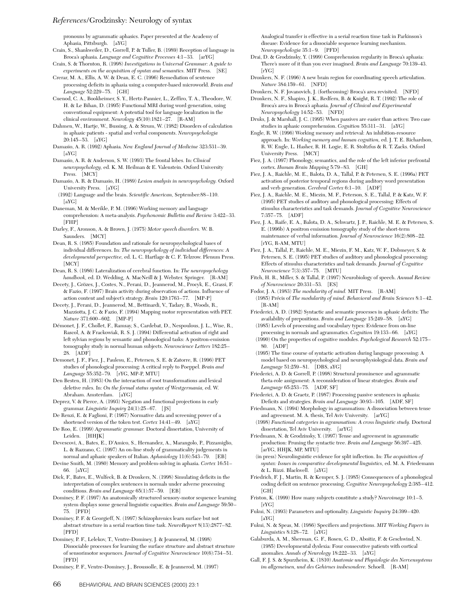pronouns by agrammatic aphasics. Paper presented at the Academy of Aphasia, Pittsburgh. [aYG]

- Crain, S., Shankweiler, D., Gorrell, P. & Tuller, B. (1989) Reception of language in Broca's aphasia. *Language and Cognitive Processes* 4:1–33. [arYG]
- Crain, S. & Thornton, R. (1998) *Investigations in Universal Grammar: A guide to experiments on the acquisition of syntax and semantics.* MIT Press. [SE]
- Crerar, M. A., Ellis, A. W. & Dean, E. C. (1996) Remediation of sentence processing deficits in aphasia using a computer-based microworld. *Brain and Language* 52:229–75. [GH]

Cuenod, C. A., Bookheimer, S. Y., Hertz-Pannier, L., Zeffiro, T. A., Theodore, W. H. & Le Bihan, D. (1995) Functional MRI during word generation, using conventional equipment: A potential tool for language localization in the clinical environment. *Neurology* 45(10):1821–27. [R-AM]

Dahmen, W., Hartje, W., Bussing, A. & Strum, W. (1982) Disorders of calculation in aphasic patients - spatial and verbal components. *Neuropsychologia* 20:145–53. [aYG]

Damasio, A. R. (1992) Aphasia. *New England Journal of Medicine* 323:531–39.  $[a<sub>YG</sub>]$ 

Damasio, A. R. & Anderson, S. W. (1993) The frontal lobes. In: *Clinical neuropsychology,* ed. K. M. Heilman & E. Valenstein. Oxford University Press. [MCY]

Damasio, A. R. & Damasio, H. (1989) *Lesion analysis in neuropsychology.* Oxford University Press. [aYG]

(1992) Language and the brain. *Scientific American,* September:88–110. [aYG]

Daneman, M. & Merikle, P. M. (1996) Working memory and language comprehension: A meta-analysis. *Psychonomic Bulletin and Review* 3:422–33. [FHP]

Darley, F., Aronson, A. & Brown, J. (1975) *Motor speech disorders.* W. B. Saunders. [MCY]

Dean, R. S. (1985) Foundation and rationale for neuropsychological bases of individual differences. In: *The neuropsychology of individual differences: A developmental perspective,* ed. L. C. Hartlage & C. F. Telzrow. Plenum Press. [MCY]

Dean, R. S. (1986) Lateralization of cerebral function. In: *The neuropsychology handbook,* ed. D. Wedding, A. MacNeill & J. Webster. Springer. [R-AM]

Decety, J., Grözes, J., Costes, N., Perani, D., Jeannerod, M., Procyk, E., Grassi, F. & Fazio, F. (1997) Brain activity during observation of actions. Influence of action content and subject's strategy. *Brain* 120:1763–77. [MP-P]

Decety, J., Perani, D., Jeannerod, M., Bettinardi, V., Tadary, B., Woods, R., Mazziotta, J. C. & Fazio, F. (1994) Mapping motor representation with PET. *Nature* 371:600–602. [MP-P]

Démonet, J. F., Chollet, F., Ramsay, S., Cardebat, D., Nespoulous, J. L., Wise, R., Rascol, A. & Frackowiak, R. S. J. (1994) Differential activation of right and left sylvian regions by semantic and phonological tasks: A positron-emission tomography study in normal human subjects. *Neuroscience Letters* 182:25– 28. [ADF]

Demonet, J. F., Fiez, J., Paulesu, E., Petersen, S. E. & Zatorre, R. (1996) PET studies of phonological processing: A critical reply to Poeppel. *Brain and Language* 55:352–79. [rYG, MP-P, MTU]

Den Besten, H. (1983) On the interaction of root transformations and lexical deletive rules. In: *On the formal status syntax of Westgermania,* ed. W. Abraham. Amsterdam. [aYG]

Deprez, V. & Pierce, A. (1993) Negation and functional projections in early grammar. *Linguistic Inquiry* 24(1):25–67. [JS]

De Renzi, E. & Faglioni, P. (1967) Normative data and screening power of a shortened version of the token test. *Cortex* 14:41–49. [aYG]

De Roo, E. (1999) *Agrammatic grammar.* Doctoral dissertation, University of Leiden. [HHJK]

Devescovi, A., Bates, E., D'Amico, S., Hernandez, A., Marangolo, P., Pizzamiglio, L. & Razzano, C. (1997) An on-line study of grammaticality judgements in normal and aphasic speakers of Italian. *Aphasiology* 11(6):543–79. [EB]

Devine Smith, M. (1980) Memory and problem-solving in aphasia. *Cortex* 16:51– 66. [aYG]

Dick, F., Bates, E., Wulfeck, B. & Dronkers, N. (1998) Simulating deficits in the interpretation of complex sentences in normals under adverse processing conditions. *Brain and Language* 65(1):57–59. [EB]

Dominey, P. F. (1997) An anatomically structured sensory-motor sequence learning system displays some general linguistic capacities. *Brain and Language* 59:50– 75. [PFD]

Dominey, P. F. & Georgieff, N. (1997) Schizophrenics learn surface but not abstract structure in a serial reaction time task. *NeuroReport* 8(13):2877–82. [PFD]

Dominey, P. F., Lelekov, T., Ventre-Dominey, J. & Jeannerod, M. (1998) Dissociable processes for learning the surface structure and abstract structure of sensorimotor sequences. *Journal of Cognitive Neuroscience* 10(6):734–51. [PFD]

Dominey, P. F., Ventre-Dominey, J., Broussolle, E. & Jeannerod, M. (1997)

Analogical transfer is effective in a serial reaction time task in Parkinson's disease: Evidence for a dissociable sequence learning mechanism. *Neuropsychologia* 35:1–9. [PFD]

- Drai, D. & Grodzinsky, Y. (1999) Comprehension regularity in Broca's aphasia: There's more of it than you ever imagined. *Brain and Language* 70:139–43. [rYG]
- Dronkers, N. F. (1996) A new brain region for coordinating speech articulation. *Nature* 384:159–61. [NFD]

Dronkers, N. F. Jovanovich, J. (forthcoming) Broca's area revisited. [NFD]

Dronkers, N. F., Shapiro, J. K., Redfern, B. & Knight, R. T. (1992) The role of Broca's area in Broca's aphasia. *Journal of Clinical and Experimental Neuropsychology* 14:52–53. [NFD]

Druks, J. & Marshall, J. C. (1995) When passives are easier than actives: Two case studies in aphasic comprehension. *Cognition* 55:311–31. [aYG]

Engle, R. W. (1996) Working memory and retrieval: An inhibition-resource approach. In: *Working memory and human cognition,* ed. J. T. E. Richardson, R. W. Engle, L. Hasher, R. H. Logie, E. R. Stoltzfus & R. T. Zacks. Oxford University Press. [MCY]

Fiez, J. A. (1997) Phonology, semantics, and the role of the left inferior prefrontal cortex. *Human Brain Mapping* 5:79–83. [GH]

Fiez, J. A., Raichle, M. E., Balota, D. A., Tallal, P. & Petersen, S. E. (1996a) PET activation of posterior temporal regions during auditory word presentation and verb generation. *Cerebral Cortex* 6:1–10. [ADF]

Fiez, J. A., Raichle, M. E., Miezin, M. F., Peterson, S. E., Tallal, P. & Katz, W. F. (1995) PET studies of auditory and phonological processing: Effects of stimulus characteristics and task demands. *Journal of Cognitive Neuroscience* 7:357–75. [ADF]

Fiez, J. A., Raife, E. A., Balota, D. A., Schwartz, J. P., Raichle, M. E. & Petersen, S. E. (1996b) A positron emission tomography study of the short-term maintenance of verbal information. *Journal of Neuroscience* 16(2):808–22. [rYG, R-AM, MTU]

Fiez, J. A., Tallal, P., Raichle, M. E., Miezin, F. M., Katz, W. F., Dobmeyer, S. & Petersen, S. E. (1995) PET studies of auditory and phonological processing: Effects of stimulus characteristics and task demands. *Journal of Cognitive Neuroscience* 7(3):357–75. [MTU]

Fitch, H. R., Miller, S. & Tallal, P. (1997) Neurobiology of speech. *Annual Review of Neuroscience* 20:331–53. [ES] Fodor, J. A. (1983) *The modularity of mind.* MIT Press. [R-AM]

(1985) Précis of *The modularity of mind. Behavioral and Brain Sciences* 8:1–42.  $[R-AM]$ 

Friederici, A. D. (1982) Syntactic and semantic processes in aphasic deficits: The availability of prepositions. *Brain and Language* 15:249–58. [aYG] (1985) Levels of processing and vocabulary types: Evidence from on-line

processing in normals and agrammatics. *Cognition* 19:133–66. [aYG] (1990) On the properties of cognitive modules. *Psychological Research* 52:175– 80. [ADF]

(1995) The time course of syntactic activation during language processing: A model based on neuropsychological and neurophysiological data. *Brain and Language* 51:259–81. [DBS, aYG]

Friederici, A. D. & Gorrell, P. (1998) Structural prominence and agrammatic theta-role assignment: A reconsideration of linear strategies. *Brain and Language* 65:253–75. [ADF, SF]

Friederici, A. D. & Graetz, P. (1987) Processing passive sentences in aphasia: Deficits and strategies. *Brain and Language* 30:93–105. [ADF, SF]

Friedmann, N. (1994) Morphology in agrammatism: A dissociation between tense and agreement. M. A. thesis, Tel Aviv University. [arYG]

(1998) *Functional categories in agrammatism: A cross linguistic study.* Doctoral dissertation, Tel Aviv University. [arYG]

Friedmann, N. & Grodzinsky, Y. (1997) Tense and agreement in agrammatic production: Pruning the syntactic tree. *Brain and Language* 56:397–425. [arYG, HHJK, MP, MTU]

(in press) Neurolinguistic evidence for split inflection. In: *The acquisition of syntax: Issues in comparative developmental linguistics,* ed. M. A. Friedemann & L. Rizzi. Blackwell. [aYG]

Friedrich, F. J., Martin, R. & Kemper, S. J. (1985) Consequences of a phonological coding deficit on sentence processing. *Cognitive Neuropsychology* 2:385–412.  $\lceil$ GH $\rceil$ 

Friston, K. (1999) How many subjects constitute a study? *Neuroimage* 10:1–5.  $[r<sub>YG</sub>]$ 

Fukui, N. (1993) Parameters and optionality. *Linguistic Inquiry* 24:399–420. [aYG]

Fukui, N. & Speas, M. (1986) Specifiers and projections. *MIT Working Papers in Linguistics* 8:128–72. [aYG]

Galaburda, A. M., Sherman, G. F., Rosen, G. D., Aboitiz, F. & Geschwind, N. (1985) Developmental dyslexia: Four consecutive patients with cortical anomalies. *Annals of Neurology* 18:222–33. [aYG]

Gall, F. J. S. & Spurzheim, K. (1810) *Anatomie und Physiologie des Nervensystems im allgemeinen, und des Gehirnes insbesondere.* Schoell. [R-AM]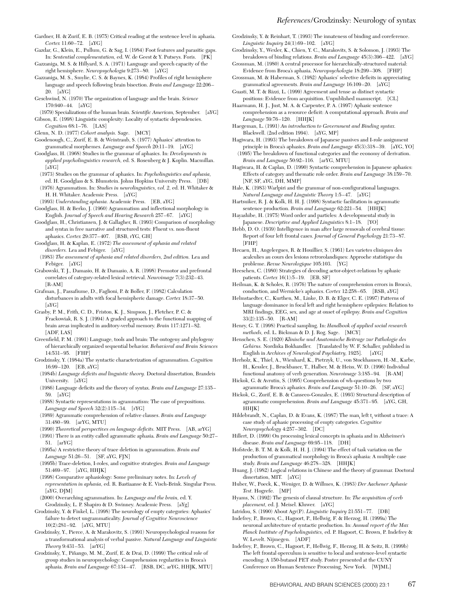- Gardner, H. & Zurif, E. B. (1975) Critical reading at the sentence level in aphasia. *Cortex* 11:60–72. [aYG]
- Gazdar, G., Klein, E., Pullum, G. & Sag, I. (1984) Foot features and parasitic gaps. In: *Sentential complementation,* ed. W. de Geest & Y. Putseys. Foris. [PK]
- Gazzaniga, M. S. & Hillyard, S. A. (1971) Language and speech capacity of the right hemisphere. *Neuropsychologia* 9:273–80. [aYG]
- Gazzaniga, M. S., Smylie, C. S. & Baynes, K. (1984) Profiles of right hemisphere language and speech following brain bisection. *Brain and Language* 22:206– 20. [aYG]
- Geschwind, N. (1970) The organization of language and the brain. *Science* 170:940–44. [aYG]
- (1979) Specializations of the human brain. *Scientific American,* September. [aYG] Gibson, E. (1998) Linguistic complexity: Locality of syntactic dependencies.
- *Cognition* 68:1–76. [LAS]
- Glenn, N. D. (1977) *Cohort analysis.* Sage. [MCY]
- Goodenough, C., Zurif, E. B. & Weintraub, S. (1977) Aphasics' attention to grammatical morphemes. *Language and Speech* 20:11–19. [aYG]
- Goodglass, H. (1968) Studies in the grammar of aphasics. In: *Developments in applied psycholinguistics research,* ed. S. Rosenberg & J. Koplin. Macmillan. [aYG]
- (1973) Studies on the grammar of aphasics. In: *Psycholinguistics and aphasia,* ed. H. Goodglass & S. Blumstein. Johns Hopkins University Press. [DB] (1976) Agrammatism. In: *Studies in neurolinguistics, vol. 2,* ed. H. Whitaker & H. H. Whitaker. Academic Press. [aYG]
- (1993) *Understanding aphasia.* Academic Press. [EB, aYG]
- Goodglass, H. & Berko, J. (1960) Agrammatism and inflectional morphology in English. *Journal of Speech and Hearing Research* 257–67. [aYG]
- Goodglass, H., Christiansen, J. & Gallagher, R. (1993) Comparison of morphology and syntax in free narrative and structured tests: Fluent vs. non-fluent aphasics. *Cortex* 29:377–407. [RSB, rYG, GH]
- Goodglass, H. & Kaplan, E. (1972) *The assessment of aphasia and related disorders.* Lea and Febiger. [aYG]
- (1983) *The assessment of aphasia and related disorders, 2nd edition.* Lea and Febiger. [aYG]
- Grabowski, T. J., Damasio, H. & Damasio, A. R. (1998) Premotor and prefrontal correlates of category-related lexical retrieval. *Neuroimage* 7(3):232–43. [R-AM]
- Grafman, J., Passafiume, D., Faglioni, P. & Boller, F. (1982) Calculation disturbances in adults with focal hemispheric damage. *Cortex* 18:37–50.  $[a<sub>YG</sub>]$
- Grasby, P. M., Frith, C. D., Friston, K. J., Simpson, J., Fletcher, P. C. & Frackowiak, R. S. J. (1994) A graded approach to the functional mapping of brain areas implicated in auditory-verbal memory. *Brain* 117:1271–82. [ADF, LAS]
- Greenfield, P. M. (1991) Language, tools and brain: The ontogeny and phylogeny of hierarchically organized sequential behavior. *Behavioral and Brain Sciences* 14:531–95. [FHP]
- Grodzinsky, Y. (1984a) The syntactic characterization of agrammatism. *Cognition* 16:99–120. [EB, aYG]
- (1984b) *Language deficits and linguistic theory.* Doctoral dissertation, Brandeis University. [aYG]
- (1986) Language deficits and the theory of syntax. *Brain and Language* 27:135– 59. [aYG]
- (1988) Syntactic representations in agrammatism: The case of prepositions. *Language and Speech* 32(2):115–34. [rYG]
- (1989) Agrammatic comprehension of relative clauses. *Brain and Language* 31:480–99. [arYG, MTU]
- (1990) *Theoretical perspectives on language deficits.* MIT Press. [AB, arYG]
- (1991) There is an entity called agrammatic aphasia. *Brain and Language* 50:27– 51. [arYG]
- (1995a) A restrictive theory of trace deletion in agrammatism. *Brain and Language* 51:26–51. [SF, aYG, FJN]
- (1995b) Trace-deletion, I-roles, and cognitive strategies. *Brain and Language* 51:469–97. [aYG, HHJK]
- (1998) Comparative aphasiology: Some preliminary notes. In: *Levels of representation in aphasia,* ed. R. Bastiaanse & E. Visch-Brink. Singular Press. [aYG, DJM]
- (2000) Overarching agrammatism. In: *Language and the brain,* ed. Y. Grodzinsky, L. P. Shapiro & D. Swinney. Academic Press. [aYg]
- Grodzinsky, Y. & Finkel, L. (1998) The neurology of empty categories: Aphasics' failure to detect ungrammaticality. *Journal of Cognitive Neuroscience* 10(2):281–92. [aYG, MTU]
- Grodzinsky, Y., Pierce, A. & Marakovitz, S. (1991) Neuropsychological reasons for a transformational analysis of verbal passive. *Natural Language and Linguistic Theory* 9:431–53. [arYG]
- Grodzinsky, Y., Piñango, M. M., Zurif, E. & Drai, D. (1999) The critical role of group studies in neuropsychology: Comprehension regularities in Broca's aphasia. *Brain and Language* 67:134–47. [RSB, DC, arYG, HHJK, MTU]
- Grodzinsky, Y. & Reinhart, T. (1993) The innateness of binding and coreference. *Linguistic Inquiry* 24(1):69–102. [aYG]
- Grodzinsky, Y., Wexler, K., Chien, Y. C., Marakovits, S. & Solomon, J. (1993) The breakdown of binding relations. *Brain and Language* 45(3):396–422. [aYG] Grossman, M. (1980) A central processor for hierarchically-structured material:
- Evidence from Broca's aphasia. *Neuropsychologia* 18:299–308. [FHP] Grossman, M. & Haberman, S. (1982) Aphasics' selective deficits in appreciating
- grammatical agreements. *Brain and Language* 16:109–20. [aYG]
- Guasti, M. T. & Rizzi, L. (1999) Agreement and tense as distinct syntactic positions: Evidence from acquisition. Unpublished manuscript. [CL]
- Haarmann, H. J., Just, M. A. & Carpenter, P. A. (1997) Aphasic sentence comprehension as a resource deficit: A computational approach. *Brain and Language* 59:76–120. [HHJK]
- Haegeman, L. (1991) *An introduction to Government and Binding syntax.* Blackwell. (2nd edition 1994). [aYG, MP]
- Hagiwara, H. (1993) The breakdown of Japanese passives and I-role assignment principle in Broca's aphasics. *Brain and Language* 45(3):318–39. [aYG, YO] (1995) The breakdown of functional categories and the economy of derivation. *Brain and Language* 50:92–116. [arYG, MTU]
- Hagiwara, H. & Caplan, D. (1990) Syntactic comprehension in Japanese aphasics: Effects of category and thematic role order. *Brain and Language* 38:159–70. [NF, SF, aYG, DH, MMP]
- Hale, K. (1983) Warlpiri and the grammar of non-configurational languages. *Natural Language and Linguistic Theory* 1:5–47. [aYG]
- Hartsuiker, R. J. & Kolk, H. H. J. (1998) Syntactic facilitation in agrammatic sentence production. *Brain and Language* 62:221–54. [HHJK]
- Hayashibe, H. (1975) Word order and particles: A developmental study in Japanese. *Descriptive and Applied Linguistics* 8:1–18. [YO]
- Hebb, D. O. (1939) Intelligence in man after large removals of cerebral tissue: Report of four left frontal cases. *Journal of General Psychology* 21:73–87. [FHP]
- Hecaen, H., Angelergues, R. & Houillier, S. (1961) Les varietes cliniques des acalculies au cours des lesions retrorolandiques: Approche statistique du probleme. *Revue Neurologique* 105:103. [YG]
- Heeschen, C. (1980) Strategies of decoding actor-object-relations by aphasic patients. *Cortex* 16(1):5–19. [EB, SF]
- Heilman, K. & Scholes, R. (1976) The nature of comprehension errors in Broca's, conduction, and Wernicke's aphasics. *Cortex* 12:258–65. [RSB, aYG]
- Helmstaedter, C., Kurthen, M., Linke, D. B. & Elger, C. E. (1997) Patterns of language dominance in focal left and right hemisphere epilepsies: Relation to MRI findings, EEG, sex, and age at onset of epilepsy. *Brain and Cognition* 33(2):135–50. [R-AM]
- Henry, G. T. (1998) Practical sampling. In: *Handbook of applied social research methods,* ed. L. Bickman & D. J. Rog. Sage. [MCY]
- Henschen, S. E. (1920) *Klinische und Anatomische Beitrage zur Pathologie des Gehirns.* Nordiska Bokhandler. [Translated by W. F. Schaller, published in English in *Archives of Neurological Psychiatry,* 1925]. [aYG]
- Herholz, K., Thiel, A., Wienhard, K., Pietrzyk, U., von Stockhausen, H.-M., Karbe, H., Kessler, J., Bruckbauer, T., Halber, M. & Heiss, W. D. (1996) Individual functional anatomy of verb generation. *Neuroimage* 3:185–94. [R-AM]
- Hickok, G. & Avrutin, S. (1995) Comprehension of wh-questions by two agrammatic Broca's aphasics. *Brain and Language* 51:10–26. [SF, aYG]
- Hickok, G., Zurif, E. B. & Canseco-Gonzales, E. (1993) Structural description of agrammatic comprehension. *Brain and Language* 45:371–95. [aYG, GH, HHJK]
- Hildebrandt, N., Caplan, D. & Evans, K. (1987) The man<sub>i</sub> left t<sub>i</sub> without a trace: A case study of aphasic processing of empty categories. *Cognitive Neuropsychology* 4:257–302. [DC]
- Hillert, D. (1999) On processing lexical concepts in aphasia and in Alzheimer's disease. *Brain and Language* 69:95–118. [DH]
- Hofstede, B. T. M. & Kolk, H. H. J. (1994) The effect of task variation on the production of grammatical morphology in Broca's aphasia: A multiple case study. *Brain and Language* 46:278–328. [HHJK]
- Huang, J. (1982) Logical relations in Chinese and the theory of grammar. Doctoral dissertation, MIT. [aYG]
- Huber, W., Poeck, K., Weniger, D. & Willmes, K. (1983) *Der Aachener Aphasie Test.* Hogrefe. [MP]
- Hyams, N. (1992) The genesis of clausal structure. In: *The acquisition of verb placement,* ed. J. Meisel. Kluwer. [aYG]
- Iatridou, S. (1990) About Agr(P). *Linguistic Inquiry* 21:551–77. [DB]
- Indefrey, P., Brown, C., Hagoort, P., Hellwig, F. & Herzog, H. (1999a) The neuronal architecture of syntactic production. In: *Annual report of the Max Planck Institute of Psycholinguistics,* ed. P. Hagoort, C. Brown, P. Indefrey & W. Levelt. Nijmegen. [ADF]
- Indefrey, P., Brown, C., Hagoort, P., Hellwig, F., Herzog, H. & Seitz, R. (1999b) The left frontal operculum is sensitive to local and sentence-level syntactic encoding: A 150-butanol PET study. Poster presented at the CUNY Conference on Human Sentence Processing, New York. [WJML]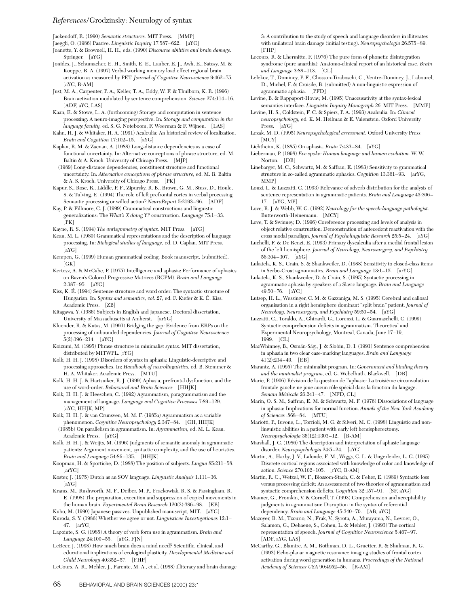Jackendoff, R. (1990) *Semantic structures.* MIT Press. [MMP]

Jaeggli, O. (1986) Passive. *Linguistic Inquiry* 17:587–622. [aYG]

Joanette, Y. & Brownell, H. H., eds. (1990) *Discourse abilities and brain damage.* Springer. [aYG]

- Jonides, J., Schumacher, E. H., Smith, E. E., Lauber, E. J., Awh, E., Satosy, M. & Koeppe, R. A. (1997) Verbal working memory load effect regional brain activation as measured by PET. *Journal of Cognitive Neuroscience* 9:462–75. [aYG, R-AM]
- Just, M. A., Carpenter, P. A., Keller, T. A., Eddy, W. F. & Thulborn, K. R. (1996) Brain activation modulated by sentence comprehension. *Science* 274:114–16. [ADF, aYG, LAS]
- Kaan, E. & Stowe, L. A. (forthcoming) Storage and computation in sentence processing: A neuro-imaging perspective. In: *Storage and computation in the language faculty,* ed. S. G. Noteboom, F. Weerman & F. Wijnen. [LAS]
- Kahn, H. J. & Whitaker, H. A. (1991) Acalculia: An historical review of localization. *Brain and Cognition* 17:102–15. [aYG]
- Kaplan, R. M. & Zaenan, A. (1988) Long-distance dependencies as a case of functional uncertainty. In: Alternative conceptions of phrase structure, ed. M. Baltin & A. Kroch. University of Chicago Press. [MJP]
- (1989) Long-distance dependencies, constituent structure and functional uncertainty. In: *Alternative conceptions of phrase structure,* ed. M. R. Baltin & A. S. Kroch. University of Chicago Press. [PK]
- Kapur, S., Rose, R., Liddle, P. F., Zipursky, R. B., Brown, G. M., Stuss, D., Houle, S. & Tulving, E. (1994) The role of left prefrontal cortex in verbal processing: Semantic processing or willed action? *NeuroReport* 5:2193–96. [ADF]
- Kay, P. & Fillmore, C. J. (1999) Grammatical constructions and linguistic generalizations: The *What's X doing Y?* construction. *Language* 75:1–33. [PK]
- Kayne, R. S. (1994) *The antisymmetry of syntax.* MIT Press. [aYG]
- Kean, M. L. (1980) Grammatical representations and the description of language processing. In: *Biological studies of language,* ed. D. Caplan. MIT Press. [aYG]
- Kempen, G. (1999) Human grammatical coding. Book manuscript. (submitted). [GK]
- Kertesz, A. & McCabe, P. (1975) Intelligence and aphasia: Performance of aphasics on Raven's Colored Progressive Matrices (RCPM). *Brain and Language* 2:387–95. [aYG]
- Kiss, K. É. (1994) Sentence structure and word order: The syntactic structure of Hungarian. In: *Syntax and semantics, vol. 27,* ed. F. Kiefer & K. É. Kiss. Academic Press. [ZB]
- Kitagawa, Y. (1986) Subjects in English and Japanese. Doctoral dissertation, University of Massachusetts at Amherst. [arYG]
- Kluender, R. & Kutas, M. (1993) Bridging the gap: Evidence from ERPs on the processing of unbounded dependencies. *Journal of Cognitive Neuroscience* 5(2):196–214. [aYG]
- Koizumi, M. (1995) Phrase structure in minimalist syntax. MIT dissertation, distributed by MITWPL. [rYG]
- Kolk, H. H. J. (1998) Disorders of syntax in aphasia: Linguistic-descriptive and processing approaches. In: *Handbook of neurolinguistics,* ed. B. Stemmer & H. A. Whitaker. Academic Press. [MTU]
- Kolk, H. H. J. & Hartsuiker, R. J. (1999) Aphasia, prefrontal dysfunction, and the use of word-order. *Behavioral and Brain Sciences* [HHJK]
- Kolk, H. H. J. & Heeschen, C. (1992) Agrammatism, paragrammatism and the management of language. *Language and Cognitive Processes* 7:89–129. [aYG, HHJK, MP]
- Kolk, H. H. J. & van Grunsven, M. M. F. (1985a) Agrammatism as a variable phenomenon. *Cognitive Neuropsychology* 2:347–84. [GH, HHJK]
- (1985b) On parallelism in agrammatism. In: *Agrammatism,* ed. M. L. Kean. Academic Press. [aYG]
- Kolk, H. H. J. & Weijts, M. (1996) Judgments of semantic anomaly in agrammatic patients: Argument movement, syntactic complexity, and the use of heuristics. *Brain and Language* 54:86–135. [HHJK]
- Koopman, H. & Sportiche, D. (1988) The position of subjects. *Lingua* 85:211–58. [arYG]
- Koster, J. (1975) Dutch as an SOV language. *Linguistic Analysis* 1:111–36. [aYG]
- Krams, M., Rushworth, M. F., Deiber, M. P., Frackowiak, R. S. & Passingham, R. E. (1998) The preparation, execution and suppression of copied movements in the human brain. *Experimental Brain Research* 120(3):386–98. [EB]
- Kubo, M. (1990) Japanese passives. Unpublished manuscript, MIT. [aYG]
- Kuroda, S. Y. (1986) Whether we agree or not. *Linguisticae Investigationes* 12:1– 47. [arYG]
- Lapointe, S. G. (1985) A theory of verb form use in agrammatism. *Brain and Language* 24:100–55. [aYG, FJN]
- LeBeer, J. (1998) How much brain does a mind need? Scientific, clinical, and educational implications of ecological plasticity. *Developmental Medicine and Child Neurology* 40:352–57. [FHP]

LeCours, A. R., Mehler, J., Parente, M. A., et al. (1988) Illiteracy and brain damage

3: A contribution to the study of speech and language disorders in illiterates with unilateral brain damage (initial testing). *Neuropsychologia* 26:575–89. [FHP]

- Lecours, R. & Lhermitte, F. (1976) The pure form of phonetic disintegration syndrome (pure anarthia): Anatomo-clinical report of an historical case. *Brain and Language* 3:88–113. [CL]
- Lelekov, T., Dominey, P. F., Chosson-Tiraboschi, C., Ventre-Dominey, J., Labourel, D., Michel, F. & Croisile, B. (submitted) A non-linguistic expression of agrammatic aphasia. [PFD]
- Levine, B. & Rappaport-Hovav, M. (1995) Unaccusativity at the syntax-lexical semantics interface. *Linguistic Inquiry Monograph 26.* MIT Press. [MMP]
- Levine, H. S., Goldstein, F. C. & Spiers, P. A. (1993) Acalculia. In: *Clinical neuropsychology,* ed. K. M. Heilman & E. Valenstein. Oxford University Press. [aYG]
- Lezak, M. D. (1995) *Neuropsychological assessment.* Oxford University Press. [MCY]
- Lichtheim, K. (1885) On aphasia. *Brain* 7:433–84. [aYG]
- Lieberman, P. (1998) *Eve spoke: Human language and human evolution.* W. W. Norton. [DB]
- Linebarger, M. C., Schwartz, M. & Saffran, E. (1983) Sensitivity to grammatical structure in so-called agrammatic aphasics. *Cognition* 13:361–93. [arYG, MMP]
- Lonzi, L. & Luzzatti, C. (1993) Relevance of adverb distribution for the analysis of sentence representation in agrammatic patients. *Brain and Language* 45:306– 17. [aYG, MP]
- Love, R. J. & Webb, W. G. (1992) *Neurology for the speech-language pathologist.* Butterworth-Heinemann. [MCY]
- Love, T. & Swinney, D. (1996) Coreference processing and levels of analysis in object relative construction: Demonstration of antecedent reactivation with the cross modal paradigm. *Journal of Psycholinguistic Research* 25:5–24. [aYG]
- Luchelli, F. & De Renzi, E. (1993) Primary dyscalculia after a medial frontal lesion of the left hemisphere. *Journal of Neurology, Neurosurgery, and Psychiatry* 56:304–307. [aYG]
- Lukatela, K. S., Crain, S. & Shankweiler, D. (1988) Sensitivity to closed-class items in Serbo-Croat agrammatics. *Brain and Language* 13:1–15. [arYG]
- Lukatela, K. S., Shankweiler, D. & Crain, S. (1995) Syntactic processing in agrammatic aphasia by speakers of a Slavic language. *Brain and Language* 49:50–76. [aYG]
- Lutsep, H. L., Wessinger, C. M. & Gazzaniga, M. S. (1995) Cerebral and callosal organisation in a right hemisphere dominant "split brain" patient. *Journal of Neurology, Neurosurgery, and Psychiatry* 59:50–54. [aYG]
- Luzzatti, C., Toraldo, A., Ghirardi, G., Lorenzi, L. & Guarnaschelli, C. (1999) Syntactic comprehension deficits in agrammatism. Theoretical and Experimental Neuropsychology, Montreal, Canada, June 17–19, 1999. [CL]
- MacWhinney, B., Osmán-Sági, J. & Slobin, D. I. (1991) Sentence comprehension in aphasia in two clear case-marking languages. *Brain and Language* 41(2):234–49. [EB]
- Marantz, A. (1995) The minimalist program. In: *Government and binding theory and the minimalist program,* ed. G. Webelhuth. Blackwell. [DB]
- Marie, P. (1906) Révision de la question de l'aphasie: La troisième circonvolution frontale gauche ne joue aucun rôle spécial dans la fonction du langage. *Semain Médicale* 26:241–47. [NFD, CL]
- Marin, O. S. M., Saffran, E. M. & Schwartz, M. F. (1976) Dissociations of language in aphasia: Implications for normal function. *Annals of the New York Academy of Sciences* :868–84. [MTU]
- Mariotti, P., Iuvone, L., Torrioli, M. G. & Silveri, M. C. (1998) Linguistic and nonlinguistic abilities in a patient with early left hemispherectomy. *Neuropsychologia* 36(12):1303–12. [R-AM]
- Marshall, J. C. (1986) The description and interpretation of aphasic language disorder. *Neuropsychologia* 24:5–24. [aYG]
- Martin, A., Haxby, J. V., Lalonde, F. M., Wiggs, C. L. & Ungerleider, L. G. (1995) Discrete cortical regions associated with knowledge of color and knowledge of action. *Science* 270:102–105. [rYG, R-AM]
- Martin, R. C., Wetzel, W. F., Blossom-Stach, C. & Feher, E. (1989) Syntactic loss versus processing deficit: An assessment of two theories of agrammatism and syntactic comprehension deficits. *Cognition* 32:157–91. [SF, aYG]
- Mauner, G., Fromkin, V. & Cornell, T. (1993) Comprehension and acceptability judgments in agrammatism: Disruption in the syntax of referential dependency. *Brain and Language* 45:340–70. [AB, aYG]
- Mazoyer, B. M., Tzourio, N., Frak, V., Syrota, A., Murayama, N., Levrier, O., Salamon, G., Dehaene, S., Cohen, L. & Mehler, J. (1993) The cortical representation of speech. *Journal of Cognitive Neuroscience* 5:467–97. [ADF, aYG, LAS]
- McCarthy, G., Blamire, A. M., Rothman, D. L., Gruetter, R. & Shulman, R. G. (1993) Echo-planar magnetic resonance imaging studies of frontal cortex activation during word generation in humans. *Proceedings of the National Academy of Sciences USA* 90:4952–56. [R-AM]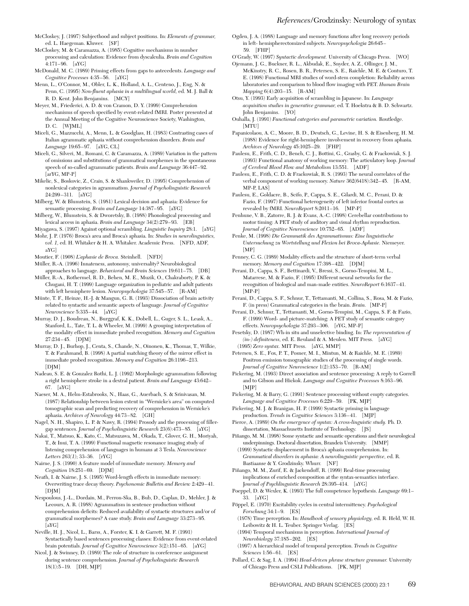- McCloskey, J. (1997) Subjecthood and subject positions. In: *Elements of grammar,* ed. L. Haegeman. Kluwer. [SF]
- McCloskey, M. & Caramazza, A. (1985) Cognitive mechanisms in number processing and calculation: Evidence from dyscalculia. *Brain and Cognition* 4:171–96. [aYG]
- McDonald, M. C. (1989) Priming effects from gaps to antecedents. *Language and Cognitive Processes* 4:35–56. [aYG]
- Menn, L., O'Connor, M., Obler, L. K., Holland, A. L., Centeno, J., Eng, N. & Penn, C. (1995) *Non-fluent aphasia in a multilingual world,* ed. M. J. Ball & R. D. Kent. John Benjamins. [MCY]
- Meyer, M., Friederici, A. D. & von Cramon, D. Y. (1999) Comprehension mechanisms of speech specified by event-related fMRI. Poster presented at the Annual Meeting of the Cognitive Neuroscience Society, Washington, D. C. [WJML]
- Miceli, G., Mazzucchi, A., Menn, L. & Goodglass, H. (1983) Contrasting cases of Italian agrammatic aphasia without comprehension disorders. *Brain and Language* 19:65–97. [aYG, CL]
- Miceli, G., Silveri, M., Romani, C. & Caramazza, A. (1989) Variation in the pattern of omissions and substitutions of grammatical morphemes in the spontaneous speech of so-called agrammatic patients. *Brain and Language* 36:447–92. [arYG, MP-P]
- Mikelic, S., Boskovic, Z., Crain, S. & Shankweiler, D. (1995) Comprehension of nonlexical categories in agrammatism. *Journal of Psycholinguistic Research* 24:299–311. [aYG]
- Milberg, W. & Blumstein, S. (1981) Lexical decision and aphasia: Evidence for semantic processing. *Brain and Language* 14:387–95. [aYG]
- Milberg, W., Blumstein, S. & Dworetsky, B. (1988) Phonological processing and lexical access in aphasia. *Brain and Language* 34(2):279–93. [EB]
- Miyagawa, S. (1997) Against optional scrambling. *Linguistic Inquiry* 28:1. [aYG]
- Mohr, J. P. (1976) Broca's area and Broca's aphasia. In: *Studies in neurolinguistics, vol. 1,* ed. H. Whitaker & H. A. Whitaker. Academic Press. [NFD, ADF, aYG]
- Moutier, F. (1908) *L'aphasie de Broca.* Steinhell. [NFD]
- Müller, R.-A. (1996) Innateness, autonomy, universality? Neurobiological approaches to language. *Behavioral and Brain Sciences* 19:611–75. [DB]
- Müller, R.-A., Rothermel, R. D., Behen, M. E., Muzik, O., Chakraborty, P. K. & Chugani, H. T. (1999) Language organization in pediatric and adult patients with left hemisphere lesion. *Neuropsychologia* 37:545–57. [R-AM]
- Münte, T. F., Heinze, H.-J. & Mangun, G. R. (1993) Dissociation of brain activity related to syntactic and semantic aspects of language. *Journal of Cognitive Neuroscience* 5:335–44. [aYG]
- Murray, D. J., Boudreau, N., Burggraf, K. K., Dobell, L., Guger, S. L., Leask, A., Stanford, L., Tate, T. L. & Wheeler, M. (1999) A grouping interpretation of the modality effect in immediate probed recognition. *Memory and Cognition* 27:234–45. [DJM]
- Murray, D. J., Burhop, J., Centa, S., Chande, N., Oinonen, K., Thomas, T., Wilkie, T. & Farahmand, B. (1998) A partial matching theory of the mirror effect in immediate probed recognition. *Memory and Cognition* 26:1196–213. [DJM]
- Nadeau, S. E. & Gonzalez Rothi, L. J. (1992) Morphologic agrammatism following a right hemisphere stroke in a dextral patient. *Brain and Language* 43:642– 67. [aYG]
- Naeser, M. A., Helm-Estabrooks, N., Haas, G., Auerbach, S. & Srinivasan, M. (1987) Relationship between lesion extent in "Wernicke's area" on computed tomographic scan and predicting recovery of comprehension in Wernicke's aphasia. *Archives of Neurology* 44:73–82. [GH]
- Nagel, N. H., Shapiro, L. P. & Nawy, R. (1994) Prosody and the processing of fillergap sentences. *Journal of Psycholinguistic Research* 23(6):473–85. [aYG]
- Nakai, T., Matsuo, K., Kato, C., Matsuzawa, M., Okada, T., Glover, G. H., Moriyah, T., & Inui, T. A. (1999) Functional magnetic resonance imaging study of listening comprehension of languages in humans at 3 Tesla. *Neuroscience Letters 263(1)*; 33–36. [rYG]
- Nairne, J. S. (1990) A feature model of immediate memory. *Memory and Cognition* 18:251–69. [DJM]
- Neath, I. & Nairne, J. S. (1995) Word-length effects in immediate memory: Overwriting trace decay theory. *Psychonomic Bulletin and Review* 2:429–41.  $[D[M]$
- Nespoulous, J.-L., Dordain, M., Perron-Ska, B., Bub, D., Caplan, D., Mehler, J. & Lecours, A. R. (1988) Agrammatism in sentence production without comprehension deficits: Reduced availability of syntactic structures and/or of grammatical morphemes? A case study. *Brain and Language* 33:273–95. [aYG]
- Neville, H. J., Nicol, L., Barss, A., Forster, K. I. & Garrett, M. F. (1991) Syntactically based sentences processing classes: Evidence from event-related brain potentials. *Journal of Cognitive Neuroscience* 3(2):151–65. [aYG]
- Nicol, J. & Swinney, D. (1989) The role of structure in coreference assignment during sentence comprehension. *Journal of Psycholinguistic Research* 18(1):5–19. [DH, MJP]
- Ogden, J. A. (1988) Language and memory functions after long recovery periods in left- hemispherectomized subjects. *Neuropsychologia* 26:645– 59. [FHP]
- O'Grady, W. (1997) *Syntactic development.* University of Chicago Press. [WO]
- Ojemann, J. G., Buckner, R. L., Akbudak, E., Snyder, A. Z., Ollinger, J. M.,
- McKinstry, R. C., Rosen, B. R., Petersen, S. E., Raichle, M. E. & Conturo, T. E. (1998) Functional MRI studies of word-stem completion: Reliability across laboratories and comparison to blood flow imaging with PET. *Human Brain Mapping* 6(4):203–15. [R-AM]
- Otsu, Y. (1993) Early acquisition of scrambling in Japanese. In: *Language acquisition studies in generative grammar,* ed. T. Hoekstra & B. D. Schwartz. John Benjamins. [YO]
- Ouhalla, J. (1991) *Functional categories and parametric variation.* Routledge. [MTU]
- Papanicolaou, A. C., Moore, B. D., Deutsch, G., Levine, H. S. & Eisenberg, H. M. (1988) Evidence for right-hemisphere involvement in recovery from aphasia. *Archives of Neurology* 45:1025–29. [FHP]
- Paulesu, E., Frith, C. D., Bench, C. J., Bottini, G., Grasby, G. & Frackowiak, S. J. (1993) Functional anatomy of working memory: The articulatory loop. *Journal of Cerebral Blood Flow and Metabolism* 13:551. [ADF]
- Paulesu, E., Frith, C. D. & Frackowiak, R. S. (1993) The neural correlates of the verbal component of working memory. *Nature* 362(6418):342–45. [R-AM, MP-P, LAS]
- Paulesu, E., Goldacre, B., Scifo, P., Cappa, S. E., Gilardi, M. C., Perani, D. & Fazio, F. (1997) Functional heterogeneity of left inferior frontal cortex as revealed by fMRI. *NeuroReport* 8:2011–16. [MP-P]
- Penhune, V. B., Zatorre, R. J. & Evans, A.-C. (1998) Cerebellar contributions to motor timing: A PET study of auditory and visual rhythm reproduction. *Journal of Cognitive Neuroscience* 10:752–65. [ADF]
- Penke, M. (1998) *Die Grammatik des Agrammatismus: Eine linguistische Untersuchung zu Wortstellung und Flexion bei Broca-Aphasie.* Niemeyer. [MP]
- Penney, C. G. (1989) Modality effects and the structure of short-term verbal memory. *Memory and Cognition* 17:398–422. [DJM]
- Perani, D., Cappa, S. F., Bettinardi, V., Bressi, S., Gorno-Tempini, M. L., Matarrese, M. & Fazio, F. (1995) Different neural networks for the recognition of biological and man-made entities. *NeuroReport* 6:1637–41. [MP-P]
- Perani, D., Cappa, S. F., Schnur, T., Tettamanti, M., Collina, S., Rosa, M. & Fazio, F. (in press) Grammatical categories in the brain. *Brain.* [MP-P]
- Perani, D., Schnur, T., Tettamanti, M., Gorno-Tempini, M., Cappa, S. F. & Fazio, F. (1999) Word- and picture-matching: A PET study of semantic category effects. *Neuropsychologia* 37:293–306. [rYG, MP-P]
- Pesetsky, D. (1987) Wh-in situ and unselective binding. In: *The representation of (in-) definiteness,* ed. E. Reuland & A. Meulen. MIT Press. [aYG] (1995) *Zero syntax.* MIT Press. [aYG, MMP]
- Petersen, S. E., Fox, P. T., Posner, M. I., Mintun, M. & Raichle, M. E. (1989) Positron emission tomographic studies of the processing of single words. *Journal of Cognitive Neuroscience* 1(2):153–70. [R-AM]
- Pickering, M. (1993) Direct association and sentence processing: A reply to Gorrell and to Gibson and Hickok. *Language and Cognitive Processes* 8:163–96. [MJP]
- Pickering, M. & Barry, G. (1991) Sentence processing without empty categories. *Language and Cognitive Processes* 6:229–59. [PK, MJP]
- Pickering, M. J. & Branigan, H. P. (1999) Syntactic priming in language production. *Trends in Cognitive Sciences* 3:136–41. [MJP]
- Pierce, A. (1989) *On the emergence of syntax: A cross-linguistic study.* Ph. D. dissertation, Massachusetts Institute of Technology. [JS]
- Piñango, M. M. (1998) Some syntactic and semantic operations and their neurological underpinnings. Doctoral dissertation, Brandeis University. [MMP] (1999) Syntactic displacement in Broca's aphasia comprehension. In: *Grammatical disorders in aphasia: A neurolinguistic perspective,* ed. R.
- Bastiaanse & Y. Grodzinsky. Whurr. [NF] Piñango, M. M., Zurif, E. & Jackendoff, R. (1999) Real-time processing implications of enriched composition at the syntax-semantics interface. J*ournal of Psychlinguistic Research* 28:395–414. [aYG]
- Poeppel, D. & Wexler, K. (1993) The full competence hypothesis. *Language* 69:1– 33. [aYG]
- Pöppel, E. (1970) Excitability cycles in central intermittency. *Psychological Forschung* 34:1–9. [ES]
- (1978) Time perception. In: *Handbook of sensory physiology,* ed. R. Held, W. H. Leibowitz & H. L. Teuber. Springer Verlag. [ES]
- (1994) Temporal mechanisms in perception. *International Journal of Neurobiology* 37:185–202. [ES]
- (1997) A hierarchical model of temporal perception. *Trends in Cognitive Sciences* 1:56–61. [ES]
- Pollard, C. & Sag, I. A. (1994) *Head-driven phrase structure grammar.* University of Chicago Press and CSLI Publications. [PK, MJP]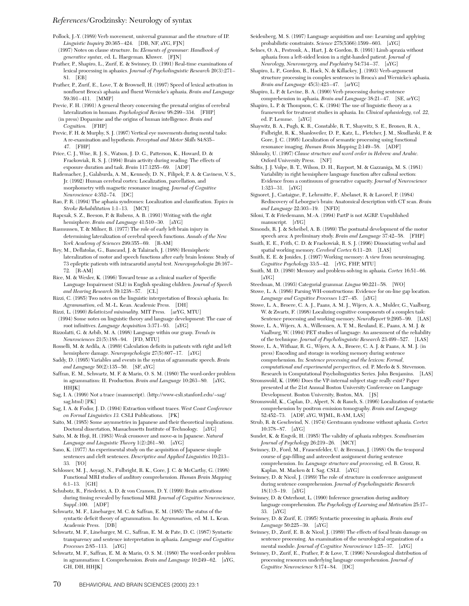Pollock, J.-Y. (1989) Verb movement, universal grammar and the structure of IP. *Linguistic Inquiry* 20:365–424. [DB, NF, aYG, FJN] (1997) Notes on clause structure. In: *Elements of grammar: Handbook of*

*generative syntax,* ed. L. Haegeman. Kluwer. [FJN] Prather, P., Shapiro, L., Zurif, E. & Swinney, D. (1991) Real-time examinations of

- lexical processing in aphasics. *Journal of Psycholinguistic Research* 20(3):271– 81. [EB]
- Prather, P., Zurif, E., Love, T. & Brownell, H. (1997) Speed of lexical activation in nonfluent Broca's aphasia and fluent Wernicke's aphasia. *Brain and Language* 59:391–411. [MMP]
- Previc, F. H. (1991) A general theory concerning the prenatal origins of cerebral lateralization in humans. *Psychological Review* 98:299–334. [FHP] (in press) Dopamine and the origins of human intelligence. *Brain and Cognition.* [FHP]
- Previc, F. H. & Murphy, S. J. (1997) Vertical eye movements during mental tasks: A re-examination and hypothesis. *Perceptual and Motor Skills* 84:835– 47. [FHP]
- Price, C. J., Wise, R. J. S., Watson, J. D. G., Patterson, K., Howard, D. & Frackowiak, R. S. J. (1994) Brain activity during reading: The effects of exposure duration and task. *Brain* 117:1255–69. [ADF]
- Rademacher, J., Galaburda, A. M., Kennedy, D. N., Filipek, P. A. & Caviness, V. S., Jr. (1992) Human cerebral cortex: Localization, parcellation, and morphometry with magnetic resonance imaging. *Journal of Cognitive Neuroscience* 4:352–74. [DC]
- Rao, P. R. (1994) The aphasia syndromes: Localization and classification. *Topics in Stroke Rehabilitation* 1:1–13. [MCY]
- Rapcsak, S. Z., Beeson, P. & Rubens, A. B. (1991) Writing with the right hemisphere. *Brain and Language* 41:510–30. [aYG]
- Rasmussen, T. & Milner, B. (1977) The role of early left brain injury in determining lateralization of cerebral speech functions. *Annals of the New York Academy of Sciences* 299:355–69. [R-AM]
- Rey, M., Dellatolas, G., Bancaud, J. & Talairach, J. (1988) Hemispheric lateralization of motor and speech functions after early brain lesions: Study of 73 epileptic patients with intracarotid amytal test. *Neuropsychologia* 26:167– 72. [R-AM]
- Rice, M. & Wexler, K. (1996) Toward tense as a clinical marker of Specific Language Impairment (SLI) in English speaking children. *Journal of Speech and Hearing Research* 39:1238–57. [CL]
- Rizzi, C. (1985) Two notes on the linguistic interpretation of Broca's aphasia. In: *Agrammatism,* ed. M.-L. Kean. Academic Press. [DH]
- Rizzi, L. (1990) *Relativized minimality.* MIT Press. [arYG, MTU] (1994) Some notes on linguistic theory and language development: The case of
- root infinitives. *Language Acquisition* 3:371–93. [aYG] Rizzolatti, G. & Arbib, M. A. (1998) Language within our grasp. *Trends in*
- *Neurosciences* 21(5):188–94. [FD, MTU]
- Rosselli, M. & Ardila, A. (1989) Calculation deficits in patients with right and left hemisphere damage. *Neuropsychologia* 27(5):607–17. [aYG]
- Saddy, D. (1995) Variables and events in the syntax of agrammatic speech. *Brain and Language* 50(2):135–50. [SF, aYG]
- Saffran, E. M., Schwartz, M. F. & Marin, O. S. M. (1980) The word-order problem in agrammatism: II. Production. *Brain and Language* 10:263–80. [aYG, HHJK]
- Sag, I. A. (1999) Not a trace (manuscript). (http://www-csli.stanford.edu/~sag/ sag.html) [PK]
- Sag, I. A. & Fodor, J. D. (1994) Extraction without traces. *West Coast Conference on Formal Linguistics 13.* CSLI Publications. [PK]
- Saito, M. (1985) Some asymmetries in Japanese and their theoretical implications. Doctoral dissertation, Massachusetts Institute of Technology. [aYG]
- Saito, M. & Hoji, H. (1983) Weak crossover and move-a in Japanese. *Natural Language and Linguistic Theory* 1(2):261–80. [aYG]
- Sano, K. (1977) An experimental study on the acquisition of Japanese simple sentences and cleft sentences. *Descriptive and Applied Linguistics* 10:213– 33. [YO]
- Schlosser, M. J., Aoyagi, N., Fulbright, R. K., Gore, J. C. & McCarthy, G. (1998) Functional MRI studies of auditory comprehension. *Human Brain Mapping* 6:1–13. [GH]
- Schubotz, R., Friederici, A. D. & von Cramon, D. Y. (1999) Brain activations during timing revealed by functional MRI. *Journal of Cognitive Neuroscience, Suppl.*:100. [ADF]
- Schwartz, M. F., Linebarger, M. C. & Saffran, E. M. (1985) The status of the syntactic deficit theory of agrammatism. In: *Agrammatism,* ed. M. L. Kean. Academic Press. [DB]
- Schwartz, M. F., Linebarger, M. C., Saffran, E. M. & Pate, D. C. (1987) Syntactic transparency and sentence interpretation in aphasia. *Language and Cognitive Processes* 2:85–113. [aYG]
- Schwartz, M. F., Saffran, E. M. & Marin, O. S. M. (1980) The word-order problem in agrammatism: I. Comprehension. *Brain and Language* 10:249–62. [aYG, GH, DH, HHJK]
- Seidenberg, M. S. (1997) Language acquisition and use: Learning and applying probabilistic constraints. *Science* 275(5366):1599–603. [aYG]
- Selnes, O. A., Pestronk, A., Hart, J. & Gordon, B. (1991) Limb apraxia without aphasia from a left-sided lesion in a right-handed patient. *Journal of Neurology, Neurosurgery, and Psychiatry* 54:734–37. [aYG]
- Shapiro, L. P., Gordon, B., Hack, N. & Killackey, J. (1993) Verb-argument structure processing in complex sentences in Broca's and Wernicke's aphasia. *Brain and Language* 45(3):423–47. [arYG]
- Shapiro, L. P. & Levine, B. A. (1990) Verb processing during sentence comprehension in aphasia. *Brain and Language* 38:21–47. [SE, arYG]
- Shapiro, L. P. & Thompson, C. K. (1994) The use of linguistic theory as a framework for treatment studies in aphasia. In: *Clinical aphasiology, vol. 22,* ed. P. Lemme. [aYG]
- Shaywitz, B. A., Pugh, K. R., Constable, R. T., Shaywitz, S. E., Bronen, R. A., Fulbright, R. K., Shankweiler, D. P., Katz, L., Fletcher, J. M., Skudlarski, P. & Gore, J. C. (1995) Localization of semantic processing using functional resonance imaging. *Human Brain Mapping* 2:149–58. [ADF]
- Shlonsky, U. (1997) *Clause structure and word order in Hebrew and Arabic.* Oxford University Press. [NF]
- Sidtis, J. J. Volpe, B. T., Wilson, D. H., Rayport, M. & Gazzaniga, M. S. (1981) Variability in right hemisphere language function after callosal section: Evidence from a continuum of generative capacity. *Journal of Neuroscience* 1:323–31. [aYG]
- Signoret, J., Castaigne, P., Lehrmitte, F., Abelanet, R. & Lavorel, P. (1984) Rediscovery of Leborgne's brain: Anatomical description with CT scan. *Brain and Language* 22:303–19. [NFD]
- Siloni, T. & Friedemann, M.-A. (1994) PartP is not AGRP. Unpublished manuscript. [rYG]
- Simonds, R. J. & Scheibel, A. B. (1989) The postnatal development of the motor speech area: A preliminary study. *Brain and Language* 37:42–58. [FHP]
- Smith, E. E., Frith, C. D. & Frackowiak, R. S. J. (1996) Dissociating verbal and spatial working memory. *Cerebral Cortex* 6:11–20. [LAS]
- Smith, E. E. & Jonides, J. (1997) Working memory: A view from neuroimaging. *Cognitive Psychology* 33:5–42. [rYG, FHP, MTU]
- Smith, M. D. (1980) Memory and problem-solving in aphasia. *Cortex* 16:51–66. [aYG]
- Steedman, M. (1993) Categorial grammar. *Lingua* 90:221–58. [WO]
- Stowe, L. A. (1986) Parsing WH-constructions: Evidence for on-line gap location. *Language and Cognitive Processes* 1:27–45. [aYG]
- Stowe, L. A., Broere, C. A. J., Paans, A. M. J., Wijers, A. A., Mulder, G., Vaalburg, W. & Zwarts, F. (1998) Localizing cognitive components of a complex task: Sentence processing and working memory. *NeuroReport* 9:2995–99. [LAS]
- Stowe, L. A., Wijers, A. A., Willemsen, A. T. M., Reuland, E., Paans, A. M. J. & Vaalburg, W. (1994) PET studies of language: An assessment of the reliability of the technique. *Journal of Psycholinguistic Research* 23:499–527. [LAS]
- Stowe, L. A., Withaar, R. G., Wijers, A. A., Broere, C. A. J. & Paans, A. M. J. (in press) Encoding and storage in working memory during sentence comprehension. In: *Sentence processing and the lexicon: Formal, computational and experimental perspectives,* ed. P. Merlo & S. Stevenson. Research in Computational Psycholinguistics Series. John Benjamins. [LAS]
- Stromswold, K. (1996) Does the VP-internal subject stage really exist? Paper presented at the 21st Annual Boston University Conference on Language Development. Boston University, Boston, MA. [JS]
- Stromswold, K., Caplan, D., Alpert, N. & Rauch, S. (1996) Localization of syntactic comprehension by positron emission tomography. *Brain and Language* 52:452–73. [ADF, aYG, WJML, R-AM, LAS]
- Strub, R. & Geschwind, N. (1974) Gerstmann syndrome without aphasia. *Cortex* 10:378–87. [aYG]
- Sundet, K. & Engvik, H. (1985) The validity of aphasia subtypes. *Scandinavian Journal of Psychology* 26:219–26. [MCY]
- Swinney, D., Ford, M., Frauenfelder, U. & Bresnan, J. (1988) On the temporal course of gap-filling and antecedent assignment during sentence comprehension. In: *Language structure and processing,* ed. B. Grosz, R. Kaplan, M. Macken & I. Sag. CSLI. [aYG]
- Swinney, D. & Nicol, J. (1989) The role of structure in conference assignment during sentence comprehension. *Journal of Psycholinguistic Research* 18(1):5–19. [aYG]
- Swinney, D. & Osterhout, L. (1990) Inference generation during auditory language comprehension. *The Psychology of Learning and Motivation* 25:17– 33. [aYG]
- Swinney, D. & Zurif, E. (1995) Syntactic processing in aphasia. *Brain and Language* 50:225–39. [aYG]
- Swinney, D., Zurif, E. B. & Nicol, J. (1989) The effects of focal brain damage on sentence processing. An examination of the neurological organization of a mental module. *Journal of Cognitive Neuroscience* 1:25–37. [aYG]
- Swinney, D., Zurif, E., Prather, P. & Love, T. (1996) Neurological distribution of processing resources underlying language comprehension. *Journal of Cognitive Neuroscience* 8:174–84. [DC]